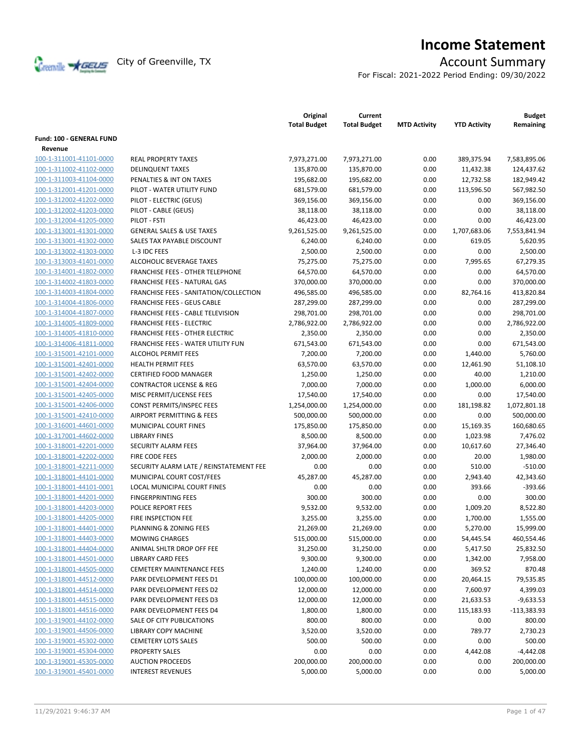

# **Income Statement**

For Fiscal: 2021-2022 Period Ending: 09/30/2022

|                                                    |                                                    | Original<br><b>Total Budget</b> | Current<br><b>Total Budget</b> | <b>MTD Activity</b> | <b>YTD Activity</b> | <b>Budget</b><br>Remaining |
|----------------------------------------------------|----------------------------------------------------|---------------------------------|--------------------------------|---------------------|---------------------|----------------------------|
| <b>Fund: 100 - GENERAL FUND</b>                    |                                                    |                                 |                                |                     |                     |                            |
| Revenue                                            |                                                    |                                 |                                |                     |                     |                            |
| 100-1-311001-41101-0000                            | <b>REAL PROPERTY TAXES</b>                         | 7,973,271.00                    | 7,973,271.00                   | 0.00                | 389,375.94          | 7,583,895.06               |
| 100-1-311002-41102-0000                            | <b>DELINQUENT TAXES</b>                            | 135,870.00                      | 135,870.00                     | 0.00                | 11,432.38           | 124,437.62                 |
| 100-1-311003-41104-0000                            | PENALTIES & INT ON TAXES                           | 195,682.00                      | 195,682.00                     | 0.00                | 12,732.58           | 182,949.42                 |
| 100-1-312001-41201-0000                            | PILOT - WATER UTILITY FUND                         | 681,579.00                      | 681,579.00                     | 0.00                | 113,596.50          | 567,982.50                 |
| 100-1-312002-41202-0000                            | PILOT - ELECTRIC (GEUS)                            | 369,156.00                      | 369,156.00                     | 0.00                | 0.00                | 369,156.00                 |
| 100-1-312002-41203-0000                            | PILOT - CABLE (GEUS)                               | 38,118.00                       | 38,118.00                      | 0.00                | 0.00                | 38,118.00                  |
| 100-1-312004-41205-0000                            | PILOT - FSTI                                       | 46,423.00                       | 46,423.00                      | 0.00                | 0.00                | 46,423.00                  |
| 100-1-313001-41301-0000                            | <b>GENERAL SALES &amp; USE TAXES</b>               | 9,261,525.00                    | 9,261,525.00                   | 0.00                | 1,707,683.06        | 7,553,841.94               |
| 100-1-313001-41302-0000                            | SALES TAX PAYABLE DISCOUNT                         | 6,240.00                        | 6,240.00                       | 0.00                | 619.05              | 5,620.95                   |
| 100-1-313002-41303-0000                            | L-3 IDC FEES                                       | 2,500.00                        | 2,500.00                       | 0.00                | 0.00                | 2,500.00                   |
| 100-1-313003-41401-0000                            | ALCOHOLIC BEVERAGE TAXES                           | 75,275.00                       | 75,275.00                      | 0.00                | 7,995.65            | 67,279.35                  |
| 100-1-314001-41802-0000                            | FRANCHISE FEES - OTHER TELEPHONE                   | 64,570.00                       | 64,570.00                      | 0.00                | 0.00                | 64,570.00                  |
| 100-1-314002-41803-0000                            | FRANCHISE FEES - NATURAL GAS                       | 370,000.00                      | 370,000.00                     | 0.00                | 0.00                | 370,000.00                 |
| 100-1-314003-41804-0000                            | FRANCHISE FEES - SANITATION/COLLECTION             | 496,585.00                      | 496,585.00                     | 0.00                | 82,764.16           | 413,820.84                 |
| 100-1-314004-41806-0000                            | <b>FRANCHISE FEES - GEUS CABLE</b>                 | 287,299.00                      | 287,299.00                     | 0.00                | 0.00                | 287,299.00                 |
| 100-1-314004-41807-0000                            | <b>FRANCHISE FEES - CABLE TELEVISION</b>           | 298,701.00                      | 298,701.00                     | 0.00                | 0.00                | 298,701.00                 |
| 100-1-314005-41809-0000                            | <b>FRANCHISE FEES - ELECTRIC</b>                   | 2,786,922.00                    | 2,786,922.00                   | 0.00                | 0.00                | 2,786,922.00               |
| 100-1-314005-41810-0000                            | <b>FRANCHISE FEES - OTHER ELECTRIC</b>             | 2,350.00                        | 2,350.00                       | 0.00                | 0.00                | 2,350.00                   |
| 100-1-314006-41811-0000                            | <b>FRANCHISE FEES - WATER UTILITY FUN</b>          | 671,543.00                      | 671,543.00                     | 0.00                | 0.00                | 671,543.00                 |
| 100-1-315001-42101-0000                            | <b>ALCOHOL PERMIT FEES</b>                         | 7,200.00                        | 7,200.00                       | 0.00                | 1,440.00            | 5,760.00                   |
| 100-1-315001-42401-0000                            | <b>HEALTH PERMIT FEES</b>                          | 63,570.00                       | 63,570.00                      | 0.00                | 12,461.90           | 51,108.10                  |
| 100-1-315001-42402-0000                            | <b>CERTIFIED FOOD MANAGER</b>                      | 1,250.00                        | 1,250.00                       | 0.00                | 40.00               | 1,210.00                   |
|                                                    | <b>CONTRACTOR LICENSE &amp; REG</b>                | 7,000.00                        | 7,000.00                       | 0.00                | 1,000.00            | 6,000.00                   |
| 100-1-315001-42404-0000                            |                                                    |                                 |                                |                     | 0.00                |                            |
| 100-1-315001-42405-0000<br>100-1-315001-42406-0000 | MISC PERMIT/LICENSE FEES                           | 17,540.00                       | 17,540.00                      | 0.00<br>0.00        |                     | 17,540.00                  |
|                                                    | CONST PERMITS/INSPEC FEES                          | 1,254,000.00                    | 1,254,000.00                   |                     | 181,198.82          | 1,072,801.18               |
| 100-1-315001-42410-0000                            | AIRPORT PERMITTING & FEES<br>MUNICIPAL COURT FINES | 500,000.00                      | 500,000.00                     | 0.00<br>0.00        | 0.00                | 500,000.00                 |
| 100-1-316001-44601-0000                            | <b>LIBRARY FINES</b>                               | 175,850.00                      | 175,850.00                     | 0.00                | 15,169.35           | 160,680.65                 |
| 100-1-317001-44602-0000                            |                                                    | 8,500.00                        | 8,500.00                       |                     | 1,023.98            | 7,476.02                   |
| 100-1-318001-42201-0000                            | SECURITY ALARM FEES                                | 37,964.00                       | 37,964.00                      | 0.00                | 10,617.60           | 27,346.40                  |
| 100-1-318001-42202-0000                            | FIRE CODE FEES                                     | 2,000.00                        | 2,000.00                       | 0.00                | 20.00               | 1,980.00                   |
| 100-1-318001-42211-0000                            | SECURITY ALARM LATE / REINSTATEMENT FEE            | 0.00                            | 0.00                           | 0.00                | 510.00              | $-510.00$                  |
| 100-1-318001-44101-0000                            | MUNICIPAL COURT COST/FEES                          | 45,287.00                       | 45,287.00                      | 0.00                | 2,943.40            | 42,343.60                  |
| 100-1-318001-44101-0001                            | LOCAL MUNICIPAL COURT FINES                        | 0.00                            | 0.00                           | 0.00                | 393.66              | $-393.66$                  |
| 100-1-318001-44201-0000                            | <b>FINGERPRINTING FEES</b>                         | 300.00                          | 300.00                         | 0.00                | 0.00                | 300.00                     |
| 100-1-318001-44203-0000                            | POLICE REPORT FEES                                 | 9,532.00                        | 9,532.00                       | 0.00                | 1,009.20            | 8,522.80                   |
| 100-1-318001-44205-0000                            | FIRE INSPECTION FEE                                | 3,255.00                        | 3,255.00                       | 0.00                | 1,700.00            | 1,555.00                   |
| 100-1-318001-44401-0000                            | PLANNING & ZONING FEES                             | 21,269.00                       | 21,269.00                      | 0.00                | 5,270.00            | 15,999.00                  |
| 100-1-318001-44403-0000                            | <b>MOWING CHARGES</b>                              | 515,000.00                      | 515,000.00                     | 0.00                | 54,445.54           | 460,554.46                 |
| 100-1-318001-44404-0000                            | ANIMAL SHLTR DROP OFF FEE                          | 31,250.00                       | 31,250.00                      | 0.00                | 5,417.50            | 25,832.50                  |
| 100-1-318001-44501-0000                            | <b>LIBRARY CARD FEES</b>                           | 9,300.00                        | 9,300.00                       | 0.00                | 1,342.00            | 7,958.00                   |
| 100-1-318001-44505-0000                            | <b>CEMETERY MAINTENANCE FEES</b>                   | 1,240.00                        | 1,240.00                       | 0.00                | 369.52              | 870.48                     |
| 100-1-318001-44512-0000                            | PARK DEVELOPMENT FEES D1                           | 100,000.00                      | 100,000.00                     | 0.00                | 20,464.15           | 79,535.85                  |
| 100-1-318001-44514-0000                            | PARK DEVELOPMENT FEES D2                           | 12,000.00                       | 12,000.00                      | 0.00                | 7,600.97            | 4,399.03                   |
| 100-1-318001-44515-0000                            | PARK DEVELOPMENT FEES D3                           | 12,000.00                       | 12,000.00                      | 0.00                | 21,633.53           | $-9,633.53$                |
| 100-1-318001-44516-0000                            | PARK DEVELOPMENT FEES D4                           | 1,800.00                        | 1,800.00                       | 0.00                | 115,183.93          | $-113,383.93$              |
| 100-1-319001-44102-0000                            | SALE OF CITY PUBLICATIONS                          | 800.00                          | 800.00                         | 0.00                | 0.00                | 800.00                     |
| 100-1-319001-44506-0000                            | <b>LIBRARY COPY MACHINE</b>                        | 3,520.00                        | 3,520.00                       | 0.00                | 789.77              | 2,730.23                   |
| 100-1-319001-45302-0000                            | <b>CEMETERY LOTS SALES</b>                         | 500.00                          | 500.00                         | 0.00                | 0.00                | 500.00                     |
| 100-1-319001-45304-0000                            | <b>PROPERTY SALES</b>                              | 0.00                            | 0.00                           | 0.00                | 4,442.08            | $-4,442.08$                |
| 100-1-319001-45305-0000                            | <b>AUCTION PROCEEDS</b>                            | 200,000.00                      | 200,000.00                     | 0.00                | 0.00                | 200,000.00                 |
| 100-1-319001-45401-0000                            | <b>INTEREST REVENUES</b>                           | 5,000.00                        | 5,000.00                       | 0.00                | 0.00                | 5,000.00                   |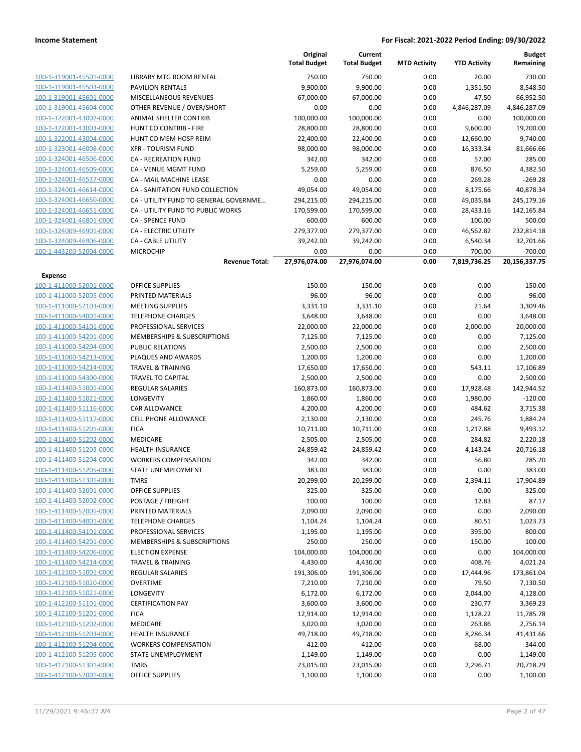|                         |                                        | Original<br><b>Total Budget</b> | Current<br><b>Total Budget</b> | <b>MTD Activity</b> | <b>YTD Activity</b> | <b>Budget</b><br>Remaining |
|-------------------------|----------------------------------------|---------------------------------|--------------------------------|---------------------|---------------------|----------------------------|
| 100-1-319001-45501-0000 | <b>LIBRARY MTG ROOM RENTAL</b>         | 750.00                          | 750.00                         | 0.00                | 20.00               | 730.00                     |
| 100-1-319001-45503-0000 | <b>PAVILION RENTALS</b>                | 9,900.00                        | 9,900.00                       | 0.00                | 1,351.50            | 8,548.50                   |
| 100-1-319001-45601-0000 | MISCELLANEOUS REVENUES                 | 67,000.00                       | 67,000.00                      | 0.00                | 47.50               | 66,952.50                  |
| 100-1-319001-45604-0000 | OTHER REVENUE / OVER/SHORT             | 0.00                            | 0.00                           | 0.00                | 4,846,287.09        | -4,846,287.09              |
| 100-1-322001-43002-0000 | ANIMAL SHELTER CONTRIB                 | 100,000.00                      | 100,000.00                     | 0.00                | 0.00                | 100,000.00                 |
| 100-1-322001-43003-0000 | HUNT CO CONTRIB - FIRE                 | 28,800.00                       | 28,800.00                      | 0.00                | 9,600.00            | 19,200.00                  |
| 100-1-322001-43004-0000 | HUNT CO MEM HOSP REIM                  | 22,400.00                       | 22,400.00                      | 0.00                | 12,660.00           | 9,740.00                   |
| 100-1-323001-46008-0000 | <b>XFR - TOURISM FUND</b>              | 98,000.00                       | 98,000.00                      | 0.00                | 16,333.34           | 81,666.66                  |
| 100-1-324001-46506-0000 | CA - RECREATION FUND                   | 342.00                          | 342.00                         | 0.00                | 57.00               | 285.00                     |
| 100-1-324001-46509-0000 | CA - VENUE MGMT FUND                   | 5,259.00                        | 5,259.00                       | 0.00                | 876.50              | 4,382.50                   |
| 100-1-324001-46537-0000 | CA - MAIL MACHINE LEASE                | 0.00                            | 0.00                           | 0.00                | 269.28              | $-269.28$                  |
| 100-1-324001-46614-0000 | CA - SANITATION FUND COLLECTION        | 49,054.00                       | 49,054.00                      | 0.00                | 8,175.66            | 40,878.34                  |
| 100-1-324001-46650-0000 | CA - UTILITY FUND TO GENERAL GOVERNME  | 294,215.00                      | 294,215.00                     | 0.00                | 49,035.84           | 245,179.16                 |
| 100-1-324001-46651-0000 | CA - UTILITY FUND TO PUBLIC WORKS      | 170,599.00                      | 170,599.00                     | 0.00                | 28,433.16           | 142,165.84                 |
| 100-1-324001-46801-0000 | CA - SPENCE FUND                       | 600.00                          | 600.00                         | 0.00                | 100.00              | 500.00                     |
| 100-1-324009-46901-0000 | CA - ELECTRIC UTILITY                  | 279,377.00                      | 279,377.00                     | 0.00                | 46,562.82           | 232,814.18                 |
| 100-1-324009-46906-0000 | CA - CABLE UTILITY                     | 39,242.00                       | 39,242.00                      | 0.00                | 6,540.34            | 32,701.66                  |
| 100-1-443200-52004-0000 | <b>MICROCHIP</b>                       | 0.00                            | 0.00                           | 0.00                | 700.00              | $-700.00$                  |
|                         | <b>Revenue Total:</b>                  | 27,976,074.00                   | 27,976,074.00                  | 0.00                | 7,819,736.25        | 20,156,337.75              |
| <b>Expense</b>          |                                        |                                 |                                |                     |                     |                            |
| 100-1-411000-52001-0000 | <b>OFFICE SUPPLIES</b>                 | 150.00                          | 150.00                         | 0.00                | 0.00                | 150.00                     |
| 100-1-411000-52005-0000 | PRINTED MATERIALS                      | 96.00                           | 96.00                          | 0.00                | 0.00                | 96.00                      |
| 100-1-411000-52103-0000 | <b>MEETING SUPPLIES</b>                | 3,331.10                        | 3,331.10                       | 0.00                | 21.64               | 3,309.46                   |
| 100-1-411000-54001-0000 | <b>TELEPHONE CHARGES</b>               | 3,648.00                        | 3,648.00                       | 0.00                | 0.00                | 3,648.00                   |
| 100-1-411000-54101-0000 | PROFESSIONAL SERVICES                  | 22,000.00                       | 22,000.00                      | 0.00                | 2,000.00            | 20,000.00                  |
| 100-1-411000-54201-0000 | MEMBERSHIPS & SUBSCRIPTIONS            | 7,125.00                        | 7,125.00                       | 0.00                | 0.00                | 7,125.00                   |
| 100-1-411000-54204-0000 | <b>PUBLIC RELATIONS</b>                | 2,500.00                        | 2,500.00                       | 0.00                | 0.00                | 2,500.00                   |
| 100-1-411000-54213-0000 | PLAQUES AND AWARDS                     | 1,200.00                        | 1,200.00                       | 0.00                | 0.00                | 1,200.00                   |
| 100-1-411000-54214-0000 | <b>TRAVEL &amp; TRAINING</b>           | 17,650.00                       | 17,650.00                      | 0.00                | 543.11              | 17,106.89                  |
| 100-1-411000-54300-0000 | <b>TRAVEL TO CAPITAL</b>               | 2,500.00                        | 2,500.00                       | 0.00                | 0.00                | 2,500.00                   |
| 100-1-411400-51001-0000 | REGULAR SALARIES                       | 160,873.00                      | 160,873.00                     | 0.00                | 17,928.48           | 142,944.52                 |
| 100-1-411400-51021-0000 | LONGEVITY                              | 1,860.00                        | 1,860.00                       | 0.00                | 1,980.00            | $-120.00$                  |
| 100-1-411400-51116-0000 | CAR ALLOWANCE                          | 4,200.00                        | 4,200.00                       | 0.00                | 484.62              | 3,715.38                   |
| 100-1-411400-51117-0000 | <b>CELL PHONE ALLOWANCE</b>            | 2,130.00                        | 2,130.00                       | 0.00                | 245.76              | 1,884.24                   |
| 100-1-411400-51201-0000 | <b>FICA</b>                            | 10,711.00                       | 10,711.00                      | 0.00                | 1,217.88            | 9,493.12                   |
| 100-1-411400-51202-0000 | MEDICARE                               | 2,505.00                        | 2,505.00                       | 0.00                | 284.82              | 2,220.18                   |
| 100-1-411400-51203-0000 | <b>HEALTH INSURANCE</b>                | 24,859.42                       | 24,859.42                      | 0.00                | 4,143.24            | 20,716.18                  |
| 100-1-411400-51204-0000 | <b>WORKERS COMPENSATION</b>            | 342.00                          | 342.00                         | 0.00                | 56.80               | 285.20                     |
| 100-1-411400-51205-0000 | <b>STATE UNEMPLOYMENT</b>              | 383.00                          | 383.00                         | 0.00                | 0.00                | 383.00                     |
| 100-1-411400-51301-0000 | TMRS                                   | 20,299.00                       | 20,299.00                      | 0.00                | 2,394.11            | 17,904.89                  |
| 100-1-411400-52001-0000 | <b>OFFICE SUPPLIES</b>                 | 325.00                          | 325.00                         | 0.00                | 0.00                | 325.00                     |
| 100-1-411400-52002-0000 | POSTAGE / FREIGHT                      | 100.00                          | 100.00                         | 0.00                | 12.83               | 87.17                      |
| 100-1-411400-52005-0000 | PRINTED MATERIALS                      | 2,090.00                        | 2,090.00                       | 0.00                | 0.00                | 2,090.00                   |
| 100-1-411400-54001-0000 | <b>TELEPHONE CHARGES</b>               | 1,104.24                        | 1,104.24                       | 0.00                | 80.51               | 1,023.73                   |
| 100-1-411400-54101-0000 | PROFESSIONAL SERVICES                  | 1,195.00                        | 1,195.00                       | 0.00                | 395.00              | 800.00                     |
| 100-1-411400-54201-0000 | <b>MEMBERSHIPS &amp; SUBSCRIPTIONS</b> | 250.00                          | 250.00                         | 0.00                | 150.00              | 100.00                     |
| 100-1-411400-54206-0000 | <b>ELECTION EXPENSE</b>                | 104,000.00                      | 104,000.00                     | 0.00                | 0.00                | 104,000.00                 |
| 100-1-411400-54214-0000 | <b>TRAVEL &amp; TRAINING</b>           | 4,430.00                        | 4,430.00                       | 0.00                | 408.76              | 4,021.24                   |
| 100-1-412100-51001-0000 | <b>REGULAR SALARIES</b>                | 191,306.00                      | 191,306.00                     | 0.00                | 17,444.96           | 173,861.04                 |
| 100-1-412100-51020-0000 | <b>OVERTIME</b>                        | 7,210.00                        | 7,210.00                       | 0.00                | 79.50               | 7,130.50                   |
| 100-1-412100-51021-0000 | LONGEVITY                              | 6,172.00                        | 6,172.00                       | 0.00                | 2,044.00            | 4,128.00                   |
| 100-1-412100-51101-0000 | <b>CERTIFICATION PAY</b>               | 3,600.00                        | 3,600.00                       | 0.00                | 230.77              | 3,369.23                   |
| 100-1-412100-51201-0000 | <b>FICA</b>                            | 12,914.00                       | 12,914.00                      | 0.00                | 1,128.22            | 11,785.78                  |
| 100-1-412100-51202-0000 | MEDICARE                               | 3,020.00                        | 3,020.00                       | 0.00                | 263.86              | 2,756.14                   |
| 100-1-412100-51203-0000 | <b>HEALTH INSURANCE</b>                | 49,718.00                       | 49,718.00                      | 0.00                | 8,286.34            | 41,431.66                  |
| 100-1-412100-51204-0000 | <b>WORKERS COMPENSATION</b>            | 412.00                          | 412.00                         | 0.00                | 68.00               | 344.00                     |
| 100-1-412100-51205-0000 | STATE UNEMPLOYMENT                     | 1,149.00                        | 1,149.00                       | 0.00                | 0.00                | 1,149.00                   |
| 100-1-412100-51301-0000 | <b>TMRS</b>                            | 23,015.00                       | 23,015.00                      | 0.00                | 2,296.71            | 20,718.29                  |
| 100-1-412100-52001-0000 | <b>OFFICE SUPPLIES</b>                 | 1,100.00                        | 1,100.00                       | 0.00                | 0.00                | 1,100.00                   |
|                         |                                        |                                 |                                |                     |                     |                            |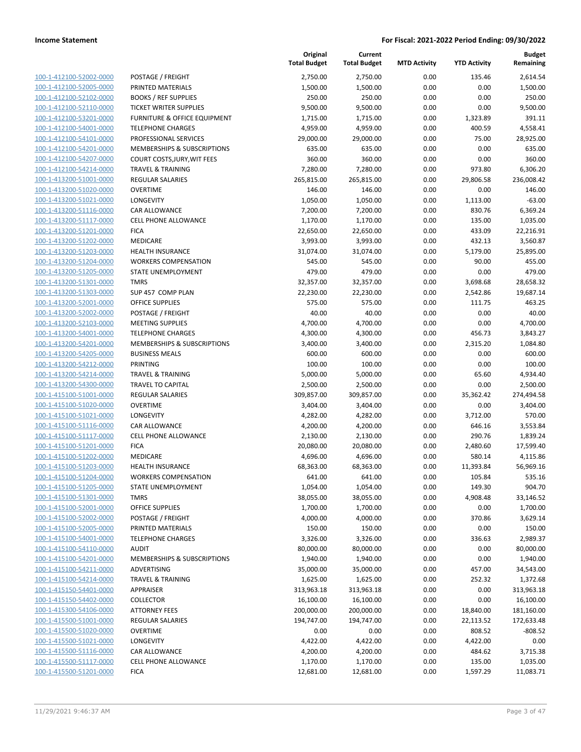|                                                    |                                               | Original<br><b>Total Budget</b> | Current<br><b>Total Budget</b> | <b>MTD Activity</b> | <b>YTD Activity</b> | <b>Budget</b><br>Remaining |
|----------------------------------------------------|-----------------------------------------------|---------------------------------|--------------------------------|---------------------|---------------------|----------------------------|
| 100-1-412100-52002-0000                            | POSTAGE / FREIGHT                             | 2,750.00                        | 2,750.00                       | 0.00                | 135.46              | 2,614.54                   |
| 100-1-412100-52005-0000                            | PRINTED MATERIALS                             | 1,500.00                        | 1,500.00                       | 0.00                | 0.00                | 1,500.00                   |
| 100-1-412100-52102-0000                            | <b>BOOKS / REF SUPPLIES</b>                   | 250.00                          | 250.00                         | 0.00                | 0.00                | 250.00                     |
| 100-1-412100-52110-0000                            | <b>TICKET WRITER SUPPLIES</b>                 | 9,500.00                        | 9,500.00                       | 0.00                | 0.00                | 9,500.00                   |
| 100-1-412100-53201-0000                            | <b>FURNITURE &amp; OFFICE EQUIPMENT</b>       | 1,715.00                        | 1,715.00                       | 0.00                | 1,323.89            | 391.11                     |
| 100-1-412100-54001-0000                            | <b>TELEPHONE CHARGES</b>                      | 4,959.00                        | 4,959.00                       | 0.00                | 400.59              | 4,558.41                   |
| 100-1-412100-54101-0000                            | PROFESSIONAL SERVICES                         | 29,000.00                       | 29,000.00                      | 0.00                | 75.00               | 28,925.00                  |
| 100-1-412100-54201-0000                            | MEMBERSHIPS & SUBSCRIPTIONS                   | 635.00                          | 635.00                         | 0.00                | 0.00                | 635.00                     |
| 100-1-412100-54207-0000                            | COURT COSTS, JURY, WIT FEES                   | 360.00                          | 360.00                         | 0.00                | 0.00                | 360.00                     |
| 100-1-412100-54214-0000                            | <b>TRAVEL &amp; TRAINING</b>                  | 7,280.00                        | 7,280.00                       | 0.00                | 973.80              | 6,306.20                   |
| 100-1-413200-51001-0000                            | REGULAR SALARIES                              | 265,815.00                      | 265,815.00                     | 0.00                | 29,806.58           | 236,008.42                 |
| 100-1-413200-51020-0000                            | <b>OVERTIME</b>                               | 146.00                          | 146.00                         | 0.00                | 0.00                | 146.00                     |
| 100-1-413200-51021-0000                            | LONGEVITY                                     | 1,050.00                        | 1,050.00                       | 0.00                | 1,113.00            | $-63.00$                   |
| 100-1-413200-51116-0000                            | CAR ALLOWANCE                                 | 7,200.00                        | 7,200.00                       | 0.00                | 830.76              | 6,369.24                   |
| 100-1-413200-51117-0000                            | CELL PHONE ALLOWANCE                          | 1,170.00                        | 1,170.00                       | 0.00                | 135.00              | 1,035.00                   |
| 100-1-413200-51201-0000                            | <b>FICA</b>                                   | 22,650.00                       | 22,650.00                      | 0.00                | 433.09              | 22,216.91                  |
| 100-1-413200-51202-0000                            | <b>MEDICARE</b>                               | 3,993.00                        | 3,993.00                       | 0.00                | 432.13              | 3,560.87                   |
| 100-1-413200-51203-0000                            | <b>HEALTH INSURANCE</b>                       | 31,074.00                       | 31,074.00                      | 0.00                | 5,179.00            | 25,895.00                  |
| 100-1-413200-51204-0000                            | <b>WORKERS COMPENSATION</b>                   | 545.00                          | 545.00                         | 0.00                | 90.00               | 455.00                     |
| 100-1-413200-51205-0000                            | STATE UNEMPLOYMENT                            | 479.00                          | 479.00                         | 0.00                | 0.00                | 479.00                     |
| 100-1-413200-51301-0000                            | <b>TMRS</b>                                   | 32,357.00                       | 32,357.00                      | 0.00                | 3,698.68            | 28,658.32                  |
| 100-1-413200-51303-0000                            | SUP 457 COMP PLAN                             | 22,230.00                       | 22,230.00                      | 0.00                | 2,542.86            | 19,687.14                  |
| 100-1-413200-52001-0000                            | <b>OFFICE SUPPLIES</b>                        | 575.00                          | 575.00                         | 0.00                | 111.75              | 463.25                     |
| 100-1-413200-52002-0000                            | POSTAGE / FREIGHT                             | 40.00                           | 40.00                          | 0.00                | 0.00                | 40.00                      |
| 100-1-413200-52103-0000                            | <b>MEETING SUPPLIES</b>                       | 4,700.00                        | 4,700.00                       | 0.00                | 0.00                | 4,700.00                   |
| 100-1-413200-54001-0000                            | <b>TELEPHONE CHARGES</b>                      | 4,300.00                        | 4,300.00                       | 0.00                | 456.73              | 3,843.27                   |
| 100-1-413200-54201-0000                            | MEMBERSHIPS & SUBSCRIPTIONS                   | 3,400.00                        | 3,400.00                       | 0.00                | 2,315.20            | 1,084.80                   |
| 100-1-413200-54205-0000                            | <b>BUSINESS MEALS</b>                         | 600.00                          | 600.00                         | 0.00                | 0.00                | 600.00                     |
| 100-1-413200-54212-0000                            | <b>PRINTING</b>                               | 100.00                          | 100.00                         | 0.00                | 0.00                | 100.00                     |
| 100-1-413200-54214-0000                            | <b>TRAVEL &amp; TRAINING</b>                  | 5,000.00                        | 5,000.00                       | 0.00                | 65.60               | 4,934.40                   |
| 100-1-413200-54300-0000                            | <b>TRAVEL TO CAPITAL</b>                      | 2,500.00                        | 2,500.00                       | 0.00                | 0.00                | 2,500.00                   |
| 100-1-415100-51001-0000                            | <b>REGULAR SALARIES</b>                       | 309,857.00                      | 309,857.00                     | 0.00                | 35,362.42           | 274,494.58                 |
| 100-1-415100-51020-0000                            | <b>OVERTIME</b>                               | 3,404.00                        | 3,404.00                       | 0.00                | 0.00                | 3,404.00                   |
| 100-1-415100-51021-0000                            | <b>LONGEVITY</b>                              | 4,282.00                        | 4,282.00                       | 0.00                | 3,712.00            | 570.00                     |
| 100-1-415100-51116-0000                            | CAR ALLOWANCE                                 | 4,200.00                        | 4,200.00                       | 0.00                | 646.16              | 3,553.84                   |
| 100-1-415100-51117-0000                            | <b>CELL PHONE ALLOWANCE</b>                   | 2,130.00                        | 2,130.00                       | 0.00                | 290.76              | 1,839.24                   |
| 100-1-415100-51201-0000                            | <b>FICA</b>                                   | 20,080.00                       | 20,080.00                      | 0.00                | 2,480.60            | 17,599.40                  |
| 100-1-415100-51202-0000                            | MEDICARE                                      | 4,696.00                        | 4,696.00                       | 0.00                | 580.14              | 4,115.86                   |
| 100-1-415100-51203-0000                            | <b>HEALTH INSURANCE</b>                       | 68,363.00                       | 68,363.00                      | 0.00                | 11,393.84           | 56,969.16                  |
| 100-1-415100-51204-0000                            | <b>WORKERS COMPENSATION</b>                   | 641.00                          | 641.00                         | 0.00                | 105.84              | 535.16                     |
| 100-1-415100-51205-0000                            | STATE UNEMPLOYMENT                            | 1,054.00                        | 1,054.00                       | 0.00                | 149.30              | 904.70                     |
| 100-1-415100-51301-0000<br>100-1-415100-52001-0000 | <b>TMRS</b>                                   | 38,055.00                       | 38,055.00                      | 0.00                | 4,908.48            | 33,146.52                  |
|                                                    | <b>OFFICE SUPPLIES</b>                        | 1,700.00                        | 1,700.00                       | 0.00                | 0.00                | 1,700.00                   |
| 100-1-415100-52002-0000                            | POSTAGE / FREIGHT                             | 4,000.00                        | 4,000.00                       | 0.00                | 370.86              | 3,629.14                   |
| 100-1-415100-52005-0000<br>100-1-415100-54001-0000 | PRINTED MATERIALS<br><b>TELEPHONE CHARGES</b> | 150.00<br>3,326.00              | 150.00                         | 0.00<br>0.00        | 0.00<br>336.63      | 150.00<br>2,989.37         |
| 100-1-415100-54110-0000                            | <b>AUDIT</b>                                  | 80,000.00                       | 3,326.00<br>80,000.00          | 0.00                | 0.00                | 80,000.00                  |
| 100-1-415100-54201-0000                            | MEMBERSHIPS & SUBSCRIPTIONS                   | 1,940.00                        | 1,940.00                       | 0.00                | 0.00                | 1,940.00                   |
| 100-1-415100-54211-0000                            | ADVERTISING                                   | 35,000.00                       | 35,000.00                      | 0.00                | 457.00              | 34,543.00                  |
| 100-1-415100-54214-0000                            | <b>TRAVEL &amp; TRAINING</b>                  | 1,625.00                        | 1,625.00                       | 0.00                | 252.32              | 1,372.68                   |
| 100-1-415150-54401-0000                            | APPRAISER                                     | 313,963.18                      | 313,963.18                     | 0.00                | 0.00                | 313,963.18                 |
| 100-1-415150-54402-0000                            | <b>COLLECTOR</b>                              | 16,100.00                       | 16,100.00                      | 0.00                | 0.00                | 16,100.00                  |
| 100-1-415300-54106-0000                            | <b>ATTORNEY FEES</b>                          | 200,000.00                      | 200,000.00                     | 0.00                | 18,840.00           | 181,160.00                 |
| 100-1-415500-51001-0000                            | <b>REGULAR SALARIES</b>                       | 194,747.00                      | 194,747.00                     | 0.00                | 22,113.52           | 172,633.48                 |
| 100-1-415500-51020-0000                            | <b>OVERTIME</b>                               | 0.00                            | 0.00                           | 0.00                | 808.52              | $-808.52$                  |
| 100-1-415500-51021-0000                            | LONGEVITY                                     | 4,422.00                        | 4,422.00                       | 0.00                | 4,422.00            | 0.00                       |
| 100-1-415500-51116-0000                            | CAR ALLOWANCE                                 | 4,200.00                        | 4,200.00                       | 0.00                | 484.62              | 3,715.38                   |
| 100-1-415500-51117-0000                            | <b>CELL PHONE ALLOWANCE</b>                   | 1,170.00                        | 1,170.00                       | 0.00                | 135.00              | 1,035.00                   |
| 100-1-415500-51201-0000                            | <b>FICA</b>                                   | 12,681.00                       | 12,681.00                      | 0.00                | 1,597.29            | 11,083.71                  |
|                                                    |                                               |                                 |                                |                     |                     |                            |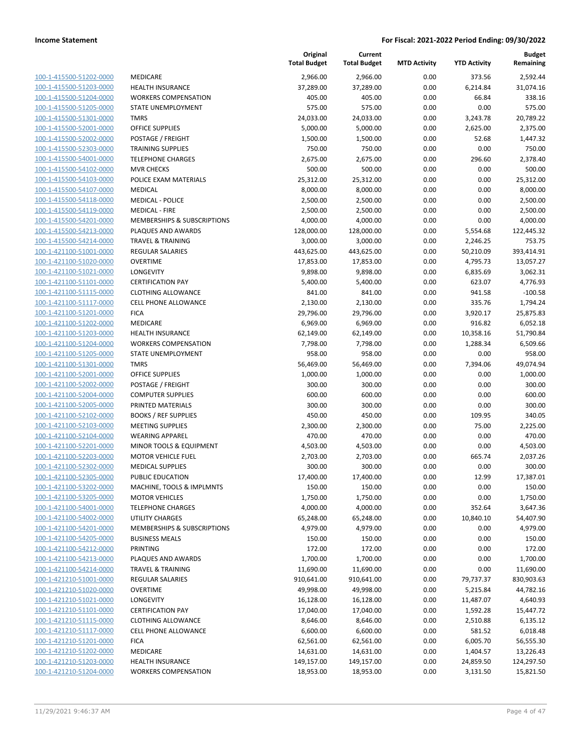| 100-1-415500-51202-0000         |
|---------------------------------|
| 100-1-415500-51203-0000         |
| 100-1-415500-51204-0000         |
| 100-1-415500-51205-0000         |
| 100-1-415500-51301-0000         |
| 100-1-415500-52001-0000         |
| 100-1-415500-52002-0000         |
| 100-1-415500-52303-0000         |
| 100-1-415500-54001-0000         |
| 100-1-415500-54102-0000         |
| 100-1-415500-54103-0000         |
| 100-1-415500-54107-0000         |
|                                 |
| 100-1-415500-54118-0000         |
| 100-1-415500-54119-0000         |
| 100-1-415500-54201-0000         |
| 100-1-415500-54213-0000         |
| 100-1-415500-54214-0000         |
| 100-1-421100-51001-0000         |
| 100-1-421100-51020-0000         |
| 100-1-421100-51021-0000         |
| 1-421100-51101-0000<br>100-     |
| 100-1-421100-51115-0000         |
| 100-1-421100-51117-0000         |
| 100-1-421100-51201-0000         |
|                                 |
| 100-1-421100-51202-0000         |
| 100-1-421100-51203-0000         |
| 100-1-421100-51204-0000         |
| 100-1-421100-51205-0000         |
| 100-1-421100-51301-0000         |
| 100-1-421100-52001-0000         |
| 1-421100-52002-0000<br>100-     |
| 100-1-421100-52004-0000         |
| 100-1-421100-52005-0000         |
| 100-1-421100-52102-0000         |
| 100-1-421100-52103-0000         |
| 100-1-421100-52104-0000         |
| 100-1-421100-52201-0000         |
| 100-1-421100-52203-0000         |
|                                 |
| 100-1-421100-52302-0000         |
| 100-1-421100-52305-0000         |
| -421100-53202-0000<br>$100 - 1$ |
| <u>100-1-421100-53205-0000</u>  |
| 100-1-421100-54001-0000         |
| <u>100-1-421100-54002-0000</u>  |
| 100-1-421100-54201-0000         |
| 100-1-421100-54205-0000         |
| 100-1-421100-54212-0000         |
| 100-1-421100-54213-0000         |
| <u>100-1-421100-54214-0000</u>  |
| 100-1-421210-51001-0000         |
| 100-1-421210-51020-0000         |
|                                 |
| 100-1-421210-51021-0000         |
| 100-1-421210-51101-0000         |
| <u>100-1-421210-51115-0000</u>  |
| 100-1-421210-51117-0000         |
| 100-1-421210-51201-0000         |
| 100-1-421210-51202-0000         |
| <u>100-1-421210-51203-0000</u>  |
| 100-1-421210-51204-0000         |
|                                 |

|                                                    |                                                      | Original<br><b>Total Budget</b> | Current<br><b>Total Budget</b> | <b>MTD Activity</b> | <b>YTD Activity</b> | <b>Budget</b><br>Remaining |
|----------------------------------------------------|------------------------------------------------------|---------------------------------|--------------------------------|---------------------|---------------------|----------------------------|
| 100-1-415500-51202-0000                            | MEDICARE                                             | 2,966.00                        | 2,966.00                       | 0.00                | 373.56              | 2,592.44                   |
| 100-1-415500-51203-0000                            | <b>HEALTH INSURANCE</b>                              | 37,289.00                       | 37,289.00                      | 0.00                | 6,214.84            | 31,074.16                  |
| 100-1-415500-51204-0000                            | <b>WORKERS COMPENSATION</b>                          | 405.00                          | 405.00                         | 0.00                | 66.84               | 338.16                     |
| 100-1-415500-51205-0000                            | STATE UNEMPLOYMENT                                   | 575.00                          | 575.00                         | 0.00                | 0.00                | 575.00                     |
| 100-1-415500-51301-0000                            | <b>TMRS</b>                                          | 24,033.00                       | 24,033.00                      | 0.00                | 3,243.78            | 20,789.22                  |
| 100-1-415500-52001-0000                            | <b>OFFICE SUPPLIES</b>                               | 5,000.00                        | 5,000.00                       | 0.00                | 2,625.00            | 2,375.00                   |
| 100-1-415500-52002-0000                            | POSTAGE / FREIGHT                                    | 1,500.00                        | 1,500.00                       | 0.00                | 52.68               | 1,447.32                   |
| 100-1-415500-52303-0000                            | <b>TRAINING SUPPLIES</b>                             | 750.00                          | 750.00                         | 0.00                | 0.00                | 750.00                     |
| 100-1-415500-54001-0000                            | <b>TELEPHONE CHARGES</b>                             | 2,675.00                        | 2,675.00                       | 0.00                | 296.60              | 2,378.40                   |
| 100-1-415500-54102-0000                            | <b>MVR CHECKS</b>                                    | 500.00                          | 500.00                         | 0.00                | 0.00                | 500.00                     |
| 100-1-415500-54103-0000                            | POLICE EXAM MATERIALS                                | 25,312.00                       | 25,312.00                      | 0.00                | 0.00                | 25,312.00                  |
| 100-1-415500-54107-0000                            | MEDICAL                                              | 8,000.00                        | 8,000.00                       | 0.00                | 0.00                | 8,000.00                   |
| 100-1-415500-54118-0000                            | <b>MEDICAL - POLICE</b>                              | 2,500.00                        | 2,500.00                       | 0.00                | 0.00                | 2,500.00                   |
| 100-1-415500-54119-0000                            | <b>MEDICAL - FIRE</b>                                | 2,500.00                        | 2,500.00                       | 0.00                | 0.00                | 2,500.00                   |
| 100-1-415500-54201-0000                            | MEMBERSHIPS & SUBSCRIPTIONS                          | 4,000.00                        | 4,000.00                       | 0.00                | 0.00                | 4,000.00                   |
| 100-1-415500-54213-0000                            | PLAQUES AND AWARDS                                   | 128,000.00                      | 128,000.00                     | 0.00                | 5,554.68            | 122,445.32                 |
| 100-1-415500-54214-0000                            | <b>TRAVEL &amp; TRAINING</b>                         | 3,000.00                        | 3,000.00                       | 0.00                | 2,246.25            | 753.75                     |
| 100-1-421100-51001-0000                            | <b>REGULAR SALARIES</b>                              | 443,625.00                      | 443,625.00                     | 0.00                | 50,210.09           | 393,414.91                 |
| 100-1-421100-51020-0000                            | <b>OVERTIME</b>                                      | 17,853.00                       | 17,853.00                      | 0.00                | 4,795.73            | 13,057.27                  |
| 100-1-421100-51021-0000                            | LONGEVITY                                            | 9,898.00                        | 9,898.00                       | 0.00                | 6,835.69            | 3,062.31                   |
| 100-1-421100-51101-0000                            | <b>CERTIFICATION PAY</b>                             | 5,400.00                        | 5,400.00                       | 0.00                | 623.07              | 4,776.93                   |
| 100-1-421100-51115-0000                            | <b>CLOTHING ALLOWANCE</b>                            | 841.00                          | 841.00                         | 0.00                | 941.58              | $-100.58$                  |
| 100-1-421100-51117-0000                            | <b>CELL PHONE ALLOWANCE</b>                          | 2,130.00                        | 2,130.00                       | 0.00                | 335.76              | 1,794.24                   |
| 100-1-421100-51201-0000                            | <b>FICA</b>                                          | 29,796.00                       | 29,796.00                      | 0.00                | 3,920.17            | 25,875.83                  |
| 100-1-421100-51202-0000                            | MEDICARE                                             | 6,969.00                        | 6,969.00                       | 0.00                | 916.82              | 6,052.18                   |
| 100-1-421100-51203-0000                            | <b>HEALTH INSURANCE</b>                              | 62,149.00                       | 62,149.00                      | 0.00                | 10,358.16           | 51,790.84                  |
| 100-1-421100-51204-0000                            | <b>WORKERS COMPENSATION</b>                          | 7,798.00                        | 7,798.00                       | 0.00                | 1,288.34            | 6,509.66                   |
| 100-1-421100-51205-0000                            | STATE UNEMPLOYMENT                                   | 958.00                          | 958.00                         | 0.00                | 0.00                | 958.00                     |
| 100-1-421100-51301-0000                            | <b>TMRS</b>                                          | 56,469.00                       | 56,469.00                      | 0.00                | 7,394.06            | 49,074.94                  |
| 100-1-421100-52001-0000                            | <b>OFFICE SUPPLIES</b>                               | 1,000.00                        | 1,000.00                       | 0.00                | 0.00                | 1,000.00                   |
| 100-1-421100-52002-0000                            | POSTAGE / FREIGHT                                    | 300.00                          | 300.00                         | 0.00                | 0.00                | 300.00                     |
| 100-1-421100-52004-0000                            | <b>COMPUTER SUPPLIES</b>                             | 600.00                          | 600.00                         | 0.00                | 0.00                | 600.00                     |
| 100-1-421100-52005-0000                            | PRINTED MATERIALS                                    | 300.00                          | 300.00                         | 0.00                | 0.00                | 300.00                     |
| 100-1-421100-52102-0000                            | <b>BOOKS / REF SUPPLIES</b>                          | 450.00                          | 450.00                         | 0.00                | 109.95              | 340.05                     |
| 100-1-421100-52103-0000                            | <b>MEETING SUPPLIES</b>                              | 2,300.00                        | 2,300.00                       | 0.00                | 75.00               | 2,225.00                   |
| 100-1-421100-52104-0000                            | <b>WEARING APPAREL</b>                               | 470.00                          | 470.00                         | 0.00                | 0.00                | 470.00                     |
| 100-1-421100-52201-0000<br>100-1-421100-52203-0000 | MINOR TOOLS & EQUIPMENT<br><b>MOTOR VEHICLE FUEL</b> | 4,503.00                        | 4,503.00                       | 0.00                | 0.00                | 4,503.00                   |
| 100-1-421100-52302-0000                            | <b>MEDICAL SUPPLIES</b>                              | 2,703.00<br>300.00              | 2,703.00<br>300.00             | 0.00<br>0.00        | 665.74<br>0.00      | 2,037.26<br>300.00         |
| 100-1-421100-52305-0000                            | PUBLIC EDUCATION                                     | 17,400.00                       | 17,400.00                      | 0.00                | 12.99               | 17,387.01                  |
| 100-1-421100-53202-0000                            | MACHINE, TOOLS & IMPLMNTS                            | 150.00                          | 150.00                         | 0.00                | 0.00                | 150.00                     |
| 100-1-421100-53205-0000                            | <b>MOTOR VEHICLES</b>                                | 1,750.00                        | 1,750.00                       | 0.00                | 0.00                | 1,750.00                   |
| 100-1-421100-54001-0000                            | <b>TELEPHONE CHARGES</b>                             | 4,000.00                        | 4,000.00                       | 0.00                | 352.64              | 3,647.36                   |
| 100-1-421100-54002-0000                            | <b>UTILITY CHARGES</b>                               | 65,248.00                       | 65,248.00                      | 0.00                | 10,840.10           | 54,407.90                  |
| 100-1-421100-54201-0000                            | MEMBERSHIPS & SUBSCRIPTIONS                          | 4,979.00                        | 4,979.00                       | 0.00                | 0.00                | 4,979.00                   |
| 100-1-421100-54205-0000                            | <b>BUSINESS MEALS</b>                                | 150.00                          | 150.00                         | 0.00                | 0.00                | 150.00                     |
| 100-1-421100-54212-0000                            | PRINTING                                             | 172.00                          | 172.00                         | 0.00                | 0.00                | 172.00                     |
| 100-1-421100-54213-0000                            | PLAQUES AND AWARDS                                   | 1,700.00                        | 1,700.00                       | 0.00                | 0.00                | 1,700.00                   |
| 100-1-421100-54214-0000                            | <b>TRAVEL &amp; TRAINING</b>                         | 11,690.00                       | 11,690.00                      | 0.00                | 0.00                | 11,690.00                  |
| 100-1-421210-51001-0000                            | REGULAR SALARIES                                     | 910,641.00                      | 910,641.00                     | 0.00                | 79,737.37           | 830,903.63                 |
| 100-1-421210-51020-0000                            | <b>OVERTIME</b>                                      | 49,998.00                       | 49,998.00                      | 0.00                | 5,215.84            | 44,782.16                  |
| 100-1-421210-51021-0000                            | LONGEVITY                                            | 16,128.00                       | 16,128.00                      | 0.00                | 11,487.07           | 4,640.93                   |
| 100-1-421210-51101-0000                            | <b>CERTIFICATION PAY</b>                             | 17,040.00                       | 17,040.00                      | 0.00                | 1,592.28            | 15,447.72                  |
| 100-1-421210-51115-0000                            | <b>CLOTHING ALLOWANCE</b>                            | 8,646.00                        | 8,646.00                       | 0.00                | 2,510.88            | 6,135.12                   |
| 100-1-421210-51117-0000                            | <b>CELL PHONE ALLOWANCE</b>                          | 6,600.00                        | 6,600.00                       | 0.00                | 581.52              | 6,018.48                   |
| 100-1-421210-51201-0000                            | <b>FICA</b>                                          | 62,561.00                       | 62,561.00                      | 0.00                | 6,005.70            | 56,555.30                  |
| 100-1-421210-51202-0000                            | MEDICARE                                             | 14,631.00                       | 14,631.00                      | 0.00                | 1,404.57            | 13,226.43                  |
| 100-1-421210-51203-0000                            | HEALTH INSURANCE                                     | 149,157.00                      | 149,157.00                     | 0.00                | 24,859.50           | 124,297.50                 |
| 100-1-421210-51204-0000                            | <b>WORKERS COMPENSATION</b>                          | 18,953.00                       | 18,953.00                      | 0.00                | 3,131.50            | 15,821.50                  |
|                                                    |                                                      |                                 |                                |                     |                     |                            |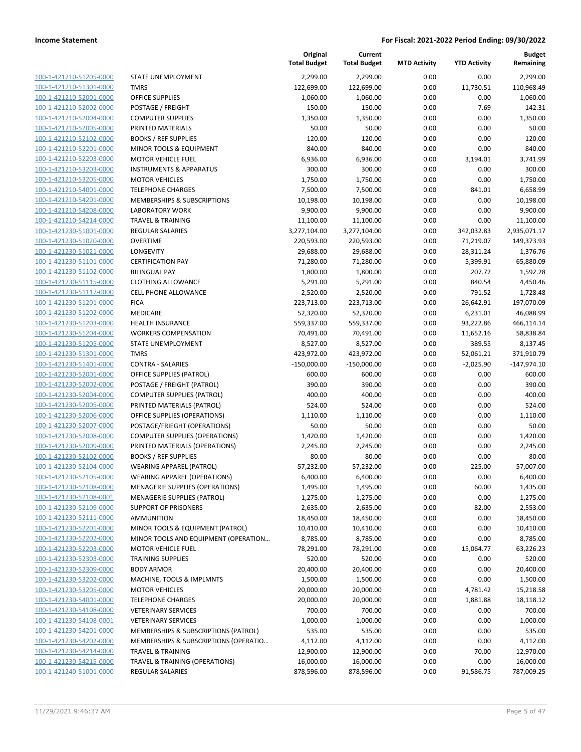100-1-421210-51205-0000 100-1-421210-51301-0000 100-1-421210-52001-0000 100-1-421210-52002-0000 100-1-421210-52004-0000 100-1-421210-52005-0000 100-1-421210-52102-0000 100-1-421210-52201-0000 100-1-421210-52203-0000 100-1-421210-53203-0000 100-1-421210-53205-0000 100-1-421210-54001-0000 100-1-421210-54201-0000 100-1-421210-54208-0000 100-1-421210-54214-0000 100-1-421230-51001-0000 100-1-421230-51020-0000 100-1-421230-51021-0000 100-1-421230-51101-0000 100-1-421230-51102-0000 100-1-421230-51115-0000 100-1-421230-51117-0000 100-1-421230-51201-0000 100-1-421230-51202-0000 100-1-421230-51203-0000 100-1-421230-51204-0000 100-1-421230-51205-0000 100-1-421230-51301-0000 100-1-421230-51401-0000 100-1-421230-52001-0000 100-1-421230-52002-0000 100-1-421230-52004-0000 100-1-421230-52005-0000 100-1-421230-52006-0000 100-1-421230-52007-0000 100-1-421230-52008-0000 100-1-421230-52009-0000 100-1-421230-52102-0000 BOOKS / REF SUPPLIES 80.00 80.00 0.00 0.00 80.00 100-1-421230-52104-0000 100-1-421230-52105-0000 100-1-421230-52108-0000 100-1-421230-52108-0001 100-1-421230-52109-0000 100-1-421230-52111-0000 100-1-421230-52201-0000 100-1-421230-52202-0000 100-1-421230-52203-0000 100-1-421230-52303-0000 TRAINING SUPPLIES 520.00 520.00 0.00 0.00 520.00 100-1-421230-52309-0000 100-1-421230-53202-0000 100-1-421230-53205-0000 100-1-421230-54001-0000 100-1-421230-54108-0000 100-1-421230-54108-0001 100-1-421230-54201-0000 100-1-421230-54202-0000 100-1-421230-54214-0000 100-1-421230-54215-0000 100-1-421240-51001-0000

|                                        | Original<br><b>Total Budget</b> | Current<br><b>Total Budget</b> | <b>MTD Activity</b> | <b>YTD Activity</b> | <b>Budget</b><br>Remaining |
|----------------------------------------|---------------------------------|--------------------------------|---------------------|---------------------|----------------------------|
| STATE UNEMPLOYMENT                     | 2,299.00                        | 2,299.00                       | 0.00                | 0.00                | 2,299.00                   |
| <b>TMRS</b>                            | 122,699.00                      | 122,699.00                     | 0.00                | 11,730.51           | 110,968.49                 |
| OFFICE SUPPLIES                        | 1,060.00                        | 1,060.00                       | 0.00                | 0.00                | 1,060.00                   |
| POSTAGE / FREIGHT                      | 150.00                          | 150.00                         | 0.00                | 7.69                | 142.31                     |
| <b>COMPUTER SUPPLIES</b>               | 1,350.00                        | 1,350.00                       | 0.00                | 0.00                | 1,350.00                   |
| PRINTED MATERIALS                      | 50.00                           | 50.00                          | 0.00                | 0.00                | 50.00                      |
| <b>BOOKS / REF SUPPLIES</b>            | 120.00                          | 120.00                         | 0.00                | 0.00                | 120.00                     |
| MINOR TOOLS & EQUIPMENT                | 840.00                          | 840.00                         | 0.00                | 0.00                | 840.00                     |
| <b>MOTOR VEHICLE FUEL</b>              | 6,936.00                        | 6,936.00                       | 0.00                | 3,194.01            | 3,741.99                   |
| <b>INSTRUMENTS &amp; APPARATUS</b>     | 300.00                          | 300.00                         | 0.00                | 0.00                | 300.00                     |
| <b>MOTOR VEHICLES</b>                  | 1,750.00                        | 1,750.00                       | 0.00                | 0.00                | 1,750.00                   |
| <b>TELEPHONE CHARGES</b>               | 7,500.00                        | 7,500.00                       | 0.00                | 841.01              | 6,658.99                   |
| MEMBERSHIPS & SUBSCRIPTIONS            | 10,198.00                       | 10,198.00                      | 0.00                | 0.00                | 10,198.00                  |
| <b>LABORATORY WORK</b>                 | 9,900.00                        | 9,900.00                       | 0.00                | 0.00                | 9,900.00                   |
| <b>TRAVEL &amp; TRAINING</b>           | 11,100.00                       | 11,100.00                      | 0.00                | 0.00                | 11,100.00                  |
| REGULAR SALARIES                       | 3,277,104.00                    | 3,277,104.00                   | 0.00                | 342,032.83          | 2,935,071.17               |
| <b>OVERTIME</b>                        | 220,593.00                      | 220,593.00                     | 0.00                | 71,219.07           | 149,373.93                 |
| LONGEVITY                              | 29,688.00                       | 29,688.00                      | 0.00                | 28,311.24           | 1,376.76                   |
| <b>CERTIFICATION PAY</b>               | 71,280.00                       | 71,280.00                      | 0.00                | 5,399.91            | 65,880.09                  |
| <b>BILINGUAL PAY</b>                   | 1,800.00                        |                                | 0.00                | 207.72              | 1,592.28                   |
|                                        |                                 | 1,800.00                       |                     |                     |                            |
| <b>CLOTHING ALLOWANCE</b>              | 5,291.00                        | 5,291.00                       | 0.00                | 840.54              | 4,450.46                   |
| CELL PHONE ALLOWANCE                   | 2,520.00                        | 2,520.00                       | 0.00                | 791.52              | 1,728.48                   |
| <b>FICA</b>                            | 223,713.00                      | 223,713.00                     | 0.00                | 26,642.91           | 197,070.09                 |
| MEDICARE                               | 52,320.00                       | 52,320.00                      | 0.00                | 6,231.01            | 46,088.99                  |
| <b>HEALTH INSURANCE</b>                | 559,337.00                      | 559,337.00                     | 0.00                | 93,222.86           | 466,114.14                 |
| <b>WORKERS COMPENSATION</b>            | 70,491.00                       | 70,491.00                      | 0.00                | 11,652.16           | 58,838.84                  |
| STATE UNEMPLOYMENT                     | 8,527.00                        | 8,527.00                       | 0.00                | 389.55              | 8,137.45                   |
| <b>TMRS</b>                            | 423,972.00                      | 423,972.00                     | 0.00                | 52,061.21           | 371,910.79                 |
| <b>CONTRA - SALARIES</b>               | $-150,000.00$                   | $-150,000.00$                  | 0.00                | $-2,025.90$         | $-147,974.10$              |
| OFFICE SUPPLIES (PATROL)               | 600.00                          | 600.00                         | 0.00                | 0.00                | 600.00                     |
| POSTAGE / FREIGHT (PATROL)             | 390.00                          | 390.00                         | 0.00                | 0.00                | 390.00                     |
| <b>COMPUTER SUPPLIES (PATROL)</b>      | 400.00                          | 400.00                         | 0.00                | 0.00                | 400.00                     |
| PRINTED MATERIALS (PATROL)             | 524.00                          | 524.00                         | 0.00                | 0.00                | 524.00                     |
| OFFICE SUPPLIES (OPERATIONS)           | 1,110.00                        | 1,110.00                       | 0.00                | 0.00                | 1,110.00                   |
| POSTAGE/FRIEGHT (OPERATIONS)           | 50.00                           | 50.00                          | 0.00                | 0.00                | 50.00                      |
| <b>COMPUTER SUPPLIES (OPERATIONS)</b>  | 1,420.00                        | 1,420.00                       | 0.00                | 0.00                | 1,420.00                   |
| PRINTED MATERIALS (OPERATIONS)         | 2,245.00                        | 2,245.00                       | 0.00                | 0.00                | 2,245.00                   |
| <b>BOOKS / REF SUPPLIES</b>            | 80.00                           | 80.00                          | 0.00                | 0.00                | 80.00                      |
| <b>WEARING APPAREL (PATROL)</b>        | 57,232.00                       | 57,232.00                      | 0.00                | 225.00              | 57,007.00                  |
| <b>WEARING APPAREL (OPERATIONS)</b>    | 6,400.00                        | 6,400.00                       | 0.00                | 0.00                | 6,400.00                   |
| <b>MENAGERIE SUPPLIES (OPERATIONS)</b> | 1,495.00                        | 1,495.00                       | 0.00                | 60.00               | 1,435.00                   |
| MENAGERIE SUPPLIES (PATROL)            | 1,275.00                        | 1,275.00                       | 0.00                | 0.00                | 1,275.00                   |
| <b>SUPPORT OF PRISONERS</b>            | 2,635.00                        | 2,635.00                       | 0.00                | 82.00               | 2,553.00                   |
| <b>AMMUNITION</b>                      | 18,450.00                       | 18,450.00                      | 0.00                | 0.00                | 18,450.00                  |
| MINOR TOOLS & EQUIPMENT (PATROL)       | 10,410.00                       | 10,410.00                      | 0.00                | 0.00                | 10,410.00                  |
| MINOR TOOLS AND EQUIPMENT (OPERATION   | 8,785.00                        | 8,785.00                       | 0.00                | 0.00                | 8,785.00                   |
| <b>MOTOR VEHICLE FUEL</b>              | 78,291.00                       | 78,291.00                      | 0.00                | 15,064.77           | 63,226.23                  |
| <b>TRAINING SUPPLIES</b>               | 520.00                          | 520.00                         | 0.00                | 0.00                | 520.00                     |
| <b>BODY ARMOR</b>                      | 20,400.00                       | 20,400.00                      | 0.00                | 0.00                | 20,400.00                  |
| MACHINE, TOOLS & IMPLMNTS              | 1,500.00                        | 1,500.00                       | 0.00                | 0.00                | 1,500.00                   |
| <b>MOTOR VEHICLES</b>                  | 20,000.00                       | 20,000.00                      | 0.00                | 4,781.42            | 15,218.58                  |
| <b>TELEPHONE CHARGES</b>               | 20,000.00                       | 20,000.00                      | 0.00                | 1,881.88            | 18,118.12                  |
| <b>VETERINARY SERVICES</b>             | 700.00                          | 700.00                         | 0.00                | 0.00                | 700.00                     |
| <b>VETERINARY SERVICES</b>             | 1,000.00                        | 1,000.00                       | 0.00                | 0.00                | 1,000.00                   |
| MEMBERSHIPS & SUBSCRIPTIONS (PATROL)   | 535.00                          | 535.00                         | 0.00                | 0.00                | 535.00                     |
| MEMBERSHIPS & SUBSCRIPTIONS (OPERATIO  | 4,112.00                        | 4,112.00                       | 0.00                | 0.00                | 4,112.00                   |
|                                        |                                 |                                |                     |                     |                            |
| <b>TRAVEL &amp; TRAINING</b>           | 12,900.00                       | 12,900.00                      | 0.00                | $-70.00$            | 12,970.00                  |
| TRAVEL & TRAINING (OPERATIONS)         | 16,000.00                       | 16,000.00                      | 0.00                | 0.00                | 16,000.00                  |
| REGULAR SALARIES                       | 878,596.00                      | 878,596.00                     | 0.00                | 91,586.75           | 787,009.25                 |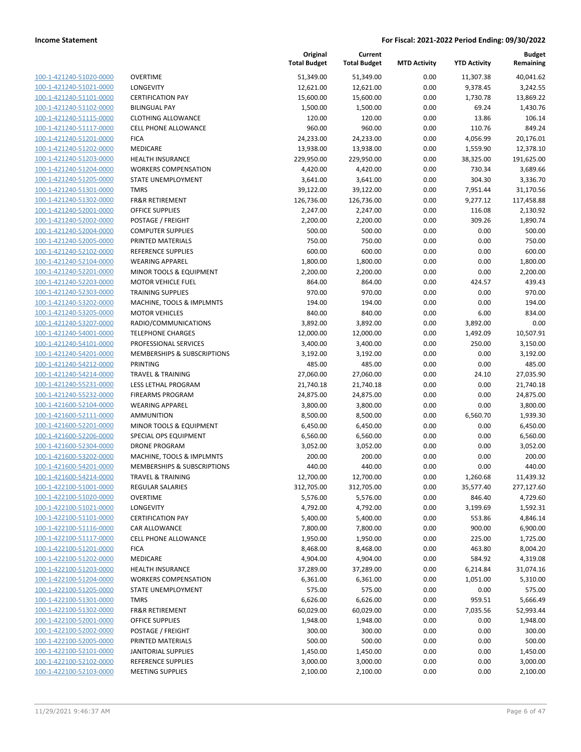| 100-1-421240-51020-0000                            |
|----------------------------------------------------|
| 100-1-421240-51021-0000                            |
| 100-1-421240-51101-0000                            |
| 100-1-421240-51102-0000                            |
| <u>100-1-421240-51115-0000</u>                     |
| 100-1-421240-51117-0000                            |
| 100-1-421240-51201-0000                            |
| 100-1-421240-51202-0000                            |
| 100-1-421240-51203-0000                            |
| <u>100-1-421240-51204-0000</u>                     |
| 100-1-421240-51205-0000                            |
| 100-1-421240-51301-0000                            |
| 100-1-421240-51302-0000                            |
| 100-1-421240-52001-0000                            |
| <u>100-1-421240-52002-0000</u>                     |
| 100-1-421240-52004-0000                            |
| 100-1-421240-52005-0000                            |
| 100-1-421240-52102-0000                            |
| 100-1-421240-52104-0000                            |
| <u>100-1-421240-52201-0000</u>                     |
| 100-1-421240-52203-0000                            |
| 100-1-421240-52303-0000                            |
| 100-1-421240-53202-0000                            |
| 100-1-421240-53205-0000                            |
| <u>100-1-421240-53207-0000</u>                     |
| 100-1-421240-54001-0000                            |
| 100-1-421240-54101-0000                            |
| 100-1-421240-54201-0000                            |
| 100-1-421240-54212-0000                            |
| <u>100-1-421240-54214-0000</u>                     |
| 100-1-421240-55231-0000                            |
| 100-1-421240-55232-0000                            |
| 100-1-421600-52104-0000                            |
| 100-1-421600-52111-0000                            |
| 100-1-421600-52201-0000                            |
| 100-1-421600-52206-0000                            |
| 100-1-421600-52304-0000                            |
|                                                    |
| 100-1-421600-53202-0000<br>100-1-421600-54201-0000 |
|                                                    |
| 100-1-421600-54214-0000                            |
| 100-1-422100-51001-0000                            |
| <u>100-1-422100-51020-0000</u>                     |
| 100-1-422100-51021-0000                            |
| 100-1-422100-51101-0000                            |
| <u>100-1-422100-51116-0000</u>                     |
| 100-1-422100-51117-0000                            |
| <u>100-1-422100-51201-0000</u>                     |
| 100-1-422100-51202-0000                            |
| <u>100-1-422100-51203-0000</u>                     |
| <u>100-1-422100-51204-0000</u>                     |
| 100-1-422100-51205-0000                            |
| 100-1-422100-51301-0000                            |
| 100-1-422100-51302-0000                            |
| <u>100-1-422100-52001-0000</u>                     |
| <u>100-1-422100-52002-0000</u>                     |
| <u>100-1-422100-52005-0000</u>                     |
| <u>100-1-422100-52101-0000</u>                     |
| 100-1-422100-52102-0000                            |
| <u>100-1-422100-52103-0000</u>                     |
|                                                    |

|                                                    |                                                 | Original<br><b>Total Budget</b> | Current<br><b>Total Budget</b> | <b>MTD Activity</b> | <b>YTD Activity</b>  | <b>Budget</b><br>Remaining |
|----------------------------------------------------|-------------------------------------------------|---------------------------------|--------------------------------|---------------------|----------------------|----------------------------|
| 100-1-421240-51020-0000                            | <b>OVERTIME</b>                                 | 51,349.00                       | 51,349.00                      | 0.00                | 11,307.38            | 40,041.62                  |
| 100-1-421240-51021-0000                            | <b>LONGEVITY</b>                                | 12,621.00                       | 12,621.00                      | 0.00                | 9,378.45             | 3,242.55                   |
| 100-1-421240-51101-0000                            | <b>CERTIFICATION PAY</b>                        | 15,600.00                       | 15,600.00                      | 0.00                | 1,730.78             | 13,869.22                  |
| 100-1-421240-51102-0000                            | <b>BILINGUAL PAY</b>                            | 1,500.00                        | 1,500.00                       | 0.00                | 69.24                | 1,430.76                   |
| 100-1-421240-51115-0000                            | <b>CLOTHING ALLOWANCE</b>                       | 120.00                          | 120.00                         | 0.00                | 13.86                | 106.14                     |
| 100-1-421240-51117-0000                            | <b>CELL PHONE ALLOWANCE</b>                     | 960.00                          | 960.00                         | 0.00                | 110.76               | 849.24                     |
| 100-1-421240-51201-0000                            | <b>FICA</b>                                     | 24,233.00                       | 24,233.00                      | 0.00                | 4,056.99             | 20,176.01                  |
| 100-1-421240-51202-0000                            | MEDICARE                                        | 13,938.00                       | 13,938.00                      | 0.00                | 1,559.90             | 12,378.10                  |
| 100-1-421240-51203-0000                            | HEALTH INSURANCE                                | 229,950.00                      | 229,950.00                     | 0.00                | 38,325.00            | 191,625.00                 |
| 100-1-421240-51204-0000                            | <b>WORKERS COMPENSATION</b>                     | 4,420.00                        | 4,420.00                       | 0.00                | 730.34               | 3,689.66                   |
| 100-1-421240-51205-0000                            | <b>STATE UNEMPLOYMENT</b>                       | 3,641.00                        | 3,641.00                       | 0.00                | 304.30               | 3,336.70                   |
| 100-1-421240-51301-0000                            | <b>TMRS</b>                                     | 39,122.00                       | 39,122.00                      | 0.00                | 7,951.44             | 31,170.56                  |
| 100-1-421240-51302-0000                            | <b>FR&amp;R RETIREMENT</b>                      | 126,736.00                      | 126,736.00                     | 0.00                | 9,277.12             | 117,458.88                 |
| 100-1-421240-52001-0000                            | <b>OFFICE SUPPLIES</b>                          | 2,247.00                        | 2,247.00                       | 0.00                | 116.08               | 2,130.92                   |
| 100-1-421240-52002-0000                            | POSTAGE / FREIGHT                               | 2,200.00                        | 2,200.00                       | 0.00                | 309.26               | 1,890.74                   |
| 100-1-421240-52004-0000                            | <b>COMPUTER SUPPLIES</b>                        | 500.00                          | 500.00                         | 0.00                | 0.00                 | 500.00                     |
| 100-1-421240-52005-0000                            | PRINTED MATERIALS                               | 750.00                          | 750.00                         | 0.00                | 0.00                 | 750.00                     |
| 100-1-421240-52102-0000                            | REFERENCE SUPPLIES                              | 600.00                          | 600.00                         | 0.00                | 0.00                 | 600.00                     |
| 100-1-421240-52104-0000                            | <b>WEARING APPAREL</b>                          | 1,800.00                        | 1,800.00                       | 0.00                | 0.00                 | 1,800.00                   |
| 100-1-421240-52201-0000                            | MINOR TOOLS & EQUIPMENT                         | 2,200.00                        | 2,200.00                       | 0.00                | 0.00                 | 2,200.00                   |
| 100-1-421240-52203-0000                            | <b>MOTOR VEHICLE FUEL</b>                       | 864.00                          | 864.00                         | 0.00                | 424.57               | 439.43                     |
| 100-1-421240-52303-0000                            | <b>TRAINING SUPPLIES</b>                        | 970.00                          | 970.00                         | 0.00                | 0.00                 | 970.00                     |
| 100-1-421240-53202-0000                            | MACHINE, TOOLS & IMPLMNTS                       | 194.00                          | 194.00                         | 0.00                | 0.00                 | 194.00                     |
| 100-1-421240-53205-0000                            | <b>MOTOR VEHICLES</b>                           | 840.00                          | 840.00                         | 0.00                | 6.00                 | 834.00                     |
| 100-1-421240-53207-0000                            | RADIO/COMMUNICATIONS                            | 3,892.00                        | 3,892.00                       | 0.00                | 3,892.00             | 0.00                       |
| 100-1-421240-54001-0000                            | <b>TELEPHONE CHARGES</b>                        | 12,000.00                       | 12,000.00                      | 0.00                | 1,492.09             | 10,507.91                  |
| 100-1-421240-54101-0000                            | PROFESSIONAL SERVICES                           | 3,400.00                        | 3,400.00                       | 0.00                | 250.00               | 3,150.00                   |
| 100-1-421240-54201-0000                            | MEMBERSHIPS & SUBSCRIPTIONS                     | 3,192.00                        | 3,192.00                       | 0.00                | 0.00                 | 3,192.00                   |
| 100-1-421240-54212-0000                            | PRINTING                                        | 485.00                          | 485.00                         | 0.00                | 0.00                 | 485.00                     |
| 100-1-421240-54214-0000                            | <b>TRAVEL &amp; TRAINING</b>                    | 27,060.00                       | 27,060.00                      | 0.00                | 24.10                | 27,035.90                  |
| 100-1-421240-55231-0000                            | LESS LETHAL PROGRAM                             | 21,740.18                       | 21,740.18                      | 0.00                | 0.00                 | 21,740.18                  |
| 100-1-421240-55232-0000                            | <b>FIREARMS PROGRAM</b>                         | 24,875.00                       | 24,875.00                      | 0.00                | 0.00                 | 24,875.00                  |
| 100-1-421600-52104-0000                            | <b>WEARING APPAREL</b>                          | 3,800.00                        | 3,800.00                       | 0.00                | 0.00                 | 3,800.00                   |
| 100-1-421600-52111-0000                            | <b>AMMUNITION</b>                               | 8,500.00                        | 8,500.00                       | 0.00                | 6,560.70             | 1,939.30                   |
| 100-1-421600-52201-0000                            | MINOR TOOLS & EQUIPMENT                         | 6,450.00                        | 6,450.00                       | 0.00                | 0.00                 | 6,450.00                   |
| 100-1-421600-52206-0000                            | SPECIAL OPS EQUIPMENT                           | 6,560.00                        | 6,560.00                       | 0.00                | 0.00                 | 6,560.00                   |
| 100-1-421600-52304-0000                            | DRONE PROGRAM                                   | 3,052.00                        | 3,052.00                       | 0.00                | 0.00                 | 3,052.00                   |
| 100-1-421600-53202-0000                            | MACHINE, TOOLS & IMPLMNTS                       | 200.00                          | 200.00                         | 0.00                | 0.00                 | 200.00                     |
| 100-1-421600-54201-0000                            | MEMBERSHIPS & SUBSCRIPTIONS                     | 440.00                          | 440.00                         | 0.00                | 0.00                 | 440.00                     |
| 100-1-421600-54214-0000                            | TRAVEL & TRAINING                               | 12,700.00                       | 12,700.00                      | 0.00                | 1,260.68             | 11,439.32                  |
| 100-1-422100-51001-0000                            | <b>REGULAR SALARIES</b>                         | 312,705.00                      | 312,705.00                     | 0.00                | 35,577.40            | 277,127.60                 |
| 100-1-422100-51020-0000                            | <b>OVERTIME</b>                                 | 5,576.00                        | 5,576.00                       | 0.00                | 846.40               | 4,729.60                   |
| 100-1-422100-51021-0000                            | LONGEVITY                                       | 4,792.00                        | 4,792.00                       | 0.00                | 3,199.69             | 1,592.31                   |
| 100-1-422100-51101-0000                            | <b>CERTIFICATION PAY</b><br>CAR ALLOWANCE       | 5,400.00                        | 5,400.00                       | 0.00                | 553.86               | 4,846.14                   |
| 100-1-422100-51116-0000                            |                                                 | 7,800.00                        | 7,800.00                       | 0.00                | 900.00               | 6,900.00                   |
| 100-1-422100-51117-0000                            | <b>CELL PHONE ALLOWANCE</b>                     | 1,950.00                        | 1,950.00                       | 0.00                | 225.00               | 1,725.00                   |
| 100-1-422100-51201-0000                            | <b>FICA</b>                                     | 8,468.00                        | 8,468.00                       | 0.00                | 463.80               | 8,004.20                   |
| 100-1-422100-51202-0000<br>100-1-422100-51203-0000 | MEDICARE                                        | 4,904.00                        | 4,904.00                       | 0.00                | 584.92               | 4,319.08                   |
| 100-1-422100-51204-0000                            | HEALTH INSURANCE<br><b>WORKERS COMPENSATION</b> | 37,289.00                       | 37,289.00<br>6,361.00          | 0.00<br>0.00        | 6,214.84<br>1,051.00 | 31,074.16<br>5,310.00      |
|                                                    | <b>STATE UNEMPLOYMENT</b>                       | 6,361.00                        |                                |                     |                      |                            |
| 100-1-422100-51205-0000<br>100-1-422100-51301-0000 | <b>TMRS</b>                                     | 575.00<br>6,626.00              | 575.00                         | 0.00<br>0.00        | 0.00<br>959.51       | 575.00<br>5,666.49         |
|                                                    |                                                 |                                 | 6,626.00                       |                     |                      |                            |
| 100-1-422100-51302-0000<br>100-1-422100-52001-0000 | FR&R RETIREMENT<br>OFFICE SUPPLIES              | 60,029.00<br>1,948.00           | 60,029.00<br>1,948.00          | 0.00<br>0.00        | 7,035.56<br>0.00     | 52,993.44<br>1,948.00      |
| 100-1-422100-52002-0000                            | POSTAGE / FREIGHT                               | 300.00                          | 300.00                         | 0.00                | 0.00                 | 300.00                     |
| 100-1-422100-52005-0000                            | PRINTED MATERIALS                               | 500.00                          | 500.00                         | 0.00                | 0.00                 | 500.00                     |
| 100-1-422100-52101-0000                            | <b>JANITORIAL SUPPLIES</b>                      | 1,450.00                        | 1,450.00                       | 0.00                | 0.00                 | 1,450.00                   |
| 100-1-422100-52102-0000                            | REFERENCE SUPPLIES                              | 3,000.00                        | 3,000.00                       | 0.00                | 0.00                 | 3,000.00                   |
| 100-1-422100-52103-0000                            | <b>MEETING SUPPLIES</b>                         | 2,100.00                        | 2,100.00                       | 0.00                | 0.00                 | 2,100.00                   |
|                                                    |                                                 |                                 |                                |                     |                      |                            |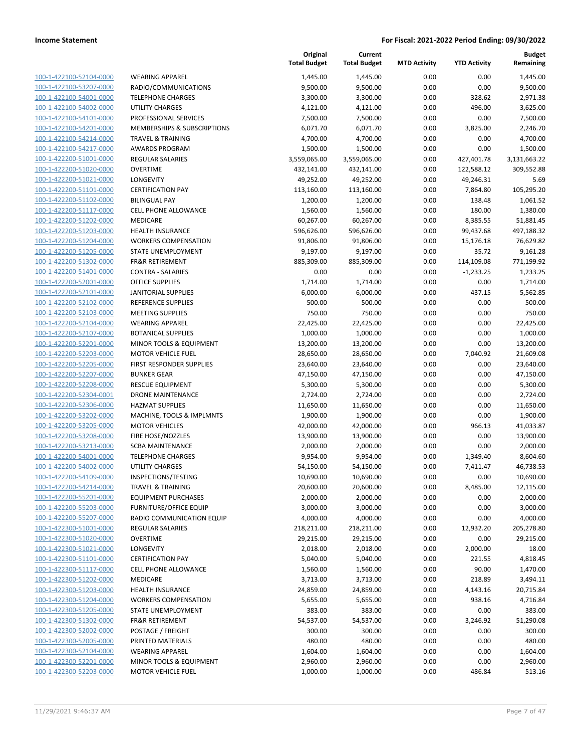| 100-1-422100-52104-0000        | WE.             |
|--------------------------------|-----------------|
| 100-1-422100-53207-0000        | RAD             |
| 100-1-422100-54001-0000        | TEL             |
| 100-1-422100-54002-0000        | UTI             |
|                                |                 |
| 100-1-422100-54101-0000        | PRC             |
| 100-1-422100-54201-0000        | MEI             |
| 100-1-422100-54214-0000        | <b>TRA</b>      |
| 100-1-422100-54217-0000        | AW              |
| 100-1-422200-51001-0000        | <b>REG</b>      |
| 100-1-422200-51020-0000        | OVE             |
| 100-1-422200-51021-0000        | LON             |
| 100-1-422200-51101-0000        | CER             |
| 100-1-422200-51102-0000        | <b>BILI</b>     |
| 100-1-422200-51117-0000        | CEL             |
| 100-1-422200-51202-0000        | MEI             |
| 100-1-422200-51203-0000        | HE/             |
|                                |                 |
| 100-1-422200-51204-0000        | WO              |
| 100-1-422200-51205-0000        | <b>STA</b>      |
| 100-1-422200-51302-0000        | FR <sub>8</sub> |
| 100-1-422200-51401-0000        | COI             |
| 100-1-422200-52001-0000        | OFF             |
| 100-1-422200-52101-0000        | JAN             |
| 100-1-422200-52102-0000        | REF             |
| 100-1-422200-52103-0000        | MEI             |
| 100-1-422200-52104-0000        | WE.             |
| 100-1-422200-52107-0000        | BO <sub>1</sub> |
| 100-1-422200-52201-0000        | MIN             |
| 100-1-422200-52203-0000        | MO              |
| 100-1-422200-52205-0000        | <b>FIRS</b>     |
| 100-1-422200-52207-0000        | <b>BUN</b>      |
| 100-1-422200-52208-0000        | <b>RES</b>      |
| 100-1-422200-52304-0001        | DR(             |
|                                | HAZ             |
| 100-1-422200-52306-0000        |                 |
| 100-1-422200-53202-0000        | MA              |
| 100-1-422200-53205-0000        | МO              |
| 100-1-422200-53208-0000        | <b>FIRE</b>     |
| 100-1-422200-53213-0000        | SCB             |
| 100-1-422200-54001-0000        | TEL             |
| 100-1-422200-54002-0000        | UTI             |
| 100-1-422200-54109-0000        | <b>INS</b>      |
| 100-1-422200-54214-0000        | <b>TRA</b>      |
| 100-1-422200-55201-0000        | ΕQι             |
| 100-1-422200-55203-0000        | FUR             |
| 100-1-422200-55207-0000        | rad             |
| 100-1-422300-51001-0000        | REC             |
| 100-1-422300-51020-0000        | OVE             |
| 100-1-422300-51021-0000        | LO١             |
| 100-1-422300-51101-0000        | CER             |
|                                |                 |
| <u>100-1-422300-51117-0000</u> | CEL             |
| 100-1-422300-51202-0000        | MEI             |
| 100-1-422300-51203-0000        | HEA             |
| 100-1-422300-51204-0000        | wo              |
| 100-1-422300-51205-0000        | STA             |
| 100-1-422300-51302-0000        | FR8             |
| <u>100-1-422300-52002-0000</u> | <b>POS</b>      |
| 100-1-422300-52005-0000        | PRII            |
| 100-1-422300-52104-0000        | WE.             |
| 100-1-422300-52201-0000        | MIN             |
| 100-1-422300-52203-0000        | MO              |
|                                |                 |

| 100-1-422100-52104-0000<br><b>WEARING APPAREL</b><br>1,445.00<br>0.00<br>1,445.00<br>100-1-422100-53207-0000<br>0.00<br>RADIO/COMMUNICATIONS<br>9,500.00<br>9,500.00 | 0.00<br>0.00<br>328.62 | 1,445.00<br>9,500.00 |
|----------------------------------------------------------------------------------------------------------------------------------------------------------------------|------------------------|----------------------|
|                                                                                                                                                                      |                        |                      |
|                                                                                                                                                                      |                        |                      |
| 0.00<br>100-1-422100-54001-0000<br><b>TELEPHONE CHARGES</b><br>3,300.00<br>3,300.00                                                                                  |                        | 2,971.38             |
| 100-1-422100-54002-0000<br>UTILITY CHARGES<br>4,121.00<br>4,121.00<br>0.00                                                                                           | 496.00                 | 3,625.00             |
| 100-1-422100-54101-0000<br>PROFESSIONAL SERVICES<br>0.00<br>7,500.00<br>7,500.00                                                                                     | 0.00                   | 7,500.00             |
| 100-1-422100-54201-0000<br>MEMBERSHIPS & SUBSCRIPTIONS<br>0.00<br>6,071.70<br>6,071.70                                                                               | 3,825.00               | 2,246.70             |
| 100-1-422100-54214-0000<br><b>TRAVEL &amp; TRAINING</b><br>4,700.00<br>4,700.00<br>0.00                                                                              | 0.00                   | 4,700.00             |
| 100-1-422100-54217-0000<br><b>AWARDS PROGRAM</b><br>1,500.00<br>1,500.00<br>0.00                                                                                     | 0.00                   | 1,500.00             |
| 100-1-422200-51001-0000<br>REGULAR SALARIES<br>3,559,065.00<br>3,559,065.00<br>0.00                                                                                  | 427,401.78             | 3,131,663.22         |
| 100-1-422200-51020-0000<br><b>OVERTIME</b><br>432,141.00<br>0.00<br>432,141.00                                                                                       | 122,588.12             | 309,552.88           |
| 100-1-422200-51021-0000<br>LONGEVITY<br>49,252.00<br>49,252.00<br>0.00                                                                                               | 49,246.31              | 5.69                 |
| 100-1-422200-51101-0000<br><b>CERTIFICATION PAY</b><br>113,160.00<br>113,160.00<br>0.00                                                                              | 7,864.80               | 105,295.20           |
| 100-1-422200-51102-0000<br><b>BILINGUAL PAY</b><br>1,200.00<br>1,200.00<br>0.00                                                                                      | 138.48                 | 1,061.52             |
| 100-1-422200-51117-0000<br>CELL PHONE ALLOWANCE<br>1,560.00<br>1,560.00<br>0.00                                                                                      | 180.00                 | 1,380.00             |
| 100-1-422200-51202-0000<br>MEDICARE<br>60,267.00<br>60,267.00<br>0.00                                                                                                | 8,385.55               | 51,881.45            |
| 100-1-422200-51203-0000<br><b>HEALTH INSURANCE</b><br>596,626.00<br>596,626.00<br>0.00                                                                               | 99,437.68              | 497,188.32           |
| 100-1-422200-51204-0000<br><b>WORKERS COMPENSATION</b><br>91,806.00<br>91,806.00<br>0.00                                                                             | 15,176.18              | 76,629.82            |
| 100-1-422200-51205-0000<br>STATE UNEMPLOYMENT<br>9,197.00<br>9,197.00<br>0.00                                                                                        | 35.72                  | 9,161.28             |
| 100-1-422200-51302-0000<br><b>FR&amp;R RETIREMENT</b><br>885,309.00<br>885,309.00<br>0.00                                                                            | 114,109.08             | 771,199.92           |
| 100-1-422200-51401-0000<br><b>CONTRA - SALARIES</b><br>0.00<br>0.00<br>0.00                                                                                          | $-1,233.25$            | 1,233.25             |
| 100-1-422200-52001-0000<br><b>OFFICE SUPPLIES</b><br>1,714.00<br>0.00<br>1,714.00                                                                                    | 0.00                   | 1,714.00             |
| 100-1-422200-52101-0000<br><b>JANITORIAL SUPPLIES</b><br>6,000.00<br>6,000.00<br>0.00                                                                                | 437.15                 | 5,562.85             |
| 100-1-422200-52102-0000<br><b>REFERENCE SUPPLIES</b><br>500.00<br>500.00<br>0.00                                                                                     | 0.00                   | 500.00               |
| 100-1-422200-52103-0000<br><b>MEETING SUPPLIES</b><br>750.00<br>750.00<br>0.00                                                                                       | 0.00                   | 750.00               |
| 100-1-422200-52104-0000<br><b>WEARING APPAREL</b><br>22,425.00<br>22,425.00<br>0.00                                                                                  | 0.00                   | 22,425.00            |
| 100-1-422200-52107-0000<br><b>BOTANICAL SUPPLIES</b><br>1,000.00<br>1,000.00<br>0.00                                                                                 | 0.00                   | 1,000.00             |
| 100-1-422200-52201-0000<br>MINOR TOOLS & EQUIPMENT<br>13,200.00<br>13,200.00<br>0.00                                                                                 | 0.00                   | 13,200.00            |
| 100-1-422200-52203-0000<br><b>MOTOR VEHICLE FUEL</b><br>28,650.00<br>28,650.00<br>0.00                                                                               | 7,040.92               | 21,609.08            |
| 100-1-422200-52205-0000<br>FIRST RESPONDER SUPPLIES<br>23,640.00<br>23,640.00<br>0.00                                                                                | 0.00                   | 23,640.00            |
| 100-1-422200-52207-0000<br><b>BUNKER GEAR</b><br>47,150.00<br>47,150.00<br>0.00                                                                                      | 0.00                   | 47,150.00            |
| 100-1-422200-52208-0000<br>RESCUE EQUIPMENT<br>5,300.00<br>5,300.00<br>0.00                                                                                          | 0.00                   | 5,300.00             |
| 100-1-422200-52304-0001<br>0.00<br><b>DRONE MAINTENANCE</b><br>2,724.00<br>2,724.00                                                                                  | 0.00                   | 2,724.00             |
| 100-1-422200-52306-0000<br><b>HAZMAT SUPPLIES</b><br>11,650.00<br>11,650.00<br>0.00                                                                                  | 0.00                   | 11,650.00            |
| 100-1-422200-53202-0000<br>MACHINE, TOOLS & IMPLMNTS<br>1,900.00<br>1,900.00<br>0.00                                                                                 | 0.00                   | 1,900.00             |
| 100-1-422200-53205-0000<br><b>MOTOR VEHICLES</b><br>42,000.00<br>42,000.00<br>0.00                                                                                   | 966.13                 | 41,033.87            |
| 100-1-422200-53208-0000<br>FIRE HOSE/NOZZLES<br>13,900.00<br>0.00<br>13,900.00                                                                                       | 0.00                   | 13,900.00            |
| 100-1-422200-53213-0000<br><b>SCBA MAINTENANCE</b><br>2,000.00<br>2,000.00<br>0.00                                                                                   | 0.00                   | 2,000.00             |
| 100-1-422200-54001-0000<br><b>TELEPHONE CHARGES</b><br>9,954.00<br>9,954.00<br>0.00                                                                                  | 1,349.40               | 8,604.60             |
| 100-1-422200-54002-0000<br>UTILITY CHARGES<br>54,150.00<br>54,150.00<br>0.00                                                                                         | 7,411.47               | 46,738.53            |
| 100-1-422200-54109-0000<br>10,690.00<br>10,690.00<br>0.00<br>INSPECTIONS/TESTING                                                                                     | 0.00                   | 10,690.00            |
| 100-1-422200-54214-0000<br><b>TRAVEL &amp; TRAINING</b><br>20,600.00<br>0.00<br>20,600.00                                                                            | 8,485.00               | 12,115.00            |
| 2,000.00<br>2,000.00<br>100-1-422200-55201-0000<br><b>EQUIPMENT PURCHASES</b><br>0.00                                                                                | 0.00                   | 2,000.00             |
| 100-1-422200-55203-0000<br><b>FURNITURE/OFFICE EQUIP</b><br>3,000.00<br>3,000.00<br>0.00                                                                             | 0.00                   | 3,000.00             |
| 100-1-422200-55207-0000<br>RADIO COMMUNICATION EQUIP<br>4,000.00<br>4,000.00<br>0.00                                                                                 | 0.00                   | 4,000.00             |
| 100-1-422300-51001-0000<br>REGULAR SALARIES<br>218,211.00<br>218,211.00<br>0.00                                                                                      | 12,932.20              | 205,278.80           |
| 100-1-422300-51020-0000<br><b>OVERTIME</b><br>29,215.00<br>29,215.00<br>0.00                                                                                         | 0.00                   | 29,215.00            |
| 100-1-422300-51021-0000<br>LONGEVITY<br>2,018.00<br>2,018.00<br>0.00                                                                                                 | 2,000.00               | 18.00                |
| 100-1-422300-51101-0000<br><b>CERTIFICATION PAY</b><br>5,040.00<br>5,040.00<br>0.00                                                                                  | 221.55                 | 4,818.45             |
| 100-1-422300-51117-0000<br><b>CELL PHONE ALLOWANCE</b><br>1,560.00<br>1,560.00<br>0.00                                                                               | 90.00                  | 1,470.00             |
| 100-1-422300-51202-0000<br>MEDICARE<br>3,713.00<br>0.00<br>3,713.00                                                                                                  | 218.89                 | 3,494.11             |
| 100-1-422300-51203-0000<br>HEALTH INSURANCE<br>24,859.00<br>24,859.00<br>0.00                                                                                        | 4,143.16               | 20,715.84            |
| 100-1-422300-51204-0000<br><b>WORKERS COMPENSATION</b><br>5,655.00<br>5,655.00<br>0.00                                                                               | 938.16                 | 4,716.84             |
| 100-1-422300-51205-0000<br>STATE UNEMPLOYMENT<br>383.00<br>383.00<br>0.00                                                                                            | 0.00                   | 383.00               |
| 100-1-422300-51302-0000<br><b>FR&amp;R RETIREMENT</b><br>54,537.00<br>54,537.00<br>0.00                                                                              | 3,246.92               | 51,290.08            |
| 100-1-422300-52002-0000<br>POSTAGE / FREIGHT<br>300.00<br>300.00<br>0.00                                                                                             | 0.00                   | 300.00               |
| 100-1-422300-52005-0000<br>PRINTED MATERIALS<br>480.00<br>480.00<br>0.00                                                                                             | 0.00                   | 480.00               |
| 100-1-422300-52104-0000<br>1,604.00<br><b>WEARING APPAREL</b><br>1,604.00<br>0.00                                                                                    | 0.00                   | 1,604.00             |
| 100-1-422300-52201-0000<br>MINOR TOOLS & EQUIPMENT<br>2,960.00<br>2,960.00<br>0.00                                                                                   | 0.00                   | 2,960.00             |
| 100-1-422300-52203-0000<br>MOTOR VEHICLE FUEL<br>1,000.00<br>1,000.00<br>0.00                                                                                        | 486.84                 | 513.16               |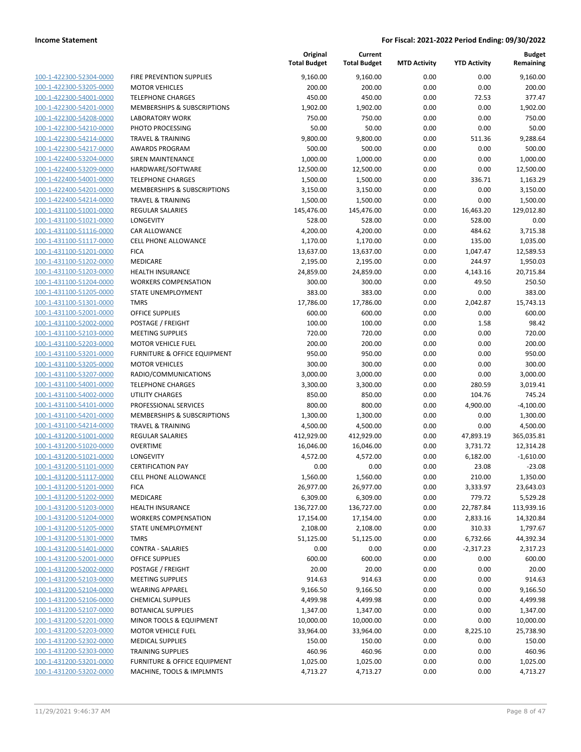| 100-1-422300-52304-0000        |
|--------------------------------|
| 100-1-422300-53205-0000        |
| 100-1-422300-54001-0000        |
| 100-1-422300-54201-0000        |
| 100-1-422300-54208-0000        |
| 100-1-422300-54210-0000        |
| 100-1-422300-54214-0000        |
| 100-1-422300-54217-0000        |
| 100-1-422400-53204-0000        |
| 100-1-422400-53209-0000        |
| 100-1-422400-54001-0000        |
| 100-1-422400-54201-0000        |
| 100-1-422400-54214-0000        |
| <u>100-1-431100-51001-0000</u> |
| 100-1-431100-51021-0000        |
| 100-1-431100-51116-0000        |
| 100-1-431100-51117-0000        |
| 100-1-431100-51201-0000        |
| 100-1-431100-51202-0000        |
| 100-1-431100-51203-0000        |
| 100-1-431100-51204-0000        |
| 100-1-431100-51205-0000        |
| 100-1-431100-51301-0000        |
| <u>100-1-431100-52001-0000</u> |
| 100-1-431100-52002-0000        |
| 100-1-431100-52103-0000        |
| 100-1-431100-52203-0000        |
| 100-1-431100-53201-0000        |
| 100-1-431100-53205-0000        |
| 100-1-431100-53207-0000        |
| 100-1-431100-54001-0000        |
| 100-1-431100-54002-0000        |
| 100-1-431100-54101-0000        |
| <u>100-1-431100-54201-0000</u> |
| 100-1-431100-54214-0000        |
| 100-1-431200-51001-0000        |
| 100-1-431200-51020-0000        |
| 100-1-431200-51021-0000        |
| 100-1-431200-51101-0000        |
| 100-1-431200-51117-0000        |
| 100-1-431200-51201-0000        |
| 100-1-431200-51202-0000        |
| 100-1-431200-51203-0000        |
| <u>100-1-431200-51204-0000</u> |
| <u>100-1-431200-51205-0000</u> |
| 100-1-431200-51301-0000        |
| 100-1-431200-51401-0000        |
| <u>100-1-431200-52001-0000</u> |
| <u>100-1-431200-52002-0000</u> |
| 100-1-431200-52103-0000        |
| <u>100-1-431200-52104-0000</u> |
| 100-1-431200-52106-0000        |
| 100-1-431200-52107-0000        |
| <u>100-1-431200-52201-0000</u> |
| 100-1-431200-52203-0000        |
| <u>100-1-431200-52302-0000</u> |
| <u>100-1-431200-52303-0000</u> |
| <u>100-1-431200-53201-0000</u> |
| <u>100-1-431200-53202-0000</u> |
|                                |

|                         |                              | Original<br><b>Total Budget</b> | Current<br><b>Total Budget</b> | <b>MTD Activity</b> | <b>YTD Activity</b> | <b>Budget</b><br>Remaining |
|-------------------------|------------------------------|---------------------------------|--------------------------------|---------------------|---------------------|----------------------------|
| 100-1-422300-52304-0000 | FIRE PREVENTION SUPPLIES     | 9,160.00                        | 9,160.00                       | 0.00                | 0.00                | 9,160.00                   |
| 100-1-422300-53205-0000 | <b>MOTOR VEHICLES</b>        | 200.00                          | 200.00                         | 0.00                | 0.00                | 200.00                     |
| 100-1-422300-54001-0000 | <b>TELEPHONE CHARGES</b>     | 450.00                          | 450.00                         | 0.00                | 72.53               | 377.47                     |
| 100-1-422300-54201-0000 | MEMBERSHIPS & SUBSCRIPTIONS  | 1,902.00                        | 1,902.00                       | 0.00                | 0.00                | 1,902.00                   |
| 100-1-422300-54208-0000 | <b>LABORATORY WORK</b>       | 750.00                          | 750.00                         | 0.00                | 0.00                | 750.00                     |
| 100-1-422300-54210-0000 | PHOTO PROCESSING             | 50.00                           | 50.00                          | 0.00                | 0.00                | 50.00                      |
| 100-1-422300-54214-0000 | <b>TRAVEL &amp; TRAINING</b> | 9,800.00                        | 9,800.00                       | 0.00                | 511.36              | 9,288.64                   |
| 100-1-422300-54217-0000 | <b>AWARDS PROGRAM</b>        | 500.00                          | 500.00                         | 0.00                | 0.00                | 500.00                     |
| 100-1-422400-53204-0000 | SIREN MAINTENANCE            | 1,000.00                        | 1,000.00                       | 0.00                | 0.00                | 1,000.00                   |
| 100-1-422400-53209-0000 | HARDWARE/SOFTWARE            | 12,500.00                       | 12,500.00                      | 0.00                | 0.00                | 12,500.00                  |
| 100-1-422400-54001-0000 | <b>TELEPHONE CHARGES</b>     | 1,500.00                        | 1,500.00                       | 0.00                | 336.71              | 1,163.29                   |
| 100-1-422400-54201-0000 | MEMBERSHIPS & SUBSCRIPTIONS  | 3,150.00                        | 3,150.00                       | 0.00                | 0.00                | 3,150.00                   |
| 100-1-422400-54214-0000 | <b>TRAVEL &amp; TRAINING</b> | 1,500.00                        | 1,500.00                       | 0.00                | 0.00                | 1,500.00                   |
| 100-1-431100-51001-0000 | <b>REGULAR SALARIES</b>      | 145,476.00                      | 145,476.00                     | 0.00                | 16,463.20           | 129,012.80                 |
| 100-1-431100-51021-0000 | <b>LONGEVITY</b>             | 528.00                          | 528.00                         | 0.00                | 528.00              | 0.00                       |
| 100-1-431100-51116-0000 | <b>CAR ALLOWANCE</b>         | 4,200.00                        | 4,200.00                       | 0.00                | 484.62              | 3,715.38                   |
| 100-1-431100-51117-0000 | <b>CELL PHONE ALLOWANCE</b>  | 1,170.00                        | 1,170.00                       | 0.00                | 135.00              | 1,035.00                   |
| 100-1-431100-51201-0000 | <b>FICA</b>                  | 13,637.00                       | 13,637.00                      | 0.00                | 1,047.47            | 12,589.53                  |
| 100-1-431100-51202-0000 | MEDICARE                     | 2,195.00                        | 2,195.00                       | 0.00                | 244.97              | 1,950.03                   |
| 100-1-431100-51203-0000 | <b>HEALTH INSURANCE</b>      | 24,859.00                       | 24,859.00                      | 0.00                | 4,143.16            | 20,715.84                  |
| 100-1-431100-51204-0000 | <b>WORKERS COMPENSATION</b>  | 300.00                          | 300.00                         | 0.00                | 49.50               | 250.50                     |
| 100-1-431100-51205-0000 | STATE UNEMPLOYMENT           | 383.00                          | 383.00                         | 0.00                | 0.00                | 383.00                     |
| 100-1-431100-51301-0000 | <b>TMRS</b>                  | 17,786.00                       | 17,786.00                      | 0.00                | 2,042.87            | 15,743.13                  |
| 100-1-431100-52001-0000 | <b>OFFICE SUPPLIES</b>       | 600.00                          | 600.00                         | 0.00                | 0.00                | 600.00                     |
| 100-1-431100-52002-0000 | POSTAGE / FREIGHT            | 100.00                          | 100.00                         | 0.00                | 1.58                | 98.42                      |
| 100-1-431100-52103-0000 | <b>MEETING SUPPLIES</b>      | 720.00                          | 720.00                         | 0.00                | 0.00                | 720.00                     |
| 100-1-431100-52203-0000 | <b>MOTOR VEHICLE FUEL</b>    | 200.00                          | 200.00                         | 0.00                | 0.00                | 200.00                     |
| 100-1-431100-53201-0000 | FURNITURE & OFFICE EQUIPMENT | 950.00                          | 950.00                         | 0.00                | 0.00                | 950.00                     |
| 100-1-431100-53205-0000 | <b>MOTOR VEHICLES</b>        | 300.00                          | 300.00                         | 0.00                | 0.00                | 300.00                     |
| 100-1-431100-53207-0000 | RADIO/COMMUNICATIONS         | 3,000.00                        | 3,000.00                       | 0.00                | 0.00                | 3,000.00                   |
| 100-1-431100-54001-0000 | <b>TELEPHONE CHARGES</b>     | 3,300.00                        | 3,300.00                       | 0.00                | 280.59              | 3,019.41                   |
| 100-1-431100-54002-0000 | <b>UTILITY CHARGES</b>       | 850.00                          | 850.00                         | 0.00                | 104.76              | 745.24                     |
| 100-1-431100-54101-0000 | PROFESSIONAL SERVICES        | 800.00                          | 800.00                         | 0.00                | 4,900.00            | $-4,100.00$                |
| 100-1-431100-54201-0000 | MEMBERSHIPS & SUBSCRIPTIONS  | 1,300.00                        | 1,300.00                       | 0.00                | 0.00                | 1,300.00                   |
| 100-1-431100-54214-0000 | <b>TRAVEL &amp; TRAINING</b> | 4,500.00                        | 4,500.00                       | 0.00                | 0.00                | 4,500.00                   |
| 100-1-431200-51001-0000 | <b>REGULAR SALARIES</b>      | 412,929.00                      | 412,929.00                     | 0.00                | 47,893.19           | 365,035.81                 |
| 100-1-431200-51020-0000 | <b>OVERTIME</b>              | 16,046.00                       | 16,046.00                      | 0.00                | 3,731.72            | 12,314.28                  |
| 100-1-431200-51021-0000 | LONGEVITY                    | 4,572.00                        | 4,572.00                       | 0.00                | 6,182.00            | $-1,610.00$                |
| 100-1-431200-51101-0000 | <b>CERTIFICATION PAY</b>     | 0.00                            | 0.00                           | 0.00                | 23.08               | $-23.08$                   |
| 100-1-431200-51117-0000 | CELL PHONE ALLOWANCE         | 1,560.00                        | 1,560.00                       | 0.00                | 210.00              | 1,350.00                   |
| 100-1-431200-51201-0000 | <b>FICA</b>                  | 26,977.00                       | 26,977.00                      | 0.00                | 3,333.97            | 23,643.03                  |
| 100-1-431200-51202-0000 | MEDICARE                     | 6,309.00                        | 6,309.00                       | 0.00                | 779.72              | 5,529.28                   |
| 100-1-431200-51203-0000 | HEALTH INSURANCE             | 136,727.00                      | 136,727.00                     | 0.00                | 22,787.84           | 113,939.16                 |
| 100-1-431200-51204-0000 | <b>WORKERS COMPENSATION</b>  | 17,154.00                       | 17,154.00                      | 0.00                | 2,833.16            | 14,320.84                  |
| 100-1-431200-51205-0000 | STATE UNEMPLOYMENT           | 2,108.00                        | 2,108.00                       | 0.00                | 310.33              | 1,797.67                   |
| 100-1-431200-51301-0000 | <b>TMRS</b>                  | 51,125.00                       | 51,125.00                      | 0.00                | 6,732.66            | 44,392.34                  |
| 100-1-431200-51401-0000 | CONTRA - SALARIES            | 0.00                            | 0.00                           | 0.00                | $-2,317.23$         | 2,317.23                   |
| 100-1-431200-52001-0000 | OFFICE SUPPLIES              | 600.00                          | 600.00                         | 0.00                | 0.00                | 600.00                     |
| 100-1-431200-52002-0000 | POSTAGE / FREIGHT            | 20.00                           | 20.00                          | 0.00                | 0.00                | 20.00                      |
| 100-1-431200-52103-0000 | <b>MEETING SUPPLIES</b>      | 914.63                          | 914.63                         | 0.00                | 0.00                | 914.63                     |
| 100-1-431200-52104-0000 | <b>WEARING APPAREL</b>       | 9,166.50                        | 9,166.50                       | 0.00                | 0.00                | 9,166.50                   |
| 100-1-431200-52106-0000 | <b>CHEMICAL SUPPLIES</b>     | 4,499.98                        | 4,499.98                       | 0.00                | 0.00                | 4,499.98                   |
| 100-1-431200-52107-0000 | <b>BOTANICAL SUPPLIES</b>    | 1,347.00                        | 1,347.00                       | 0.00                | 0.00                | 1,347.00                   |
| 100-1-431200-52201-0000 | MINOR TOOLS & EQUIPMENT      | 10,000.00                       | 10,000.00                      | 0.00                | 0.00                | 10,000.00                  |
| 100-1-431200-52203-0000 | <b>MOTOR VEHICLE FUEL</b>    | 33,964.00                       | 33,964.00                      | 0.00                | 8,225.10            | 25,738.90                  |
| 100-1-431200-52302-0000 | <b>MEDICAL SUPPLIES</b>      | 150.00                          | 150.00                         | 0.00                | 0.00                | 150.00                     |
| 100-1-431200-52303-0000 | <b>TRAINING SUPPLIES</b>     | 460.96                          | 460.96                         | 0.00                | 0.00                | 460.96                     |
| 100-1-431200-53201-0000 | FURNITURE & OFFICE EQUIPMENT | 1,025.00                        | 1,025.00                       | 0.00                | 0.00                | 1,025.00                   |
| 100-1-431200-53202-0000 | MACHINE, TOOLS & IMPLMNTS    | 4,713.27                        | 4,713.27                       | 0.00                | 0.00                | 4,713.27                   |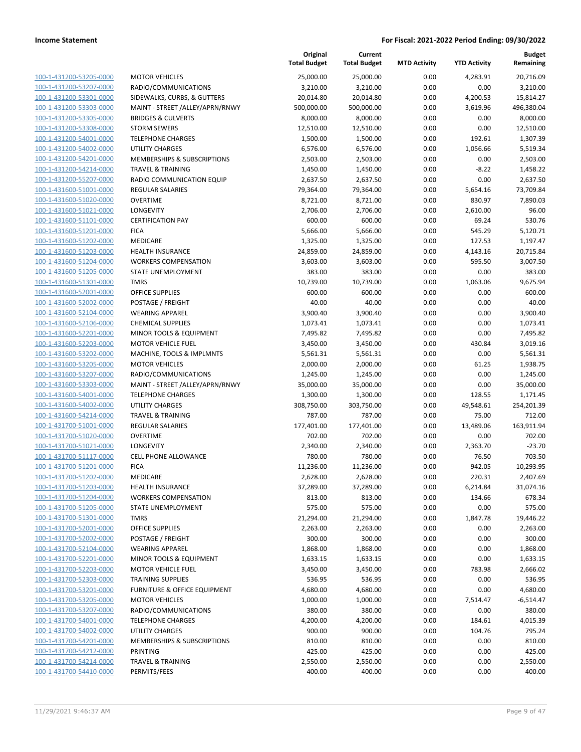|                         |                                         | Original<br><b>Total Budget</b> | Current<br><b>Total Budget</b> | <b>MTD Activity</b> | <b>YTD Activity</b> | <b>Budget</b><br>Remaining |
|-------------------------|-----------------------------------------|---------------------------------|--------------------------------|---------------------|---------------------|----------------------------|
| 100-1-431200-53205-0000 | <b>MOTOR VEHICLES</b>                   | 25,000.00                       | 25,000.00                      | 0.00                | 4,283.91            | 20,716.09                  |
| 100-1-431200-53207-0000 | RADIO/COMMUNICATIONS                    | 3,210.00                        | 3,210.00                       | 0.00                | 0.00                | 3,210.00                   |
| 100-1-431200-53301-0000 | SIDEWALKS, CURBS, & GUTTERS             | 20,014.80                       | 20,014.80                      | 0.00                | 4,200.53            | 15,814.27                  |
| 100-1-431200-53303-0000 | MAINT - STREET /ALLEY/APRN/RNWY         | 500,000.00                      | 500,000.00                     | 0.00                | 3,619.96            | 496,380.04                 |
| 100-1-431200-53305-0000 | <b>BRIDGES &amp; CULVERTS</b>           | 8,000.00                        | 8,000.00                       | 0.00                | 0.00                | 8,000.00                   |
| 100-1-431200-53308-0000 | <b>STORM SEWERS</b>                     | 12,510.00                       | 12,510.00                      | 0.00                | 0.00                | 12,510.00                  |
| 100-1-431200-54001-0000 | <b>TELEPHONE CHARGES</b>                | 1,500.00                        | 1,500.00                       | 0.00                | 192.61              | 1,307.39                   |
| 100-1-431200-54002-0000 | <b>UTILITY CHARGES</b>                  | 6,576.00                        | 6,576.00                       | 0.00                | 1,056.66            | 5,519.34                   |
| 100-1-431200-54201-0000 | <b>MEMBERSHIPS &amp; SUBSCRIPTIONS</b>  | 2,503.00                        | 2,503.00                       | 0.00                | 0.00                | 2,503.00                   |
| 100-1-431200-54214-0000 | <b>TRAVEL &amp; TRAINING</b>            | 1,450.00                        | 1,450.00                       | 0.00                | $-8.22$             | 1,458.22                   |
| 100-1-431200-55207-0000 | RADIO COMMUNICATION EQUIP               | 2,637.50                        | 2,637.50                       | 0.00                | 0.00                | 2,637.50                   |
| 100-1-431600-51001-0000 | REGULAR SALARIES                        | 79,364.00                       | 79,364.00                      | 0.00                | 5,654.16            | 73,709.84                  |
| 100-1-431600-51020-0000 | <b>OVERTIME</b>                         | 8,721.00                        | 8,721.00                       | 0.00                | 830.97              | 7,890.03                   |
| 100-1-431600-51021-0000 | LONGEVITY                               | 2,706.00                        | 2,706.00                       | 0.00                | 2,610.00            | 96.00                      |
| 100-1-431600-51101-0000 | <b>CERTIFICATION PAY</b>                | 600.00                          | 600.00                         | 0.00                | 69.24               | 530.76                     |
| 100-1-431600-51201-0000 | <b>FICA</b>                             | 5,666.00                        | 5,666.00                       | 0.00                | 545.29              | 5,120.71                   |
| 100-1-431600-51202-0000 | <b>MEDICARE</b>                         | 1,325.00                        | 1,325.00                       | 0.00                | 127.53              | 1,197.47                   |
| 100-1-431600-51203-0000 | <b>HEALTH INSURANCE</b>                 | 24,859.00                       | 24,859.00                      | 0.00                | 4,143.16            | 20,715.84                  |
| 100-1-431600-51204-0000 | <b>WORKERS COMPENSATION</b>             | 3,603.00                        | 3,603.00                       | 0.00                | 595.50              | 3,007.50                   |
| 100-1-431600-51205-0000 | STATE UNEMPLOYMENT                      | 383.00                          | 383.00                         | 0.00                | 0.00                | 383.00                     |
| 100-1-431600-51301-0000 | <b>TMRS</b>                             | 10,739.00                       | 10,739.00                      | 0.00                | 1,063.06            | 9,675.94                   |
| 100-1-431600-52001-0000 | <b>OFFICE SUPPLIES</b>                  | 600.00                          | 600.00                         | 0.00                | 0.00                | 600.00                     |
| 100-1-431600-52002-0000 | POSTAGE / FREIGHT                       | 40.00                           | 40.00                          | 0.00                | 0.00                | 40.00                      |
| 100-1-431600-52104-0000 | <b>WEARING APPAREL</b>                  | 3,900.40                        | 3,900.40                       | 0.00                | 0.00                | 3,900.40                   |
| 100-1-431600-52106-0000 | <b>CHEMICAL SUPPLIES</b>                | 1,073.41                        | 1,073.41                       | 0.00                | 0.00                | 1,073.41                   |
| 100-1-431600-52201-0000 | MINOR TOOLS & EQUIPMENT                 | 7,495.82                        | 7,495.82                       | 0.00                | 0.00                | 7,495.82                   |
| 100-1-431600-52203-0000 | <b>MOTOR VEHICLE FUEL</b>               | 3,450.00                        | 3,450.00                       | 0.00                | 430.84              | 3,019.16                   |
| 100-1-431600-53202-0000 | MACHINE, TOOLS & IMPLMNTS               | 5,561.31                        | 5,561.31                       | 0.00                | 0.00                | 5,561.31                   |
| 100-1-431600-53205-0000 | <b>MOTOR VEHICLES</b>                   | 2,000.00                        | 2,000.00                       | 0.00                | 61.25               | 1,938.75                   |
| 100-1-431600-53207-0000 | RADIO/COMMUNICATIONS                    | 1,245.00                        | 1,245.00                       | 0.00                | 0.00                | 1,245.00                   |
| 100-1-431600-53303-0000 | MAINT - STREET /ALLEY/APRN/RNWY         | 35,000.00                       | 35,000.00                      | 0.00                | 0.00                | 35,000.00                  |
| 100-1-431600-54001-0000 | <b>TELEPHONE CHARGES</b>                | 1,300.00                        | 1,300.00                       | 0.00                | 128.55              | 1,171.45                   |
| 100-1-431600-54002-0000 | <b>UTILITY CHARGES</b>                  | 308,750.00                      | 303,750.00                     | 0.00                | 49,548.61           | 254,201.39                 |
| 100-1-431600-54214-0000 | <b>TRAVEL &amp; TRAINING</b>            | 787.00                          | 787.00                         | 0.00                | 75.00               | 712.00                     |
| 100-1-431700-51001-0000 | REGULAR SALARIES                        | 177,401.00                      | 177,401.00                     | 0.00                | 13,489.06           | 163,911.94                 |
| 100-1-431700-51020-0000 | <b>OVERTIME</b>                         | 702.00                          | 702.00                         | 0.00                | 0.00                | 702.00                     |
| 100-1-431700-51021-0000 | LONGEVITY                               | 2,340.00                        | 2,340.00                       | 0.00                | 2,363.70            | $-23.70$                   |
| 100-1-431700-51117-0000 | <b>CELL PHONE ALLOWANCE</b>             | 780.00                          | 780.00                         | 0.00                | 76.50               | 703.50                     |
| 100-1-431700-51201-0000 | <b>FICA</b>                             | 11,236.00                       | 11,236.00                      | 0.00                | 942.05              | 10,293.95                  |
| 100-1-431700-51202-0000 | MEDICARE                                | 2,628.00                        | 2,628.00                       | 0.00                | 220.31              | 2,407.69                   |
| 100-1-431700-51203-0000 | <b>HEALTH INSURANCE</b>                 | 37,289.00                       | 37,289.00                      | 0.00                | 6,214.84            | 31,074.16                  |
| 100-1-431700-51204-0000 | <b>WORKERS COMPENSATION</b>             | 813.00                          | 813.00                         | 0.00                | 134.66              | 678.34                     |
| 100-1-431700-51205-0000 | STATE UNEMPLOYMENT                      | 575.00                          | 575.00                         | 0.00                | 0.00                | 575.00                     |
| 100-1-431700-51301-0000 | <b>TMRS</b>                             | 21,294.00                       | 21,294.00                      | 0.00                | 1,847.78            | 19,446.22                  |
| 100-1-431700-52001-0000 | <b>OFFICE SUPPLIES</b>                  | 2,263.00                        | 2,263.00                       | 0.00                | 0.00                | 2,263.00                   |
| 100-1-431700-52002-0000 | POSTAGE / FREIGHT                       | 300.00                          | 300.00                         | 0.00                | 0.00                | 300.00                     |
| 100-1-431700-52104-0000 | <b>WEARING APPAREL</b>                  | 1,868.00                        | 1,868.00                       | 0.00                | 0.00                | 1,868.00                   |
| 100-1-431700-52201-0000 | MINOR TOOLS & EQUIPMENT                 | 1,633.15                        | 1,633.15                       | 0.00                | 0.00                | 1,633.15                   |
| 100-1-431700-52203-0000 | <b>MOTOR VEHICLE FUEL</b>               | 3,450.00                        | 3,450.00                       | 0.00                | 783.98              | 2,666.02                   |
| 100-1-431700-52303-0000 | <b>TRAINING SUPPLIES</b>                | 536.95                          | 536.95                         | 0.00                | 0.00                | 536.95                     |
| 100-1-431700-53201-0000 | <b>FURNITURE &amp; OFFICE EQUIPMENT</b> | 4,680.00                        | 4,680.00                       | 0.00                | 0.00                | 4,680.00                   |
| 100-1-431700-53205-0000 | <b>MOTOR VEHICLES</b>                   | 1,000.00                        | 1,000.00                       | 0.00                | 7,514.47            | -6,514.47                  |
| 100-1-431700-53207-0000 | RADIO/COMMUNICATIONS                    | 380.00                          | 380.00                         | 0.00                | 0.00                | 380.00                     |
| 100-1-431700-54001-0000 | <b>TELEPHONE CHARGES</b>                | 4,200.00                        | 4,200.00                       | 0.00                | 184.61              | 4,015.39                   |
| 100-1-431700-54002-0000 | UTILITY CHARGES                         | 900.00                          | 900.00                         | 0.00                | 104.76              | 795.24                     |
| 100-1-431700-54201-0000 | MEMBERSHIPS & SUBSCRIPTIONS             | 810.00                          | 810.00                         | 0.00                | 0.00                | 810.00                     |
| 100-1-431700-54212-0000 | <b>PRINTING</b>                         | 425.00                          | 425.00                         | 0.00                | 0.00                | 425.00                     |
| 100-1-431700-54214-0000 | <b>TRAVEL &amp; TRAINING</b>            | 2,550.00                        | 2,550.00                       | 0.00                | 0.00                | 2,550.00                   |
| 100-1-431700-54410-0000 | PERMITS/FEES                            | 400.00                          | 400.00                         | 0.00                | 0.00                | 400.00                     |
|                         |                                         |                                 |                                |                     |                     |                            |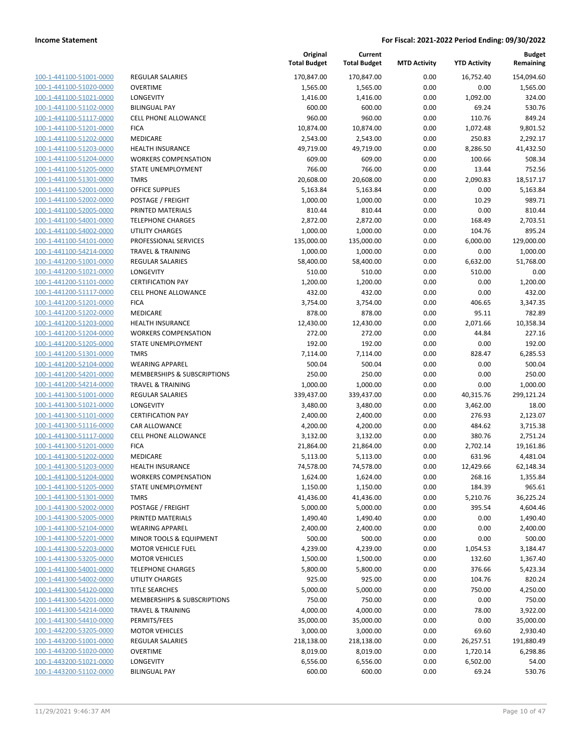| 100-1-441100-51001-0000        |
|--------------------------------|
| 100-1-441100-51020-0000        |
| 100-1-441100-51021-0000        |
| 100-1-441100-51102-0000        |
| 100-1-441100-51117-0000        |
| 100-1-441100-51201-0000        |
| 100-1-441100-51202-0000        |
| 100-1-441100-51203-0000        |
| 100-1-441100-51204-0000        |
| 100-1-441100-51205-0000        |
| 100-1-441100-51301-0000        |
| 100-1-441100-52001-0000        |
| 100-1-441100-52002-0000        |
| 100-1-441100-52005-0000        |
|                                |
| 100-1-441100-54001-0000        |
| 100-1-441100-54002-0000        |
| 100-1-441100-54101-0000        |
| 100-1-441100-54214-0000        |
| 100-1-441200-51001-0000        |
| 100-1-441200-51021-0000        |
| 100-1-441200-51101-0000        |
| 100-1-441200-51117-0000        |
| 100-1-441200-51201-0000        |
| 100-1-441200-51202-0000        |
| 100-1-441200-51203-0000        |
| 100-1-441200-51204-0000        |
| 100-1-441200-51205-0000        |
| 100-1-441200-51301-0000        |
| 100-1-441200-52104-0000        |
| 100-1-441200-54201-0000        |
| 100-1-441200-54214-0000        |
| 100-1-441300-51001-0000        |
|                                |
| 100-1-441300-51021-0000        |
| 100-1-441300-51101-0000        |
| 100-1-441300-51116-0000        |
| 100-1-441300-51117-0000        |
| 100-1-441300-51201-0000        |
| 100-1-441300-51202-0000        |
| 100-1-441300-51203-0000        |
| 100-1-441300-51204-0000        |
| 100-1-441300-51205-0000        |
| 100-1-441300-51301-0000        |
| 100-1-441300-52002-0000        |
| 100-1-441300-52005-0000        |
| 100-1-441300-52104-0000        |
| 100-1-441300-52201-0000        |
| 100-1-441300-52203-0000        |
| 100-1-441300-53205-0000        |
| <u>100-1-441300-54001-0000</u> |
|                                |
| <u>100-1-441300-54002-0000</u> |
| 100-1-441300-54120-0000        |
| 100-1-441300-54201-0000        |
| 100-1-441300-54214-0000        |
| <u>100-1-441300-54410-0000</u> |
| <u>100-1-442200-53205-0000</u> |
| 100-1-443200-51001-0000        |
| 100-1-443200-51020-0000        |
| 100-1-443200-51021-0000        |
| <u>100-1-443200-51102-0000</u> |
|                                |

|                         |                              | Original<br><b>Total Budget</b> | Current<br><b>Total Budget</b> | <b>MTD Activity</b> | <b>YTD Activity</b> | <b>Budget</b><br>Remaining |
|-------------------------|------------------------------|---------------------------------|--------------------------------|---------------------|---------------------|----------------------------|
| 100-1-441100-51001-0000 | <b>REGULAR SALARIES</b>      | 170,847.00                      | 170,847.00                     | 0.00                | 16,752.40           | 154,094.60                 |
| 100-1-441100-51020-0000 | <b>OVERTIME</b>              | 1,565.00                        | 1,565.00                       | 0.00                | 0.00                | 1,565.00                   |
| 100-1-441100-51021-0000 | LONGEVITY                    | 1,416.00                        | 1,416.00                       | 0.00                | 1,092.00            | 324.00                     |
| 100-1-441100-51102-0000 | <b>BILINGUAL PAY</b>         | 600.00                          | 600.00                         | 0.00                | 69.24               | 530.76                     |
| 100-1-441100-51117-0000 | <b>CELL PHONE ALLOWANCE</b>  | 960.00                          | 960.00                         | 0.00                | 110.76              | 849.24                     |
| 100-1-441100-51201-0000 | <b>FICA</b>                  | 10,874.00                       | 10,874.00                      | 0.00                | 1,072.48            | 9,801.52                   |
| 100-1-441100-51202-0000 | MEDICARE                     | 2,543.00                        | 2,543.00                       | 0.00                | 250.83              | 2,292.17                   |
| 100-1-441100-51203-0000 | HEALTH INSURANCE             | 49,719.00                       | 49,719.00                      | 0.00                | 8,286.50            | 41,432.50                  |
| 100-1-441100-51204-0000 | <b>WORKERS COMPENSATION</b>  | 609.00                          | 609.00                         | 0.00                | 100.66              | 508.34                     |
| 100-1-441100-51205-0000 | STATE UNEMPLOYMENT           | 766.00                          | 766.00                         | 0.00                | 13.44               | 752.56                     |
| 100-1-441100-51301-0000 | <b>TMRS</b>                  | 20,608.00                       | 20,608.00                      | 0.00                | 2,090.83            | 18,517.17                  |
| 100-1-441100-52001-0000 | OFFICE SUPPLIES              | 5,163.84                        | 5,163.84                       | 0.00                | 0.00                | 5,163.84                   |
| 100-1-441100-52002-0000 | POSTAGE / FREIGHT            | 1,000.00                        | 1,000.00                       | 0.00                | 10.29               | 989.71                     |
| 100-1-441100-52005-0000 | PRINTED MATERIALS            | 810.44                          | 810.44                         | 0.00                | 0.00                | 810.44                     |
| 100-1-441100-54001-0000 | <b>TELEPHONE CHARGES</b>     | 2,872.00                        | 2,872.00                       | 0.00                | 168.49              | 2,703.51                   |
| 100-1-441100-54002-0000 | <b>UTILITY CHARGES</b>       | 1,000.00                        | 1,000.00                       | 0.00                | 104.76              | 895.24                     |
| 100-1-441100-54101-0000 | PROFESSIONAL SERVICES        | 135,000.00                      | 135,000.00                     | 0.00                | 6,000.00            | 129,000.00                 |
| 100-1-441100-54214-0000 | <b>TRAVEL &amp; TRAINING</b> | 1,000.00                        | 1,000.00                       | 0.00                | 0.00                | 1,000.00                   |
| 100-1-441200-51001-0000 | <b>REGULAR SALARIES</b>      | 58,400.00                       | 58,400.00                      | 0.00                | 6,632.00            | 51,768.00                  |
| 100-1-441200-51021-0000 | <b>LONGEVITY</b>             | 510.00                          | 510.00                         | 0.00                | 510.00              | 0.00                       |
| 100-1-441200-51101-0000 | <b>CERTIFICATION PAY</b>     | 1,200.00                        | 1,200.00                       | 0.00                | 0.00                | 1,200.00                   |
| 100-1-441200-51117-0000 | CELL PHONE ALLOWANCE         | 432.00                          | 432.00                         | 0.00                | 0.00                | 432.00                     |
| 100-1-441200-51201-0000 | <b>FICA</b>                  | 3,754.00                        | 3,754.00                       | 0.00                | 406.65              | 3,347.35                   |
| 100-1-441200-51202-0000 | MEDICARE                     | 878.00                          | 878.00                         | 0.00                | 95.11               | 782.89                     |
| 100-1-441200-51203-0000 | <b>HEALTH INSURANCE</b>      | 12,430.00                       | 12,430.00                      | 0.00                | 2,071.66            | 10,358.34                  |
| 100-1-441200-51204-0000 | <b>WORKERS COMPENSATION</b>  | 272.00                          | 272.00                         | 0.00                | 44.84               | 227.16                     |
| 100-1-441200-51205-0000 | STATE UNEMPLOYMENT           | 192.00                          | 192.00                         | 0.00                | 0.00                | 192.00                     |
| 100-1-441200-51301-0000 | <b>TMRS</b>                  | 7,114.00                        | 7,114.00                       | 0.00                | 828.47              | 6,285.53                   |
| 100-1-441200-52104-0000 | <b>WEARING APPAREL</b>       | 500.04                          | 500.04                         | 0.00                | 0.00                | 500.04                     |
| 100-1-441200-54201-0000 | MEMBERSHIPS & SUBSCRIPTIONS  | 250.00                          | 250.00                         | 0.00                | 0.00                | 250.00                     |
| 100-1-441200-54214-0000 | <b>TRAVEL &amp; TRAINING</b> | 1,000.00                        | 1,000.00                       | 0.00                | 0.00                | 1,000.00                   |
| 100-1-441300-51001-0000 | <b>REGULAR SALARIES</b>      | 339,437.00                      | 339,437.00                     | 0.00                | 40,315.76           | 299,121.24                 |
| 100-1-441300-51021-0000 | <b>LONGEVITY</b>             | 3,480.00                        | 3,480.00                       | 0.00                | 3,462.00            | 18.00                      |
| 100-1-441300-51101-0000 | <b>CERTIFICATION PAY</b>     | 2,400.00                        | 2,400.00                       | 0.00                | 276.93              | 2,123.07                   |
| 100-1-441300-51116-0000 | <b>CAR ALLOWANCE</b>         | 4,200.00                        | 4,200.00                       | 0.00                | 484.62              | 3,715.38                   |
| 100-1-441300-51117-0000 | <b>CELL PHONE ALLOWANCE</b>  | 3,132.00                        | 3,132.00                       | 0.00                | 380.76              | 2,751.24                   |
| 100-1-441300-51201-0000 | <b>FICA</b>                  | 21,864.00                       | 21,864.00                      | 0.00                | 2,702.14            | 19,161.86                  |
| 100-1-441300-51202-0000 | MEDICARE                     | 5,113.00                        | 5,113.00                       | 0.00                | 631.96              | 4,481.04                   |
| 100-1-441300-51203-0000 | <b>HEALTH INSURANCE</b>      | 74,578.00                       | 74,578.00                      | 0.00                | 12,429.66           | 62,148.34                  |
| 100-1-441300-51204-0000 | <b>WORKERS COMPENSATION</b>  | 1,624.00                        | 1,624.00                       | 0.00                | 268.16              | 1,355.84                   |
| 100-1-441300-51205-0000 | STATE UNEMPLOYMENT           | 1,150.00                        | 1,150.00                       | 0.00                | 184.39              | 965.61                     |
| 100-1-441300-51301-0000 | <b>TMRS</b>                  | 41,436.00                       | 41,436.00                      | 0.00                | 5,210.76            | 36,225.24                  |
| 100-1-441300-52002-0000 | POSTAGE / FREIGHT            | 5,000.00                        | 5,000.00                       | 0.00                | 395.54              | 4,604.46                   |
| 100-1-441300-52005-0000 | PRINTED MATERIALS            | 1,490.40                        | 1,490.40                       | 0.00                | 0.00                | 1,490.40                   |
| 100-1-441300-52104-0000 | <b>WEARING APPAREL</b>       | 2,400.00                        | 2,400.00                       | 0.00                | 0.00                | 2,400.00                   |
| 100-1-441300-52201-0000 | MINOR TOOLS & EQUIPMENT      | 500.00                          | 500.00                         | 0.00                | 0.00                | 500.00                     |
| 100-1-441300-52203-0000 | <b>MOTOR VEHICLE FUEL</b>    | 4,239.00                        | 4,239.00                       | 0.00                | 1,054.53            | 3,184.47                   |
| 100-1-441300-53205-0000 | <b>MOTOR VEHICLES</b>        | 1,500.00                        | 1,500.00                       | 0.00                | 132.60              | 1,367.40                   |
| 100-1-441300-54001-0000 | <b>TELEPHONE CHARGES</b>     | 5,800.00                        | 5,800.00                       | 0.00                | 376.66              | 5,423.34                   |
| 100-1-441300-54002-0000 | UTILITY CHARGES              | 925.00                          | 925.00                         | 0.00                | 104.76              | 820.24                     |
| 100-1-441300-54120-0000 | <b>TITLE SEARCHES</b>        | 5,000.00                        | 5,000.00                       | 0.00                | 750.00              | 4,250.00                   |
| 100-1-441300-54201-0000 | MEMBERSHIPS & SUBSCRIPTIONS  | 750.00                          | 750.00                         | 0.00                | 0.00                | 750.00                     |
| 100-1-441300-54214-0000 | <b>TRAVEL &amp; TRAINING</b> | 4,000.00                        | 4,000.00                       | 0.00                | 78.00               | 3,922.00                   |
| 100-1-441300-54410-0000 | PERMITS/FEES                 | 35,000.00                       | 35,000.00                      | 0.00                | 0.00                | 35,000.00                  |
| 100-1-442200-53205-0000 | <b>MOTOR VEHICLES</b>        | 3,000.00                        | 3,000.00                       | 0.00                | 69.60               | 2,930.40                   |
| 100-1-443200-51001-0000 | REGULAR SALARIES             | 218,138.00                      | 218,138.00                     | 0.00                | 26,257.51           | 191,880.49                 |
| 100-1-443200-51020-0000 | OVERTIME                     | 8,019.00                        | 8,019.00                       | 0.00                | 1,720.14            | 6,298.86                   |
| 100-1-443200-51021-0000 | LONGEVITY                    | 6,556.00                        | 6,556.00                       | 0.00                | 6,502.00            | 54.00                      |
| 100-1-443200-51102-0000 | <b>BILINGUAL PAY</b>         | 600.00                          | 600.00                         | 0.00                | 69.24               | 530.76                     |
|                         |                              |                                 |                                |                     |                     |                            |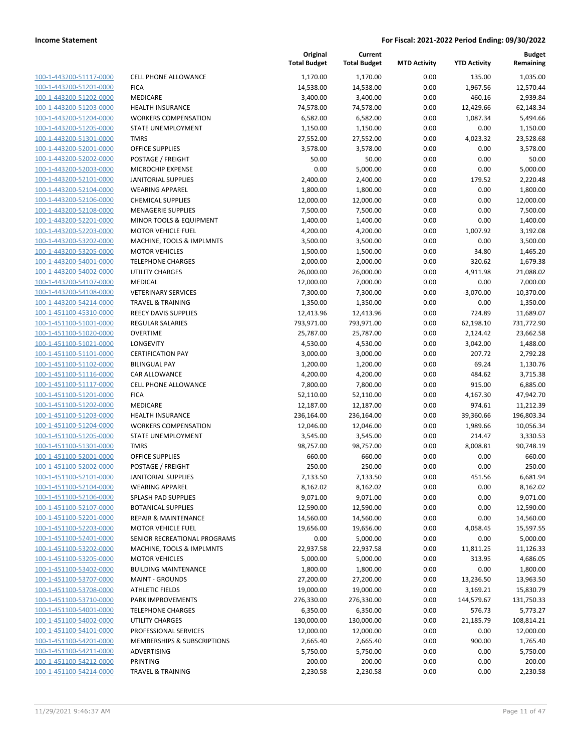| 100-1-443200-51117-0000                            |
|----------------------------------------------------|
| 100-1-443200-51201-0000                            |
| 100-1-443200-51202-0000                            |
| 100-1-443200-51203-0000                            |
| 100-1-443200-51204-0000                            |
| 100-1-443200-51205-0000                            |
|                                                    |
| 100-1-443200-51301-0000                            |
| 100-1-443200-52001-0000                            |
| 100-1-443200-52002-0000                            |
| 100-1-443200-52003-0000                            |
| 100-1-443200-52101-0000                            |
| 100-1-443200-52104-0000                            |
| 100-1-443200-52106-0000                            |
| 100-1-443200-52108-0000                            |
| 100-1-443200-52201-0000                            |
|                                                    |
| 100-1-443200-52203-0000                            |
| 100-1-443200-53202-0000                            |
| 100-1-443200-53205-0000                            |
| 100-1-443200-54001-0000                            |
| 100-1-443200-54002-0000                            |
| 100-1-443200-54107-0000                            |
| 100-1-443200-54108-0000                            |
| 100-1-443200-54214-0000                            |
|                                                    |
| 100-1-451100-45310-0000                            |
| 100-1-451100-51001-0000                            |
| 100-1-451100-51020-0000                            |
| 100-1-451100-51021-0000                            |
| 100-1-451100-51101-0000                            |
| 100-1-451100-51102-0000                            |
| 100-1-451100-51116-0000                            |
| 100-1-451100-51117-0000                            |
| 100-1-451100-51201-0000                            |
|                                                    |
| 100-1-451100-51202-0000                            |
| 100-1-451100-51203-0000                            |
| 100-1-451100-51204-0000                            |
| 100-1-451100-51205-0000                            |
| 100-1-451100-51301-0000                            |
| 100-1-451100-52001-0000                            |
| 100-1-451100-52002-0000                            |
| 100-1-451100-52101-0000                            |
| 100-1-451100-52104-0000                            |
|                                                    |
| <u>100-1-451100-52106-0000</u>                     |
| 100-1-451100-52107-0000                            |
| 100-1-451100-52201-0000                            |
| 100-1-451100-52203-0000                            |
| 100-1-451100-52401-0000                            |
| 100-1-451100-53202-0000                            |
| 100-1-451100-53205-0000                            |
| 100-1-451100-53402-0000                            |
|                                                    |
| <u>100-1-451100-53707-0000</u>                     |
| 100-1-451100-53708-0000                            |
| 100-1-451100-53710-0000                            |
| 100-1-451100-54001-0000                            |
|                                                    |
| 100-1-451100-54002-0000                            |
| <u>100-1-451100-54101-0000</u>                     |
| <u>100-1-451100-54201-0000</u>                     |
|                                                    |
| <u>100-1-451100-54211-0000</u>                     |
| 100-1-451100-54212-0000<br>100-1-451100-54214-0000 |

|                                                    |                                   | Original<br><b>Total Budget</b> | Current<br><b>Total Budget</b> | <b>MTD Activity</b> | <b>YTD Activity</b> | <b>Budget</b><br>Remaining |
|----------------------------------------------------|-----------------------------------|---------------------------------|--------------------------------|---------------------|---------------------|----------------------------|
| 100-1-443200-51117-0000                            | CELL PHONE ALLOWANCE              | 1,170.00                        | 1,170.00                       | 0.00                | 135.00              | 1,035.00                   |
| 100-1-443200-51201-0000                            | <b>FICA</b>                       | 14,538.00                       | 14,538.00                      | 0.00                | 1,967.56            | 12,570.44                  |
| 100-1-443200-51202-0000                            | MEDICARE                          | 3,400.00                        | 3,400.00                       | 0.00                | 460.16              | 2,939.84                   |
| 100-1-443200-51203-0000                            | HEALTH INSURANCE                  | 74,578.00                       | 74,578.00                      | 0.00                | 12,429.66           | 62,148.34                  |
| 100-1-443200-51204-0000                            | <b>WORKERS COMPENSATION</b>       | 6,582.00                        | 6,582.00                       | 0.00                | 1,087.34            | 5,494.66                   |
| 100-1-443200-51205-0000                            | STATE UNEMPLOYMENT                | 1,150.00                        | 1,150.00                       | 0.00                | 0.00                | 1,150.00                   |
| 100-1-443200-51301-0000                            | <b>TMRS</b>                       | 27,552.00                       | 27,552.00                      | 0.00                | 4,023.32            | 23,528.68                  |
| 100-1-443200-52001-0000                            | <b>OFFICE SUPPLIES</b>            | 3,578.00                        | 3,578.00                       | 0.00                | 0.00                | 3,578.00                   |
| 100-1-443200-52002-0000                            | POSTAGE / FREIGHT                 | 50.00                           | 50.00                          | 0.00                | 0.00                | 50.00                      |
| 100-1-443200-52003-0000                            | MICROCHIP EXPENSE                 | 0.00                            | 5,000.00                       | 0.00                | 0.00                | 5,000.00                   |
| 100-1-443200-52101-0000                            | <b>JANITORIAL SUPPLIES</b>        | 2,400.00                        | 2,400.00                       | 0.00                | 179.52              | 2,220.48                   |
| 100-1-443200-52104-0000                            | <b>WEARING APPAREL</b>            | 1,800.00                        | 1,800.00                       | 0.00                | 0.00                | 1,800.00                   |
| 100-1-443200-52106-0000                            | <b>CHEMICAL SUPPLIES</b>          | 12,000.00                       | 12,000.00                      | 0.00                | 0.00                | 12,000.00                  |
| 100-1-443200-52108-0000                            | <b>MENAGERIE SUPPLIES</b>         | 7,500.00                        | 7,500.00                       | 0.00                | 0.00                | 7,500.00                   |
| 100-1-443200-52201-0000                            | MINOR TOOLS & EQUIPMENT           | 1,400.00                        | 1,400.00                       | 0.00                | 0.00                | 1,400.00                   |
| 100-1-443200-52203-0000                            | <b>MOTOR VEHICLE FUEL</b>         | 4,200.00                        | 4,200.00                       | 0.00                | 1,007.92            | 3,192.08                   |
| 100-1-443200-53202-0000                            | MACHINE, TOOLS & IMPLMNTS         | 3,500.00                        | 3,500.00                       | 0.00                | 0.00                | 3,500.00                   |
| 100-1-443200-53205-0000                            | <b>MOTOR VEHICLES</b>             | 1,500.00                        | 1,500.00                       | 0.00                | 34.80               | 1,465.20                   |
| 100-1-443200-54001-0000                            | <b>TELEPHONE CHARGES</b>          | 2,000.00                        | 2,000.00                       | 0.00                | 320.62              | 1,679.38                   |
| 100-1-443200-54002-0000                            | UTILITY CHARGES                   | 26,000.00                       | 26,000.00                      | 0.00                | 4,911.98            | 21,088.02                  |
| 100-1-443200-54107-0000                            | <b>MEDICAL</b>                    | 12,000.00                       | 7,000.00                       | 0.00                | 0.00                | 7,000.00                   |
| 100-1-443200-54108-0000                            | <b>VETERINARY SERVICES</b>        | 7,300.00                        | 7,300.00                       | 0.00                | $-3,070.00$         | 10,370.00                  |
| 100-1-443200-54214-0000                            | <b>TRAVEL &amp; TRAINING</b>      | 1,350.00                        | 1,350.00                       | 0.00                | 0.00                | 1,350.00                   |
| 100-1-451100-45310-0000                            | <b>REECY DAVIS SUPPLIES</b>       | 12,413.96                       | 12,413.96                      | 0.00                | 724.89              | 11,689.07                  |
| 100-1-451100-51001-0000                            | <b>REGULAR SALARIES</b>           | 793,971.00                      | 793,971.00                     | 0.00                | 62,198.10           | 731,772.90                 |
| 100-1-451100-51020-0000                            | <b>OVERTIME</b>                   | 25,787.00                       | 25,787.00                      | 0.00                | 2,124.42            | 23,662.58                  |
| 100-1-451100-51021-0000                            | <b>LONGEVITY</b>                  | 4,530.00                        | 4,530.00                       | 0.00                | 3,042.00            | 1,488.00                   |
| 100-1-451100-51101-0000                            | <b>CERTIFICATION PAY</b>          | 3,000.00                        | 3,000.00                       | 0.00                | 207.72              | 2,792.28                   |
| 100-1-451100-51102-0000                            | <b>BILINGUAL PAY</b>              | 1,200.00                        | 1,200.00                       | 0.00                | 69.24               | 1,130.76                   |
| 100-1-451100-51116-0000                            | CAR ALLOWANCE                     | 4,200.00                        | 4,200.00                       | 0.00                | 484.62              | 3,715.38                   |
| 100-1-451100-51117-0000                            | CELL PHONE ALLOWANCE              | 7,800.00                        | 7,800.00                       | 0.00                | 915.00              | 6,885.00                   |
| 100-1-451100-51201-0000                            | <b>FICA</b>                       | 52,110.00                       | 52,110.00                      | 0.00                | 4,167.30            | 47,942.70                  |
| 100-1-451100-51202-0000                            | MEDICARE                          | 12,187.00                       | 12,187.00                      | 0.00                | 974.61              | 11,212.39                  |
| 100-1-451100-51203-0000                            | <b>HEALTH INSURANCE</b>           | 236,164.00                      | 236,164.00                     | 0.00                | 39,360.66           | 196,803.34                 |
| 100-1-451100-51204-0000<br>100-1-451100-51205-0000 | <b>WORKERS COMPENSATION</b>       | 12,046.00                       | 12,046.00                      | 0.00                | 1,989.66            | 10,056.34                  |
| 100-1-451100-51301-0000                            | STATE UNEMPLOYMENT<br><b>TMRS</b> | 3,545.00<br>98,757.00           | 3,545.00<br>98,757.00          | 0.00<br>0.00        | 214.47              | 3,330.53<br>90,748.19      |
| 100-1-451100-52001-0000                            | <b>OFFICE SUPPLIES</b>            | 660.00                          | 660.00                         | 0.00                | 8,008.81<br>0.00    | 660.00                     |
| 100-1-451100-52002-0000                            | POSTAGE / FREIGHT                 | 250.00                          | 250.00                         | 0.00                | 0.00                | 250.00                     |
| 100-1-451100-52101-0000                            | JANITORIAL SUPPLIES               | 7,133.50                        | 7,133.50                       | 0.00                | 451.56              | 6,681.94                   |
| 100-1-451100-52104-0000                            | <b>WEARING APPAREL</b>            | 8,162.02                        | 8,162.02                       | 0.00                | 0.00                | 8,162.02                   |
| 100-1-451100-52106-0000                            | SPLASH PAD SUPPLIES               | 9,071.00                        | 9,071.00                       | 0.00                | 0.00                | 9,071.00                   |
| 100-1-451100-52107-0000                            | <b>BOTANICAL SUPPLIES</b>         | 12,590.00                       | 12,590.00                      | 0.00                | 0.00                | 12,590.00                  |
| 100-1-451100-52201-0000                            | <b>REPAIR &amp; MAINTENANCE</b>   | 14,560.00                       | 14,560.00                      | 0.00                | 0.00                | 14,560.00                  |
| 100-1-451100-52203-0000                            | <b>MOTOR VEHICLE FUEL</b>         | 19,656.00                       | 19,656.00                      | 0.00                | 4,058.45            | 15,597.55                  |
| 100-1-451100-52401-0000                            | SENIOR RECREATIONAL PROGRAMS      | 0.00                            | 5,000.00                       | 0.00                | 0.00                | 5,000.00                   |
| 100-1-451100-53202-0000                            | MACHINE, TOOLS & IMPLMNTS         | 22,937.58                       | 22,937.58                      | 0.00                | 11,811.25           | 11,126.33                  |
| 100-1-451100-53205-0000                            | <b>MOTOR VEHICLES</b>             | 5,000.00                        | 5,000.00                       | 0.00                | 313.95              | 4,686.05                   |
| 100-1-451100-53402-0000                            | <b>BUILDING MAINTENANCE</b>       | 1,800.00                        | 1,800.00                       | 0.00                | 0.00                | 1,800.00                   |
| 100-1-451100-53707-0000                            | <b>MAINT - GROUNDS</b>            | 27,200.00                       | 27,200.00                      | 0.00                | 13,236.50           | 13,963.50                  |
| 100-1-451100-53708-0000                            | <b>ATHLETIC FIELDS</b>            | 19,000.00                       | 19,000.00                      | 0.00                | 3,169.21            | 15,830.79                  |
| 100-1-451100-53710-0000                            | PARK IMPROVEMENTS                 | 276,330.00                      | 276,330.00                     | 0.00                | 144,579.67          | 131,750.33                 |
| 100-1-451100-54001-0000                            | <b>TELEPHONE CHARGES</b>          | 6,350.00                        | 6,350.00                       | 0.00                | 576.73              | 5,773.27                   |
| 100-1-451100-54002-0000                            | UTILITY CHARGES                   | 130,000.00                      | 130,000.00                     | 0.00                | 21,185.79           | 108,814.21                 |
| 100-1-451100-54101-0000                            | PROFESSIONAL SERVICES             | 12,000.00                       | 12,000.00                      | 0.00                | 0.00                | 12,000.00                  |
| 100-1-451100-54201-0000                            | MEMBERSHIPS & SUBSCRIPTIONS       | 2,665.40                        | 2,665.40                       | 0.00                | 900.00              | 1,765.40                   |
| 100-1-451100-54211-0000                            | ADVERTISING                       | 5,750.00                        | 5,750.00                       | 0.00                | 0.00                | 5,750.00                   |
| 100-1-451100-54212-0000                            | PRINTING                          | 200.00                          | 200.00                         | 0.00                | 0.00                | 200.00                     |
| 100-1-451100-54214-0000                            | <b>TRAVEL &amp; TRAINING</b>      | 2,230.58                        | 2,230.58                       | 0.00                | 0.00                | 2,230.58                   |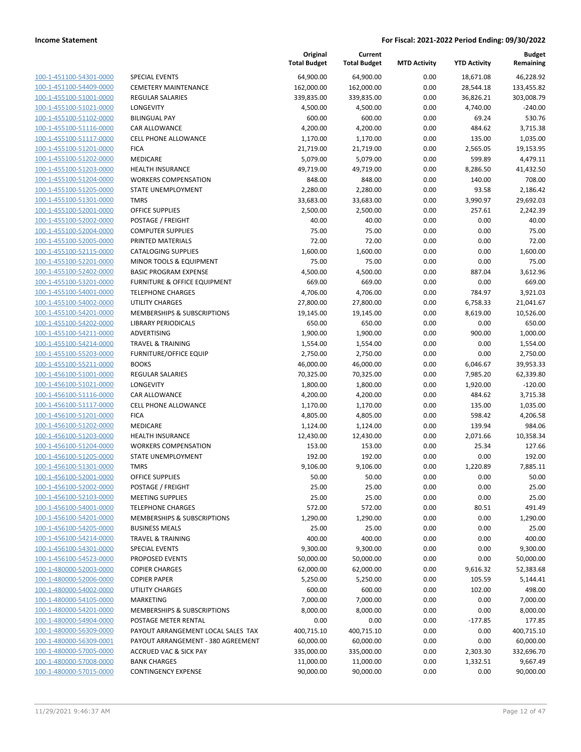| 100-1-451100-54301-0000        |
|--------------------------------|
| 100-1-451100-54409-0000        |
| 100-1-455100-51001-0000        |
| <u>100-1-455100-51021-0000</u> |
| 100-1-455100-51102-0000        |
| 100-1-455100-51116-0000        |
| 100-1-455100-51117-0000        |
| 100-1-455100-51201-0000        |
| 100-1-455100-51202-0000        |
| 100-1-455100-51203-0000        |
| 100-1-455100-51204-0000        |
| 100-1-455100-51205-0000        |
| 100-1-455100-51301-0000        |
| <u>100-1-455100-52001-0000</u> |
| 100-1-455100-52002-0000        |
| 100-1-455100-52004-0000        |
| 100-1-455100-52005-0000        |
| 100-1-455100-52115-0000        |
|                                |
| <u>100-1-455100-52201-0000</u> |
| 100-1-455100-52402-0000        |
| 100-1-455100-53201-0000        |
| 100-1-455100-54001-0000        |
| 100-1-455100-54002-0000        |
| <u>100-1-455100-54201-0000</u> |
| 100-1-455100-54202-0000        |
| 100-1-455100-54211-0000        |
| 100-1-455100-54214-0000        |
| 100-1-455100-55203-0000        |
| <u>100-1-455100-55211-0000</u> |
| 100-1-456100-51001-0000        |
| 100-1-456100-51021-0000        |
| 100-1-456100-51116-0000        |
| 100-1-456100-51117-0000        |
| <u>100-1-456100-51201-0000</u> |
| 100-1-456100-51202-0000        |
| 100-1-456100-51203-0000        |
| 100-1-456100-51204-0000        |
| 100-1-456100-51205-0000        |
| <u>100-1-456100-51301-0000</u> |
| 100-1-456100-52001-0000        |
| 100-1-456100-52002-0000        |
| <u>100-1-456100-52103-0000</u> |
| 100-1-456100-54001-0000        |
| <u>100-1-456100-54201-0000</u> |
| 100-1-456100-54205-0000        |
| 100-1-456100-54214-0000        |
|                                |
| 100-1-456100-54301-0000        |
| <u>100-1-456100-54523-0000</u> |
| <u>100-1-480000-52003-0000</u> |
| <u>100-1-480000-52006-0000</u> |
| 100-1-480000-54002-0000        |
| 100-1-480000-54105-0000        |
| <u>100-1-480000-54201-0000</u> |
| 100-1-480000-54904-0000        |
| <u>100-1-480000-56309-0000</u> |
| 100-1-480000-56309-0001        |
| 100-1-480000-57005-0000        |
| <u>100-1-480000-57008-0000</u> |
| <u>100-1-480000-57015-0000</u> |
|                                |

|                                                    |                                        | Original<br><b>Total Budget</b> | Current<br><b>Total Budget</b> | <b>MTD Activity</b> | <b>YTD Activity</b> | <b>Budget</b><br>Remaining |
|----------------------------------------------------|----------------------------------------|---------------------------------|--------------------------------|---------------------|---------------------|----------------------------|
| 100-1-451100-54301-0000                            | <b>SPECIAL EVENTS</b>                  | 64,900.00                       | 64,900.00                      | 0.00                | 18,671.08           | 46,228.92                  |
| 100-1-451100-54409-0000                            | <b>CEMETERY MAINTENANCE</b>            | 162,000.00                      | 162,000.00                     | 0.00                | 28,544.18           | 133,455.82                 |
| 100-1-455100-51001-0000                            | <b>REGULAR SALARIES</b>                | 339,835.00                      | 339,835.00                     | 0.00                | 36,826.21           | 303,008.79                 |
| 100-1-455100-51021-0000                            | LONGEVITY                              | 4,500.00                        | 4,500.00                       | 0.00                | 4,740.00            | $-240.00$                  |
| 100-1-455100-51102-0000                            | <b>BILINGUAL PAY</b>                   | 600.00                          | 600.00                         | 0.00                | 69.24               | 530.76                     |
| 100-1-455100-51116-0000                            | CAR ALLOWANCE                          | 4,200.00                        | 4,200.00                       | 0.00                | 484.62              | 3,715.38                   |
| 100-1-455100-51117-0000                            | CELL PHONE ALLOWANCE                   | 1,170.00                        | 1,170.00                       | 0.00                | 135.00              | 1,035.00                   |
| 100-1-455100-51201-0000                            | <b>FICA</b>                            | 21,719.00                       | 21,719.00                      | 0.00                | 2,565.05            | 19,153.95                  |
| 100-1-455100-51202-0000                            | MEDICARE                               | 5,079.00                        | 5,079.00                       | 0.00                | 599.89              | 4,479.11                   |
| 100-1-455100-51203-0000                            | <b>HEALTH INSURANCE</b>                | 49,719.00                       | 49,719.00                      | 0.00                | 8,286.50            | 41,432.50                  |
| 100-1-455100-51204-0000                            | <b>WORKERS COMPENSATION</b>            | 848.00                          | 848.00                         | 0.00                | 140.00              | 708.00                     |
| 100-1-455100-51205-0000                            | STATE UNEMPLOYMENT                     | 2,280.00                        | 2,280.00                       | 0.00                | 93.58               | 2,186.42                   |
| 100-1-455100-51301-0000                            | <b>TMRS</b>                            | 33,683.00                       | 33,683.00                      | 0.00                | 3,990.97            | 29,692.03                  |
| 100-1-455100-52001-0000                            | <b>OFFICE SUPPLIES</b>                 | 2,500.00                        | 2,500.00                       | 0.00                | 257.61              | 2,242.39                   |
| 100-1-455100-52002-0000                            | POSTAGE / FREIGHT                      | 40.00                           | 40.00                          | 0.00                | 0.00                | 40.00                      |
| 100-1-455100-52004-0000                            | <b>COMPUTER SUPPLIES</b>               | 75.00                           | 75.00                          | 0.00                | 0.00                | 75.00                      |
| 100-1-455100-52005-0000                            | PRINTED MATERIALS                      | 72.00                           | 72.00                          | 0.00                | 0.00                | 72.00                      |
| 100-1-455100-52115-0000                            | <b>CATALOGING SUPPLIES</b>             | 1,600.00                        | 1,600.00                       | 0.00                | 0.00                | 1,600.00                   |
| 100-1-455100-52201-0000                            | MINOR TOOLS & EQUIPMENT                | 75.00                           | 75.00                          | 0.00                | 0.00                | 75.00                      |
| 100-1-455100-52402-0000                            | <b>BASIC PROGRAM EXPENSE</b>           | 4,500.00                        | 4,500.00                       | 0.00                | 887.04              | 3,612.96                   |
| 100-1-455100-53201-0000                            | FURNITURE & OFFICE EQUIPMENT           | 669.00                          | 669.00                         | 0.00                | 0.00                | 669.00                     |
| 100-1-455100-54001-0000                            | <b>TELEPHONE CHARGES</b>               | 4,706.00                        | 4,706.00                       | 0.00                | 784.97              | 3,921.03                   |
| 100-1-455100-54002-0000                            | UTILITY CHARGES                        | 27,800.00                       | 27,800.00                      | 0.00                | 6,758.33            | 21,041.67                  |
| 100-1-455100-54201-0000                            | <b>MEMBERSHIPS &amp; SUBSCRIPTIONS</b> | 19,145.00                       | 19,145.00                      | 0.00                | 8,619.00            | 10,526.00                  |
| 100-1-455100-54202-0000                            | LIBRARY PERIODICALS                    | 650.00                          | 650.00                         | 0.00                | 0.00                | 650.00                     |
| 100-1-455100-54211-0000                            | ADVERTISING                            | 1,900.00                        | 1,900.00                       | 0.00                | 900.00              | 1,000.00                   |
| 100-1-455100-54214-0000                            | <b>TRAVEL &amp; TRAINING</b>           | 1,554.00                        | 1,554.00                       | 0.00                | 0.00                | 1,554.00                   |
| 100-1-455100-55203-0000                            | <b>FURNITURE/OFFICE EQUIP</b>          | 2,750.00                        | 2,750.00                       | 0.00                | 0.00                | 2,750.00                   |
| 100-1-455100-55211-0000                            | <b>BOOKS</b>                           | 46,000.00                       | 46,000.00                      | 0.00                | 6,046.67            | 39,953.33                  |
| 100-1-456100-51001-0000                            | REGULAR SALARIES                       | 70,325.00                       | 70,325.00                      | 0.00                | 7,985.20            | 62,339.80                  |
| 100-1-456100-51021-0000                            | LONGEVITY                              | 1,800.00                        | 1,800.00                       | 0.00                | 1,920.00            | $-120.00$                  |
| 100-1-456100-51116-0000                            | CAR ALLOWANCE                          | 4,200.00                        | 4,200.00                       | 0.00                | 484.62              | 3,715.38                   |
| 100-1-456100-51117-0000<br>100-1-456100-51201-0000 | <b>CELL PHONE ALLOWANCE</b>            | 1,170.00                        | 1,170.00                       | 0.00                | 135.00              | 1,035.00                   |
| 100-1-456100-51202-0000                            | <b>FICA</b><br>MEDICARE                | 4,805.00                        | 4,805.00                       | 0.00<br>0.00        | 598.42<br>139.94    | 4,206.58<br>984.06         |
| 100-1-456100-51203-0000                            | <b>HEALTH INSURANCE</b>                | 1,124.00<br>12,430.00           | 1,124.00                       | 0.00                | 2,071.66            | 10,358.34                  |
| 100-1-456100-51204-0000                            | <b>WORKERS COMPENSATION</b>            | 153.00                          | 12,430.00<br>153.00            | 0.00                | 25.34               | 127.66                     |
| 100-1-456100-51205-0000                            | STATE UNEMPLOYMENT                     | 192.00                          | 192.00                         | 0.00                | 0.00                | 192.00                     |
| 100-1-456100-51301-0000                            | <b>TMRS</b>                            | 9,106.00                        | 9,106.00                       | 0.00                | 1,220.89            | 7,885.11                   |
| 100-1-456100-52001-0000                            | OFFICE SUPPLIES                        | 50.00                           | 50.00                          | 0.00                | 0.00                | 50.00                      |
| 100-1-456100-52002-0000                            | POSTAGE / FREIGHT                      | 25.00                           | 25.00                          | 0.00                | 0.00                | 25.00                      |
| 100-1-456100-52103-0000                            | <b>MEETING SUPPLIES</b>                | 25.00                           | 25.00                          | 0.00                | 0.00                | 25.00                      |
| 100-1-456100-54001-0000                            | <b>TELEPHONE CHARGES</b>               | 572.00                          | 572.00                         | 0.00                | 80.51               | 491.49                     |
| 100-1-456100-54201-0000                            | MEMBERSHIPS & SUBSCRIPTIONS            | 1,290.00                        | 1,290.00                       | 0.00                | 0.00                | 1,290.00                   |
| 100-1-456100-54205-0000                            | <b>BUSINESS MEALS</b>                  | 25.00                           | 25.00                          | 0.00                | 0.00                | 25.00                      |
| 100-1-456100-54214-0000                            | <b>TRAVEL &amp; TRAINING</b>           | 400.00                          | 400.00                         | 0.00                | 0.00                | 400.00                     |
| 100-1-456100-54301-0000                            | <b>SPECIAL EVENTS</b>                  | 9,300.00                        | 9,300.00                       | 0.00                | 0.00                | 9,300.00                   |
| 100-1-456100-54523-0000                            | PROPOSED EVENTS                        | 50,000.00                       | 50,000.00                      | 0.00                | 0.00                | 50,000.00                  |
| 100-1-480000-52003-0000                            | <b>COPIER CHARGES</b>                  | 62,000.00                       | 62,000.00                      | 0.00                | 9,616.32            | 52,383.68                  |
| 100-1-480000-52006-0000                            | <b>COPIER PAPER</b>                    | 5,250.00                        | 5,250.00                       | 0.00                | 105.59              | 5,144.41                   |
| 100-1-480000-54002-0000                            | UTILITY CHARGES                        | 600.00                          | 600.00                         | 0.00                | 102.00              | 498.00                     |
| 100-1-480000-54105-0000                            | MARKETING                              | 7,000.00                        | 7,000.00                       | 0.00                | 0.00                | 7,000.00                   |
| 100-1-480000-54201-0000                            | MEMBERSHIPS & SUBSCRIPTIONS            | 8,000.00                        | 8,000.00                       | 0.00                | 0.00                | 8,000.00                   |
| 100-1-480000-54904-0000                            | POSTAGE METER RENTAL                   | 0.00                            | 0.00                           | 0.00                | $-177.85$           | 177.85                     |
| 100-1-480000-56309-0000                            | PAYOUT ARRANGEMENT LOCAL SALES TAX     | 400,715.10                      | 400,715.10                     | 0.00                | 0.00                | 400,715.10                 |
| 100-1-480000-56309-0001                            | PAYOUT ARRANGEMENT - 380 AGREEMENT     | 60,000.00                       | 60,000.00                      | 0.00                | 0.00                | 60,000.00                  |
| 100-1-480000-57005-0000                            | <b>ACCRUED VAC &amp; SICK PAY</b>      | 335,000.00                      | 335,000.00                     | 0.00                | 2,303.30            | 332,696.70                 |
| 100-1-480000-57008-0000                            | <b>BANK CHARGES</b>                    | 11,000.00                       | 11,000.00                      | 0.00                | 1,332.51            | 9,667.49                   |
| 100-1-480000-57015-0000                            | <b>CONTINGENCY EXPENSE</b>             | 90,000.00                       | 90,000.00                      | 0.00                | 0.00                | 90,000.00                  |
|                                                    |                                        |                                 |                                |                     |                     |                            |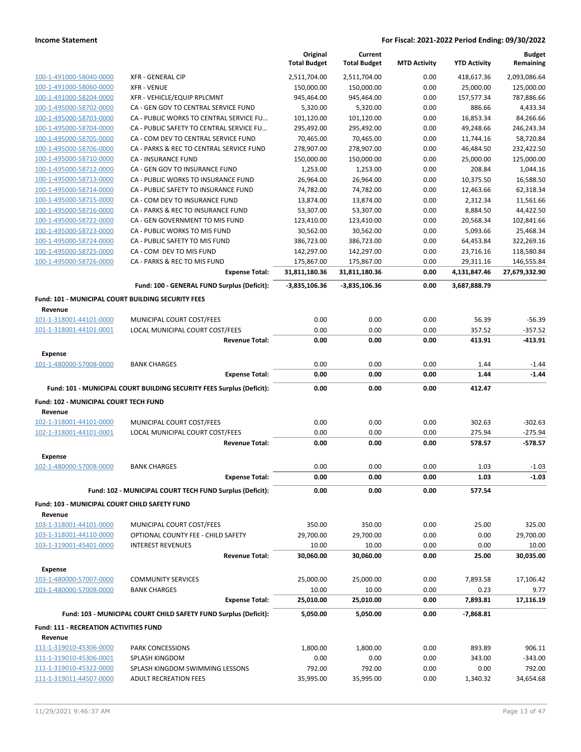|                                                               |                                                                       | Original<br><b>Total Budget</b> | Current<br><b>Total Budget</b> | <b>MTD Activity</b> | <b>YTD Activity</b>   | <b>Budget</b><br>Remaining |
|---------------------------------------------------------------|-----------------------------------------------------------------------|---------------------------------|--------------------------------|---------------------|-----------------------|----------------------------|
| 100-1-491000-58040-0000                                       | <b>XFR - GENERAL CIP</b>                                              | 2,511,704.00                    | 2,511,704.00                   | 0.00                | 418,617.36            | 2,093,086.64               |
| 100-1-491000-58060-0000                                       | <b>XFR - VENUE</b>                                                    | 150,000.00                      | 150,000.00                     | 0.00                | 25,000.00             | 125,000.00                 |
| 100-1-491000-58204-0000                                       | XFR - VEHICLE/EQUIP RPLCMNT                                           | 945,464.00                      | 945,464.00                     | 0.00                | 157,577.34            | 787,886.66                 |
| 100-1-495000-58702-0000                                       | CA - GEN GOV TO CENTRAL SERVICE FUND                                  | 5,320.00                        | 5,320.00                       | 0.00                | 886.66                | 4,433.34                   |
| 100-1-495000-58703-0000                                       | CA - PUBLIC WORKS TO CENTRAL SERVICE FU                               | 101,120.00                      | 101,120.00                     | 0.00                | 16,853.34             | 84,266.66                  |
| 100-1-495000-58704-0000                                       | CA - PUBLIC SAFETY TO CENTRAL SERVICE FU                              | 295,492.00                      | 295,492.00                     | 0.00                | 49,248.66             | 246,243.34                 |
| 100-1-495000-58705-0000                                       | CA - COM DEV TO CENTRAL SERVICE FUND                                  | 70,465.00                       | 70,465.00                      | 0.00                | 11,744.16             | 58,720.84                  |
| 100-1-495000-58706-0000                                       | CA - PARKS & REC TO CENTRAL SERVICE FUND                              | 278,907.00                      | 278,907.00                     | 0.00                | 46,484.50             | 232,422.50                 |
| 100-1-495000-58710-0000                                       | CA - INSURANCE FUND                                                   | 150,000.00                      | 150,000.00                     | 0.00                | 25,000.00             | 125,000.00                 |
| 100-1-495000-58712-0000                                       | CA - GEN GOV TO INSURANCE FUND                                        | 1,253.00                        | 1,253.00                       | 0.00                | 208.84                | 1,044.16                   |
| 100-1-495000-58713-0000                                       | CA - PUBLIC WORKS TO INSURANCE FUND                                   | 26,964.00                       | 26,964.00                      | 0.00                | 10,375.50             | 16,588.50                  |
| 100-1-495000-58714-0000                                       | CA - PUBLIC SAFETY TO INSURANCE FUND                                  | 74,782.00                       | 74,782.00                      | 0.00                | 12,463.66             | 62,318.34                  |
| 100-1-495000-58715-0000                                       | CA - COM DEV TO INSURANCE FUND                                        | 13,874.00                       | 13,874.00                      | 0.00                | 2,312.34              | 11,561.66                  |
| 100-1-495000-58716-0000<br>100-1-495000-58722-0000            | CA - PARKS & REC TO INSURANCE FUND<br>CA - GEN GOVERNMENT TO MIS FUND | 53,307.00<br>123,410.00         | 53,307.00<br>123,410.00        | 0.00<br>0.00        | 8,884.50<br>20,568.34 | 44,422.50<br>102,841.66    |
| 100-1-495000-58723-0000                                       | CA - PUBLIC WORKS TO MIS FUND                                         | 30,562.00                       | 30,562.00                      | 0.00                | 5,093.66              | 25,468.34                  |
| 100-1-495000-58724-0000                                       | CA - PUBLIC SAFETY TO MIS FUND                                        | 386,723.00                      | 386,723.00                     | 0.00                | 64,453.84             | 322,269.16                 |
| 100-1-495000-58725-0000                                       | CA - COM DEV TO MIS FUND                                              | 142,297.00                      | 142,297.00                     | 0.00                | 23,716.16             | 118,580.84                 |
| 100-1-495000-58726-0000                                       | CA - PARKS & REC TO MIS FUND                                          | 175,867.00                      | 175,867.00                     | 0.00                | 29,311.16             | 146,555.84                 |
|                                                               | <b>Expense Total:</b>                                                 | 31,811,180.36                   | 31,811,180.36                  | 0.00                | 4,131,847.46          | 27,679,332.90              |
|                                                               | Fund: 100 - GENERAL FUND Surplus (Deficit):                           | $-3,835,106.36$                 | $-3,835,106.36$                | 0.00                | 3,687,888.79          |                            |
| Fund: 101 - MUNICIPAL COURT BUILDING SECURITY FEES<br>Revenue |                                                                       |                                 |                                |                     |                       |                            |
| 101-1-318001-44101-0000                                       | MUNICIPAL COURT COST/FEES                                             | 0.00                            | 0.00                           | 0.00                | 56.39                 | $-56.39$                   |
| 101-1-318001-44101-0001                                       | LOCAL MUNICIPAL COURT COST/FEES                                       | 0.00                            | 0.00                           | 0.00                | 357.52                | -357.52                    |
|                                                               | <b>Revenue Total:</b>                                                 | 0.00                            | 0.00                           | 0.00                | 413.91                | -413.91                    |
| <b>Expense</b>                                                |                                                                       |                                 |                                |                     |                       |                            |
| 101-1-480000-57008-0000                                       | <b>BANK CHARGES</b>                                                   | 0.00                            | 0.00                           | 0.00                | 1.44                  | $-1.44$                    |
|                                                               |                                                                       |                                 |                                |                     |                       |                            |
|                                                               | <b>Expense Total:</b>                                                 | 0.00                            | 0.00                           | 0.00                | 1.44                  | $-1.44$                    |
|                                                               | Fund: 101 - MUNICIPAL COURT BUILDING SECURITY FEES Surplus (Deficit): | 0.00                            | 0.00                           | 0.00                | 412.47                |                            |
| Fund: 102 - MUNICIPAL COURT TECH FUND                         |                                                                       |                                 |                                |                     |                       |                            |
| Revenue                                                       |                                                                       |                                 |                                |                     |                       |                            |
| 102-1-318001-44101-0000                                       | MUNICIPAL COURT COST/FEES                                             | 0.00                            | 0.00                           | 0.00                | 302.63                | $-302.63$                  |
| 102-1-318001-44101-0001                                       | LOCAL MUNICIPAL COURT COST/FEES                                       | 0.00                            | 0.00                           | 0.00                | 275.94                | -275.94                    |
|                                                               | <b>Revenue Total:</b>                                                 | 0.00                            | 0.00                           | 0.00                | 578.57                | $-578.57$                  |
| <b>Expense</b>                                                |                                                                       |                                 |                                |                     |                       |                            |
| 102-1-480000-57008-0000                                       | <b>BANK CHARGES</b>                                                   | 0.00                            | 0.00                           | 0.00                | 1.03                  | $-1.03$                    |
|                                                               | <b>Expense Total:</b>                                                 | 0.00                            | 0.00                           | 0.00                | 1.03                  | $-1.03$                    |
|                                                               | Fund: 102 - MUNICIPAL COURT TECH FUND Surplus (Deficit):              | 0.00                            | 0.00                           | 0.00                | 577.54                |                            |
| Fund: 103 - MUNICIPAL COURT CHILD SAFETY FUND                 |                                                                       |                                 |                                |                     |                       |                            |
| Revenue                                                       |                                                                       |                                 |                                |                     |                       |                            |
| 103-1-318001-44101-0000                                       | MUNICIPAL COURT COST/FEES                                             | 350.00                          | 350.00                         | 0.00                | 25.00                 | 325.00                     |
| 103-1-318001-44110-0000                                       | OPTIONAL COUNTY FEE - CHILD SAFETY                                    | 29,700.00                       | 29,700.00                      | 0.00                | 0.00                  | 29,700.00                  |
| 103-1-319001-45401-0000                                       | <b>INTEREST REVENUES</b><br><b>Revenue Total:</b>                     | 10.00<br>30,060.00              | 10.00<br>30,060.00             | 0.00<br>0.00        | 0.00<br>25.00         | 10.00<br>30,035.00         |
| <b>Expense</b>                                                |                                                                       |                                 |                                |                     |                       |                            |
| 103-1-480000-57007-0000                                       | <b>COMMUNITY SERVICES</b>                                             | 25,000.00                       | 25,000.00                      | 0.00                | 7,893.58              | 17,106.42                  |
| 103-1-480000-57008-0000                                       | <b>BANK CHARGES</b>                                                   | 10.00                           | 10.00                          | 0.00                | 0.23                  | 9.77                       |
|                                                               | <b>Expense Total:</b>                                                 | 25,010.00                       | 25,010.00                      | 0.00                | 7,893.81              | 17,116.19                  |
|                                                               | Fund: 103 - MUNICIPAL COURT CHILD SAFETY FUND Surplus (Deficit):      | 5,050.00                        | 5,050.00                       | 0.00                | -7,868.81             |                            |
| Fund: 111 - RECREATION ACTIVITIES FUND                        |                                                                       |                                 |                                |                     |                       |                            |
| Revenue                                                       |                                                                       |                                 |                                |                     |                       |                            |
| 111-1-319010-45306-0000                                       | PARK CONCESSIONS                                                      | 1,800.00                        | 1,800.00                       | 0.00                | 893.89                | 906.11                     |
| 111-1-319010-45306-0001<br>111-1-319010-45322-0000            | SPLASH KINGDOM<br>SPLASH KINGDOM SWIMMING LESSONS                     | 0.00<br>792.00                  | 0.00<br>792.00                 | 0.00<br>0.00        | 343.00<br>0.00        | -343.00<br>792.00          |
| 111-1-319011-44507-0000                                       | <b>ADULT RECREATION FEES</b>                                          | 35,995.00                       | 35,995.00                      | 0.00                | 1,340.32              | 34,654.68                  |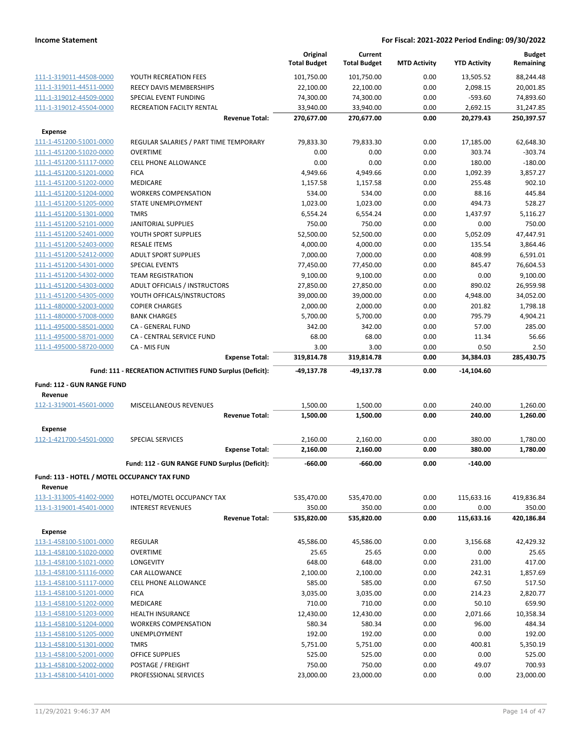|                                                         |                                                           | Original<br><b>Total Budget</b> | Current<br><b>Total Budget</b> | <b>MTD Activity</b> | <b>YTD Activity</b> | <b>Budget</b><br>Remaining |
|---------------------------------------------------------|-----------------------------------------------------------|---------------------------------|--------------------------------|---------------------|---------------------|----------------------------|
| 111-1-319011-44508-0000                                 | YOUTH RECREATION FEES                                     | 101,750.00                      | 101,750.00                     | 0.00                | 13,505.52           | 88,244.48                  |
| 111-1-319011-44511-0000                                 | REECY DAVIS MEMBERSHIPS                                   | 22,100.00                       | 22,100.00                      | 0.00                | 2,098.15            | 20,001.85                  |
| 111-1-319012-44509-0000                                 | SPECIAL EVENT FUNDING                                     | 74,300.00                       | 74,300.00                      | 0.00                | $-593.60$           | 74,893.60                  |
| 111-1-319012-45504-0000                                 | RECREATION FACILTY RENTAL                                 | 33,940.00                       | 33,940.00                      | 0.00                | 2,692.15            | 31,247.85                  |
|                                                         | <b>Revenue Total:</b>                                     | 270,677.00                      | 270,677.00                     | 0.00                | 20,279.43           | 250,397.57                 |
| <b>Expense</b>                                          |                                                           |                                 |                                |                     |                     |                            |
| 111-1-451200-51001-0000                                 | REGULAR SALARIES / PART TIME TEMPORARY                    | 79,833.30                       | 79,833.30                      | 0.00                | 17,185.00           | 62,648.30                  |
| 111-1-451200-51020-0000                                 | <b>OVERTIME</b>                                           | 0.00                            | 0.00                           | 0.00                | 303.74              | $-303.74$                  |
| 111-1-451200-51117-0000                                 | <b>CELL PHONE ALLOWANCE</b>                               | 0.00                            | 0.00                           | 0.00                | 180.00              | $-180.00$                  |
| 111-1-451200-51201-0000                                 | <b>FICA</b>                                               | 4,949.66                        | 4,949.66                       | 0.00                | 1,092.39            | 3,857.27                   |
| 111-1-451200-51202-0000                                 | <b>MEDICARE</b>                                           | 1,157.58                        | 1,157.58                       | 0.00                | 255.48              | 902.10                     |
| 111-1-451200-51204-0000                                 | <b>WORKERS COMPENSATION</b>                               | 534.00                          | 534.00                         | 0.00                | 88.16               | 445.84                     |
| 111-1-451200-51205-0000                                 | STATE UNEMPLOYMENT                                        | 1,023.00                        | 1,023.00                       | 0.00                | 494.73              | 528.27                     |
| 111-1-451200-51301-0000                                 | <b>TMRS</b>                                               | 6,554.24                        | 6,554.24                       | 0.00                | 1,437.97            | 5,116.27                   |
| 111-1-451200-52101-0000                                 | JANITORIAL SUPPLIES                                       | 750.00                          | 750.00                         | 0.00                | 0.00                | 750.00                     |
| 111-1-451200-52401-0000                                 | YOUTH SPORT SUPPLIES                                      | 52,500.00                       | 52,500.00                      | 0.00                | 5,052.09            | 47,447.91                  |
| 111-1-451200-52403-0000                                 | <b>RESALE ITEMS</b>                                       | 4,000.00                        | 4,000.00                       | 0.00                | 135.54              | 3,864.46                   |
| 111-1-451200-52412-0000                                 | <b>ADULT SPORT SUPPLIES</b>                               | 7,000.00                        | 7,000.00                       | 0.00                | 408.99              | 6,591.01                   |
| 111-1-451200-54301-0000                                 | SPECIAL EVENTS                                            | 77,450.00                       | 77,450.00                      | 0.00                | 845.47              | 76,604.53                  |
| 111-1-451200-54302-0000                                 | <b>TEAM REGISTRATION</b>                                  | 9,100.00                        | 9,100.00                       | 0.00                | 0.00                | 9,100.00                   |
| 111-1-451200-54303-0000                                 | ADULT OFFICIALS / INSTRUCTORS                             | 27,850.00                       | 27,850.00                      | 0.00                | 890.02              | 26,959.98                  |
| 111-1-451200-54305-0000                                 | YOUTH OFFICALS/INSTRUCTORS                                | 39,000.00                       | 39,000.00                      | 0.00                | 4,948.00            | 34,052.00                  |
| 111-1-480000-52003-0000                                 | <b>COPIER CHARGES</b>                                     | 2,000.00                        | 2,000.00                       | 0.00                | 201.82              | 1,798.18                   |
| 111-1-480000-57008-0000                                 | <b>BANK CHARGES</b>                                       | 5,700.00                        | 5,700.00                       | 0.00                | 795.79              | 4,904.21                   |
| 111-1-495000-58501-0000                                 | CA - GENERAL FUND                                         | 342.00                          | 342.00                         | 0.00                | 57.00               | 285.00                     |
| 111-1-495000-58701-0000                                 | CA - CENTRAL SERVICE FUND                                 | 68.00                           | 68.00                          | 0.00                | 11.34               | 56.66                      |
| 111-1-495000-58720-0000                                 | CA - MIS FUN                                              | 3.00                            | 3.00                           | 0.00                | 0.50                | 2.50                       |
|                                                         | <b>Expense Total:</b>                                     | 319,814.78                      | 319,814.78                     | 0.00                | 34,384.03           | 285,430.75                 |
|                                                         |                                                           |                                 |                                |                     |                     |                            |
|                                                         | Fund: 111 - RECREATION ACTIVITIES FUND Surplus (Deficit): | -49,137.78                      | -49,137.78                     | 0.00                | -14,104.60          |                            |
|                                                         |                                                           |                                 |                                |                     |                     |                            |
| Fund: 112 - GUN RANGE FUND                              |                                                           |                                 |                                |                     |                     |                            |
| Revenue                                                 |                                                           |                                 |                                |                     |                     |                            |
| 112-1-319001-45601-0000                                 | MISCELLANEOUS REVENUES                                    | 1,500.00                        | 1,500.00                       | 0.00                | 240.00              | 1,260.00                   |
|                                                         | <b>Revenue Total:</b>                                     | 1,500.00                        | 1,500.00                       | 0.00                | 240.00              | 1,260.00                   |
| <b>Expense</b>                                          |                                                           |                                 |                                |                     |                     |                            |
| 112-1-421700-54501-0000                                 | <b>SPECIAL SERVICES</b>                                   | 2,160.00                        | 2,160.00                       | 0.00                | 380.00              | 1,780.00                   |
|                                                         | <b>Expense Total:</b>                                     | 2,160.00                        | 2,160.00                       | 0.00                | 380.00              | 1,780.00                   |
|                                                         | Fund: 112 - GUN RANGE FUND Surplus (Deficit):             | $-660.00$                       | $-660.00$                      | 0.00                | $-140.00$           |                            |
|                                                         |                                                           |                                 |                                |                     |                     |                            |
| Fund: 113 - HOTEL / MOTEL OCCUPANCY TAX FUND<br>Revenue |                                                           |                                 |                                |                     |                     |                            |
| 113-1-313005-41402-0000                                 | HOTEL/MOTEL OCCUPANCY TAX                                 | 535,470.00                      | 535,470.00                     | 0.00                | 115,633.16          | 419,836.84                 |
| 113-1-319001-45401-0000                                 | <b>INTEREST REVENUES</b>                                  | 350.00                          | 350.00                         | 0.00                | 0.00                | 350.00                     |
|                                                         | <b>Revenue Total:</b>                                     | 535,820.00                      | 535,820.00                     | 0.00                | 115,633.16          | 420,186.84                 |
|                                                         |                                                           |                                 |                                |                     |                     |                            |
| <b>Expense</b>                                          |                                                           |                                 |                                |                     |                     |                            |
| 113-1-458100-51001-0000                                 | <b>REGULAR</b>                                            | 45,586.00                       | 45,586.00                      | 0.00                | 3,156.68            | 42,429.32                  |
| 113-1-458100-51020-0000                                 | <b>OVERTIME</b>                                           | 25.65                           | 25.65                          | 0.00                | 0.00                | 25.65                      |
| 113-1-458100-51021-0000                                 | LONGEVITY                                                 | 648.00                          | 648.00                         | 0.00                | 231.00              | 417.00                     |
| 113-1-458100-51116-0000                                 | CAR ALLOWANCE                                             | 2,100.00                        | 2,100.00                       | 0.00                | 242.31              | 1,857.69                   |
| 113-1-458100-51117-0000                                 | <b>CELL PHONE ALLOWANCE</b>                               | 585.00                          | 585.00                         | 0.00                | 67.50               | 517.50                     |
| 113-1-458100-51201-0000                                 | <b>FICA</b>                                               | 3,035.00                        | 3,035.00                       | 0.00                | 214.23              | 2,820.77                   |
| 113-1-458100-51202-0000                                 | MEDICARE                                                  | 710.00                          | 710.00                         | 0.00                | 50.10               | 659.90                     |
| 113-1-458100-51203-0000                                 | <b>HEALTH INSURANCE</b>                                   | 12,430.00                       | 12,430.00                      | 0.00                | 2,071.66            | 10,358.34                  |
| 113-1-458100-51204-0000                                 | <b>WORKERS COMPENSATION</b>                               | 580.34                          | 580.34                         | 0.00                | 96.00               | 484.34                     |
| 113-1-458100-51205-0000                                 | UNEMPLOYMENT                                              | 192.00                          | 192.00                         | 0.00                | 0.00                | 192.00                     |
| 113-1-458100-51301-0000                                 | TMRS                                                      | 5,751.00                        | 5,751.00                       | 0.00                | 400.81              | 5,350.19                   |
| 113-1-458100-52001-0000                                 | OFFICE SUPPLIES                                           | 525.00                          | 525.00                         | 0.00                | 0.00                | 525.00                     |
| 113-1-458100-52002-0000<br>113-1-458100-54101-0000      | POSTAGE / FREIGHT<br>PROFESSIONAL SERVICES                | 750.00<br>23,000.00             | 750.00<br>23,000.00            | 0.00<br>0.00        | 49.07<br>0.00       | 700.93<br>23,000.00        |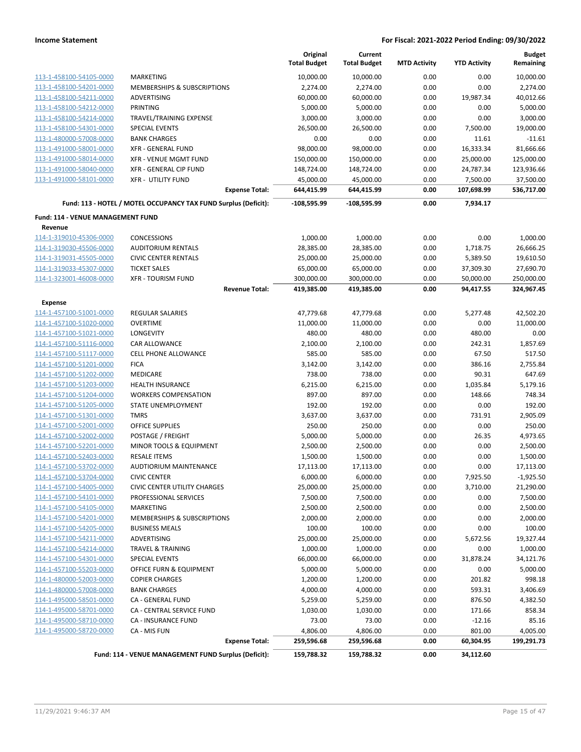|                                   |                                                                 | Original<br><b>Total Budget</b> | Current<br><b>Total Budget</b> | <b>MTD Activity</b> | <b>YTD Activity</b> | <b>Budget</b><br>Remaining |
|-----------------------------------|-----------------------------------------------------------------|---------------------------------|--------------------------------|---------------------|---------------------|----------------------------|
| 113-1-458100-54105-0000           | <b>MARKETING</b>                                                | 10,000.00                       | 10,000.00                      | 0.00                | 0.00                | 10,000.00                  |
| 113-1-458100-54201-0000           | <b>MEMBERSHIPS &amp; SUBSCRIPTIONS</b>                          | 2,274.00                        | 2,274.00                       | 0.00                | 0.00                | 2,274.00                   |
| 113-1-458100-54211-0000           | <b>ADVERTISING</b>                                              | 60,000.00                       | 60,000.00                      | 0.00                | 19,987.34           | 40,012.66                  |
| 113-1-458100-54212-0000           | <b>PRINTING</b>                                                 | 5,000.00                        | 5,000.00                       | 0.00                | 0.00                | 5,000.00                   |
| 113-1-458100-54214-0000           | TRAVEL/TRAINING EXPENSE                                         | 3,000.00                        | 3,000.00                       | 0.00                | 0.00                | 3,000.00                   |
| 113-1-458100-54301-0000           | <b>SPECIAL EVENTS</b>                                           | 26,500.00                       | 26,500.00                      | 0.00                | 7,500.00            | 19,000.00                  |
| 113-1-480000-57008-0000           | <b>BANK CHARGES</b>                                             | 0.00                            | 0.00                           | 0.00                | 11.61               | $-11.61$                   |
| 113-1-491000-58001-0000           | <b>XFR - GENERAL FUND</b>                                       | 98,000.00                       | 98,000.00                      | 0.00                | 16,333.34           | 81,666.66                  |
| 113-1-491000-58014-0000           | XFR - VENUE MGMT FUND                                           | 150,000.00                      | 150,000.00                     | 0.00                | 25,000.00           | 125,000.00                 |
| 113-1-491000-58040-0000           | XFR - GENERAL CIP FUND                                          | 148,724.00                      | 148,724.00                     | 0.00                | 24,787.34           | 123,936.66                 |
| 113-1-491000-58101-0000           | <b>XFR - UTILITY FUND</b>                                       | 45,000.00                       | 45,000.00                      | 0.00                | 7,500.00            | 37,500.00                  |
|                                   | <b>Expense Total:</b>                                           | 644,415.99                      | 644,415.99                     | 0.00                | 107,698.99          | 536,717.00                 |
|                                   | Fund: 113 - HOTEL / MOTEL OCCUPANCY TAX FUND Surplus (Deficit): | $-108,595.99$                   | $-108,595.99$                  | 0.00                | 7,934.17            |                            |
| Fund: 114 - VENUE MANAGEMENT FUND |                                                                 |                                 |                                |                     |                     |                            |
| Revenue                           |                                                                 |                                 |                                |                     |                     |                            |
| 114-1-319010-45306-0000           | <b>CONCESSIONS</b>                                              | 1,000.00                        | 1,000.00                       | 0.00                | 0.00                | 1,000.00                   |
| 114-1-319030-45506-0000           | <b>AUDITORIUM RENTALS</b>                                       | 28,385.00                       | 28,385.00                      | 0.00                | 1,718.75            | 26,666.25                  |
| 114-1-319031-45505-0000           | <b>CIVIC CENTER RENTALS</b>                                     | 25,000.00                       | 25,000.00                      | 0.00                | 5,389.50            | 19,610.50                  |
| 114-1-319033-45307-0000           | <b>TICKET SALES</b>                                             | 65,000.00                       | 65,000.00                      | 0.00                | 37,309.30           | 27,690.70                  |
| 114-1-323001-46008-0000           | <b>XFR - TOURISM FUND</b>                                       | 300,000.00                      | 300,000.00                     | 0.00                | 50,000.00           | 250,000.00                 |
|                                   | <b>Revenue Total:</b>                                           | 419,385.00                      | 419,385.00                     | 0.00                | 94,417.55           | 324,967.45                 |
| <b>Expense</b>                    |                                                                 |                                 |                                |                     |                     |                            |
| 114-1-457100-51001-0000           | REGULAR SALARIES                                                | 47,779.68                       | 47,779.68                      | 0.00                | 5,277.48            | 42,502.20                  |
| 114-1-457100-51020-0000           | <b>OVERTIME</b>                                                 | 11,000.00                       | 11,000.00                      | 0.00                | 0.00                | 11,000.00                  |
| 114-1-457100-51021-0000           | LONGEVITY                                                       | 480.00                          | 480.00                         | 0.00                | 480.00              | 0.00                       |
| 114-1-457100-51116-0000           | CAR ALLOWANCE                                                   | 2,100.00                        | 2,100.00                       | 0.00                | 242.31              | 1,857.69                   |
| 114-1-457100-51117-0000           | <b>CELL PHONE ALLOWANCE</b>                                     | 585.00                          | 585.00                         | 0.00                | 67.50               | 517.50                     |
| 114-1-457100-51201-0000           | <b>FICA</b>                                                     | 3,142.00                        | 3,142.00                       | 0.00                | 386.16              | 2,755.84                   |
| 114-1-457100-51202-0000           | MEDICARE                                                        | 738.00                          | 738.00                         | 0.00                | 90.31               | 647.69                     |
| 114-1-457100-51203-0000           | HEALTH INSURANCE                                                | 6,215.00                        | 6,215.00                       | 0.00                | 1,035.84            | 5,179.16                   |
| 114-1-457100-51204-0000           | <b>WORKERS COMPENSATION</b>                                     | 897.00                          | 897.00                         | 0.00                | 148.66              | 748.34                     |
| 114-1-457100-51205-0000           | STATE UNEMPLOYMENT                                              | 192.00                          | 192.00                         | 0.00                | 0.00                | 192.00                     |
| 114-1-457100-51301-0000           | <b>TMRS</b>                                                     | 3,637.00                        | 3,637.00                       | 0.00                | 731.91              | 2,905.09                   |
| 114-1-457100-52001-0000           | <b>OFFICE SUPPLIES</b>                                          | 250.00                          | 250.00                         | 0.00                | 0.00                | 250.00                     |
| 114-1-457100-52002-0000           | POSTAGE / FREIGHT                                               | 5,000.00                        | 5,000.00                       | 0.00                | 26.35               | 4,973.65                   |
| 114-1-457100-52201-0000           | MINOR TOOLS & EQUIPMENT                                         | 2,500.00                        | 2,500.00                       | 0.00                | 0.00                | 2,500.00                   |
| 114-1-457100-52403-0000           | <b>RESALE ITEMS</b>                                             | 1,500.00                        | 1,500.00                       | 0.00                | 0.00                | 1,500.00                   |
| 114-1-457100-53702-0000           | AUDTIORIUM MAINTENANCE                                          | 17,113.00                       | 17,113.00                      | 0.00                | 0.00                | 17,113.00                  |
| 114-1-457100-53704-0000           | <b>CIVIC CENTER</b>                                             | 6,000.00                        | 6,000.00                       | 0.00                | 7,925.50            | $-1,925.50$                |
| 114-1-457100-54005-0000           | CIVIC CENTER UTILITY CHARGES                                    | 25,000.00                       | 25,000.00                      | 0.00                | 3,710.00            | 21,290.00                  |
| 114-1-457100-54101-0000           | PROFESSIONAL SERVICES                                           | 7,500.00                        | 7,500.00                       | 0.00                | 0.00                | 7,500.00                   |
| 114-1-457100-54105-0000           | MARKETING                                                       | 2,500.00                        | 2,500.00                       | 0.00                | 0.00                | 2,500.00                   |
| 114-1-457100-54201-0000           | MEMBERSHIPS & SUBSCRIPTIONS                                     | 2,000.00                        | 2,000.00                       | 0.00                | 0.00                | 2,000.00                   |
| 114-1-457100-54205-0000           | <b>BUSINESS MEALS</b>                                           | 100.00                          | 100.00                         | 0.00                | 0.00                | 100.00                     |
| 114-1-457100-54211-0000           | ADVERTISING                                                     | 25,000.00                       | 25,000.00                      | 0.00                | 5,672.56            | 19,327.44                  |
| 114-1-457100-54214-0000           | <b>TRAVEL &amp; TRAINING</b>                                    | 1,000.00                        | 1,000.00                       | 0.00                | 0.00                | 1,000.00                   |
| 114-1-457100-54301-0000           | <b>SPECIAL EVENTS</b>                                           | 66,000.00                       | 66,000.00                      | 0.00                | 31,878.24           | 34,121.76                  |
| 114-1-457100-55203-0000           | OFFICE FURN & EQUIPMENT                                         | 5,000.00                        | 5,000.00                       | 0.00                | 0.00                | 5,000.00                   |
| 114-1-480000-52003-0000           | <b>COPIER CHARGES</b>                                           | 1,200.00                        | 1,200.00                       | 0.00                | 201.82              | 998.18                     |
| 114-1-480000-57008-0000           | <b>BANK CHARGES</b>                                             | 4,000.00                        | 4,000.00                       | 0.00                | 593.31              | 3,406.69                   |
| 114-1-495000-58501-0000           | CA - GENERAL FUND                                               | 5,259.00                        | 5,259.00                       | 0.00                | 876.50              | 4,382.50                   |
| 114-1-495000-58701-0000           | CA - CENTRAL SERVICE FUND                                       | 1,030.00                        | 1,030.00                       | 0.00                | 171.66              | 858.34                     |
| 114-1-495000-58710-0000           | <b>CA - INSURANCE FUND</b>                                      | 73.00                           | 73.00                          | 0.00                | $-12.16$            | 85.16                      |
| 114-1-495000-58720-0000           | CA - MIS FUN                                                    | 4,806.00                        | 4,806.00                       | 0.00                | 801.00              | 4,005.00                   |
|                                   | <b>Expense Total:</b>                                           | 259,596.68                      | 259,596.68                     | 0.00                | 60,304.95           | 199,291.73                 |
|                                   | Fund: 114 - VENUE MANAGEMENT FUND Surplus (Deficit):            | 159,788.32                      | 159,788.32                     | 0.00                | 34,112.60           |                            |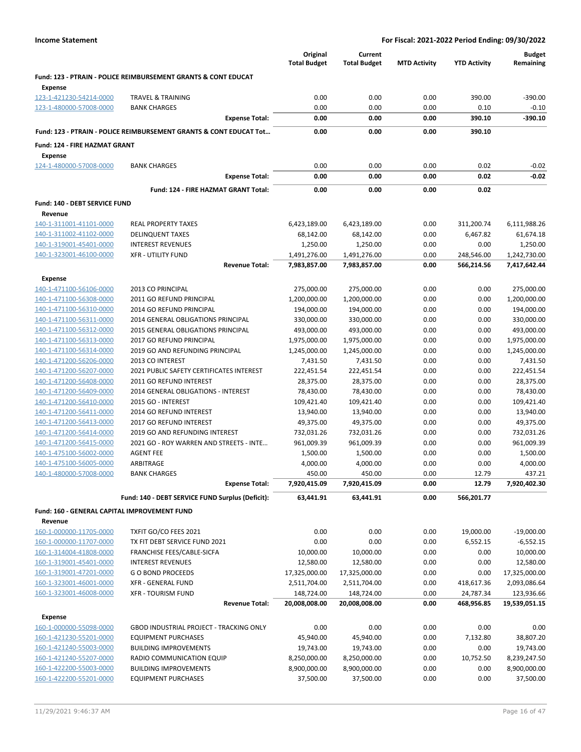|                                                    |                                                                               | Original<br><b>Total Budget</b> | Current<br><b>Total Budget</b> | <b>MTD Activity</b> | <b>YTD Activity</b> | <b>Budget</b><br>Remaining |
|----------------------------------------------------|-------------------------------------------------------------------------------|---------------------------------|--------------------------------|---------------------|---------------------|----------------------------|
| Expense                                            | <b>Fund: 123 - PTRAIN - POLICE REIMBURSEMENT GRANTS &amp; CONT EDUCAT</b>     |                                 |                                |                     |                     |                            |
| 123-1-421230-54214-0000                            | <b>TRAVEL &amp; TRAINING</b>                                                  | 0.00                            | 0.00                           | 0.00                | 390.00              | $-390.00$                  |
| 123-1-480000-57008-0000                            | <b>BANK CHARGES</b>                                                           | 0.00                            | 0.00                           | 0.00                | 0.10                | $-0.10$                    |
|                                                    | <b>Expense Total:</b>                                                         | 0.00                            | 0.00                           | 0.00                | 390.10              | -390.10                    |
|                                                    | <b>Fund: 123 - PTRAIN - POLICE REIMBURSEMENT GRANTS &amp; CONT EDUCAT Tot</b> | 0.00                            | 0.00                           | 0.00                | 390.10              |                            |
| Fund: 124 - FIRE HAZMAT GRANT                      |                                                                               |                                 |                                |                     |                     |                            |
| <b>Expense</b>                                     |                                                                               |                                 |                                |                     |                     |                            |
| 124-1-480000-57008-0000                            | <b>BANK CHARGES</b>                                                           | 0.00                            | 0.00                           | 0.00                | 0.02                | $-0.02$                    |
|                                                    | <b>Expense Total:</b>                                                         | 0.00                            | 0.00                           | 0.00                | 0.02                | $-0.02$                    |
|                                                    | Fund: 124 - FIRE HAZMAT GRANT Total:                                          | 0.00                            | 0.00                           | 0.00                | 0.02                |                            |
| Fund: 140 - DEBT SERVICE FUND                      |                                                                               |                                 |                                |                     |                     |                            |
| Revenue                                            |                                                                               |                                 |                                |                     |                     |                            |
| 140-1-311001-41101-0000                            | <b>REAL PROPERTY TAXES</b>                                                    | 6,423,189.00                    | 6,423,189.00                   | 0.00                | 311,200.74          | 6,111,988.26               |
| 140-1-311002-41102-0000                            | <b>DELINQUENT TAXES</b>                                                       | 68,142.00                       | 68,142.00                      | 0.00                | 6,467.82            | 61,674.18                  |
| 140-1-319001-45401-0000                            | <b>INTEREST REVENUES</b>                                                      | 1,250.00                        | 1,250.00                       | 0.00                | 0.00                | 1,250.00                   |
| 140-1-323001-46100-0000                            | <b>XFR - UTILITY FUND</b>                                                     | 1,491,276.00                    | 1,491,276.00                   | 0.00                | 248,546.00          | 1,242,730.00               |
|                                                    | <b>Revenue Total:</b>                                                         | 7,983,857.00                    | 7,983,857.00                   | 0.00                | 566,214.56          | 7,417,642.44               |
| <b>Expense</b>                                     |                                                                               |                                 |                                |                     |                     |                            |
| 140-1-471100-56106-0000                            | 2013 CO PRINCIPAL                                                             | 275,000.00                      | 275,000.00                     | 0.00                | 0.00                | 275,000.00                 |
| 140-1-471100-56308-0000                            | 2011 GO REFUND PRINCIPAL                                                      | 1,200,000.00                    | 1,200,000.00                   | 0.00                | 0.00                | 1,200,000.00               |
| 140-1-471100-56310-0000                            | 2014 GO REFUND PRINCIPAL                                                      | 194,000.00                      | 194,000.00                     | 0.00                | 0.00                | 194,000.00                 |
| 140-1-471100-56311-0000                            | 2014 GENERAL OBLIGATIONS PRINCIPAL                                            | 330,000.00                      | 330,000.00                     | 0.00                | 0.00                | 330,000.00                 |
| 140-1-471100-56312-0000                            | 2015 GENERAL OBLIGATIONS PRINCIPAL                                            | 493,000.00                      | 493,000.00                     | 0.00                | 0.00                | 493,000.00                 |
| 140-1-471100-56313-0000                            | 2017 GO REFUND PRINCIPAL                                                      | 1,975,000.00                    | 1,975,000.00                   | 0.00                | 0.00                | 1,975,000.00               |
| 140-1-471100-56314-0000                            | 2019 GO AND REFUNDING PRINCIPAL                                               | 1,245,000.00                    | 1,245,000.00                   | 0.00                | 0.00                | 1,245,000.00               |
| 140-1-471200-56206-0000                            | 2013 CO INTEREST<br>2021 PUBLIC SAFETY CERTIFICATES INTEREST                  | 7,431.50                        | 7,431.50                       | 0.00                | 0.00                | 7,431.50                   |
| 140-1-471200-56207-0000<br>140-1-471200-56408-0000 | 2011 GO REFUND INTEREST                                                       | 222,451.54<br>28,375.00         | 222,451.54<br>28,375.00        | 0.00<br>0.00        | 0.00<br>0.00        | 222,451.54<br>28,375.00    |
| 140-1-471200-56409-0000                            | 2014 GENERAL OBLIGATIONS - INTEREST                                           | 78,430.00                       | 78,430.00                      | 0.00                | 0.00                | 78,430.00                  |
| 140-1-471200-56410-0000                            | 2015 GO - INTEREST                                                            | 109,421.40                      | 109,421.40                     | 0.00                | 0.00                | 109,421.40                 |
| 140-1-471200-56411-0000                            | 2014 GO REFUND INTEREST                                                       | 13,940.00                       | 13,940.00                      | 0.00                | 0.00                | 13,940.00                  |
| 140-1-471200-56413-0000                            | 2017 GO REFUND INTEREST                                                       | 49,375.00                       | 49,375.00                      | 0.00                | 0.00                | 49,375.00                  |
| 140-1-471200-56414-0000                            | 2019 GO AND REFUNDING INTEREST                                                | 732,031.26                      | 732,031.26                     | 0.00                | 0.00                | 732,031.26                 |
| 140-1-471200-56415-0000                            | 2021 GO - ROY WARREN AND STREETS - INTE                                       | 961,009.39                      | 961,009.39                     | 0.00                | 0.00                | 961,009.39                 |
| 140-1-475100-56002-0000                            | <b>AGENT FEE</b>                                                              | 1,500.00                        | 1,500.00                       | 0.00                | 0.00                | 1,500.00                   |
| 140-1-475100-56005-0000                            | ARBITRAGE                                                                     | 4,000.00                        | 4,000.00                       | 0.00                | 0.00                | 4,000.00                   |
| 140-1-480000-57008-0000                            | <b>BANK CHARGES</b>                                                           | 450.00                          | 450.00                         | 0.00                | 12.79               | 437.21                     |
|                                                    | <b>Expense Total:</b>                                                         | 7,920,415.09                    | 7,920,415.09                   | 0.00                | 12.79               | 7,920,402.30               |
|                                                    | Fund: 140 - DEBT SERVICE FUND Surplus (Deficit):                              | 63,441.91                       | 63,441.91                      | 0.00                | 566,201.77          |                            |
| Fund: 160 - GENERAL CAPITAL IMPROVEMENT FUND       |                                                                               |                                 |                                |                     |                     |                            |
| Revenue<br>160-1-000000-11705-0000                 | TXFIT GO/CO FEES 2021                                                         | 0.00                            | 0.00                           | 0.00                | 19,000.00           | $-19,000.00$               |
| 160-1-000000-11707-0000                            | TX FIT DEBT SERVICE FUND 2021                                                 | 0.00                            | 0.00                           | 0.00                | 6,552.15            | $-6,552.15$                |
| 160-1-314004-41808-0000                            | FRANCHISE FEES/CABLE-SICFA                                                    | 10,000.00                       | 10,000.00                      | 0.00                | 0.00                | 10,000.00                  |
| 160-1-319001-45401-0000                            | <b>INTEREST REVENUES</b>                                                      | 12,580.00                       | 12,580.00                      | 0.00                | 0.00                | 12,580.00                  |
| 160-1-319001-47201-0000                            | <b>GO BOND PROCEEDS</b>                                                       | 17,325,000.00                   | 17,325,000.00                  | 0.00                | 0.00                | 17,325,000.00              |
| 160-1-323001-46001-0000                            | <b>XFR - GENERAL FUND</b>                                                     | 2,511,704.00                    | 2,511,704.00                   | 0.00                | 418,617.36          | 2,093,086.64               |
| 160-1-323001-46008-0000                            | <b>XFR - TOURISM FUND</b>                                                     | 148,724.00                      | 148,724.00                     | 0.00                | 24,787.34           | 123,936.66                 |
|                                                    | <b>Revenue Total:</b>                                                         | 20,008,008.00                   | 20,008,008.00                  | 0.00                | 468,956.85          | 19,539,051.15              |
| Expense                                            |                                                                               |                                 |                                |                     |                     |                            |
| 160-1-000000-55098-0000                            | GBOD INDUSTRIAL PROJECT - TRACKING ONLY                                       | 0.00                            | 0.00                           | 0.00                | 0.00                | 0.00                       |
| 160-1-421230-55201-0000                            | <b>EQUIPMENT PURCHASES</b>                                                    | 45,940.00                       | 45,940.00                      | 0.00                | 7,132.80            | 38,807.20                  |
| 160-1-421240-55003-0000                            | <b>BUILDING IMPROVEMENTS</b>                                                  | 19,743.00                       | 19,743.00                      | 0.00                | 0.00                | 19,743.00                  |
| 160-1-421240-55207-0000                            | RADIO COMMUNICATION EQUIP                                                     | 8,250,000.00                    | 8,250,000.00                   | 0.00                | 10,752.50           | 8,239,247.50               |
| 160-1-422200-55003-0000                            | <b>BUILDING IMPROVEMENTS</b>                                                  | 8,900,000.00                    | 8,900,000.00                   | 0.00                | 0.00                | 8,900,000.00               |
| 160-1-422200-55201-0000                            | <b>EQUIPMENT PURCHASES</b>                                                    | 37,500.00                       | 37,500.00                      | 0.00                | 0.00                | 37,500.00                  |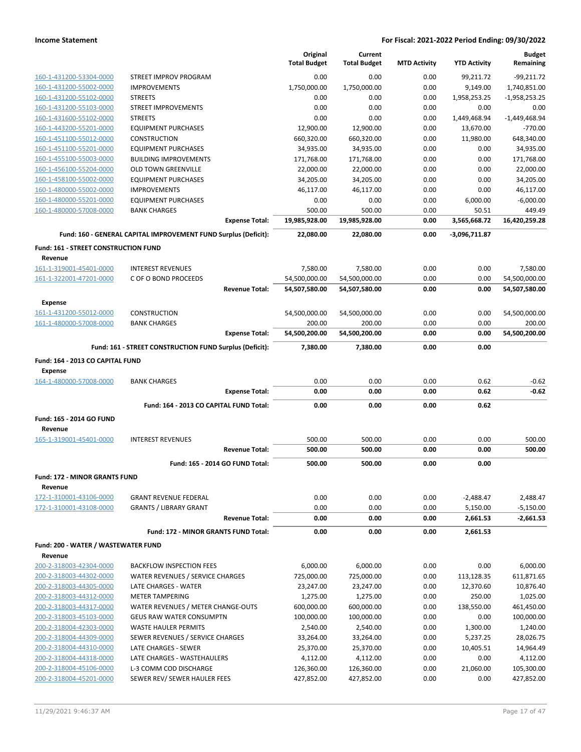|                                      |                                                                 |                                 | Original            | Current             |                     |                     | <b>Budget</b>   |
|--------------------------------------|-----------------------------------------------------------------|---------------------------------|---------------------|---------------------|---------------------|---------------------|-----------------|
|                                      |                                                                 |                                 | <b>Total Budget</b> | <b>Total Budget</b> | <b>MTD Activity</b> | <b>YTD Activity</b> | Remaining       |
| 160-1-431200-53304-0000              | STREET IMPROV PROGRAM                                           |                                 | 0.00                | 0.00                | 0.00                | 99,211.72           | $-99,211.72$    |
| 160-1-431200-55002-0000              | <b>IMPROVEMENTS</b>                                             |                                 | 1,750,000.00        | 1,750,000.00        | 0.00                | 9,149.00            | 1,740,851.00    |
| 160-1-431200-55102-0000              | <b>STREETS</b>                                                  |                                 | 0.00                | 0.00                | 0.00                | 1,958,253.25        | $-1,958,253.25$ |
| 160-1-431200-55103-0000              | <b>STREET IMPROVEMENTS</b>                                      |                                 | 0.00                | 0.00                | 0.00                | 0.00                | 0.00            |
| 160-1-431600-55102-0000              | <b>STREETS</b>                                                  |                                 | 0.00                | 0.00                | 0.00                | 1,449,468.94        | $-1,449,468.94$ |
| 160-1-443200-55201-0000              | <b>EQUIPMENT PURCHASES</b>                                      |                                 | 12,900.00           | 12,900.00           | 0.00                | 13,670.00           | $-770.00$       |
| 160-1-451100-55012-0000              | <b>CONSTRUCTION</b>                                             |                                 | 660,320.00          | 660,320.00          | 0.00                | 11,980.00           | 648,340.00      |
| 160-1-451100-55201-0000              | <b>EQUIPMENT PURCHASES</b>                                      |                                 | 34.935.00           | 34,935.00           | 0.00                | 0.00                | 34,935.00       |
| 160-1-455100-55003-0000              | <b>BUILDING IMPROVEMENTS</b>                                    |                                 | 171,768.00          | 171,768.00          | 0.00                | 0.00                | 171,768.00      |
| 160-1-456100-55204-0000              | <b>OLD TOWN GREENVILLE</b>                                      |                                 | 22,000.00           | 22,000.00           | 0.00                | 0.00                | 22,000.00       |
| 160-1-458100-55002-0000              | <b>EQUIPMENT PURCHASES</b>                                      |                                 | 34,205.00           | 34,205.00           | 0.00                | 0.00                | 34,205.00       |
| 160-1-480000-55002-0000              | <b>IMPROVEMENTS</b>                                             |                                 | 46,117.00           | 46,117.00           | 0.00                | 0.00                | 46,117.00       |
| 160-1-480000-55201-0000              | <b>EQUIPMENT PURCHASES</b>                                      |                                 | 0.00                | 0.00                | 0.00                | 6,000.00            | $-6,000.00$     |
| 160-1-480000-57008-0000              | <b>BANK CHARGES</b>                                             |                                 | 500.00              | 500.00              | 0.00                | 50.51               | 449.49          |
|                                      |                                                                 | <b>Expense Total:</b>           | 19,985,928.00       | 19,985,928.00       | 0.00                | 3,565,668.72        | 16,420,259.28   |
|                                      | Fund: 160 - GENERAL CAPITAL IMPROVEMENT FUND Surplus (Deficit): |                                 | 22,080.00           | 22,080.00           | 0.00                | -3,096,711.87       |                 |
| Fund: 161 - STREET CONSTRUCTION FUND |                                                                 |                                 |                     |                     |                     |                     |                 |
| Revenue                              |                                                                 |                                 |                     |                     |                     |                     |                 |
| 161-1-319001-45401-0000              | <b>INTEREST REVENUES</b>                                        |                                 | 7,580.00            | 7,580.00            | 0.00                | 0.00                | 7,580.00        |
| 161-1-322001-47201-0000              | C OF O BOND PROCEEDS                                            |                                 | 54,500,000.00       | 54,500,000.00       | 0.00                | 0.00                | 54,500,000.00   |
|                                      |                                                                 | <b>Revenue Total:</b>           | 54,507,580.00       | 54,507,580.00       | 0.00                | 0.00                | 54,507,580.00   |
| Expense                              |                                                                 |                                 |                     |                     |                     |                     |                 |
| 161-1-431200-55012-0000              | <b>CONSTRUCTION</b>                                             |                                 | 54,500,000.00       | 54,500,000.00       | 0.00                | 0.00                | 54,500,000.00   |
| 161-1-480000-57008-0000              | <b>BANK CHARGES</b>                                             |                                 | 200.00              | 200.00              | 0.00                | 0.00                | 200.00          |
|                                      |                                                                 | <b>Expense Total:</b>           | 54,500,200.00       | 54,500,200.00       | 0.00                | 0.00                | 54,500,200.00   |
|                                      | Fund: 161 - STREET CONSTRUCTION FUND Surplus (Deficit):         |                                 | 7,380.00            | 7,380.00            | 0.00                | 0.00                |                 |
|                                      |                                                                 |                                 |                     |                     |                     |                     |                 |
|                                      |                                                                 |                                 |                     |                     |                     |                     |                 |
| Fund: 164 - 2013 CO CAPITAL FUND     |                                                                 |                                 |                     |                     |                     |                     |                 |
| <b>Expense</b>                       |                                                                 |                                 |                     |                     |                     |                     |                 |
| 164-1-480000-57008-0000              | <b>BANK CHARGES</b>                                             |                                 | 0.00                | 0.00                | 0.00                | 0.62                | $-0.62$         |
|                                      |                                                                 | <b>Expense Total:</b>           | 0.00                | 0.00                | 0.00                | 0.62                | $-0.62$         |
|                                      | Fund: 164 - 2013 CO CAPITAL FUND Total:                         |                                 | 0.00                | 0.00                | 0.00                | 0.62                |                 |
| Fund: 165 - 2014 GO FUND             |                                                                 |                                 |                     |                     |                     |                     |                 |
| Revenue                              |                                                                 |                                 |                     |                     |                     |                     |                 |
| 165-1-319001-45401-0000              | <b>INTEREST REVENUES</b>                                        |                                 | 500.00              | 500.00              | 0.00                | 0.00                | 500.00          |
|                                      |                                                                 | <b>Revenue Total:</b>           | 500.00              | 500.00              | 0.00                | 0.00                | 500.00          |
|                                      |                                                                 | Fund: 165 - 2014 GO FUND Total: | 500.00              | 500.00              | 0.00                | 0.00                |                 |
| <b>Fund: 172 - MINOR GRANTS FUND</b> |                                                                 |                                 |                     |                     |                     |                     |                 |
| Revenue                              |                                                                 |                                 |                     |                     |                     |                     |                 |
| 172-1-310001-43106-0000              | <b>GRANT REVENUE FEDERAL</b>                                    |                                 | 0.00                | 0.00                | 0.00                | $-2,488.47$         | 2,488.47        |
| 172-1-310001-43108-0000              | <b>GRANTS / LIBRARY GRANT</b>                                   |                                 | 0.00                | 0.00                | 0.00                | 5,150.00            | $-5,150.00$     |
|                                      |                                                                 | <b>Revenue Total:</b>           | 0.00                | 0.00                | 0.00                | 2,661.53            | $-2,661.53$     |
|                                      | Fund: 172 - MINOR GRANTS FUND Total:                            |                                 | 0.00                | 0.00                | 0.00                | 2,661.53            |                 |
| Fund: 200 - WATER / WASTEWATER FUND  |                                                                 |                                 |                     |                     |                     |                     |                 |
| Revenue                              |                                                                 |                                 |                     |                     |                     |                     |                 |
| 200-2-318003-42304-0000              | <b>BACKFLOW INSPECTION FEES</b>                                 |                                 | 6,000.00            | 6,000.00            | 0.00                | 0.00                | 6,000.00        |
| 200-2-318003-44302-0000              | WATER REVENUES / SERVICE CHARGES                                |                                 | 725,000.00          | 725,000.00          | 0.00                | 113,128.35          | 611,871.65      |
| 200-2-318003-44305-0000              | LATE CHARGES - WATER                                            |                                 | 23,247.00           | 23,247.00           | 0.00                | 12,370.60           | 10,876.40       |
| 200-2-318003-44312-0000              | <b>METER TAMPERING</b>                                          |                                 | 1,275.00            | 1,275.00            | 0.00                | 250.00              | 1,025.00        |
| 200-2-318003-44317-0000              | WATER REVENUES / METER CHANGE-OUTS                              |                                 | 600,000.00          | 600,000.00          | 0.00                | 138,550.00          | 461,450.00      |
| 200-2-318003-45103-0000              | <b>GEUS RAW WATER CONSUMPTN</b>                                 |                                 | 100,000.00          | 100,000.00          | 0.00                | 0.00                | 100,000.00      |
| 200-2-318004-42303-0000              | <b>WASTE HAULER PERMITS</b>                                     |                                 | 2,540.00            | 2,540.00            | 0.00                | 1,300.00            | 1,240.00        |
| 200-2-318004-44309-0000              | SEWER REVENUES / SERVICE CHARGES                                |                                 | 33,264.00           | 33,264.00           | 0.00                | 5,237.25            | 28,026.75       |
| 200-2-318004-44310-0000              | LATE CHARGES - SEWER                                            |                                 | 25,370.00           | 25,370.00           | 0.00                | 10,405.51           | 14,964.49       |
| 200-2-318004-44318-0000              | LATE CHARGES - WASTEHAULERS                                     |                                 | 4,112.00            | 4,112.00            | 0.00                | 0.00                | 4,112.00        |
| 200-2-318004-45106-0000              | L-3 COMM COD DISCHARGE                                          |                                 | 126,360.00          | 126,360.00          | 0.00                | 21,060.00           | 105,300.00      |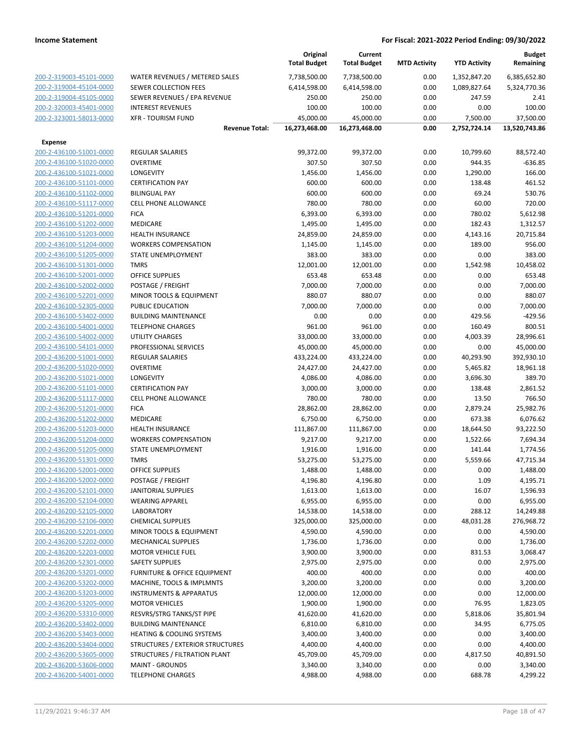|                         |                                      | Original<br><b>Total Budget</b> | Current<br><b>Total Budget</b> | <b>MTD Activity</b> | <b>YTD Activity</b> | <b>Budget</b><br>Remaining |
|-------------------------|--------------------------------------|---------------------------------|--------------------------------|---------------------|---------------------|----------------------------|
| 200-2-319003-45101-0000 | WATER REVENUES / METERED SALES       | 7,738,500.00                    | 7,738,500.00                   | 0.00                | 1,352,847.20        | 6,385,652.80               |
| 200-2-319004-45104-0000 | SEWER COLLECTION FEES                | 6,414,598.00                    | 6,414,598.00                   | 0.00                | 1,089,827.64        | 5,324,770.36               |
| 200-2-319004-45105-0000 | SEWER REVENUES / EPA REVENUE         | 250.00                          | 250.00                         | 0.00                | 247.59              | 2.41                       |
| 200-2-320003-45401-0000 | <b>INTEREST REVENUES</b>             | 100.00                          | 100.00                         | 0.00                | 0.00                | 100.00                     |
| 200-2-323001-58013-0000 | <b>XFR - TOURISM FUND</b>            | 45,000.00                       | 45,000.00                      | 0.00                | 7,500.00            | 37,500.00                  |
|                         | <b>Revenue Total:</b>                | 16,273,468.00                   | 16,273,468.00                  | 0.00                | 2,752,724.14        | 13,520,743.86              |
| <b>Expense</b>          |                                      |                                 |                                |                     |                     |                            |
| 200-2-436100-51001-0000 | <b>REGULAR SALARIES</b>              | 99,372.00                       | 99,372.00                      | 0.00                | 10,799.60           | 88,572.40                  |
| 200-2-436100-51020-0000 | <b>OVERTIME</b>                      | 307.50                          | 307.50                         | 0.00                | 944.35              | $-636.85$                  |
| 200-2-436100-51021-0000 | <b>LONGEVITY</b>                     | 1,456.00                        | 1,456.00                       | 0.00                | 1,290.00            | 166.00                     |
| 200-2-436100-51101-0000 | <b>CERTIFICATION PAY</b>             | 600.00                          | 600.00                         | 0.00                | 138.48              | 461.52                     |
| 200-2-436100-51102-0000 | <b>BILINGUAL PAY</b>                 | 600.00                          | 600.00                         | 0.00                | 69.24               | 530.76                     |
| 200-2-436100-51117-0000 | <b>CELL PHONE ALLOWANCE</b>          | 780.00                          | 780.00                         | 0.00                | 60.00               | 720.00                     |
| 200-2-436100-51201-0000 | <b>FICA</b>                          | 6,393.00                        | 6,393.00                       | 0.00                | 780.02              | 5,612.98                   |
| 200-2-436100-51202-0000 | MEDICARE                             | 1,495.00                        | 1,495.00                       | 0.00                | 182.43              | 1,312.57                   |
| 200-2-436100-51203-0000 | <b>HEALTH INSURANCE</b>              | 24,859.00                       | 24,859.00                      | 0.00                | 4,143.16            | 20,715.84                  |
| 200-2-436100-51204-0000 | <b>WORKERS COMPENSATION</b>          | 1,145.00                        | 1,145.00                       | 0.00                | 189.00              | 956.00                     |
| 200-2-436100-51205-0000 | STATE UNEMPLOYMENT                   | 383.00                          | 383.00                         | 0.00                | 0.00                | 383.00                     |
| 200-2-436100-51301-0000 | <b>TMRS</b>                          | 12,001.00                       | 12,001.00                      | 0.00                | 1,542.98            | 10,458.02                  |
| 200-2-436100-52001-0000 | <b>OFFICE SUPPLIES</b>               | 653.48                          | 653.48                         | 0.00                | 0.00                | 653.48                     |
| 200-2-436100-52002-0000 | POSTAGE / FREIGHT                    | 7,000.00                        | 7,000.00                       | 0.00                | 0.00                | 7,000.00                   |
| 200-2-436100-52201-0000 | MINOR TOOLS & EQUIPMENT              | 880.07                          | 880.07                         | 0.00                | 0.00                | 880.07                     |
| 200-2-436100-52305-0000 | PUBLIC EDUCATION                     | 7,000.00                        | 7,000.00                       | 0.00                | 0.00                | 7,000.00                   |
| 200-2-436100-53402-0000 | <b>BUILDING MAINTENANCE</b>          | 0.00                            | 0.00                           | 0.00                | 429.56              | $-429.56$                  |
| 200-2-436100-54001-0000 | <b>TELEPHONE CHARGES</b>             | 961.00                          | 961.00                         | 0.00                | 160.49              | 800.51                     |
| 200-2-436100-54002-0000 | <b>UTILITY CHARGES</b>               | 33,000.00                       | 33,000.00                      | 0.00                | 4,003.39            | 28,996.61                  |
| 200-2-436100-54101-0000 | PROFESSIONAL SERVICES                | 45,000.00                       | 45,000.00                      | 0.00                | 0.00                | 45,000.00                  |
| 200-2-436200-51001-0000 | REGULAR SALARIES                     | 433,224.00                      | 433,224.00                     | 0.00                | 40,293.90           | 392,930.10                 |
| 200-2-436200-51020-0000 | <b>OVERTIME</b>                      | 24,427.00                       | 24,427.00                      | 0.00                | 5,465.82            | 18,961.18                  |
| 200-2-436200-51021-0000 | <b>LONGEVITY</b>                     | 4,086.00                        | 4,086.00                       | 0.00                | 3,696.30            | 389.70                     |
| 200-2-436200-51101-0000 | <b>CERTIFICATION PAY</b>             | 3,000.00                        | 3,000.00                       | 0.00                | 138.48              | 2,861.52                   |
| 200-2-436200-51117-0000 | <b>CELL PHONE ALLOWANCE</b>          | 780.00                          | 780.00                         | 0.00                | 13.50               | 766.50                     |
| 200-2-436200-51201-0000 | <b>FICA</b>                          | 28,862.00                       | 28,862.00                      | 0.00                | 2,879.24            | 25,982.76                  |
| 200-2-436200-51202-0000 | MEDICARE                             | 6,750.00                        | 6,750.00                       | 0.00                | 673.38              | 6,076.62                   |
| 200-2-436200-51203-0000 | <b>HEALTH INSURANCE</b>              | 111,867.00                      | 111,867.00                     | 0.00                | 18,644.50           | 93,222.50                  |
| 200-2-436200-51204-0000 | <b>WORKERS COMPENSATION</b>          | 9,217.00                        | 9,217.00                       | 0.00                | 1,522.66            | 7,694.34                   |
| 200-2-436200-51205-0000 | <b>STATE UNEMPLOYMENT</b>            | 1,916.00                        | 1,916.00                       | 0.00                | 141.44              | 1,774.56                   |
| 200-2-436200-51301-0000 | <b>TMRS</b>                          | 53,275.00                       | 53,275.00                      | 0.00                | 5,559.66            | 47,715.34                  |
| 200-2-436200-52001-0000 | <b>OFFICE SUPPLIES</b>               | 1,488.00                        | 1,488.00                       | 0.00                | 0.00                | 1,488.00                   |
| 200-2-436200-52002-0000 | POSTAGE / FREIGHT                    | 4,196.80                        | 4,196.80                       | 0.00                | 1.09                | 4,195.71                   |
| 200-2-436200-52101-0000 | JANITORIAL SUPPLIES                  | 1,613.00                        | 1,613.00                       | 0.00                | 16.07               | 1,596.93                   |
| 200-2-436200-52104-0000 | <b>WEARING APPAREL</b>               | 6,955.00                        | 6,955.00                       | 0.00                | 0.00                | 6,955.00                   |
| 200-2-436200-52105-0000 | LABORATORY                           | 14,538.00                       | 14,538.00                      | 0.00                | 288.12              | 14,249.88                  |
| 200-2-436200-52106-0000 | <b>CHEMICAL SUPPLIES</b>             | 325,000.00                      | 325,000.00                     | 0.00                | 48,031.28           | 276,968.72                 |
| 200-2-436200-52201-0000 | MINOR TOOLS & EQUIPMENT              | 4,590.00                        | 4,590.00                       | 0.00                | 0.00                | 4,590.00                   |
| 200-2-436200-52202-0000 | <b>MECHANICAL SUPPLIES</b>           | 1,736.00                        | 1,736.00                       | 0.00                | 0.00                | 1,736.00                   |
| 200-2-436200-52203-0000 | <b>MOTOR VEHICLE FUEL</b>            | 3,900.00                        | 3,900.00                       | 0.00                | 831.53              | 3,068.47                   |
| 200-2-436200-52301-0000 | <b>SAFETY SUPPLIES</b>               | 2,975.00                        | 2,975.00                       | 0.00                | 0.00                | 2,975.00                   |
| 200-2-436200-53201-0000 | FURNITURE & OFFICE EQUIPMENT         | 400.00                          | 400.00                         | 0.00                | 0.00                | 400.00                     |
| 200-2-436200-53202-0000 | MACHINE, TOOLS & IMPLMNTS            | 3,200.00                        | 3,200.00                       | 0.00                | 0.00                | 3,200.00                   |
| 200-2-436200-53203-0000 | <b>INSTRUMENTS &amp; APPARATUS</b>   | 12,000.00                       | 12,000.00                      | 0.00                | 0.00                | 12,000.00                  |
| 200-2-436200-53205-0000 | <b>MOTOR VEHICLES</b>                | 1,900.00                        | 1,900.00                       | 0.00                | 76.95               | 1,823.05                   |
| 200-2-436200-53310-0000 | RESVRS/STRG TANKS/ST PIPE            | 41,620.00                       | 41,620.00                      | 0.00                | 5,818.06            | 35,801.94                  |
| 200-2-436200-53402-0000 | <b>BUILDING MAINTENANCE</b>          | 6,810.00                        | 6,810.00                       | 0.00                | 34.95               | 6,775.05                   |
| 200-2-436200-53403-0000 | <b>HEATING &amp; COOLING SYSTEMS</b> | 3,400.00                        | 3,400.00                       | 0.00                | 0.00                | 3,400.00                   |
| 200-2-436200-53404-0000 | STRUCTURES / EXTERIOR STRUCTURES     | 4,400.00                        | 4,400.00                       | 0.00                | 0.00                | 4,400.00                   |
| 200-2-436200-53605-0000 | STRUCTURES / FILTRATION PLANT        | 45,709.00                       | 45,709.00                      | 0.00                | 4,817.50            | 40,891.50                  |
| 200-2-436200-53606-0000 | <b>MAINT - GROUNDS</b>               | 3,340.00                        | 3,340.00                       | 0.00                | 0.00                | 3,340.00                   |
| 200-2-436200-54001-0000 | <b>TELEPHONE CHARGES</b>             | 4,988.00                        | 4,988.00                       | 0.00                | 688.78              | 4,299.22                   |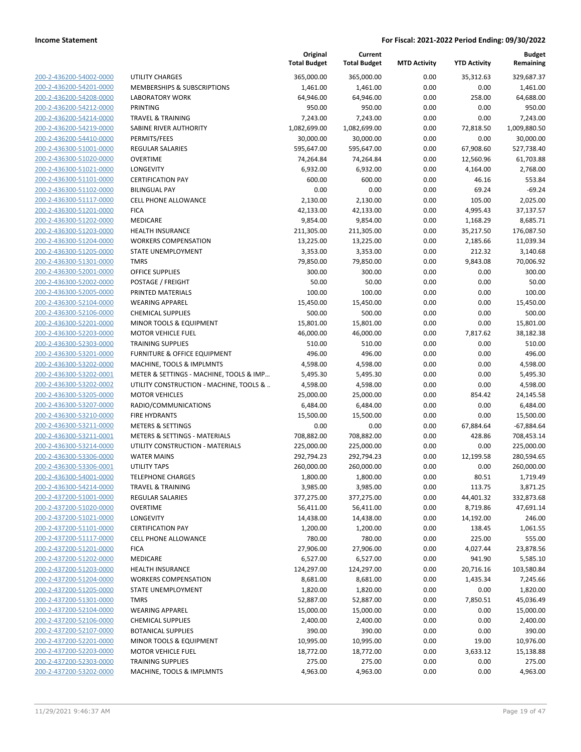| 200-2-436200-54002-0000        |
|--------------------------------|
| 200-2-436200-54201-0000        |
| 200-2-436200-54208-0000        |
| 200-2-436200-54212-0000        |
| 200-2-436200-54214-0000        |
|                                |
| 200-2-436200-54219-0000        |
| 200-2-436200-54410-0000        |
| 200-2-436300-51001-0000        |
| 200-2-436300-51020-0000        |
| 200-2-436300-51021-0000        |
| 200-2-436300-51101-0000        |
| 200-2-436300-51102-0000        |
| 200-2-436300-51117-0000        |
|                                |
| 200-2-436300-51201-0000        |
| 200-2-436300-51202-0000        |
| 200-2-436300-51203-0000        |
| 200-2-436300-51204-0000        |
| 200-2-436300-51205-0000        |
| 200-2-436300-51301-0000        |
| 200-2-436300-52001-0000        |
| 200-2-436300-52002-0000        |
| 200-2-436300-52005-0000        |
|                                |
| 200-2-436300-52104-0000        |
| 200-2-436300-52106-0000        |
| 200-2-436300-52201-0000        |
| 200-2-436300-52203-0000        |
| 200-2-436300-52303-0000        |
| 200-2-436300-53201-0000        |
| 200-2-436300-53202-0000        |
| 200-2-436300-53202-0001        |
| 200-2-436300-53202-0002        |
| 200-2-436300-53205-0000        |
|                                |
| 200-2-436300-53207-0000        |
| 200-2-436300-53210-0000        |
| 200-2-436300-53211-0000        |
| 200-2-436300-53211-0001        |
| 200-2-436300-53214-0000        |
| 200-2-436300-53306-0000        |
| 200-2-436300-53306-0001        |
| 200-2-436300-54001-0000        |
| 200-2-436300-54214-0000        |
| 200-2-437200-51001-0000        |
|                                |
| 200-2-437200-51020-0000        |
| <u>200-2-437200-51021-0000</u> |
| 200-2-437200-51101-0000        |
| 200-2-437200-51117-0000        |
| 200-2-437200-51201-0000        |
| <u>200-2-437200-51202-0000</u> |
| <u>200-2-437200-51203-0000</u> |
| 200-2-437200-51204-0000        |
| 200-2-437200-51205-0000        |
|                                |
| 200-2-437200-51301-0000        |
| 200-2-437200-52104-0000        |
| <u>200-2-437200-52106-0000</u> |
| 200-2-437200-52107-0000        |
| 200-2-437200-52201-0000        |
| 200-2-437200-52203-0000        |
| 200-2-437200-52303-0000        |
|                                |
| 200-2-437200-53202-0000        |

|                         |                                         | Original<br><b>Total Budget</b> | Current<br><b>Total Budget</b> | <b>MTD Activity</b> | <b>YTD Activity</b> | <b>Budget</b><br>Remaining |
|-------------------------|-----------------------------------------|---------------------------------|--------------------------------|---------------------|---------------------|----------------------------|
| 200-2-436200-54002-0000 | UTILITY CHARGES                         | 365,000.00                      | 365,000.00                     | 0.00                | 35,312.63           | 329,687.37                 |
| 200-2-436200-54201-0000 | MEMBERSHIPS & SUBSCRIPTIONS             | 1,461.00                        | 1,461.00                       | 0.00                | 0.00                | 1,461.00                   |
| 200-2-436200-54208-0000 | <b>LABORATORY WORK</b>                  | 64,946.00                       | 64,946.00                      | 0.00                | 258.00              | 64,688.00                  |
| 200-2-436200-54212-0000 | <b>PRINTING</b>                         | 950.00                          | 950.00                         | 0.00                | 0.00                | 950.00                     |
| 200-2-436200-54214-0000 | <b>TRAVEL &amp; TRAINING</b>            | 7,243.00                        | 7,243.00                       | 0.00                | 0.00                | 7,243.00                   |
| 200-2-436200-54219-0000 | SABINE RIVER AUTHORITY                  | 1,082,699.00                    | 1,082,699.00                   | 0.00                | 72,818.50           | 1,009,880.50               |
| 200-2-436200-54410-0000 | PERMITS/FEES                            | 30,000.00                       | 30,000.00                      | 0.00                | 0.00                | 30,000.00                  |
| 200-2-436300-51001-0000 | <b>REGULAR SALARIES</b>                 | 595,647.00                      | 595,647.00                     | 0.00                | 67,908.60           | 527,738.40                 |
| 200-2-436300-51020-0000 | <b>OVERTIME</b>                         | 74,264.84                       | 74,264.84                      | 0.00                | 12,560.96           | 61,703.88                  |
| 200-2-436300-51021-0000 | LONGEVITY                               | 6,932.00                        | 6,932.00                       | 0.00                | 4,164.00            | 2,768.00                   |
| 200-2-436300-51101-0000 | <b>CERTIFICATION PAY</b>                | 600.00                          | 600.00                         | 0.00                | 46.16               | 553.84                     |
| 200-2-436300-51102-0000 | <b>BILINGUAL PAY</b>                    | 0.00                            | 0.00                           | 0.00                | 69.24               | $-69.24$                   |
| 200-2-436300-51117-0000 | <b>CELL PHONE ALLOWANCE</b>             | 2,130.00                        | 2,130.00                       | 0.00                | 105.00              | 2,025.00                   |
| 200-2-436300-51201-0000 | <b>FICA</b>                             | 42,133.00                       | 42,133.00                      | 0.00                | 4,995.43            | 37,137.57                  |
| 200-2-436300-51202-0000 | MEDICARE                                | 9,854.00                        | 9,854.00                       | 0.00                | 1,168.29            | 8,685.71                   |
| 200-2-436300-51203-0000 | <b>HEALTH INSURANCE</b>                 | 211,305.00                      | 211,305.00                     | 0.00                | 35,217.50           | 176,087.50                 |
| 200-2-436300-51204-0000 | <b>WORKERS COMPENSATION</b>             | 13,225.00                       | 13,225.00                      | 0.00                | 2,185.66            | 11,039.34                  |
| 200-2-436300-51205-0000 | STATE UNEMPLOYMENT                      | 3,353.00                        | 3,353.00                       | 0.00                | 212.32              | 3,140.68                   |
| 200-2-436300-51301-0000 | <b>TMRS</b>                             | 79,850.00                       | 79,850.00                      | 0.00                | 9,843.08            | 70,006.92                  |
| 200-2-436300-52001-0000 | <b>OFFICE SUPPLIES</b>                  | 300.00                          | 300.00                         | 0.00                | 0.00                | 300.00                     |
| 200-2-436300-52002-0000 | POSTAGE / FREIGHT                       | 50.00                           | 50.00                          | 0.00                | 0.00                | 50.00                      |
| 200-2-436300-52005-0000 | PRINTED MATERIALS                       | 100.00                          | 100.00                         | 0.00                | 0.00                | 100.00                     |
| 200-2-436300-52104-0000 | <b>WEARING APPAREL</b>                  | 15,450.00                       | 15,450.00                      | 0.00                | 0.00                | 15,450.00                  |
| 200-2-436300-52106-0000 | <b>CHEMICAL SUPPLIES</b>                | 500.00                          | 500.00                         | 0.00                | 0.00                | 500.00                     |
| 200-2-436300-52201-0000 | <b>MINOR TOOLS &amp; EQUIPMENT</b>      | 15,801.00                       | 15,801.00                      | 0.00                | 0.00                | 15,801.00                  |
| 200-2-436300-52203-0000 | <b>MOTOR VEHICLE FUEL</b>               | 46,000.00                       | 46,000.00                      | 0.00                | 7,817.62            | 38,182.38                  |
| 200-2-436300-52303-0000 | <b>TRAINING SUPPLIES</b>                | 510.00                          | 510.00                         | 0.00                | 0.00                | 510.00                     |
| 200-2-436300-53201-0000 | <b>FURNITURE &amp; OFFICE EQUIPMENT</b> | 496.00                          | 496.00                         | 0.00                | 0.00                | 496.00                     |
| 200-2-436300-53202-0000 | MACHINE, TOOLS & IMPLMNTS               | 4,598.00                        | 4,598.00                       | 0.00                | 0.00                | 4,598.00                   |
| 200-2-436300-53202-0001 | METER & SETTINGS - MACHINE, TOOLS & IMP | 5,495.30                        | 5,495.30                       | 0.00                | 0.00                | 5,495.30                   |
| 200-2-436300-53202-0002 | UTILITY CONSTRUCTION - MACHINE, TOOLS & | 4,598.00                        | 4,598.00                       | 0.00                | 0.00                | 4,598.00                   |
| 200-2-436300-53205-0000 | <b>MOTOR VEHICLES</b>                   | 25,000.00                       | 25,000.00                      | 0.00                | 854.42              | 24,145.58                  |
| 200-2-436300-53207-0000 | RADIO/COMMUNICATIONS                    | 6,484.00                        | 6,484.00                       | 0.00                | 0.00                | 6,484.00                   |
| 200-2-436300-53210-0000 | <b>FIRE HYDRANTS</b>                    | 15,500.00                       | 15,500.00                      | 0.00                | 0.00                | 15,500.00                  |
| 200-2-436300-53211-0000 | <b>METERS &amp; SETTINGS</b>            | 0.00                            | 0.00                           | 0.00                | 67,884.64           | -67,884.64                 |
| 200-2-436300-53211-0001 | METERS & SETTINGS - MATERIALS           | 708,882.00                      | 708,882.00                     | 0.00                | 428.86              | 708,453.14                 |
| 200-2-436300-53214-0000 | UTILITY CONSTRUCTION - MATERIALS        | 225,000.00                      | 225,000.00                     | 0.00                | 0.00                | 225,000.00                 |
| 200-2-436300-53306-0000 | <b>WATER MAINS</b>                      | 292,794.23                      | 292,794.23                     | 0.00                | 12,199.58           | 280,594.65                 |
| 200-2-436300-53306-0001 | <b>UTILITY TAPS</b>                     | 260,000.00                      | 260,000.00                     | 0.00                | 0.00                | 260,000.00                 |
| 200-2-436300-54001-0000 | <b>TELEPHONE CHARGES</b>                | 1,800.00                        | 1,800.00                       | 0.00                | 80.51               | 1,719.49                   |
| 200-2-436300-54214-0000 | TRAVEL & TRAINING                       | 3,985.00                        | 3,985.00                       | 0.00                | 113.75              | 3,871.25                   |
| 200-2-437200-51001-0000 | <b>REGULAR SALARIES</b>                 | 377,275.00                      | 377,275.00                     | 0.00                | 44,401.32           | 332,873.68                 |
| 200-2-437200-51020-0000 | <b>OVERTIME</b>                         | 56,411.00                       | 56,411.00                      | 0.00                | 8,719.86            | 47,691.14                  |
| 200-2-437200-51021-0000 | <b>LONGEVITY</b>                        | 14,438.00                       | 14,438.00                      | 0.00                | 14,192.00           | 246.00                     |
| 200-2-437200-51101-0000 | <b>CERTIFICATION PAY</b>                | 1,200.00                        | 1,200.00                       | 0.00                | 138.45              | 1,061.55                   |
| 200-2-437200-51117-0000 | <b>CELL PHONE ALLOWANCE</b>             | 780.00                          | 780.00                         | 0.00                | 225.00              | 555.00                     |
| 200-2-437200-51201-0000 | <b>FICA</b>                             | 27,906.00                       | 27,906.00                      | 0.00                | 4,027.44            | 23,878.56                  |
| 200-2-437200-51202-0000 | MEDICARE                                | 6,527.00                        | 6,527.00                       | 0.00                | 941.90              | 5,585.10                   |
| 200-2-437200-51203-0000 | <b>HEALTH INSURANCE</b>                 | 124,297.00                      | 124,297.00                     | 0.00                | 20,716.16           | 103,580.84                 |
| 200-2-437200-51204-0000 | <b>WORKERS COMPENSATION</b>             | 8,681.00                        | 8,681.00                       | 0.00                | 1,435.34            | 7,245.66                   |
| 200-2-437200-51205-0000 | STATE UNEMPLOYMENT                      | 1,820.00                        | 1,820.00                       | 0.00                | 0.00                | 1,820.00                   |
| 200-2-437200-51301-0000 | <b>TMRS</b>                             | 52,887.00                       | 52,887.00                      | 0.00                | 7,850.51            | 45,036.49                  |
| 200-2-437200-52104-0000 | <b>WEARING APPAREL</b>                  | 15,000.00                       | 15,000.00                      | 0.00                | 0.00                | 15,000.00                  |
| 200-2-437200-52106-0000 | <b>CHEMICAL SUPPLIES</b>                | 2,400.00                        | 2,400.00                       | 0.00                | 0.00                | 2,400.00                   |
| 200-2-437200-52107-0000 | <b>BOTANICAL SUPPLIES</b>               | 390.00                          | 390.00                         | 0.00                | 0.00                | 390.00                     |
| 200-2-437200-52201-0000 | MINOR TOOLS & EQUIPMENT                 | 10,995.00                       | 10,995.00                      | 0.00                | 19.00               | 10,976.00                  |
| 200-2-437200-52203-0000 | <b>MOTOR VEHICLE FUEL</b>               | 18,772.00                       | 18,772.00                      | 0.00                | 3,633.12            | 15,138.88                  |
| 200-2-437200-52303-0000 | <b>TRAINING SUPPLIES</b>                | 275.00                          | 275.00                         | 0.00                | 0.00                | 275.00                     |
| 200-2-437200-53202-0000 | MACHINE, TOOLS & IMPLMNTS               | 4,963.00                        | 4,963.00                       | 0.00                | 0.00                | 4,963.00                   |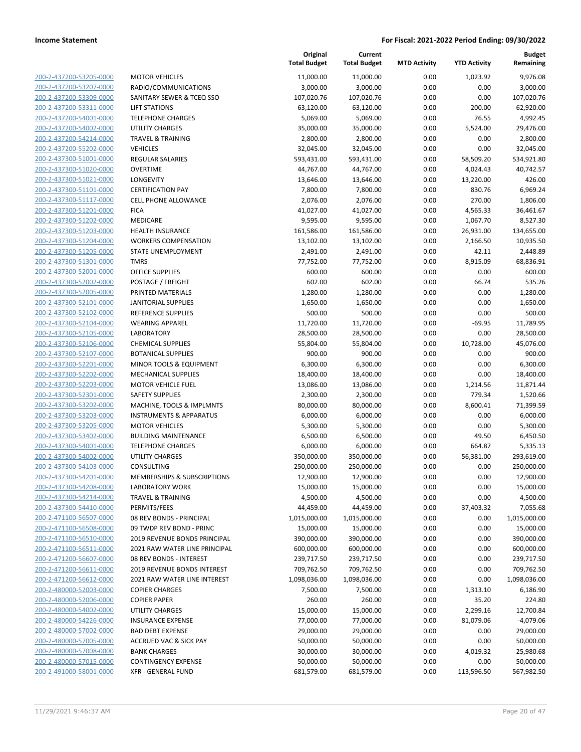| 200-2-437200-53205-0000                                   |
|-----------------------------------------------------------|
| 200-2-437200-53207-0000                                   |
| 200-2-437200-53309-0000                                   |
| 200-2-437200-53311-0000                                   |
| 200-2-437200-54001-0000                                   |
| 2-437200-54002-0000<br>200-                               |
| 200-2-437200-54214-0000                                   |
| 200-2-437200-55202-0000                                   |
| <u>200-2-437300-51001-0000</u>                            |
| 200-2-437300-51020-0000                                   |
| 2-437300-51021<br>200-<br>-0000                           |
| 200-2-437300-51101-0000                                   |
| 200-2-437300-51117-0000                                   |
| 200-2-437300-51201-0000                                   |
| 200-2-437300-51202-0000                                   |
| 2-437300-51203-0000<br>200-                               |
| 200-2-437300-51204-0000                                   |
|                                                           |
| 200-2-437300-51205-0000                                   |
| 200-2-437300-51301-0000                                   |
| 200-2-437300-52001-0000                                   |
| 2-437300-52002-0000<br>200-                               |
| 200-2-437300-52005-0000                                   |
| 200-2-437300-52101-0000                                   |
| 200-2-437300-52102-0000                                   |
| 200-2-437300-52104-0000                                   |
| 2-437300-52105-0000<br>200-                               |
| 200-2-437300-52106-0000                                   |
| 200-2-437300-52107-0000                                   |
| 200-2-437300-52201-0000                                   |
| 200-2-437300-52202-0000                                   |
| 2-437300-52203-0000<br>200-                               |
| 200-2-437300-52301-0000                                   |
| 200-2-437300-53202-0000                                   |
| 200-2-437300-53203-0000                                   |
| 200-2-437300-53205-0000                                   |
| 200-2-437300-53402-0000                                   |
| 200-2-437300-54001-0000                                   |
| 200-2-437300-54002-0000                                   |
| <u>200-2-437300-54103-0000</u>                            |
| 200-2-437300-54201-0000                                   |
| 200-2-437300-54208-0000                                   |
| <u>200-2-437300-54214-0000</u>                            |
| 200-2-437300-54410-0000                                   |
| <u>200-2-471100-56507-0000</u>                            |
| 200-2-471100-56508-0000                                   |
| 200-2-471100-56510-0000                                   |
| 200-2-471100-56511-0000                                   |
| 200-2-471200-56607-0000                                   |
| <u>200-2-471200-56611-0000</u>                            |
| <u>200-2-471200-56612-0000</u>                            |
|                                                           |
|                                                           |
| 200-2-480000-52003-0000                                   |
| 200-2-480000-52006-0000                                   |
| 200-2-480000-54002-0000                                   |
| <u>200-2-480000-54226-0000</u>                            |
| <u>200-2-480000-57002-0000</u>                            |
| 200-2-480000-57005-0000                                   |
| 200-2-480000-57008-0000                                   |
| 200-2-480000-57015-0000<br><u>200-2-491000-58001-0000</u> |

| <b>1OTOR VEHICLES</b>                                          |
|----------------------------------------------------------------|
| ADIO/COMMUNICATIONS                                            |
| ANITARY SEWER & TCEQ SSO                                       |
| <b>IFT STATIONS</b>                                            |
| ELEPHONE CHARGES                                               |
| <b>ITILITY CHARGES</b>                                         |
| RAVEL & TRAINING                                               |
| <b>EHICLES</b>                                                 |
| EGULAR SALARIES                                                |
| <b>VERTIME</b>                                                 |
| ONGEVITY                                                       |
| <b>ERTIFICATION PAY</b>                                        |
| ELL PHONE ALLOWANCE                                            |
| ICA                                                            |
| 1EDICARE                                                       |
| <b>IEALTH INSURANCE</b>                                        |
| VORKERS COMPENSATION                                           |
| TATE UNEMPLOYMENT                                              |
| MRS                                                            |
| <b>PFFICE SUPPLIES</b>                                         |
| OSTAGE / FREIGHT                                               |
| RINTED MATERIALS                                               |
| ANITORIAL SUPPLIES                                             |
| <b>EFERENCE SUPPLIES</b>                                       |
| VEARING APPAREL                                                |
| ABORATORY                                                      |
| <b>HEMICAL SUPPLIES</b>                                        |
| <b>OTANICAL SUPPLIES</b><br><b>IINOR TOOLS &amp; EQUIPMENT</b> |
| 1ECHANICAL SUPPLIES                                            |
| 1OTOR VEHICLE FUEL                                             |
| <b>AFETY SUPPLIES</b>                                          |
| 1ACHINE, TOOLS & IMPLMNTS                                      |
| <b>NSTRUMENTS &amp; APPARATUS</b>                              |
| 1OTOR VEHICLES                                                 |
| <b>UILDING MAINTENANCE</b>                                     |
| ELEPHONE CHARGES                                               |
| ITILITY CHARGES                                                |
| ONSULTING                                                      |
| 1EMBERSHIPS & SUBSCRIPTIONS                                    |
| ABORATORY WORK                                                 |
| RAVEL & TRAINING                                               |
| ERMITS/FEES                                                    |
| 8 REV BONDS - PRINCIPAL                                        |
| 9 TWDP REV BOND - PRINC                                        |
| 019 REVENUE BONDS PRINCIPAL                                    |
| 021 RAW WATER LINE PRINCIPAL                                   |
| <b>8 REV BONDS - INTEREST</b>                                  |
| 019 REVENUE BONDS INTEREST                                     |
| 021 RAW WATER LINE INTEREST                                    |
| <b>OPIER CHARGES</b>                                           |
| <b>OPIER PAPER</b>                                             |
| <b>ITILITY CHARGES</b>                                         |
| <b>NSURANCE EXPENSE</b>                                        |
| AD DEBT EXPENSE                                                |
| CCRUED VAC & SICK PAY                                          |
| <b>ANK CHARGES</b>                                             |
| ONTINGENCY EXPENSE                                             |

|                         |                                    | Original<br><b>Total Budget</b> | Current<br><b>Total Budget</b> | <b>MTD Activity</b> | <b>YTD Activity</b> | <b>Budget</b><br>Remaining |
|-------------------------|------------------------------------|---------------------------------|--------------------------------|---------------------|---------------------|----------------------------|
| 200-2-437200-53205-0000 | <b>MOTOR VEHICLES</b>              | 11,000.00                       | 11,000.00                      | 0.00                | 1,023.92            | 9,976.08                   |
| 200-2-437200-53207-0000 | RADIO/COMMUNICATIONS               | 3,000.00                        | 3,000.00                       | 0.00                | 0.00                | 3,000.00                   |
| 200-2-437200-53309-0000 | SANITARY SEWER & TCEQ SSO          | 107,020.76                      | 107,020.76                     | 0.00                | 0.00                | 107,020.76                 |
| 200-2-437200-53311-0000 | <b>LIFT STATIONS</b>               | 63,120.00                       | 63,120.00                      | 0.00                | 200.00              | 62,920.00                  |
| 200-2-437200-54001-0000 | <b>TELEPHONE CHARGES</b>           | 5,069.00                        | 5,069.00                       | 0.00                | 76.55               | 4,992.45                   |
| 200-2-437200-54002-0000 | <b>UTILITY CHARGES</b>             | 35,000.00                       | 35,000.00                      | 0.00                | 5,524.00            | 29,476.00                  |
| 200-2-437200-54214-0000 | <b>TRAVEL &amp; TRAINING</b>       | 2,800.00                        | 2,800.00                       | 0.00                | 0.00                | 2,800.00                   |
| 200-2-437200-55202-0000 | <b>VEHICLES</b>                    | 32,045.00                       | 32,045.00                      | 0.00                | 0.00                | 32,045.00                  |
| 200-2-437300-51001-0000 | <b>REGULAR SALARIES</b>            | 593,431.00                      | 593,431.00                     | 0.00                | 58,509.20           | 534,921.80                 |
| 200-2-437300-51020-0000 | <b>OVERTIME</b>                    | 44,767.00                       | 44,767.00                      | 0.00                | 4,024.43            | 40,742.57                  |
| 200-2-437300-51021-0000 | LONGEVITY                          | 13,646.00                       | 13,646.00                      | 0.00                | 13,220.00           | 426.00                     |
| 200-2-437300-51101-0000 | <b>CERTIFICATION PAY</b>           | 7,800.00                        | 7,800.00                       | 0.00                | 830.76              | 6,969.24                   |
| 200-2-437300-51117-0000 | <b>CELL PHONE ALLOWANCE</b>        | 2,076.00                        | 2,076.00                       | 0.00                | 270.00              | 1,806.00                   |
| 200-2-437300-51201-0000 | <b>FICA</b>                        | 41,027.00                       | 41,027.00                      | 0.00                | 4,565.33            | 36,461.67                  |
| 200-2-437300-51202-0000 | MEDICARE                           | 9,595.00                        | 9,595.00                       | 0.00                | 1,067.70            | 8,527.30                   |
| 200-2-437300-51203-0000 | <b>HEALTH INSURANCE</b>            | 161,586.00                      | 161,586.00                     | 0.00                | 26,931.00           | 134,655.00                 |
| 200-2-437300-51204-0000 | <b>WORKERS COMPENSATION</b>        | 13,102.00                       | 13,102.00                      | 0.00                | 2,166.50            | 10,935.50                  |
| 200-2-437300-51205-0000 | STATE UNEMPLOYMENT                 | 2,491.00                        | 2,491.00                       | 0.00                | 42.11               | 2,448.89                   |
| 200-2-437300-51301-0000 | <b>TMRS</b>                        | 77,752.00                       | 77,752.00                      | 0.00                | 8,915.09            | 68,836.91                  |
| 200-2-437300-52001-0000 | <b>OFFICE SUPPLIES</b>             | 600.00                          | 600.00                         | 0.00                | 0.00                | 600.00                     |
| 200-2-437300-52002-0000 | POSTAGE / FREIGHT                  | 602.00                          | 602.00                         | 0.00                | 66.74               | 535.26                     |
| 200-2-437300-52005-0000 | PRINTED MATERIALS                  | 1,280.00                        | 1,280.00                       | 0.00                | 0.00                | 1,280.00                   |
| 200-2-437300-52101-0000 | <b>JANITORIAL SUPPLIES</b>         | 1,650.00                        | 1,650.00                       | 0.00                | 0.00                | 1,650.00                   |
| 200-2-437300-52102-0000 | <b>REFERENCE SUPPLIES</b>          | 500.00                          | 500.00                         | 0.00                | 0.00                | 500.00                     |
| 200-2-437300-52104-0000 | <b>WEARING APPAREL</b>             | 11,720.00                       | 11,720.00                      | 0.00                | $-69.95$            | 11,789.95                  |
| 200-2-437300-52105-0000 | <b>LABORATORY</b>                  | 28,500.00                       | 28,500.00                      | 0.00                | 0.00                | 28,500.00                  |
| 200-2-437300-52106-0000 | <b>CHEMICAL SUPPLIES</b>           | 55,804.00                       | 55,804.00                      | 0.00                | 10,728.00           | 45,076.00                  |
| 200-2-437300-52107-0000 | <b>BOTANICAL SUPPLIES</b>          | 900.00                          | 900.00                         | 0.00                | 0.00                | 900.00                     |
| 200-2-437300-52201-0000 | MINOR TOOLS & EQUIPMENT            | 6,300.00                        | 6,300.00                       | 0.00                | 0.00                | 6,300.00                   |
| 200-2-437300-52202-0000 | <b>MECHANICAL SUPPLIES</b>         | 18,400.00                       | 18,400.00                      | 0.00                | 0.00                | 18,400.00                  |
| 200-2-437300-52203-0000 | <b>MOTOR VEHICLE FUEL</b>          | 13,086.00                       | 13,086.00                      | 0.00                | 1,214.56            | 11,871.44                  |
| 200-2-437300-52301-0000 | <b>SAFETY SUPPLIES</b>             | 2,300.00                        | 2,300.00                       | 0.00                | 779.34              | 1,520.66                   |
| 200-2-437300-53202-0000 | MACHINE, TOOLS & IMPLMNTS          | 80,000.00                       | 80,000.00                      | 0.00                | 8,600.41            | 71,399.59                  |
| 200-2-437300-53203-0000 | <b>INSTRUMENTS &amp; APPARATUS</b> | 6,000.00                        | 6,000.00                       | 0.00                | 0.00                | 6,000.00                   |
| 200-2-437300-53205-0000 | <b>MOTOR VEHICLES</b>              | 5,300.00                        | 5,300.00                       | 0.00                | 0.00                | 5,300.00                   |
| 200-2-437300-53402-0000 | <b>BUILDING MAINTENANCE</b>        | 6,500.00                        | 6,500.00                       | 0.00                | 49.50               | 6,450.50                   |
| 200-2-437300-54001-0000 | <b>TELEPHONE CHARGES</b>           | 6,000.00                        | 6,000.00                       | 0.00                | 664.87              | 5,335.13                   |
| 200-2-437300-54002-0000 | UTILITY CHARGES                    | 350,000.00                      | 350,000.00                     | 0.00                | 56,381.00           | 293,619.00                 |
| 200-2-437300-54103-0000 | <b>CONSULTING</b>                  | 250,000.00                      | 250,000.00                     | 0.00                | 0.00                | 250,000.00                 |
| 200-2-437300-54201-0000 | MEMBERSHIPS & SUBSCRIPTIONS        | 12,900.00                       | 12,900.00                      | 0.00                | 0.00                | 12,900.00                  |
| 200-2-437300-54208-0000 | LABORATORY WORK                    | 15,000.00                       | 15,000.00                      | 0.00                | 0.00                | 15,000.00                  |
| 200-2-437300-54214-0000 | <b>TRAVEL &amp; TRAINING</b>       | 4,500.00                        | 4,500.00                       | 0.00                | 0.00                | 4,500.00                   |
| 200-2-437300-54410-0000 | PERMITS/FEES                       | 44,459.00                       | 44,459.00                      | 0.00                | 37,403.32           | 7,055.68                   |
| 200-2-471100-56507-0000 | 08 REV BONDS - PRINCIPAL           | 1,015,000.00                    | 1,015,000.00                   | 0.00                | 0.00                | 1,015,000.00               |
| 200-2-471100-56508-0000 | 09 TWDP REV BOND - PRINC           | 15,000.00                       | 15,000.00                      | 0.00                | 0.00                | 15,000.00                  |
| 200-2-471100-56510-0000 | 2019 REVENUE BONDS PRINCIPAL       | 390,000.00                      | 390,000.00                     | 0.00                | 0.00                | 390,000.00                 |
| 200-2-471100-56511-0000 | 2021 RAW WATER LINE PRINCIPAL      | 600,000.00                      | 600,000.00                     | 0.00                | 0.00                | 600,000.00                 |
| 200-2-471200-56607-0000 | 08 REV BONDS - INTEREST            | 239,717.50                      | 239,717.50                     | 0.00                | 0.00                | 239,717.50                 |
| 200-2-471200-56611-0000 | <b>2019 REVENUE BONDS INTEREST</b> | 709,762.50                      | 709,762.50                     | 0.00                | 0.00                | 709,762.50                 |
| 200-2-471200-56612-0000 | 2021 RAW WATER LINE INTEREST       | 1,098,036.00                    | 1,098,036.00                   | 0.00                | 0.00                | 1,098,036.00               |
| 200-2-480000-52003-0000 | <b>COPIER CHARGES</b>              | 7,500.00                        | 7,500.00                       | 0.00                | 1,313.10            | 6,186.90                   |
| 200-2-480000-52006-0000 | <b>COPIER PAPER</b>                | 260.00                          | 260.00                         | 0.00                | 35.20               | 224.80                     |
| 200-2-480000-54002-0000 | UTILITY CHARGES                    | 15,000.00                       | 15,000.00                      | 0.00                | 2,299.16            | 12,700.84                  |
| 200-2-480000-54226-0000 | <b>INSURANCE EXPENSE</b>           | 77,000.00                       | 77,000.00                      | 0.00                | 81,079.06           | $-4,079.06$                |
| 200-2-480000-57002-0000 | <b>BAD DEBT EXPENSE</b>            | 29,000.00                       | 29,000.00                      | 0.00                | 0.00                | 29,000.00                  |
| 200-2-480000-57005-0000 | ACCRUED VAC & SICK PAY             | 50,000.00                       | 50,000.00                      | 0.00                | 0.00                | 50,000.00                  |
| 200-2-480000-57008-0000 | <b>BANK CHARGES</b>                | 30,000.00                       | 30,000.00                      | 0.00                | 4,019.32            | 25,980.68                  |
| 200-2-480000-57015-0000 | <b>CONTINGENCY EXPENSE</b>         | 50,000.00                       | 50,000.00                      | 0.00                | 0.00                | 50,000.00                  |
| 200-2-491000-58001-0000 | <b>XFR - GENERAL FUND</b>          | 681,579.00                      | 681,579.00                     | 0.00                | 113,596.50          | 567,982.50                 |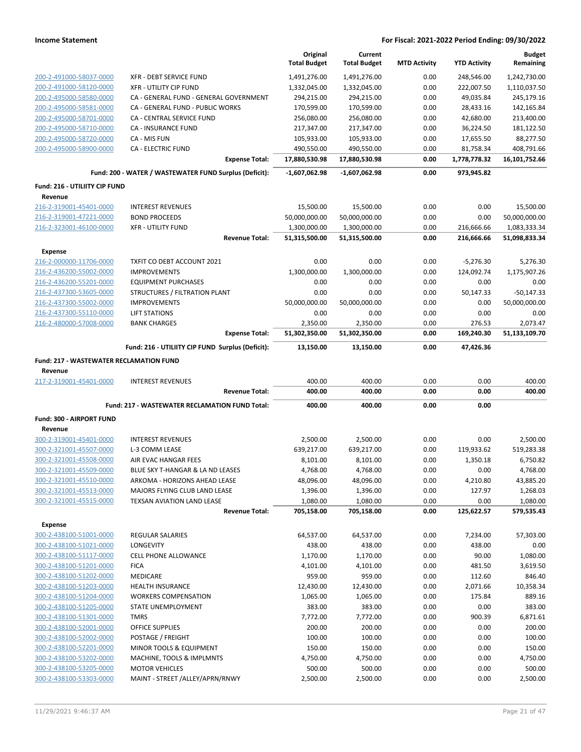|                                                    |                                                          | Original            | Current             |                     |                     | <b>Budget</b>      |
|----------------------------------------------------|----------------------------------------------------------|---------------------|---------------------|---------------------|---------------------|--------------------|
|                                                    |                                                          | <b>Total Budget</b> | <b>Total Budget</b> | <b>MTD Activity</b> | <b>YTD Activity</b> | Remaining          |
| 200-2-491000-58037-0000                            | <b>XFR - DEBT SERVICE FUND</b>                           | 1,491,276.00        | 1,491,276.00        | 0.00                | 248,546.00          | 1,242,730.00       |
| 200-2-491000-58120-0000                            | <b>XFR - UTILITY CIP FUND</b>                            | 1,332,045.00        | 1,332,045.00        | 0.00                | 222,007.50          | 1,110,037.50       |
| 200-2-495000-58580-0000                            | CA - GENERAL FUND - GENERAL GOVERNMENT                   | 294,215.00          | 294,215.00          | 0.00                | 49,035.84           | 245,179.16         |
| 200-2-495000-58581-0000                            | CA - GENERAL FUND - PUBLIC WORKS                         | 170,599.00          | 170,599.00          | 0.00                | 28,433.16           | 142,165.84         |
| 200-2-495000-58701-0000                            | <b>CA - CENTRAL SERVICE FUND</b>                         | 256,080.00          | 256,080.00          | 0.00                | 42,680.00           | 213,400.00         |
| 200-2-495000-58710-0000                            | CA - INSURANCE FUND                                      | 217,347.00          | 217,347.00          | 0.00                | 36,224.50           | 181,122.50         |
| 200-2-495000-58720-0000                            | CA - MIS FUN                                             | 105,933.00          | 105,933.00          | 0.00                | 17,655.50           | 88,277.50          |
| 200-2-495000-58900-0000                            | CA - ELECTRIC FUND                                       | 490,550.00          | 490,550.00          | 0.00                | 81,758.34           | 408,791.66         |
|                                                    | <b>Expense Total:</b>                                    | 17,880,530.98       | 17,880,530.98       | 0.00                | 1,778,778.32        | 16,101,752.66      |
|                                                    | Fund: 200 - WATER / WASTEWATER FUND Surplus (Deficit):   | $-1,607,062.98$     | -1,607,062.98       | 0.00                | 973,945.82          |                    |
| Fund: 216 - UTILIITY CIP FUND                      |                                                          |                     |                     |                     |                     |                    |
| Revenue                                            |                                                          |                     |                     |                     |                     |                    |
| 216-2-319001-45401-0000                            | <b>INTEREST REVENUES</b>                                 | 15,500.00           | 15,500.00           | 0.00                | 0.00                | 15,500.00          |
| 216-2-319001-47221-0000                            | <b>BOND PROCEEDS</b>                                     | 50,000,000.00       | 50,000,000.00       | 0.00                | 0.00                | 50,000,000.00      |
| 216-2-323001-46100-0000                            | <b>XFR - UTILITY FUND</b>                                | 1,300,000.00        | 1,300,000.00        | 0.00                | 216,666.66          | 1,083,333.34       |
|                                                    | <b>Revenue Total:</b>                                    | 51,315,500.00       | 51,315,500.00       | 0.00                | 216,666.66          | 51,098,833.34      |
| <b>Expense</b>                                     |                                                          |                     |                     |                     |                     |                    |
| 216-2-000000-11706-0000                            | TXFIT CO DEBT ACCOUNT 2021                               | 0.00                | 0.00                | 0.00                | $-5,276.30$         | 5,276.30           |
| 216-2-436200-55002-0000                            | <b>IMPROVEMENTS</b>                                      | 1,300,000.00        | 1,300,000.00        | 0.00                | 124,092.74          | 1,175,907.26       |
| 216-2-436200-55201-0000                            | <b>EQUIPMENT PURCHASES</b>                               | 0.00                | 0.00                | 0.00                | 0.00                | 0.00               |
| 216-2-437300-53605-0000                            | STRUCTURES / FILTRATION PLANT                            | 0.00                | 0.00                | 0.00                | 50,147.33           | $-50,147.33$       |
| 216-2-437300-55002-0000                            | <b>IMPROVEMENTS</b>                                      | 50,000,000.00       | 50,000,000.00       | 0.00                | 0.00                | 50,000,000.00      |
| 216-2-437300-55110-0000                            | <b>LIFT STATIONS</b>                                     | 0.00                | 0.00                | 0.00                | 0.00                | 0.00               |
| 216-2-480000-57008-0000                            | <b>BANK CHARGES</b>                                      | 2,350.00            | 2,350.00            | 0.00                | 276.53              | 2,073.47           |
|                                                    | <b>Expense Total:</b>                                    | 51,302,350.00       | 51,302,350.00       | 0.00                | 169,240.30          | 51,133,109.70      |
|                                                    | Fund: 216 - UTILIITY CIP FUND Surplus (Deficit):         | 13,150.00           | 13,150.00           | 0.00                | 47,426.36           |                    |
| <b>Fund: 217 - WASTEWATER RECLAMATION FUND</b>     |                                                          |                     |                     |                     |                     |                    |
|                                                    |                                                          |                     |                     |                     |                     |                    |
| Revenue                                            |                                                          |                     |                     |                     |                     |                    |
| 217-2-319001-45401-0000                            | <b>INTEREST REVENUES</b>                                 | 400.00              | 400.00              | 0.00                | 0.00                | 400.00             |
|                                                    | <b>Revenue Total:</b>                                    | 400.00              | 400.00              | 0.00                | 0.00                | 400.00             |
|                                                    | Fund: 217 - WASTEWATER RECLAMATION FUND Total:           | 400.00              | 400.00              | 0.00                | 0.00                |                    |
| Fund: 300 - AIRPORT FUND                           |                                                          |                     |                     |                     |                     |                    |
| Revenue                                            |                                                          |                     |                     |                     |                     |                    |
| 300-2-319001-45401-0000                            | <b>INTEREST REVENUES</b>                                 | 2,500.00            | 2,500.00            | 0.00                | 0.00                | 2,500.00           |
| 300-2-321001-45507-0000                            | L-3 COMM LEASE                                           | 639,217.00          | 639,217.00          | 0.00                | 119,933.62          | 519,283.38         |
| 300-2-321001-45508-0000                            | AIR EVAC HANGAR FEES                                     | 8,101.00            | 8,101.00            | 0.00                | 1,350.18            | 6,750.82           |
| 300-2-321001-45509-0000                            | BLUE SKY T-HANGAR & LA ND LEASES                         | 4,768.00            | 4,768.00            | 0.00                | 0.00                | 4,768.00           |
| 300-2-321001-45510-0000                            | ARKOMA - HORIZONS AHEAD LEASE                            | 48,096.00           | 48,096.00           | 0.00                | 4,210.80            | 43,885.20          |
| 300-2-321001-45513-0000                            | MAJORS FLYING CLUB LAND LEASE                            | 1,396.00            | 1,396.00            | 0.00                | 127.97              | 1,268.03           |
| 300-2-321001-45515-0000                            | TEXSAN AVIATION LAND LEASE                               | 1,080.00            | 1,080.00            | 0.00                | 0.00                | 1,080.00           |
|                                                    | <b>Revenue Total:</b>                                    | 705,158.00          | 705,158.00          | 0.00                | 125,622.57          | 579,535.43         |
| <b>Expense</b>                                     |                                                          |                     |                     |                     |                     |                    |
| 300-2-438100-51001-0000                            | <b>REGULAR SALARIES</b>                                  | 64,537.00           | 64,537.00           | 0.00                | 7,234.00            | 57,303.00          |
| 300-2-438100-51021-0000                            | LONGEVITY                                                | 438.00              | 438.00              | 0.00                | 438.00              | 0.00               |
| 300-2-438100-51117-0000                            | CELL PHONE ALLOWANCE                                     | 1,170.00            | 1,170.00            | 0.00                | 90.00               | 1,080.00           |
| 300-2-438100-51201-0000                            | <b>FICA</b>                                              | 4,101.00            | 4,101.00            | 0.00                | 481.50              | 3,619.50           |
| 300-2-438100-51202-0000                            | MEDICARE                                                 | 959.00              | 959.00              | 0.00                | 112.60              | 846.40             |
| 300-2-438100-51203-0000                            | HEALTH INSURANCE                                         | 12,430.00           | 12,430.00           | 0.00                | 2,071.66            | 10,358.34          |
| 300-2-438100-51204-0000                            | <b>WORKERS COMPENSATION</b>                              | 1,065.00            | 1,065.00            | 0.00                | 175.84              | 889.16             |
| 300-2-438100-51205-0000                            | STATE UNEMPLOYMENT                                       | 383.00              | 383.00              | 0.00                | 0.00                | 383.00             |
| 300-2-438100-51301-0000                            | <b>TMRS</b>                                              | 7,772.00            | 7,772.00            | 0.00                | 900.39              | 6,871.61           |
| 300-2-438100-52001-0000                            | OFFICE SUPPLIES                                          | 200.00              | 200.00              | 0.00                | 0.00                | 200.00             |
| 300-2-438100-52002-0000                            | POSTAGE / FREIGHT                                        | 100.00              | 100.00              | 0.00                | 0.00                | 100.00             |
| 300-2-438100-52201-0000                            | MINOR TOOLS & EQUIPMENT                                  | 150.00              | 150.00              | 0.00                | 0.00                | 150.00             |
| 300-2-438100-53202-0000                            | MACHINE, TOOLS & IMPLMNTS                                | 4,750.00            | 4,750.00            | 0.00                | 0.00                | 4,750.00           |
| 300-2-438100-53205-0000<br>300-2-438100-53303-0000 | <b>MOTOR VEHICLES</b><br>MAINT - STREET /ALLEY/APRN/RNWY | 500.00<br>2,500.00  | 500.00<br>2,500.00  | 0.00<br>0.00        | 0.00<br>0.00        | 500.00<br>2,500.00 |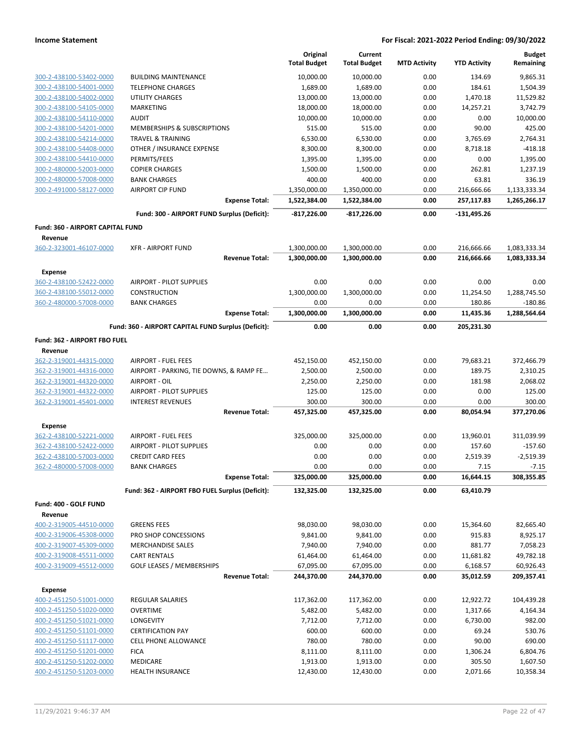|                                                    |                                                     | Original<br><b>Total Budget</b> | Current<br><b>Total Budget</b> | <b>MTD Activity</b> | <b>YTD Activity</b>      | <b>Budget</b><br>Remaining   |
|----------------------------------------------------|-----------------------------------------------------|---------------------------------|--------------------------------|---------------------|--------------------------|------------------------------|
| 300-2-438100-53402-0000                            | <b>BUILDING MAINTENANCE</b>                         | 10,000.00                       | 10,000.00                      | 0.00                | 134.69                   | 9,865.31                     |
| 300-2-438100-54001-0000                            | <b>TELEPHONE CHARGES</b>                            | 1,689.00                        | 1,689.00                       | 0.00                | 184.61                   | 1,504.39                     |
| 300-2-438100-54002-0000                            | <b>UTILITY CHARGES</b>                              | 13,000.00                       | 13,000.00                      | 0.00                | 1,470.18                 | 11,529.82                    |
| 300-2-438100-54105-0000                            | MARKETING                                           | 18,000.00                       | 18,000.00                      | 0.00                | 14,257.21                | 3,742.79                     |
| 300-2-438100-54110-0000                            | <b>AUDIT</b>                                        | 10,000.00                       | 10,000.00                      | 0.00                | 0.00                     | 10,000.00                    |
| 300-2-438100-54201-0000                            | MEMBERSHIPS & SUBSCRIPTIONS                         | 515.00                          | 515.00                         | 0.00                | 90.00                    | 425.00                       |
| 300-2-438100-54214-0000                            | <b>TRAVEL &amp; TRAINING</b>                        | 6,530.00                        | 6,530.00                       | 0.00                | 3,765.69                 | 2,764.31                     |
| 300-2-438100-54408-0000                            | OTHER / INSURANCE EXPENSE                           | 8,300.00                        | 8,300.00                       | 0.00                | 8,718.18                 | $-418.18$                    |
| 300-2-438100-54410-0000                            | PERMITS/FEES                                        | 1,395.00                        | 1,395.00                       | 0.00                | 0.00                     | 1,395.00                     |
| 300-2-480000-52003-0000                            | <b>COPIER CHARGES</b>                               | 1,500.00                        | 1,500.00                       | 0.00                | 262.81                   | 1,237.19                     |
| 300-2-480000-57008-0000                            | <b>BANK CHARGES</b>                                 | 400.00                          | 400.00                         | 0.00                | 63.81                    | 336.19                       |
| 300-2-491000-58127-0000                            | <b>AIRPORT CIP FUND</b><br><b>Expense Total:</b>    | 1,350,000.00<br>1,522,384.00    | 1,350,000.00<br>1,522,384.00   | 0.00<br>0.00        | 216,666.66<br>257,117.83 | 1,133,333.34<br>1,265,266.17 |
|                                                    | Fund: 300 - AIRPORT FUND Surplus (Deficit):         | $-817,226.00$                   | $-817,226.00$                  | 0.00                | $-131,495.26$            |                              |
| <b>Fund: 360 - AIRPORT CAPITAL FUND</b>            |                                                     |                                 |                                |                     |                          |                              |
| Revenue                                            |                                                     |                                 |                                |                     |                          |                              |
| 360-2-323001-46107-0000                            | <b>XFR - AIRPORT FUND</b>                           | 1,300,000.00                    | 1,300,000.00                   | 0.00                | 216,666.66               | 1,083,333.34                 |
|                                                    | <b>Revenue Total:</b>                               | 1,300,000.00                    | 1,300,000.00                   | 0.00                | 216,666.66               | 1,083,333.34                 |
| <b>Expense</b>                                     |                                                     |                                 |                                |                     |                          |                              |
| 360-2-438100-52422-0000                            | AIRPORT - PILOT SUPPLIES                            | 0.00                            | 0.00                           | 0.00                | 0.00                     | 0.00                         |
| 360-2-438100-55012-0000                            | <b>CONSTRUCTION</b>                                 | 1,300,000.00                    | 1,300,000.00                   | 0.00                | 11,254.50                | 1,288,745.50                 |
| 360-2-480000-57008-0000                            | <b>BANK CHARGES</b>                                 | 0.00                            | 0.00                           | 0.00                | 180.86                   | $-180.86$                    |
|                                                    | <b>Expense Total:</b>                               | 1,300,000.00                    | 1,300,000.00                   | 0.00                | 11,435.36                | 1,288,564.64                 |
|                                                    | Fund: 360 - AIRPORT CAPITAL FUND Surplus (Deficit): | 0.00                            | 0.00                           | 0.00                | 205,231.30               |                              |
| Fund: 362 - AIRPORT FBO FUEL                       |                                                     |                                 |                                |                     |                          |                              |
| Revenue                                            |                                                     |                                 |                                |                     |                          |                              |
| 362-2-319001-44315-0000                            | <b>AIRPORT - FUEL FEES</b>                          | 452,150.00                      | 452,150.00                     | 0.00                | 79,683.21                | 372,466.79                   |
| 362-2-319001-44316-0000                            | AIRPORT - PARKING, TIE DOWNS, & RAMP FE             | 2,500.00                        | 2,500.00                       | 0.00                | 189.75                   | 2,310.25                     |
| 362-2-319001-44320-0000                            | AIRPORT - OIL                                       | 2,250.00                        | 2,250.00                       | 0.00                | 181.98                   | 2,068.02                     |
| 362-2-319001-44322-0000                            | AIRPORT - PILOT SUPPLIES                            | 125.00                          | 125.00                         | 0.00                | 0.00                     | 125.00                       |
| 362-2-319001-45401-0000                            | <b>INTEREST REVENUES</b><br><b>Revenue Total:</b>   | 300.00<br>457,325.00            | 300.00<br>457,325.00           | 0.00<br>0.00        | 0.00<br>80,054.94        | 300.00<br>377,270.06         |
|                                                    |                                                     |                                 |                                |                     |                          |                              |
| <b>Expense</b>                                     |                                                     |                                 |                                |                     |                          |                              |
| 362-2-438100-52221-0000<br>362-2-438100-52422-0000 | AIRPORT - FUEL FEES                                 | 325,000.00<br>0.00              | 325,000.00<br>0.00             | 0.00<br>0.00        | 13,960.01<br>157.60      | 311,039.99<br>$-157.60$      |
| 362-2-438100-57003-0000                            | AIRPORT - PILOT SUPPLIES<br><b>CREDIT CARD FEES</b> | 0.00                            | 0.00                           | 0.00                | 2,519.39                 | $-2,519.39$                  |
| 362-2-480000-57008-0000                            | <b>BANK CHARGES</b>                                 | 0.00                            | 0.00                           | 0.00                | 7.15                     | $-7.15$                      |
|                                                    | <b>Expense Total:</b>                               | 325,000.00                      | 325,000.00                     | 0.00                | 16,644.15                | 308,355.85                   |
|                                                    | Fund: 362 - AIRPORT FBO FUEL Surplus (Deficit):     | 132,325.00                      | 132,325.00                     | 0.00                | 63,410.79                |                              |
| Fund: 400 - GOLF FUND                              |                                                     |                                 |                                |                     |                          |                              |
| Revenue                                            |                                                     |                                 |                                |                     |                          |                              |
| 400-2-319005-44510-0000                            | <b>GREENS FEES</b>                                  | 98,030.00                       | 98,030.00                      | 0.00                | 15,364.60                | 82,665.40                    |
| 400-2-319006-45308-0000                            | PRO SHOP CONCESSIONS                                | 9,841.00                        | 9,841.00                       | 0.00                | 915.83                   | 8,925.17                     |
| 400-2-319007-45309-0000                            | <b>MERCHANDISE SALES</b>                            | 7,940.00                        | 7,940.00                       | 0.00                | 881.77                   | 7,058.23                     |
| 400-2-319008-45511-0000                            | <b>CART RENTALS</b>                                 | 61,464.00                       | 61,464.00                      | 0.00                | 11,681.82                | 49,782.18                    |
| 400-2-319009-45512-0000                            | <b>GOLF LEASES / MEMBERSHIPS</b>                    | 67,095.00                       | 67,095.00                      | 0.00                | 6,168.57                 | 60,926.43                    |
|                                                    | <b>Revenue Total:</b>                               | 244,370.00                      | 244,370.00                     | 0.00                | 35,012.59                | 209,357.41                   |
| Expense                                            |                                                     |                                 |                                |                     |                          |                              |
| 400-2-451250-51001-0000                            | REGULAR SALARIES                                    | 117,362.00                      | 117,362.00                     | 0.00                | 12,922.72                | 104,439.28                   |
| 400-2-451250-51020-0000                            | <b>OVERTIME</b>                                     | 5,482.00                        | 5,482.00                       | 0.00                | 1,317.66                 | 4,164.34                     |
| 400-2-451250-51021-0000                            | LONGEVITY                                           | 7,712.00                        | 7,712.00                       | 0.00                | 6,730.00                 | 982.00                       |
| 400-2-451250-51101-0000                            | <b>CERTIFICATION PAY</b>                            | 600.00                          | 600.00                         | 0.00                | 69.24                    | 530.76                       |
| 400-2-451250-51117-0000                            | CELL PHONE ALLOWANCE                                | 780.00                          | 780.00                         | 0.00                | 90.00                    | 690.00                       |
| 400-2-451250-51201-0000                            | <b>FICA</b>                                         | 8,111.00                        | 8,111.00                       | 0.00                | 1,306.24                 | 6,804.76                     |
| 400-2-451250-51202-0000<br>400-2-451250-51203-0000 | MEDICARE<br>HEALTH INSURANCE                        | 1,913.00<br>12,430.00           | 1,913.00<br>12,430.00          | 0.00<br>0.00        | 305.50<br>2,071.66       | 1,607.50<br>10,358.34        |
|                                                    |                                                     |                                 |                                |                     |                          |                              |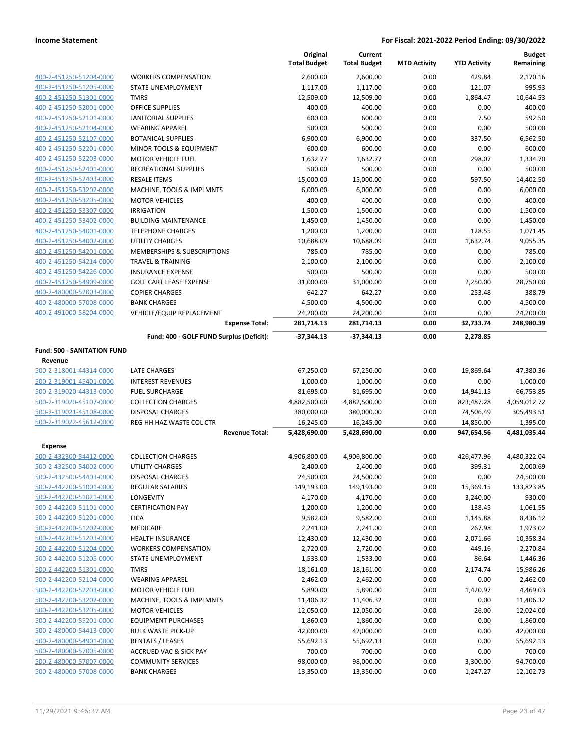|                                    |                                          | Original<br><b>Total Budget</b> | Current<br><b>Total Budget</b> | <b>MTD Activity</b> | <b>YTD Activity</b> | <b>Budget</b><br>Remaining |
|------------------------------------|------------------------------------------|---------------------------------|--------------------------------|---------------------|---------------------|----------------------------|
| 400-2-451250-51204-0000            | <b>WORKERS COMPENSATION</b>              | 2,600.00                        | 2,600.00                       | 0.00                | 429.84              | 2,170.16                   |
| 400-2-451250-51205-0000            | STATE UNEMPLOYMENT                       | 1,117.00                        | 1,117.00                       | 0.00                | 121.07              | 995.93                     |
| 400-2-451250-51301-0000            | <b>TMRS</b>                              | 12,509.00                       | 12,509.00                      | 0.00                | 1,864.47            | 10,644.53                  |
| 400-2-451250-52001-0000            | <b>OFFICE SUPPLIES</b>                   | 400.00                          | 400.00                         | 0.00                | 0.00                | 400.00                     |
| 400-2-451250-52101-0000            | <b>JANITORIAL SUPPLIES</b>               | 600.00                          | 600.00                         | 0.00                | 7.50                | 592.50                     |
| 400-2-451250-52104-0000            | <b>WEARING APPAREL</b>                   | 500.00                          | 500.00                         | 0.00                | 0.00                | 500.00                     |
| 400-2-451250-52107-0000            | <b>BOTANICAL SUPPLIES</b>                | 6,900.00                        | 6,900.00                       | 0.00                | 337.50              | 6,562.50                   |
| 400-2-451250-52201-0000            | MINOR TOOLS & EQUIPMENT                  | 600.00                          | 600.00                         | 0.00                | 0.00                | 600.00                     |
| 400-2-451250-52203-0000            | <b>MOTOR VEHICLE FUEL</b>                | 1,632.77                        | 1,632.77                       | 0.00                | 298.07              | 1,334.70                   |
| 400-2-451250-52401-0000            | RECREATIONAL SUPPLIES                    | 500.00                          | 500.00                         | 0.00                | 0.00                | 500.00                     |
| 400-2-451250-52403-0000            | <b>RESALE ITEMS</b>                      | 15,000.00                       | 15,000.00                      | 0.00                | 597.50              | 14,402.50                  |
| 400-2-451250-53202-0000            | MACHINE, TOOLS & IMPLMNTS                | 6,000.00                        | 6,000.00                       | 0.00                | 0.00                | 6,000.00                   |
| 400-2-451250-53205-0000            | <b>MOTOR VEHICLES</b>                    | 400.00                          | 400.00                         | 0.00                | 0.00                | 400.00                     |
| 400-2-451250-53307-0000            | <b>IRRIGATION</b>                        | 1,500.00                        | 1,500.00                       | 0.00                | 0.00                | 1,500.00                   |
| 400-2-451250-53402-0000            | <b>BUILDING MAINTENANCE</b>              | 1,450.00                        | 1,450.00                       | 0.00                | 0.00                | 1,450.00                   |
| 400-2-451250-54001-0000            | <b>TELEPHONE CHARGES</b>                 | 1,200.00                        | 1,200.00                       | 0.00                | 128.55              | 1,071.45                   |
| 400-2-451250-54002-0000            | <b>UTILITY CHARGES</b>                   | 10,688.09                       | 10,688.09                      | 0.00                | 1,632.74            | 9,055.35                   |
| 400-2-451250-54201-0000            | MEMBERSHIPS & SUBSCRIPTIONS              | 785.00                          | 785.00                         | 0.00                | 0.00                | 785.00                     |
| 400-2-451250-54214-0000            | <b>TRAVEL &amp; TRAINING</b>             | 2,100.00                        | 2,100.00                       | 0.00                | 0.00                | 2,100.00                   |
| 400-2-451250-54226-0000            | <b>INSURANCE EXPENSE</b>                 | 500.00                          | 500.00                         | 0.00                | 0.00                | 500.00                     |
| 400-2-451250-54909-0000            | <b>GOLF CART LEASE EXPENSE</b>           | 31,000.00                       | 31,000.00                      | 0.00                | 2,250.00            | 28,750.00                  |
| 400-2-480000-52003-0000            | <b>COPIER CHARGES</b>                    | 642.27                          | 642.27                         | 0.00                | 253.48              | 388.79                     |
| 400-2-480000-57008-0000            | <b>BANK CHARGES</b>                      | 4,500.00                        | 4,500.00                       | 0.00                | 0.00                | 4,500.00                   |
| 400-2-491000-58204-0000            | VEHICLE/EQUIP REPLACEMENT                | 24,200.00                       | 24,200.00                      | 0.00                | 0.00                | 24,200.00                  |
|                                    | <b>Expense Total:</b>                    | 281,714.13                      | 281,714.13                     | 0.00                | 32,733.74           | 248,980.39                 |
|                                    | Fund: 400 - GOLF FUND Surplus (Deficit): | -37,344.13                      | $-37,344.13$                   | 0.00                | 2,278.85            |                            |
| <b>Fund: 500 - SANITATION FUND</b> |                                          |                                 |                                |                     |                     |                            |
| Revenue                            |                                          |                                 |                                |                     |                     |                            |
| 500-2-318001-44314-0000            | LATE CHARGES                             | 67,250.00                       | 67,250.00                      | 0.00                | 19,869.64           | 47,380.36                  |
| 500-2-319001-45401-0000            | <b>INTEREST REVENUES</b>                 | 1,000.00                        | 1,000.00                       | 0.00                | 0.00                | 1,000.00                   |
| 500-2-319020-44313-0000            | <b>FUEL SURCHARGE</b>                    | 81,695.00                       | 81,695.00                      | 0.00                | 14,941.15           | 66,753.85                  |
| 500-2-319020-45107-0000            | <b>COLLECTION CHARGES</b>                | 4,882,500.00                    | 4,882,500.00                   | 0.00                | 823,487.28          | 4,059,012.72               |
| 500-2-319021-45108-0000            | <b>DISPOSAL CHARGES</b>                  | 380,000.00                      | 380,000.00                     | 0.00                | 74,506.49           | 305,493.51                 |
| 500-2-319022-45612-0000            | REG HH HAZ WASTE COL CTR                 | 16,245.00                       | 16,245.00                      | 0.00                | 14,850.00           | 1,395.00                   |
|                                    | <b>Revenue Total:</b>                    | 5,428,690.00                    | 5,428,690.00                   | 0.00                | 947,654.56          | 4,481,035.44               |
| <b>Expense</b>                     |                                          |                                 |                                |                     |                     |                            |
| 500-2-432300-54412-0000            | <b>COLLECTION CHARGES</b>                | 4,906,800.00                    | 4,906,800.00                   | 0.00                | 426,477.96          | 4,480,322.04               |
| 500-2-432500-54002-0000            | UTILITY CHARGES                          | 2,400.00                        | 2,400.00                       | 0.00                | 399.31              | 2,000.69                   |
| 500-2-432500-54403-0000            | <b>DISPOSAL CHARGES</b>                  | 24,500.00                       | 24,500.00                      | 0.00                | 0.00                | 24,500.00                  |
| 500-2-442200-51001-0000            | <b>REGULAR SALARIES</b>                  | 149,193.00                      | 149,193.00                     | 0.00                | 15,369.15           | 133,823.85                 |
| 500-2-442200-51021-0000            | LONGEVITY                                | 4,170.00                        | 4,170.00                       | 0.00                | 3,240.00            | 930.00                     |
| 500-2-442200-51101-0000            | <b>CERTIFICATION PAY</b>                 | 1,200.00                        | 1,200.00                       | 0.00                | 138.45              | 1,061.55                   |
| 500-2-442200-51201-0000            | <b>FICA</b>                              | 9,582.00                        | 9,582.00                       | 0.00                | 1,145.88            | 8,436.12                   |
| 500-2-442200-51202-0000            | MEDICARE                                 | 2,241.00                        | 2,241.00                       | 0.00                | 267.98              | 1,973.02                   |
| 500-2-442200-51203-0000            | <b>HEALTH INSURANCE</b>                  | 12,430.00                       | 12,430.00                      | 0.00                | 2,071.66            | 10,358.34                  |
| 500-2-442200-51204-0000            | <b>WORKERS COMPENSATION</b>              | 2,720.00                        | 2,720.00                       | 0.00                | 449.16              | 2,270.84                   |
| 500-2-442200-51205-0000            | STATE UNEMPLOYMENT                       | 1,533.00                        | 1,533.00                       | 0.00                | 86.64               | 1,446.36                   |
| 500-2-442200-51301-0000            | <b>TMRS</b>                              | 18,161.00                       | 18,161.00                      | 0.00                | 2,174.74            | 15,986.26                  |
| 500-2-442200-52104-0000            | <b>WEARING APPAREL</b>                   | 2,462.00                        | 2,462.00                       | 0.00                | 0.00                | 2,462.00                   |
| 500-2-442200-52203-0000            | <b>MOTOR VEHICLE FUEL</b>                | 5,890.00                        | 5,890.00                       | 0.00                | 1,420.97            | 4,469.03                   |
| 500-2-442200-53202-0000            | MACHINE, TOOLS & IMPLMNTS                | 11,406.32                       | 11,406.32                      | 0.00                | 0.00                | 11,406.32                  |
| 500-2-442200-53205-0000            | <b>MOTOR VEHICLES</b>                    | 12,050.00                       | 12,050.00                      | 0.00                | 26.00               | 12,024.00                  |
| 500-2-442200-55201-0000            | <b>EQUIPMENT PURCHASES</b>               | 1,860.00                        | 1,860.00                       | 0.00                | 0.00                | 1,860.00                   |
| 500-2-480000-54413-0000            | <b>BULK WASTE PICK-UP</b>                | 42,000.00                       | 42,000.00                      | 0.00                | 0.00                | 42,000.00                  |
| 500-2-480000-54901-0000            | <b>RENTALS / LEASES</b>                  | 55,692.13                       | 55,692.13                      | 0.00                | 0.00                | 55,692.13                  |
| 500-2-480000-57005-0000            | <b>ACCRUED VAC &amp; SICK PAY</b>        | 700.00                          | 700.00                         | 0.00                | 0.00                | 700.00                     |
| 500-2-480000-57007-0000            | <b>COMMUNITY SERVICES</b>                | 98,000.00                       | 98,000.00                      | 0.00                | 3,300.00            | 94,700.00                  |
| 500-2-480000-57008-0000            | <b>BANK CHARGES</b>                      | 13,350.00                       | 13,350.00                      | 0.00                | 1,247.27            | 12,102.73                  |
|                                    |                                          |                                 |                                |                     |                     |                            |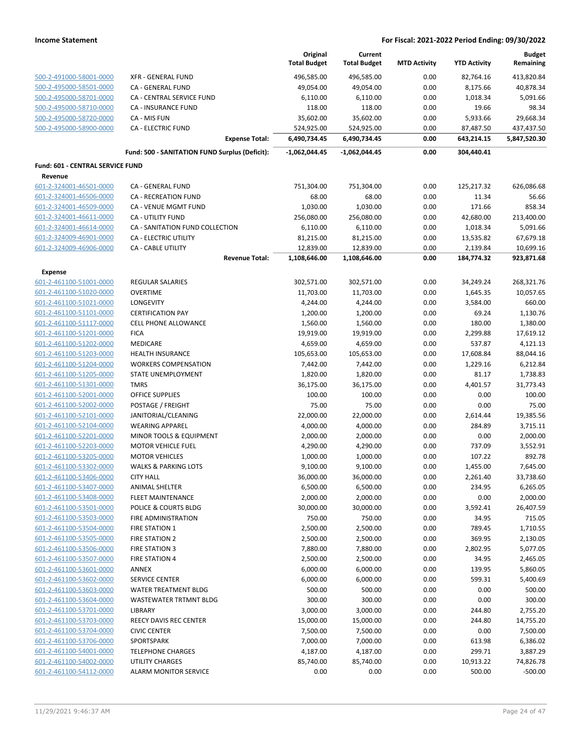|                                                    |                                                | Original<br><b>Total Budget</b> | Current<br><b>Total Budget</b> | <b>MTD Activity</b> | <b>YTD Activity</b> | <b>Budget</b><br>Remaining |
|----------------------------------------------------|------------------------------------------------|---------------------------------|--------------------------------|---------------------|---------------------|----------------------------|
| 500-2-491000-58001-0000                            | <b>XFR - GENERAL FUND</b>                      | 496,585.00                      | 496,585.00                     | 0.00                | 82,764.16           | 413,820.84                 |
| 500-2-495000-58501-0000                            | CA - GENERAL FUND                              | 49,054.00                       | 49,054.00                      | 0.00                | 8,175.66            | 40,878.34                  |
| 500-2-495000-58701-0000                            | <b>CA - CENTRAL SERVICE FUND</b>               | 6,110.00                        | 6,110.00                       | 0.00                | 1,018.34            | 5,091.66                   |
| 500-2-495000-58710-0000                            | CA - INSURANCE FUND                            | 118.00                          | 118.00                         | 0.00                | 19.66               | 98.34                      |
| 500-2-495000-58720-0000                            | CA - MIS FUN                                   | 35,602.00                       | 35,602.00                      | 0.00                | 5,933.66            | 29,668.34                  |
| 500-2-495000-58900-0000                            | <b>CA - ELECTRIC FUND</b>                      | 524,925.00                      | 524,925.00                     | 0.00                | 87,487.50           | 437,437.50                 |
|                                                    | <b>Expense Total:</b>                          | 6,490,734.45                    | 6,490,734.45                   | 0.00                | 643,214.15          | 5,847,520.30               |
|                                                    | Fund: 500 - SANITATION FUND Surplus (Deficit): | $-1,062,044.45$                 | -1,062,044.45                  | 0.00                | 304,440.41          |                            |
| Fund: 601 - CENTRAL SERVICE FUND                   |                                                |                                 |                                |                     |                     |                            |
| Revenue<br>601-2-324001-46501-0000                 | CA - GENERAL FUND                              | 751,304.00                      | 751,304.00                     | 0.00                | 125,217.32          | 626,086.68                 |
| 601-2-324001-46506-0000                            | CA - RECREATION FUND                           | 68.00                           | 68.00                          | 0.00                | 11.34               | 56.66                      |
| 601-2-324001-46509-0000                            | CA - VENUE MGMT FUND                           | 1,030.00                        | 1,030.00                       | 0.00                | 171.66              | 858.34                     |
| 601-2-324001-46611-0000                            | CA - UTILITY FUND                              | 256,080.00                      | 256,080.00                     | 0.00                | 42,680.00           | 213,400.00                 |
| 601-2-324001-46614-0000                            | CA - SANITATION FUND COLLECTION                | 6,110.00                        | 6,110.00                       | 0.00                | 1,018.34            | 5,091.66                   |
| 601-2-324009-46901-0000                            | CA - ELECTRIC UTILITY                          | 81,215.00                       | 81,215.00                      | 0.00                | 13,535.82           | 67,679.18                  |
| 601-2-324009-46906-0000                            | CA - CABLE UTILITY                             | 12,839.00                       | 12,839.00                      | 0.00                | 2,139.84            | 10,699.16                  |
|                                                    | <b>Revenue Total:</b>                          | 1,108,646.00                    | 1,108,646.00                   | 0.00                | 184,774.32          | 923,871.68                 |
| <b>Expense</b>                                     |                                                |                                 |                                |                     |                     |                            |
| 601-2-461100-51001-0000                            | <b>REGULAR SALARIES</b>                        | 302,571.00                      | 302,571.00                     | 0.00                | 34,249.24           | 268,321.76                 |
| 601-2-461100-51020-0000                            | <b>OVERTIME</b>                                | 11,703.00                       | 11,703.00                      | 0.00                | 1,645.35            | 10,057.65                  |
| 601-2-461100-51021-0000                            | <b>LONGEVITY</b>                               | 4,244.00                        | 4,244.00                       | 0.00                | 3,584.00            | 660.00                     |
| 601-2-461100-51101-0000                            | <b>CERTIFICATION PAY</b>                       | 1,200.00                        | 1,200.00                       | 0.00                | 69.24               | 1,130.76                   |
| 601-2-461100-51117-0000                            | CELL PHONE ALLOWANCE                           | 1,560.00                        | 1,560.00                       | 0.00                | 180.00              | 1,380.00                   |
| 601-2-461100-51201-0000                            | <b>FICA</b>                                    | 19,919.00                       | 19,919.00                      | 0.00                | 2,299.88            | 17,619.12                  |
| 601-2-461100-51202-0000                            | MEDICARE                                       | 4,659.00                        | 4,659.00                       | 0.00                | 537.87              | 4,121.13                   |
| 601-2-461100-51203-0000                            | <b>HEALTH INSURANCE</b>                        | 105,653.00                      | 105,653.00                     | 0.00                | 17,608.84           | 88,044.16                  |
| 601-2-461100-51204-0000                            | <b>WORKERS COMPENSATION</b>                    | 7,442.00                        | 7,442.00                       | 0.00                | 1,229.16            | 6,212.84                   |
| 601-2-461100-51205-0000                            | STATE UNEMPLOYMENT                             | 1,820.00                        | 1,820.00                       | 0.00                | 81.17               | 1,738.83                   |
| 601-2-461100-51301-0000                            | <b>TMRS</b>                                    | 36,175.00                       | 36,175.00                      | 0.00                | 4,401.57            | 31,773.43                  |
| 601-2-461100-52001-0000                            | <b>OFFICE SUPPLIES</b>                         | 100.00                          | 100.00                         | 0.00                | 0.00                | 100.00                     |
| 601-2-461100-52002-0000                            | POSTAGE / FREIGHT                              | 75.00                           | 75.00                          | 0.00                | 0.00                | 75.00                      |
| 601-2-461100-52101-0000                            | JANITORIAL/CLEANING                            | 22,000.00                       | 22,000.00                      | 0.00                | 2,614.44            | 19,385.56                  |
| 601-2-461100-52104-0000                            | <b>WEARING APPAREL</b>                         | 4,000.00                        | 4,000.00                       | 0.00                | 284.89              | 3,715.11                   |
| 601-2-461100-52201-0000                            | MINOR TOOLS & EQUIPMENT                        | 2,000.00                        | 2,000.00                       | 0.00                | 0.00                | 2,000.00                   |
| 601-2-461100-52203-0000                            | <b>MOTOR VEHICLE FUEL</b>                      | 4,290.00                        | 4,290.00                       | 0.00                | 737.09              | 3,552.91                   |
| 601-2-461100-53205-0000<br>601-2-461100-53302-0000 | <b>MOTOR VEHICLES</b>                          | 1,000.00                        | 1,000.00                       | 0.00                | 107.22              | 892.78                     |
|                                                    | <b>WALKS &amp; PARKING LOTS</b>                | 9,100.00                        | 9,100.00                       | 0.00                | 1,455.00            | 7,645.00                   |
| 601-2-461100-53406-0000<br>601-2-461100-53407-0000 | <b>CITY HALL</b><br>ANIMAL SHELTER             | 36,000.00<br>6,500.00           | 36,000.00<br>6,500.00          | 0.00<br>0.00        | 2,261.40<br>234.95  | 33,738.60<br>6,265.05      |
| 601-2-461100-53408-0000                            | <b>FLEET MAINTENANCE</b>                       | 2,000.00                        | 2,000.00                       | 0.00                | 0.00                | 2,000.00                   |
| 601-2-461100-53501-0000                            | POLICE & COURTS BLDG                           | 30,000.00                       | 30,000.00                      | 0.00                | 3,592.41            | 26,407.59                  |
| 601-2-461100-53503-0000                            | FIRE ADMINISTRATION                            | 750.00                          | 750.00                         | 0.00                | 34.95               | 715.05                     |
| 601-2-461100-53504-0000                            | <b>FIRE STATION 1</b>                          | 2,500.00                        | 2,500.00                       | 0.00                | 789.45              | 1,710.55                   |
| 601-2-461100-53505-0000                            | <b>FIRE STATION 2</b>                          | 2,500.00                        | 2,500.00                       | 0.00                | 369.95              | 2,130.05                   |
| 601-2-461100-53506-0000                            | <b>FIRE STATION 3</b>                          | 7,880.00                        | 7,880.00                       | 0.00                | 2,802.95            | 5,077.05                   |
| 601-2-461100-53507-0000                            | <b>FIRE STATION 4</b>                          | 2,500.00                        | 2,500.00                       | 0.00                | 34.95               | 2,465.05                   |
| 601-2-461100-53601-0000                            | ANNEX                                          | 6,000.00                        | 6,000.00                       | 0.00                | 139.95              | 5,860.05                   |
| 601-2-461100-53602-0000                            | SERVICE CENTER                                 | 6,000.00                        | 6,000.00                       | 0.00                | 599.31              | 5,400.69                   |
| 601-2-461100-53603-0000                            | WATER TREATMENT BLDG                           | 500.00                          | 500.00                         | 0.00                | 0.00                | 500.00                     |
| 601-2-461100-53604-0000                            | WASTEWATER TRTMNT BLDG                         | 300.00                          | 300.00                         | 0.00                | 0.00                | 300.00                     |
| 601-2-461100-53701-0000                            | LIBRARY                                        | 3,000.00                        | 3,000.00                       | 0.00                | 244.80              | 2,755.20                   |
| 601-2-461100-53703-0000                            | REECY DAVIS REC CENTER                         | 15,000.00                       | 15,000.00                      | 0.00                | 244.80              | 14,755.20                  |
| 601-2-461100-53704-0000                            | <b>CIVIC CENTER</b>                            | 7,500.00                        | 7,500.00                       | 0.00                | 0.00                | 7,500.00                   |
| 601-2-461100-53706-0000                            | SPORTSPARK                                     | 7,000.00                        | 7,000.00                       | 0.00                | 613.98              | 6,386.02                   |
| 601-2-461100-54001-0000                            | <b>TELEPHONE CHARGES</b>                       | 4,187.00                        | 4,187.00                       | 0.00                | 299.71              | 3,887.29                   |
| 601-2-461100-54002-0000                            | <b>UTILITY CHARGES</b>                         | 85,740.00                       | 85,740.00                      | 0.00                | 10,913.22           | 74,826.78                  |
| 601-2-461100-54112-0000                            | <b>ALARM MONITOR SERVICE</b>                   | 0.00                            | 0.00                           | 0.00                | 500.00              | $-500.00$                  |
|                                                    |                                                |                                 |                                |                     |                     |                            |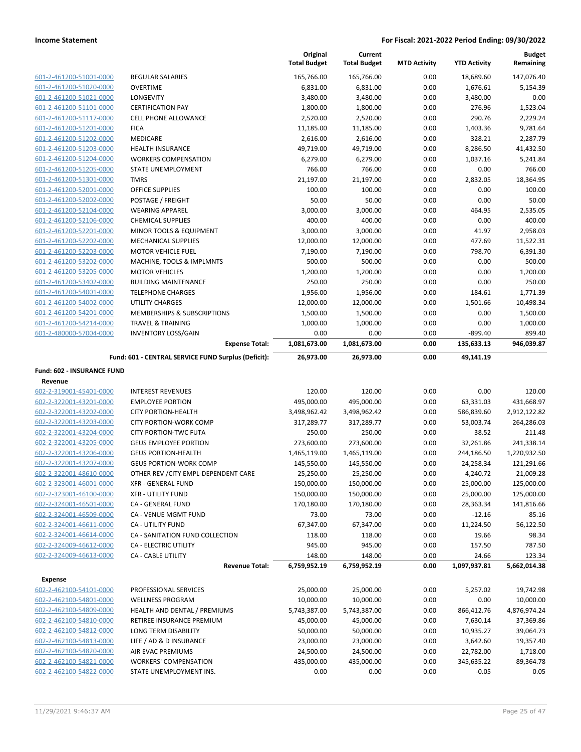|                                                    |                                                         | Original<br><b>Total Budget</b> | Current<br><b>Total Budget</b> | <b>MTD Activity</b> | <b>YTD Activity</b>     | <b>Budget</b><br>Remaining     |
|----------------------------------------------------|---------------------------------------------------------|---------------------------------|--------------------------------|---------------------|-------------------------|--------------------------------|
|                                                    |                                                         |                                 |                                |                     |                         |                                |
| 601-2-461200-51001-0000                            | <b>REGULAR SALARIES</b>                                 | 165,766.00                      | 165,766.00                     | 0.00                | 18,689.60               | 147,076.40                     |
| 601-2-461200-51020-0000                            | <b>OVERTIME</b>                                         | 6,831.00                        | 6,831.00                       | 0.00                | 1,676.61                | 5,154.39                       |
| 601-2-461200-51021-0000                            | LONGEVITY                                               | 3,480.00                        | 3,480.00                       | 0.00                | 3,480.00                | 0.00                           |
| 601-2-461200-51101-0000                            | <b>CERTIFICATION PAY</b>                                | 1,800.00                        | 1,800.00                       | 0.00                | 276.96                  | 1,523.04                       |
| 601-2-461200-51117-0000                            | <b>CELL PHONE ALLOWANCE</b>                             | 2,520.00                        | 2,520.00                       | 0.00                | 290.76                  | 2,229.24                       |
| 601-2-461200-51201-0000                            | <b>FICA</b>                                             | 11,185.00                       | 11,185.00                      | 0.00                | 1,403.36                | 9,781.64                       |
| 601-2-461200-51202-0000                            | <b>MEDICARE</b>                                         | 2,616.00                        | 2,616.00                       | 0.00                | 328.21                  | 2,287.79                       |
| 601-2-461200-51203-0000                            | HEALTH INSURANCE                                        | 49,719.00                       | 49,719.00                      | 0.00                | 8,286.50                | 41,432.50                      |
| 601-2-461200-51204-0000                            | <b>WORKERS COMPENSATION</b>                             | 6,279.00                        | 6,279.00                       | 0.00                | 1,037.16                | 5,241.84                       |
| 601-2-461200-51205-0000<br>601-2-461200-51301-0000 | STATE UNEMPLOYMENT<br><b>TMRS</b>                       | 766.00                          | 766.00                         | 0.00                | 0.00                    | 766.00                         |
|                                                    | <b>OFFICE SUPPLIES</b>                                  | 21,197.00                       | 21,197.00                      | 0.00                | 2,832.05<br>0.00        | 18,364.95<br>100.00            |
| 601-2-461200-52001-0000                            |                                                         | 100.00<br>50.00                 | 100.00<br>50.00                | 0.00                | 0.00                    | 50.00                          |
| 601-2-461200-52002-0000<br>601-2-461200-52104-0000 | POSTAGE / FREIGHT                                       |                                 |                                | 0.00                |                         |                                |
| 601-2-461200-52106-0000                            | <b>WEARING APPAREL</b><br><b>CHEMICAL SUPPLIES</b>      | 3,000.00<br>400.00              | 3,000.00<br>400.00             | 0.00<br>0.00        | 464.95<br>0.00          | 2,535.05<br>400.00             |
| 601-2-461200-52201-0000                            | MINOR TOOLS & EQUIPMENT                                 | 3,000.00                        | 3,000.00                       | 0.00                | 41.97                   | 2,958.03                       |
| 601-2-461200-52202-0000                            | <b>MECHANICAL SUPPLIES</b>                              | 12,000.00                       | 12,000.00                      | 0.00                | 477.69                  | 11,522.31                      |
| 601-2-461200-52203-0000                            | <b>MOTOR VEHICLE FUEL</b>                               | 7,190.00                        | 7,190.00                       | 0.00                | 798.70                  | 6,391.30                       |
| 601-2-461200-53202-0000                            | MACHINE, TOOLS & IMPLMNTS                               | 500.00                          | 500.00                         | 0.00                | 0.00                    | 500.00                         |
| 601-2-461200-53205-0000                            | <b>MOTOR VEHICLES</b>                                   | 1,200.00                        | 1,200.00                       | 0.00                | 0.00                    | 1,200.00                       |
| 601-2-461200-53402-0000                            | <b>BUILDING MAINTENANCE</b>                             | 250.00                          | 250.00                         | 0.00                | 0.00                    | 250.00                         |
| 601-2-461200-54001-0000                            | <b>TELEPHONE CHARGES</b>                                | 1,956.00                        | 1,956.00                       | 0.00                | 184.61                  | 1,771.39                       |
| 601-2-461200-54002-0000                            | <b>UTILITY CHARGES</b>                                  | 12,000.00                       | 12,000.00                      | 0.00                | 1,501.66                | 10,498.34                      |
| 601-2-461200-54201-0000                            | <b>MEMBERSHIPS &amp; SUBSCRIPTIONS</b>                  | 1,500.00                        | 1,500.00                       | 0.00                | 0.00                    | 1,500.00                       |
| 601-2-461200-54214-0000                            | <b>TRAVEL &amp; TRAINING</b>                            | 1,000.00                        | 1,000.00                       | 0.00                | 0.00                    | 1,000.00                       |
| 601-2-480000-57004-0000                            | <b>INVENTORY LOSS/GAIN</b>                              | 0.00                            | 0.00                           | 0.00                | $-899.40$               | 899.40                         |
|                                                    | <b>Expense Total:</b>                                   | 1,081,673.00                    | 1,081,673.00                   | 0.00                | 135,633.13              | 946,039.87                     |
|                                                    | Fund: 601 - CENTRAL SERVICE FUND Surplus (Deficit):     | 26,973.00                       | 26,973.00                      | 0.00                | 49,141.19               |                                |
|                                                    |                                                         |                                 |                                |                     |                         |                                |
| Fund: 602 - INSURANCE FUND                         |                                                         |                                 |                                |                     |                         |                                |
| Revenue                                            | <b>INTEREST REVENUES</b>                                | 120.00                          | 120.00                         | 0.00                | 0.00                    | 120.00                         |
| 602-2-319001-45401-0000                            |                                                         |                                 |                                |                     |                         |                                |
| 602-2-322001-43201-0000<br>602-2-322001-43202-0000 | <b>EMPLOYEE PORTION</b><br><b>CITY PORTION-HEALTH</b>   | 495,000.00<br>3,498,962.42      | 495,000.00<br>3,498,962.42     | 0.00<br>0.00        | 63,331.03<br>586,839.60 | 431,668.97<br>2,912,122.82     |
| 602-2-322001-43203-0000                            | <b>CITY PORTION-WORK COMP</b>                           | 317,289.77                      | 317,289.77                     | 0.00                | 53,003.74               | 264,286.03                     |
| 602-2-322001-43204-0000                            | <b>CITY PORTION-TWC FUTA</b>                            | 250.00                          | 250.00                         | 0.00                | 38.52                   | 211.48                         |
| 602-2-322001-43205-0000                            | <b>GEUS EMPLOYEE PORTION</b>                            | 273,600.00                      | 273,600.00                     | 0.00                | 32,261.86               | 241,338.14                     |
| 602-2-322001-43206-0000                            | <b>GEUS PORTION-HEALTH</b>                              | 1,465,119.00                    | 1,465,119.00                   | 0.00                | 244,186.50              | 1,220,932.50                   |
| 602-2-322001-43207-0000                            | <b>GEUS PORTION-WORK COMP</b>                           | 145,550.00                      | 145,550.00                     | 0.00                | 24,258.34               | 121,291.66                     |
| 602-2-322001-48610-0000                            | OTHER REV / CITY EMPL-DEPENDENT CARE                    | 25,250.00                       | 25,250.00                      | 0.00                |                         | 21,009.28                      |
| 602-2-323001-46001-0000                            | XFR - GENERAL FUND                                      | 150,000.00                      | 150,000.00                     | 0.00                | 4,240.72<br>25,000.00   | 125,000.00                     |
| 602-2-323001-46100-0000                            | <b>XFR - UTILITY FUND</b>                               | 150,000.00                      | 150,000.00                     | 0.00                | 25,000.00               | 125,000.00                     |
| 602-2-324001-46501-0000                            | CA - GENERAL FUND                                       | 170,180.00                      | 170,180.00                     | 0.00                | 28,363.34               | 141,816.66                     |
| 602-2-324001-46509-0000                            | CA - VENUE MGMT FUND                                    | 73.00                           | 73.00                          | 0.00                | $-12.16$                | 85.16                          |
| 602-2-324001-46611-0000                            |                                                         |                                 |                                | 0.00                | 11,224.50               | 56,122.50                      |
| 602-2-324001-46614-0000                            |                                                         |                                 |                                |                     |                         |                                |
|                                                    | CA - UTILITY FUND                                       | 67,347.00                       | 67,347.00                      |                     |                         |                                |
|                                                    | CA - SANITATION FUND COLLECTION                         | 118.00                          | 118.00                         | 0.00                | 19.66                   | 98.34                          |
| 602-2-324009-46612-0000                            | CA - ELECTRIC UTILITY                                   | 945.00                          | 945.00                         | 0.00                | 157.50                  | 787.50                         |
| 602-2-324009-46613-0000                            | <b>CA - CABLE UTILITY</b>                               | 148.00                          | 148.00                         | 0.00                | 24.66                   |                                |
|                                                    | <b>Revenue Total:</b>                                   | 6,759,952.19                    | 6,759,952.19                   | 0.00                | 1,097,937.81            | 123.34<br>5,662,014.38         |
| <b>Expense</b>                                     |                                                         |                                 |                                |                     |                         |                                |
| 602-2-462100-54101-0000                            | PROFESSIONAL SERVICES                                   | 25,000.00                       | 25,000.00                      | 0.00                | 5,257.02                | 19,742.98                      |
| 602-2-462100-54801-0000                            | <b>WELLNESS PROGRAM</b>                                 | 10,000.00                       | 10,000.00                      | 0.00                | 0.00                    | 10,000.00                      |
| 602-2-462100-54809-0000                            | HEALTH AND DENTAL / PREMIUMS                            | 5,743,387.00                    | 5,743,387.00                   | 0.00                | 866,412.76              | 4,876,974.24                   |
| 602-2-462100-54810-0000                            | RETIREE INSURANCE PREMIUM                               | 45,000.00                       | 45,000.00                      | 0.00                | 7,630.14                | 37,369.86                      |
| 602-2-462100-54812-0000                            | LONG TERM DISABILITY                                    | 50,000.00                       | 50,000.00                      | 0.00                | 10,935.27               | 39,064.73                      |
| 602-2-462100-54813-0000                            | LIFE / AD & D INSURANCE                                 | 23,000.00                       | 23,000.00                      | 0.00                | 3,642.60                |                                |
| 602-2-462100-54820-0000                            | AIR EVAC PREMIUMS                                       | 24,500.00                       | 24,500.00                      | 0.00                | 22,782.00               | 1,718.00                       |
| 602-2-462100-54821-0000<br>602-2-462100-54822-0000 | <b>WORKERS' COMPENSATION</b><br>STATE UNEMPLOYMENT INS. | 435,000.00<br>0.00              | 435,000.00<br>0.00             | 0.00<br>0.00        | 345,635.22<br>$-0.05$   | 19,357.40<br>89,364.78<br>0.05 |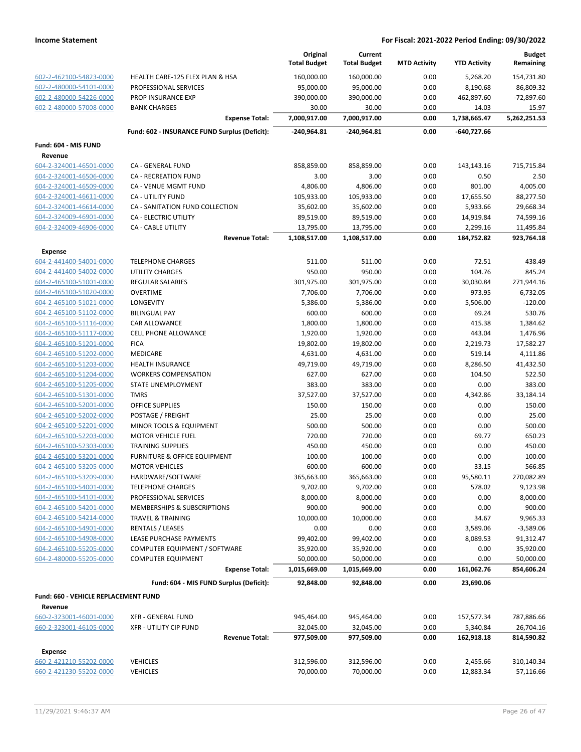|                                                    |                                               | Original<br><b>Total Budget</b> | Current<br><b>Total Budget</b> | <b>MTD Activity</b> | <b>YTD Activity</b>   | <b>Budget</b><br>Remaining |
|----------------------------------------------------|-----------------------------------------------|---------------------------------|--------------------------------|---------------------|-----------------------|----------------------------|
| 602-2-462100-54823-0000                            | HEALTH CARE-125 FLEX PLAN & HSA               | 160,000.00                      | 160,000.00                     | 0.00                | 5,268.20              | 154,731.80                 |
| 602-2-480000-54101-0000                            | PROFESSIONAL SERVICES                         | 95,000.00                       | 95,000.00                      | 0.00                | 8,190.68              | 86,809.32                  |
| 602-2-480000-54226-0000                            | <b>PROP INSURANCE EXP</b>                     | 390,000.00                      | 390,000.00                     | 0.00                | 462,897.60            | $-72,897.60$               |
| 602-2-480000-57008-0000                            | <b>BANK CHARGES</b>                           | 30.00                           | 30.00                          | 0.00                | 14.03                 | 15.97                      |
|                                                    | <b>Expense Total:</b>                         | 7,000,917.00                    | 7,000,917.00                   | 0.00                | 1,738,665.47          | 5,262,251.53               |
|                                                    | Fund: 602 - INSURANCE FUND Surplus (Deficit): | -240,964.81                     | -240,964.81                    | 0.00                | -640,727.66           |                            |
| Fund: 604 - MIS FUND                               |                                               |                                 |                                |                     |                       |                            |
| Revenue                                            |                                               |                                 |                                |                     |                       |                            |
| 604-2-324001-46501-0000                            | CA - GENERAL FUND                             | 858,859.00                      | 858,859.00                     | 0.00                | 143,143.16            | 715,715.84                 |
| 604-2-324001-46506-0000                            | CA - RECREATION FUND                          | 3.00                            | 3.00                           | 0.00                | 0.50                  | 2.50                       |
| 604-2-324001-46509-0000                            | CA - VENUE MGMT FUND                          | 4,806.00                        | 4,806.00                       | 0.00                | 801.00                | 4,005.00                   |
| 604-2-324001-46611-0000                            | CA - UTILITY FUND                             | 105,933.00                      | 105,933.00                     | 0.00                | 17,655.50             | 88,277.50                  |
| 604-2-324001-46614-0000                            | CA - SANITATION FUND COLLECTION               | 35,602.00                       | 35,602.00                      | 0.00                | 5,933.66              | 29,668.34                  |
| 604-2-324009-46901-0000                            | CA - ELECTRIC UTILITY                         | 89,519.00                       | 89,519.00                      | 0.00                | 14,919.84             | 74,599.16                  |
| 604-2-324009-46906-0000                            | CA - CABLE UTILITY                            | 13,795.00                       | 13,795.00                      | 0.00                | 2,299.16              | 11,495.84                  |
|                                                    | <b>Revenue Total:</b>                         | 1,108,517.00                    | 1,108,517.00                   | 0.00                | 184,752.82            | 923,764.18                 |
| <b>Expense</b>                                     |                                               |                                 |                                |                     |                       |                            |
| 604-2-441400-54001-0000                            | <b>TELEPHONE CHARGES</b>                      | 511.00                          | 511.00                         | 0.00                | 72.51                 | 438.49                     |
| 604-2-441400-54002-0000                            | <b>UTILITY CHARGES</b>                        | 950.00                          | 950.00                         | 0.00                | 104.76                | 845.24                     |
| 604-2-465100-51001-0000                            | <b>REGULAR SALARIES</b>                       | 301,975.00                      | 301,975.00                     | 0.00                | 30,030.84             | 271,944.16                 |
| 604-2-465100-51020-0000                            | <b>OVERTIME</b>                               | 7,706.00                        | 7,706.00                       | 0.00                | 973.95                | 6,732.05                   |
| 604-2-465100-51021-0000                            | LONGEVITY                                     | 5,386.00                        | 5,386.00                       | 0.00                | 5,506.00              | $-120.00$                  |
| 604-2-465100-51102-0000                            | <b>BILINGUAL PAY</b>                          | 600.00                          | 600.00                         | 0.00                | 69.24                 | 530.76                     |
| 604-2-465100-51116-0000                            | CAR ALLOWANCE                                 | 1,800.00                        | 1,800.00                       | 0.00                | 415.38                | 1,384.62                   |
| 604-2-465100-51117-0000                            | <b>CELL PHONE ALLOWANCE</b>                   | 1,920.00                        | 1,920.00                       | 0.00                | 443.04                | 1,476.96                   |
| 604-2-465100-51201-0000                            | <b>FICA</b>                                   | 19,802.00                       | 19,802.00                      | 0.00                | 2,219.73              | 17,582.27                  |
| 604-2-465100-51202-0000                            | MEDICARE                                      | 4,631.00                        | 4,631.00                       | 0.00                | 519.14                | 4,111.86                   |
| 604-2-465100-51203-0000                            | <b>HEALTH INSURANCE</b>                       | 49,719.00                       | 49,719.00                      | 0.00                | 8,286.50              | 41,432.50                  |
| 604-2-465100-51204-0000                            | <b>WORKERS COMPENSATION</b>                   | 627.00                          | 627.00                         | 0.00                | 104.50                | 522.50                     |
| 604-2-465100-51205-0000                            | STATE UNEMPLOYMENT                            | 383.00                          | 383.00                         | 0.00                | 0.00                  | 383.00                     |
| 604-2-465100-51301-0000                            | <b>TMRS</b>                                   | 37,527.00                       | 37,527.00                      | 0.00                | 4,342.86              | 33,184.14                  |
| 604-2-465100-52001-0000                            | <b>OFFICE SUPPLIES</b>                        | 150.00                          | 150.00                         | 0.00                | 0.00                  | 150.00                     |
| 604-2-465100-52002-0000                            | POSTAGE / FREIGHT                             | 25.00                           | 25.00                          | 0.00                | 0.00                  | 25.00                      |
| 604-2-465100-52201-0000                            | MINOR TOOLS & EQUIPMENT                       | 500.00                          | 500.00                         | 0.00                | 0.00                  | 500.00                     |
| 604-2-465100-52203-0000                            | <b>MOTOR VEHICLE FUEL</b>                     | 720.00                          | 720.00                         | 0.00                | 69.77                 | 650.23                     |
| 604-2-465100-52303-0000                            | <b>TRAINING SUPPLIES</b>                      | 450.00                          | 450.00                         | 0.00                | 0.00                  | 450.00                     |
| 604-2-465100-53201-0000                            | FURNITURE & OFFICE EQUIPMENT                  | 100.00                          | 100.00                         | 0.00                | 0.00                  | 100.00                     |
| 604-2-465100-53205-0000<br>604-2-465100-53209-0000 | <b>MOTOR VEHICLES</b><br>HARDWARE/SOFTWARE    | 600.00<br>365,663.00            | 600.00<br>365,663.00           | 0.00<br>0.00        | 33.15<br>95,580.11    | 566.85<br>270,082.89       |
| 604-2-465100-54001-0000                            | <b>TELEPHONE CHARGES</b>                      | 9,702.00                        | 9,702.00                       | 0.00                | 578.02                | 9,123.98                   |
| 604-2-465100-54101-0000                            | PROFESSIONAL SERVICES                         | 8,000.00                        | 8,000.00                       | 0.00                | 0.00                  | 8,000.00                   |
| 604-2-465100-54201-0000                            | MEMBERSHIPS & SUBSCRIPTIONS                   | 900.00                          | 900.00                         | 0.00                | 0.00                  | 900.00                     |
| 604-2-465100-54214-0000                            | <b>TRAVEL &amp; TRAINING</b>                  | 10,000.00                       | 10,000.00                      | 0.00                | 34.67                 | 9,965.33                   |
| 604-2-465100-54901-0000                            | <b>RENTALS / LEASES</b>                       | 0.00                            | 0.00                           | 0.00                | 3,589.06              | $-3,589.06$                |
| 604-2-465100-54908-0000                            | LEASE PURCHASE PAYMENTS                       | 99,402.00                       | 99,402.00                      | 0.00                | 8,089.53              | 91,312.47                  |
| 604-2-465100-55205-0000                            | COMPUTER EQUIPMENT / SOFTWARE                 | 35,920.00                       | 35,920.00                      | 0.00                | 0.00                  | 35,920.00                  |
| 604-2-480000-55205-0000                            | <b>COMPUTER EQUIPMENT</b>                     | 50,000.00                       | 50,000.00                      | 0.00                | 0.00                  | 50,000.00                  |
|                                                    | <b>Expense Total:</b>                         | 1,015,669.00                    | 1,015,669.00                   | 0.00                | 161,062.76            | 854,606.24                 |
|                                                    | Fund: 604 - MIS FUND Surplus (Deficit):       | 92,848.00                       | 92,848.00                      | 0.00                | 23,690.06             |                            |
| Fund: 660 - VEHICLE REPLACEMENT FUND               |                                               |                                 |                                |                     |                       |                            |
| Revenue                                            |                                               |                                 |                                |                     |                       |                            |
| 660-2-323001-46001-0000                            | <b>XFR - GENERAL FUND</b>                     | 945,464.00                      | 945,464.00                     | 0.00                | 157,577.34            | 787,886.66                 |
| 660-2-323001-46105-0000                            | <b>XFR - UTILITY CIP FUND</b>                 | 32,045.00                       | 32,045.00                      | 0.00                | 5,340.84              | 26,704.16                  |
|                                                    | <b>Revenue Total:</b>                         | 977,509.00                      | 977,509.00                     | 0.00                | 162,918.18            | 814,590.82                 |
|                                                    |                                               |                                 |                                |                     |                       |                            |
| Expense<br>660-2-421210-55202-0000                 | <b>VEHICLES</b>                               | 312,596.00                      | 312,596.00                     | 0.00                |                       | 310,140.34                 |
| 660-2-421230-55202-0000                            | <b>VEHICLES</b>                               | 70,000.00                       | 70,000.00                      | 0.00                | 2,455.66<br>12,883.34 |                            |
|                                                    |                                               |                                 |                                |                     |                       | 57,116.66                  |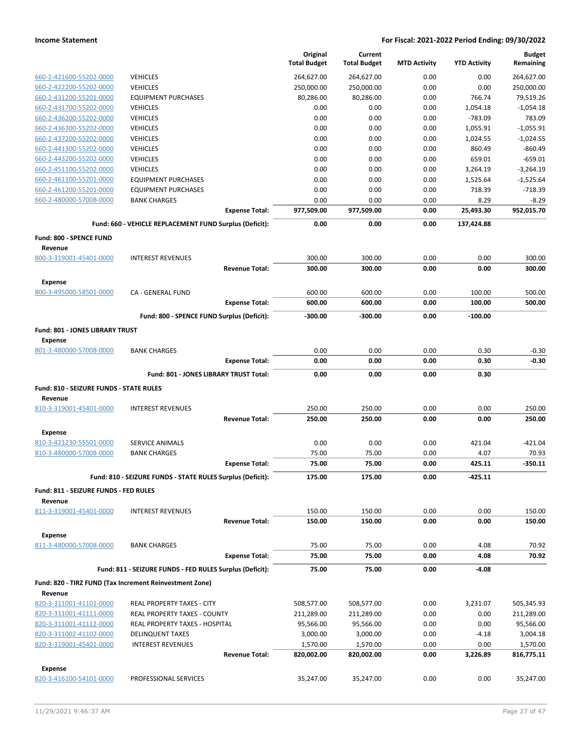|                                         |                                                            | Original<br><b>Total Budget</b> | Current<br><b>Total Budget</b> | <b>MTD Activity</b> | <b>YTD Activity</b> | <b>Budget</b><br>Remaining |
|-----------------------------------------|------------------------------------------------------------|---------------------------------|--------------------------------|---------------------|---------------------|----------------------------|
| 660-2-421600-55202-0000                 | <b>VEHICLES</b>                                            | 264,627.00                      | 264,627.00                     | 0.00                | 0.00                | 264,627.00                 |
| 660-2-422200-55202-0000                 | <b>VEHICLES</b>                                            | 250,000.00                      | 250,000.00                     | 0.00                | 0.00                | 250,000.00                 |
| 660-2-431200-55201-0000                 | <b>EQUIPMENT PURCHASES</b>                                 | 80.286.00                       | 80,286.00                      | 0.00                | 766.74              | 79,519.26                  |
| 660-2-431700-55202-0000                 | <b>VEHICLES</b>                                            | 0.00                            | 0.00                           | 0.00                | 1,054.18            | $-1,054.18$                |
| 660-2-436200-55202-0000                 | <b>VEHICLES</b>                                            | 0.00                            | 0.00                           | 0.00                | $-783.09$           | 783.09                     |
| 660-2-436300-55202-0000                 | <b>VEHICLES</b>                                            | 0.00                            | 0.00                           | 0.00                | 1,055.91            | $-1,055.91$                |
| 660-2-437200-55202-0000                 | <b>VEHICLES</b>                                            | 0.00                            | 0.00                           | 0.00                | 1,024.55            | $-1,024.55$                |
| 660-2-441300-55202-0000                 | <b>VEHICLES</b>                                            | 0.00                            | 0.00                           | 0.00                | 860.49              | $-860.49$                  |
| 660-2-443200-55202-0000                 | <b>VEHICLES</b>                                            | 0.00                            | 0.00                           | 0.00                | 659.01              | $-659.01$                  |
| 660-2-451100-55202-0000                 | <b>VEHICLES</b>                                            | 0.00                            | 0.00                           | 0.00                | 3,264.19            | $-3,264.19$                |
| 660-2-461100-55201-0000                 | <b>EQUIPMENT PURCHASES</b>                                 | 0.00                            | 0.00                           | 0.00                | 1,525.64            | $-1,525.64$                |
| 660-2-461200-55201-0000                 | <b>EQUIPMENT PURCHASES</b>                                 | 0.00                            | 0.00                           | 0.00                | 718.39              | $-718.39$                  |
| 660-2-480000-57008-0000                 | <b>BANK CHARGES</b>                                        | 0.00                            | 0.00                           | 0.00                | 8.29                | $-8.29$                    |
|                                         | <b>Expense Total:</b>                                      | 977,509.00                      | 977,509.00                     | 0.00                | 25,493.30           | 952,015.70                 |
|                                         | Fund: 660 - VEHICLE REPLACEMENT FUND Surplus (Deficit):    | 0.00                            | 0.00                           | 0.00                | 137,424.88          |                            |
| Fund: 800 - SPENCE FUND<br>Revenue      |                                                            |                                 |                                |                     |                     |                            |
| 800-3-319001-45401-0000                 | <b>INTEREST REVENUES</b>                                   | 300.00                          | 300.00                         | 0.00                | 0.00                | 300.00                     |
|                                         | <b>Revenue Total:</b>                                      | 300.00                          | 300.00                         | 0.00                | 0.00                | 300.00                     |
| <b>Expense</b>                          |                                                            |                                 |                                |                     | 100.00              |                            |
| 800-3-495000-58501-0000                 | CA - GENERAL FUND<br><b>Expense Total:</b>                 | 600.00<br>600.00                | 600.00<br>600.00               | 0.00<br>0.00        | 100.00              | 500.00<br>500.00           |
|                                         | Fund: 800 - SPENCE FUND Surplus (Deficit):                 | $-300.00$                       | $-300.00$                      | 0.00                | $-100.00$           |                            |
| Fund: 801 - JONES LIBRARY TRUST         |                                                            |                                 |                                |                     |                     |                            |
| <b>Expense</b>                          | <b>BANK CHARGES</b>                                        | 0.00                            | 0.00                           | 0.00                | 0.30                |                            |
| 801-3-480000-57008-0000                 | <b>Expense Total:</b>                                      | 0.00                            | 0.00                           | 0.00                | 0.30                | $-0.30$<br>$-0.30$         |
|                                         | Fund: 801 - JONES LIBRARY TRUST Total:                     | 0.00                            | 0.00                           | 0.00                | 0.30                |                            |
| Fund: 810 - SEIZURE FUNDS - STATE RULES |                                                            |                                 |                                |                     |                     |                            |
| Revenue                                 |                                                            |                                 |                                |                     |                     |                            |
| 810-3-319001-45401-0000                 | <b>INTEREST REVENUES</b>                                   | 250.00                          | 250.00                         | 0.00                | 0.00                | 250.00                     |
|                                         | <b>Revenue Total:</b>                                      | 250.00                          | 250.00                         | 0.00                | 0.00                | 250.00                     |
| <b>Expense</b>                          |                                                            |                                 |                                |                     |                     |                            |
| 810-3-421230-55501-0000                 | SERVICE ANIMALS                                            | 0.00                            | 0.00                           | 0.00                | 421.04              | -421.04                    |
| 810-3-480000-57008-0000                 | <b>BANK CHARGES</b>                                        | 75.00                           | 75.00                          | 0.00                | 4.07                | 70.93                      |
|                                         | <b>Expense Total:</b>                                      | 75.00                           | 75.00                          | 0.00                | 425.11              | $-350.11$                  |
|                                         | Fund: 810 - SEIZURE FUNDS - STATE RULES Surplus (Deficit): | 175.00                          | 175.00                         | 0.00                | -425.11             |                            |
| Fund: 811 - SEIZURE FUNDS - FED RULES   |                                                            |                                 |                                |                     |                     |                            |
| Revenue                                 |                                                            |                                 |                                |                     |                     |                            |
| 811-3-319001-45401-0000                 | <b>INTEREST REVENUES</b>                                   | 150.00                          | 150.00                         | 0.00                | 0.00                | 150.00                     |
|                                         | <b>Revenue Total:</b>                                      | 150.00                          | 150.00                         | 0.00                | 0.00                | 150.00                     |
| <b>Expense</b>                          |                                                            |                                 |                                |                     |                     |                            |
| 811-3-480000-57008-0000                 | <b>BANK CHARGES</b>                                        | 75.00                           | 75.00                          | 0.00                | 4.08                | 70.92                      |
|                                         | <b>Expense Total:</b>                                      | 75.00                           | 75.00                          | 0.00                | 4.08                | 70.92                      |
|                                         | Fund: 811 - SEIZURE FUNDS - FED RULES Surplus (Deficit):   | 75.00                           | 75.00                          | 0.00                | $-4.08$             |                            |
| Revenue                                 | Fund: 820 - TIRZ FUND (Tax Increment Reinvestment Zone)    |                                 |                                |                     |                     |                            |
| 820-3-311001-41101-0000                 | REAL PROPERTY TAXES - CITY                                 | 508,577.00                      | 508,577.00                     | 0.00                | 3,231.07            | 505,345.93                 |
| 820-3-311001-41111-0000                 | REAL PROPERTY TAXES - COUNTY                               | 211,289.00                      | 211,289.00                     | 0.00                | 0.00                | 211,289.00                 |
| 820-3-311001-41112-0000                 | REAL PROPERTY TAXES - HOSPITAL                             | 95,566.00                       | 95,566.00                      | 0.00                | 0.00                | 95,566.00                  |
| 820-3-311002-41102-0000                 | <b>DELINQUENT TAXES</b>                                    | 3,000.00                        | 3,000.00                       | 0.00                | $-4.18$             | 3,004.18                   |
| 820-3-319001-45401-0000                 | <b>INTEREST REVENUES</b>                                   | 1,570.00                        | 1,570.00                       | 0.00                | 0.00                | 1,570.00                   |
|                                         | <b>Revenue Total:</b>                                      | 820,002.00                      | 820,002.00                     | 0.00                | 3,226.89            | 816,775.11                 |
| <b>Expense</b>                          |                                                            |                                 |                                |                     |                     |                            |
| 820-3-416100-54101-0000                 | PROFESSIONAL SERVICES                                      | 35,247.00                       | 35,247.00                      | 0.00                | 0.00                | 35,247.00                  |
|                                         |                                                            |                                 |                                |                     |                     |                            |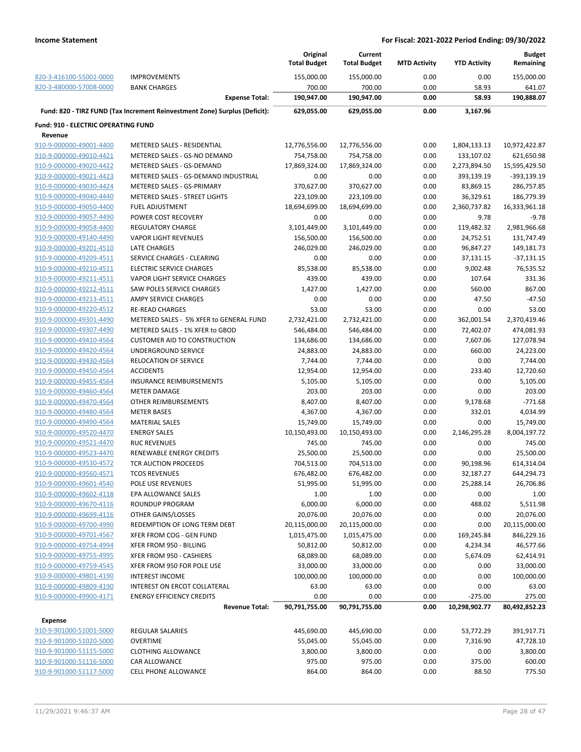|                                            |                                                                            | Original<br><b>Total Budget</b> | Current<br><b>Total Budget</b> | <b>MTD Activity</b> | <b>YTD Activity</b> | <b>Budget</b><br>Remaining |
|--------------------------------------------|----------------------------------------------------------------------------|---------------------------------|--------------------------------|---------------------|---------------------|----------------------------|
| 820-3-416100-55002-0000                    | <b>IMPROVEMENTS</b>                                                        | 155,000.00                      | 155,000.00                     | 0.00                | 0.00                | 155,000.00                 |
| 820-3-480000-57008-0000                    | <b>BANK CHARGES</b>                                                        | 700.00                          | 700.00                         | 0.00                | 58.93               | 641.07                     |
|                                            | <b>Expense Total:</b>                                                      | 190,947.00                      | 190,947.00                     | 0.00                | 58.93               | 190,888.07                 |
|                                            | Fund: 820 - TIRZ FUND (Tax Increment Reinvestment Zone) Surplus (Deficit): | 629,055.00                      | 629,055.00                     | 0.00                | 3,167.96            |                            |
| <b>Fund: 910 - ELECTRIC OPERATING FUND</b> |                                                                            |                                 |                                |                     |                     |                            |
| Revenue                                    |                                                                            |                                 |                                |                     |                     |                            |
| 910-9-000000-49001-4400                    | <b>METERED SALES - RESIDENTIAL</b>                                         | 12,776,556.00                   | 12,776,556.00                  | 0.00                | 1,804,133.13        | 10,972,422.87              |
| 910-9-000000-49010-4421                    | METERED SALES - GS-NO DEMAND                                               | 754,758.00                      | 754,758.00                     | 0.00                | 133,107.02          | 621,650.98                 |
| 910-9-000000-49020-4422                    | METERED SALES - GS-DEMAND                                                  | 17,869,324.00                   | 17,869,324.00                  | 0.00                | 2,273,894.50        | 15,595,429.50              |
| 910-9-000000-49021-4423                    | METERED SALES - GS-DEMAND INDUSTRIAL                                       | 0.00                            | 0.00                           | 0.00                | 393,139.19          | -393,139.19                |
| 910-9-000000-49030-4424                    | METERED SALES - GS-PRIMARY                                                 | 370,627.00                      | 370,627.00                     | 0.00                | 83,869.15           | 286,757.85                 |
| 910-9-000000-49040-4440                    | METERED SALES - STREET LIGHTS                                              | 223,109.00                      | 223,109.00                     | 0.00                | 36,329.61           | 186,779.39                 |
| 910-9-000000-49050-4400                    | <b>FUEL ADJUSTMENT</b>                                                     | 18,694,699.00                   | 18,694,699.00                  | 0.00                | 2,360,737.82        | 16,333,961.18              |
| 910-9-000000-49057-4490                    | POWER COST RECOVERY                                                        | 0.00                            | 0.00                           | 0.00                | 9.78                | $-9.78$                    |
| 910-9-000000-49058-4400                    | <b>REGULATORY CHARGE</b>                                                   | 3,101,449.00                    | 3,101,449.00                   | 0.00                | 119,482.32          | 2,981,966.68               |
| 910-9-000000-49140-4490                    | <b>VAPOR LIGHT REVENUES</b>                                                | 156,500.00                      | 156,500.00                     | 0.00                | 24,752.51           | 131,747.49                 |
| 910-9-000000-49201-4510                    | LATE CHARGES                                                               | 246,029.00                      | 246,029.00                     | 0.00                | 96,847.27           | 149,181.73                 |
| 910-9-000000-49209-4511                    | SERVICE CHARGES - CLEARING                                                 | 0.00                            | 0.00                           | 0.00                | 37,131.15           | $-37,131.15$               |
| 910-9-000000-49210-4511                    | <b>ELECTRIC SERVICE CHARGES</b>                                            | 85,538.00                       | 85,538.00                      | 0.00                | 9,002.48            | 76,535.52                  |
| 910-9-000000-49211-4511                    | VAPOR LIGHT SERVICE CHARGES                                                | 439.00                          | 439.00                         | 0.00                | 107.64              | 331.36                     |
| 910-9-000000-49212-4511                    | SAW POLES SERVICE CHARGES                                                  | 1,427.00                        | 1,427.00                       | 0.00                | 560.00              | 867.00                     |
| 910-9-000000-49213-4511                    | AMPY SERVICE CHARGES                                                       | 0.00                            | 0.00                           | 0.00                | 47.50               | $-47.50$                   |
| 910-9-000000-49220-4512                    | <b>RE-READ CHARGES</b>                                                     | 53.00                           | 53.00                          | 0.00                | 0.00                | 53.00                      |
| 910-9-000000-49301-4490                    | METERED SALES - 5% XFER to GENERAL FUND                                    | 2,732,421.00                    | 2,732,421.00                   | 0.00                | 362,001.54          | 2,370,419.46               |
| 910-9-000000-49307-4490                    | METERED SALES - 1% XFER to GBOD                                            | 546,484.00                      | 546,484.00                     | 0.00                | 72,402.07           | 474,081.93                 |
| 910-9-000000-49410-4564                    | <b>CUSTOMER AID TO CONSTRUCTION</b>                                        | 134,686.00                      | 134,686.00                     | 0.00                | 7,607.06            | 127,078.94                 |
| 910-9-000000-49420-4564                    | UNDERGROUND SERVICE                                                        | 24,883.00                       | 24,883.00                      | 0.00                | 660.00              | 24,223.00                  |
| 910-9-000000-49430-4564                    | <b>RELOCATION OF SERVICE</b>                                               | 7,744.00                        | 7,744.00                       | 0.00                | 0.00                | 7,744.00                   |
| 910-9-000000-49450-4564                    | <b>ACCIDENTS</b>                                                           | 12,954.00                       | 12,954.00                      | 0.00                | 233.40              | 12,720.60                  |
| 910-9-000000-49455-4564                    | <b>INSURANCE REIMBURSEMENTS</b>                                            | 5,105.00                        | 5,105.00                       | 0.00                | 0.00                | 5,105.00                   |
| 910-9-000000-49460-4564                    | <b>METER DAMAGE</b>                                                        | 203.00                          | 203.00                         | 0.00                | 0.00                | 203.00                     |
| 910-9-000000-49470-4564                    | OTHER REIMBURSEMENTS                                                       | 8,407.00                        | 8,407.00                       | 0.00                | 9,178.68            | $-771.68$                  |
| 910-9-000000-49480-4564                    | <b>METER BASES</b>                                                         | 4,367.00                        | 4,367.00                       | 0.00                | 332.01              | 4,034.99                   |
| 910-9-000000-49490-4564                    | <b>MATERIAL SALES</b>                                                      | 15,749.00                       | 15,749.00                      | 0.00                | 0.00                | 15,749.00                  |
| 910-9-000000-49520-4470                    | <b>ENERGY SALES</b>                                                        | 10,150,493.00                   | 10,150,493.00                  | 0.00                | 2,146,295.28        | 8,004,197.72               |
| 910-9-000000-49521-4470                    | <b>RUC REVENUES</b>                                                        | 745.00                          | 745.00                         | 0.00                | 0.00                | 745.00                     |
| 910-9-000000-49523-4470                    | RENEWABLE ENERGY CREDITS                                                   | 25,500.00                       | 25,500.00                      | 0.00                | 0.00                | 25,500.00                  |
| 910-9-000000-49530-4572                    | TCR AUCTION PROCEEDS                                                       | 704,513.00                      | 704,513.00                     | 0.00                | 90,198.96           | 614,314.04                 |
| 910-9-000000-49560-4571                    | <b>TCOS REVENUES</b>                                                       | 676,482.00                      | 676,482.00                     | 0.00                | 32,187.27           | 644,294.73                 |
| 910-9-000000-49601-4540                    | POLE USE REVENUES                                                          | 51,995.00                       | 51,995.00                      | 0.00                | 25,288.14           | 26,706.86                  |
| 910-9-000000-49602-4118                    | EPA ALLOWANCE SALES                                                        | 1.00                            | 1.00                           | 0.00                | 0.00                | 1.00                       |
| 910-9-000000-49670-4116                    | ROUNDUP PROGRAM                                                            | 6,000.00                        | 6,000.00                       | 0.00                | 488.02              | 5,511.98                   |
| 910-9-000000-49699-4116                    | OTHER GAINS/LOSSES                                                         | 20,076.00                       | 20,076.00                      | 0.00                | 0.00                | 20,076.00                  |
| 910-9-000000-49700-4990                    | REDEMPTION OF LONG TERM DEBT                                               | 20,115,000.00                   | 20,115,000.00                  | 0.00                | 0.00                | 20,115,000.00              |
| 910-9-000000-49701-4567                    | XFER FROM COG - GEN FUND                                                   | 1,015,475.00                    | 1,015,475.00                   | 0.00                | 169,245.84          | 846,229.16                 |
| 910-9-000000-49754-4994                    | XFER FROM 950 - BILLING                                                    | 50,812.00                       | 50,812.00                      | 0.00                | 4,234.34            | 46,577.66                  |
| 910-9-000000-49755-4995                    | XFER FROM 950 - CASHIERS                                                   | 68,089.00                       | 68,089.00                      | 0.00                | 5,674.09            | 62,414.91                  |
| 910-9-000000-49759-4545                    | XFER FROM 950 FOR POLE USE                                                 | 33,000.00                       | 33,000.00                      | 0.00                | 0.00                | 33,000.00                  |
| 910-9-000000-49801-4190                    | <b>INTEREST INCOME</b>                                                     | 100,000.00                      | 100,000.00                     | 0.00                | 0.00                | 100,000.00                 |
| 910-9-000000-49809-4190                    | INTEREST ON ERCOT COLLATERAL                                               | 63.00                           | 63.00                          | 0.00                | 0.00                | 63.00                      |
| 910-9-000000-49900-4171                    | <b>ENERGY EFFICIENCY CREDITS</b>                                           | 0.00                            | 0.00                           | 0.00                | $-275.00$           | 275.00                     |
|                                            | <b>Revenue Total:</b>                                                      | 90,791,755.00                   | 90,791,755.00                  | 0.00                | 10,298,902.77       | 80,492,852.23              |
| <b>Expense</b>                             |                                                                            |                                 |                                |                     |                     |                            |
| 910-9-901000-51001-5000                    | <b>REGULAR SALARIES</b>                                                    | 445,690.00                      | 445,690.00                     | 0.00                | 53,772.29           | 391,917.71                 |
| 910-9-901000-51020-5000                    | <b>OVERTIME</b>                                                            | 55,045.00                       | 55,045.00                      | 0.00                | 7,316.90            | 47,728.10                  |
| 910-9-901000-51115-5000                    | <b>CLOTHING ALLOWANCE</b>                                                  | 3,800.00                        | 3,800.00                       | 0.00                | 0.00                | 3,800.00                   |
| 910-9-901000-51116-5000                    | CAR ALLOWANCE                                                              | 975.00                          | 975.00                         | 0.00                | 375.00              | 600.00                     |
| 910-9-901000-51117-5000                    | CELL PHONE ALLOWANCE                                                       | 864.00                          | 864.00                         | 0.00                | 88.50               | 775.50                     |
|                                            |                                                                            |                                 |                                |                     |                     |                            |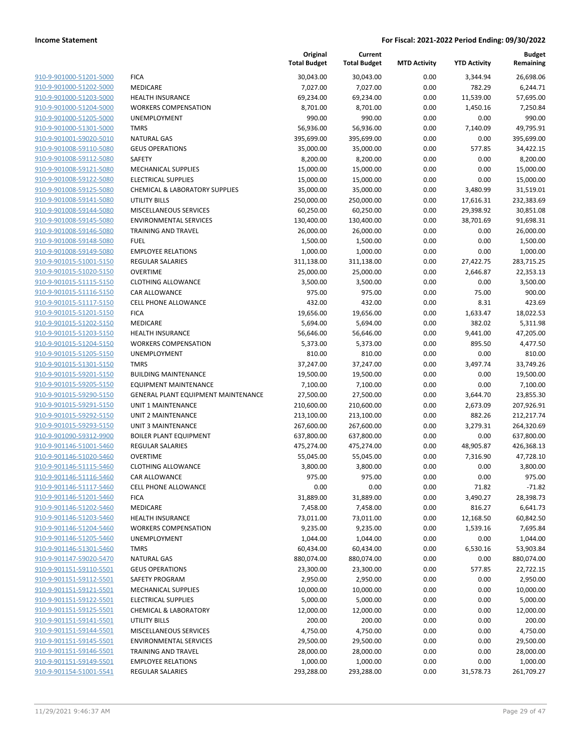|                         |                                     | Original<br><b>Total Budget</b> | Current<br><b>Total Budget</b> | <b>MTD Activity</b> | <b>YTD Activity</b> | <b>Budget</b><br>Remaining |
|-------------------------|-------------------------------------|---------------------------------|--------------------------------|---------------------|---------------------|----------------------------|
| 910-9-901000-51201-5000 | <b>FICA</b>                         | 30,043.00                       | 30,043.00                      | 0.00                | 3,344.94            | 26,698.06                  |
| 910-9-901000-51202-5000 | MEDICARE                            | 7,027.00                        | 7,027.00                       | 0.00                | 782.29              | 6,244.71                   |
| 910-9-901000-51203-5000 | <b>HEALTH INSURANCE</b>             | 69,234.00                       | 69,234.00                      | 0.00                | 11,539.00           | 57,695.00                  |
| 910-9-901000-51204-5000 | <b>WORKERS COMPENSATION</b>         | 8,701.00                        | 8,701.00                       | 0.00                | 1,450.16            | 7,250.84                   |
| 910-9-901000-51205-5000 | UNEMPLOYMENT                        | 990.00                          | 990.00                         | 0.00                | 0.00                | 990.00                     |
| 910-9-901000-51301-5000 | <b>TMRS</b>                         | 56,936.00                       | 56,936.00                      | 0.00                | 7,140.09            | 49,795.91                  |
| 910-9-901001-59020-5010 | <b>NATURAL GAS</b>                  | 395,699.00                      | 395,699.00                     | 0.00                | 0.00                | 395,699.00                 |
| 910-9-901008-59110-5080 | <b>GEUS OPERATIONS</b>              | 35,000.00                       | 35,000.00                      | 0.00                | 577.85              | 34,422.15                  |
| 910-9-901008-59112-5080 | <b>SAFETY</b>                       | 8,200.00                        | 8,200.00                       | 0.00                | 0.00                | 8,200.00                   |
| 910-9-901008-59121-5080 | MECHANICAL SUPPLIES                 | 15,000.00                       | 15,000.00                      | 0.00                | 0.00                | 15,000.00                  |
| 910-9-901008-59122-5080 | <b>ELECTRICAL SUPPLIES</b>          | 15,000.00                       | 15,000.00                      | 0.00                | 0.00                | 15,000.00                  |
| 910-9-901008-59125-5080 | CHEMICAL & LABORATORY SUPPLIES      | 35,000.00                       | 35,000.00                      | 0.00                | 3,480.99            | 31,519.01                  |
| 910-9-901008-59141-5080 | <b>UTILITY BILLS</b>                | 250,000.00                      | 250,000.00                     | 0.00                | 17,616.31           | 232,383.69                 |
| 910-9-901008-59144-5080 | MISCELLANEOUS SERVICES              | 60,250.00                       | 60,250.00                      | 0.00                | 29,398.92           | 30,851.08                  |
| 910-9-901008-59145-5080 | <b>ENVIRONMENTAL SERVICES</b>       | 130,400.00                      | 130,400.00                     | 0.00                | 38,701.69           | 91,698.31                  |
| 910-9-901008-59146-5080 | <b>TRAINING AND TRAVEL</b>          | 26,000.00                       | 26,000.00                      | 0.00                | 0.00                | 26,000.00                  |
| 910-9-901008-59148-5080 | <b>FUEL</b>                         | 1,500.00                        | 1,500.00                       | 0.00                | 0.00                | 1,500.00                   |
| 910-9-901008-59149-5080 | <b>EMPLOYEE RELATIONS</b>           | 1,000.00                        | 1,000.00                       | 0.00                | 0.00                | 1,000.00                   |
| 910-9-901015-51001-5150 | <b>REGULAR SALARIES</b>             | 311,138.00                      | 311,138.00                     | 0.00                | 27,422.75           | 283,715.25                 |
| 910-9-901015-51020-5150 | <b>OVERTIME</b>                     | 25,000.00                       | 25,000.00                      | 0.00                | 2,646.87            | 22,353.13                  |
| 910-9-901015-51115-5150 | <b>CLOTHING ALLOWANCE</b>           | 3,500.00                        | 3,500.00                       | 0.00                | 0.00                | 3,500.00                   |
| 910-9-901015-51116-5150 | CAR ALLOWANCE                       | 975.00                          | 975.00                         | 0.00                | 75.00               | 900.00                     |
| 910-9-901015-51117-5150 | <b>CELL PHONE ALLOWANCE</b>         | 432.00                          | 432.00                         | 0.00                | 8.31                | 423.69                     |
| 910-9-901015-51201-5150 | <b>FICA</b>                         | 19,656.00                       | 19,656.00                      | 0.00                | 1,633.47            | 18,022.53                  |
| 910-9-901015-51202-5150 | <b>MEDICARE</b>                     | 5,694.00                        | 5,694.00                       | 0.00                | 382.02              | 5,311.98                   |
| 910-9-901015-51203-5150 | <b>HEALTH INSURANCE</b>             | 56,646.00                       | 56,646.00                      | 0.00                | 9,441.00            | 47,205.00                  |
| 910-9-901015-51204-5150 | <b>WORKERS COMPENSATION</b>         | 5,373.00                        | 5,373.00                       | 0.00                | 895.50              | 4,477.50                   |
| 910-9-901015-51205-5150 | UNEMPLOYMENT                        | 810.00                          | 810.00                         | 0.00                | 0.00                | 810.00                     |
| 910-9-901015-51301-5150 | <b>TMRS</b>                         | 37,247.00                       | 37,247.00                      | 0.00                | 3,497.74            | 33,749.26                  |
| 910-9-901015-59201-5150 | <b>BUILDING MAINTENANCE</b>         | 19,500.00                       | 19,500.00                      | 0.00                | 0.00                | 19,500.00                  |
| 910-9-901015-59205-5150 | <b>EQUIPMENT MAINTENANCE</b>        | 7,100.00                        | 7,100.00                       | 0.00                | 0.00                | 7,100.00                   |
| 910-9-901015-59290-5150 | GENERAL PLANT EQUIPMENT MAINTENANCE | 27,500.00                       | 27,500.00                      | 0.00                | 3,644.70            | 23,855.30                  |
| 910-9-901015-59291-5150 | UNIT 1 MAINTENANCE                  | 210,600.00                      | 210,600.00                     | 0.00                | 2,673.09            | 207,926.91                 |
| 910-9-901015-59292-5150 | <b>UNIT 2 MAINTENANCE</b>           | 213,100.00                      | 213,100.00                     | 0.00                | 882.26              | 212,217.74                 |
| 910-9-901015-59293-5150 | <b>UNIT 3 MAINTENANCE</b>           | 267,600.00                      | 267,600.00                     | 0.00                | 3,279.31            | 264,320.69                 |
| 910-9-901090-59312-9900 | <b>BOILER PLANT EQUIPMENT</b>       | 637,800.00                      | 637,800.00                     | 0.00                | 0.00                | 637,800.00                 |
| 910-9-901146-51001-5460 | REGULAR SALARIES                    | 475,274.00                      | 475,274.00                     | 0.00                | 48,905.87           | 426,368.13                 |
| 910-9-901146-51020-5460 | <b>OVERTIME</b>                     | 55,045.00                       | 55,045.00                      | 0.00                | 7,316.90            | 47,728.10                  |
| 910-9-901146-51115-5460 | <b>CLOTHING ALLOWANCE</b>           | 3,800.00                        | 3,800.00                       | 0.00                | 0.00                | 3,800.00                   |
| 910-9-901146-51116-5460 | CAR ALLOWANCE                       | 975.00                          | 975.00                         | 0.00                | 0.00                | 975.00                     |
| 910-9-901146-51117-5460 | <b>CELL PHONE ALLOWANCE</b>         | 0.00                            | 0.00                           | 0.00                | 71.82               | $-71.82$                   |
| 910-9-901146-51201-5460 | <b>FICA</b>                         | 31,889.00                       | 31,889.00                      | 0.00                | 3,490.27            | 28,398.73                  |
| 910-9-901146-51202-5460 | MEDICARE                            | 7,458.00                        | 7,458.00                       | 0.00                | 816.27              | 6,641.73                   |
| 910-9-901146-51203-5460 | <b>HEALTH INSURANCE</b>             | 73,011.00                       | 73,011.00                      | 0.00                | 12,168.50           | 60,842.50                  |
| 910-9-901146-51204-5460 | <b>WORKERS COMPENSATION</b>         | 9,235.00                        | 9,235.00                       | 0.00                | 1,539.16            | 7,695.84                   |
| 910-9-901146-51205-5460 | UNEMPLOYMENT                        | 1,044.00                        | 1,044.00                       | 0.00                | 0.00                | 1,044.00                   |
| 910-9-901146-51301-5460 | <b>TMRS</b>                         | 60,434.00                       | 60,434.00                      | 0.00                | 6,530.16            | 53,903.84                  |
| 910-9-901147-59020-5470 | <b>NATURAL GAS</b>                  | 880,074.00                      | 880,074.00                     | 0.00                | 0.00                | 880,074.00                 |
| 910-9-901151-59110-5501 | <b>GEUS OPERATIONS</b>              | 23,300.00                       | 23,300.00                      | 0.00                | 577.85              | 22,722.15                  |
| 910-9-901151-59112-5501 | SAFETY PROGRAM                      | 2,950.00                        | 2,950.00                       | 0.00                | 0.00                | 2,950.00                   |
| 910-9-901151-59121-5501 | MECHANICAL SUPPLIES                 | 10,000.00                       | 10,000.00                      | 0.00                | 0.00                | 10,000.00                  |
| 910-9-901151-59122-5501 | <b>ELECTRICAL SUPPLIES</b>          | 5,000.00                        | 5,000.00                       | 0.00                | 0.00                | 5,000.00                   |
| 910-9-901151-59125-5501 | <b>CHEMICAL &amp; LABORATORY</b>    | 12,000.00                       | 12,000.00                      | 0.00                | 0.00                | 12,000.00                  |
| 910-9-901151-59141-5501 | <b>UTILITY BILLS</b>                | 200.00                          | 200.00                         | 0.00                | 0.00                | 200.00                     |
| 910-9-901151-59144-5501 | MISCELLANEOUS SERVICES              | 4,750.00                        | 4,750.00                       | 0.00                | 0.00                | 4,750.00                   |
| 910-9-901151-59145-5501 | <b>ENVIRONMENTAL SERVICES</b>       | 29,500.00                       | 29,500.00                      | 0.00                | 0.00                | 29,500.00                  |
| 910-9-901151-59146-5501 | <b>TRAINING AND TRAVEL</b>          | 28,000.00                       | 28,000.00                      | 0.00                | 0.00                | 28,000.00                  |
| 910-9-901151-59149-5501 | <b>EMPLOYEE RELATIONS</b>           | 1,000.00                        | 1,000.00                       | 0.00                | 0.00                | 1,000.00                   |
| 910-9-901154-51001-5541 | REGULAR SALARIES                    | 293,288.00                      | 293,288.00                     | 0.00                | 31,578.73           | 261,709.27                 |
|                         |                                     |                                 |                                |                     |                     |                            |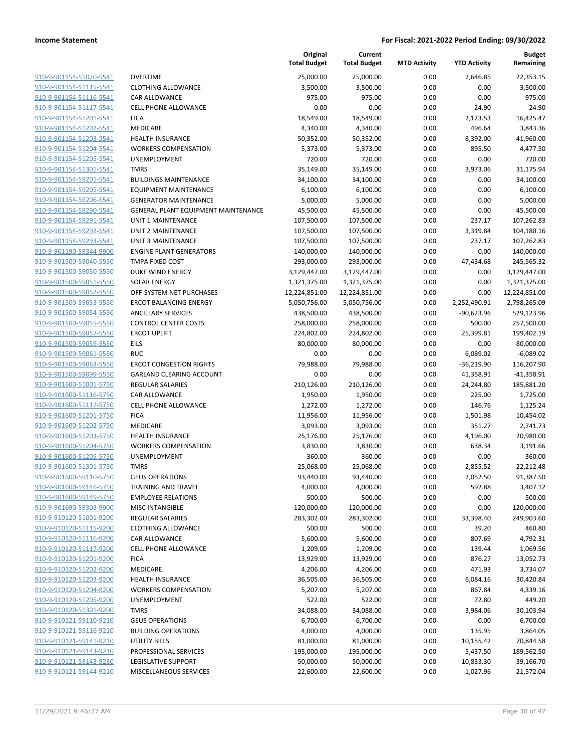|                         |                                     | Original<br><b>Total Budget</b> | Current<br><b>Total Budget</b> | <b>MTD Activity</b> | <b>YTD Activity</b> | <b>Budget</b><br>Remaining |
|-------------------------|-------------------------------------|---------------------------------|--------------------------------|---------------------|---------------------|----------------------------|
| 910-9-901154-51020-5541 | <b>OVERTIME</b>                     | 25,000.00                       | 25,000.00                      | 0.00                | 2,646.85            | 22,353.15                  |
| 910-9-901154-51115-5541 | <b>CLOTHING ALLOWANCE</b>           | 3,500.00                        | 3,500.00                       | 0.00                | 0.00                | 3,500.00                   |
| 910-9-901154-51116-5541 | CAR ALLOWANCE                       | 975.00                          | 975.00                         | 0.00                | 0.00                | 975.00                     |
| 910-9-901154-51117-5541 | <b>CELL PHONE ALLOWANCE</b>         | 0.00                            | 0.00                           | 0.00                | 24.90               | $-24.90$                   |
| 910-9-901154-51201-5541 | <b>FICA</b>                         | 18,549.00                       | 18,549.00                      | 0.00                | 2,123.53            | 16,425.47                  |
| 910-9-901154-51202-5541 | MEDICARE                            | 4,340.00                        | 4,340.00                       | 0.00                | 496.64              | 3,843.36                   |
| 910-9-901154-51203-5541 | <b>HEALTH INSURANCE</b>             | 50,352.00                       | 50,352.00                      | 0.00                | 8,392.00            | 41,960.00                  |
| 910-9-901154-51204-5541 | <b>WORKERS COMPENSATION</b>         | 5,373.00                        | 5,373.00                       | 0.00                | 895.50              | 4,477.50                   |
| 910-9-901154-51205-5541 | <b>UNEMPLOYMENT</b>                 | 720.00                          | 720.00                         | 0.00                | 0.00                | 720.00                     |
| 910-9-901154-51301-5541 | <b>TMRS</b>                         | 35,149.00                       | 35,149.00                      | 0.00                | 3,973.06            | 31,175.94                  |
| 910-9-901154-59201-5541 | <b>BUILDINGS MAINTENANCE</b>        | 34,100.00                       | 34,100.00                      | 0.00                | 0.00                | 34,100.00                  |
| 910-9-901154-59205-5541 | <b>EQUIPMENT MAINTENANCE</b>        | 6,100.00                        | 6,100.00                       | 0.00                | 0.00                | 6,100.00                   |
| 910-9-901154-59206-5541 | <b>GENERATOR MAINTENANCE</b>        | 5,000.00                        | 5,000.00                       | 0.00                | 0.00                | 5,000.00                   |
| 910-9-901154-59290-5541 | GENERAL PLANT EQUIPMENT MAINTENANCE | 45,500.00                       | 45,500.00                      | 0.00                | 0.00                | 45,500.00                  |
| 910-9-901154-59291-5541 | UNIT 1 MAINTENANCE                  | 107,500.00                      | 107,500.00                     | 0.00                | 237.17              | 107,262.83                 |
| 910-9-901154-59292-5541 | <b>UNIT 2 MAINTENANCE</b>           | 107,500.00                      | 107,500.00                     | 0.00                | 3,319.84            | 104,180.16                 |
| 910-9-901154-59293-5541 | <b>UNIT 3 MAINTENANCE</b>           | 107,500.00                      | 107,500.00                     | 0.00                | 237.17              | 107,262.83                 |
| 910-9-901190-59344-9900 | <b>ENGINE PLANT GENERATORS</b>      | 140,000.00                      | 140,000.00                     | 0.00                | 0.00                | 140,000.00                 |
| 910-9-901500-59040-5550 | TMPA FIXED COST                     | 293,000.00                      | 293,000.00                     | 0.00                | 47,434.68           | 245,565.32                 |
| 910-9-901500-59050-5550 | <b>DUKE WIND ENERGY</b>             | 3,129,447.00                    | 3,129,447.00                   | 0.00                | 0.00                | 3,129,447.00               |
| 910-9-901500-59051-5550 | <b>SOLAR ENERGY</b>                 | 1,321,375.00                    | 1,321,375.00                   | 0.00                | 0.00                | 1,321,375.00               |
| 910-9-901500-59052-5550 | OFF-SYSTEM NET PURCHASES            | 12,224,851.00                   | 12,224,851.00                  | 0.00                | 0.00                | 12,224,851.00              |
| 910-9-901500-59053-5550 | <b>ERCOT BALANCING ENERGY</b>       | 5,050,756.00                    | 5,050,756.00                   | 0.00                | 2,252,490.91        | 2,798,265.09               |
| 910-9-901500-59054-5550 | <b>ANCILLARY SERVICES</b>           | 438,500.00                      | 438,500.00                     | 0.00                | -90,623.96          | 529,123.96                 |
| 910-9-901500-59055-5550 | <b>CONTROL CENTER COSTS</b>         | 258,000.00                      | 258,000.00                     | 0.00                | 500.00              | 257,500.00                 |
| 910-9-901500-59057-5550 | <b>ERCOT UPLIFT</b>                 | 224,802.00                      | 224,802.00                     | 0.00                | 25,399.81           | 199,402.19                 |
| 910-9-901500-59059-5550 | <b>EILS</b>                         | 80,000.00                       | 80,000.00                      | 0.00                | 0.00                | 80,000.00                  |
| 910-9-901500-59061-5550 | <b>RUC</b>                          | 0.00                            | 0.00                           | 0.00                | 6,089.02            | $-6,089.02$                |
| 910-9-901500-59063-5550 | <b>ERCOT CONGESTION RIGHTS</b>      | 79,988.00                       | 79,988.00                      | 0.00                | $-36,219.90$        | 116,207.90                 |
| 910-9-901500-59099-5550 | GARLAND CLEARING ACCOUNT            | 0.00                            | 0.00                           | 0.00                | 41,358.91           | $-41,358.91$               |
| 910-9-901600-51001-5750 | <b>REGULAR SALARIES</b>             | 210,126.00                      | 210,126.00                     | 0.00                | 24,244.80           | 185,881.20                 |
| 910-9-901600-51116-5750 | CAR ALLOWANCE                       | 1,950.00                        | 1,950.00                       | 0.00                | 225.00              | 1,725.00                   |
| 910-9-901600-51117-5750 | <b>CELL PHONE ALLOWANCE</b>         | 1,272.00                        | 1,272.00                       | 0.00                | 146.76              | 1,125.24                   |
| 910-9-901600-51201-5750 | <b>FICA</b>                         | 11,956.00                       | 11,956.00                      | 0.00                | 1,501.98            | 10,454.02                  |
| 910-9-901600-51202-5750 | MEDICARE                            | 3,093.00                        | 3,093.00                       | 0.00                | 351.27              | 2,741.73                   |
| 910-9-901600-51203-5750 | <b>HEALTH INSURANCE</b>             | 25,176.00                       | 25,176.00                      | 0.00                | 4,196.00            | 20,980.00                  |
| 910-9-901600-51204-5750 | <b>WORKERS COMPENSATION</b>         | 3,830.00                        | 3,830.00                       | 0.00                | 638.34              | 3,191.66                   |
| 910-9-901600-51205-5750 | UNEMPLOYMENT                        | 360.00                          | 360.00                         | 0.00                | 0.00                | 360.00                     |
| 910-9-901600-51301-5750 | <b>TMRS</b>                         | 25,068.00                       | 25,068.00                      | 0.00                | 2,855.52            | 22,212.48                  |
| 910-9-901600-59110-5750 | <b>GEUS OPERATIONS</b>              | 93,440.00                       | 93,440.00                      | 0.00                | 2,052.50            | 91,387.50                  |
| 910-9-901600-59146-5750 | TRAINING AND TRAVEL                 | 4,000.00                        | 4,000.00                       | 0.00                | 592.88              | 3,407.12                   |
| 910-9-901600-59149-5750 | <b>EMPLOYEE RELATIONS</b>           | 500.00                          | 500.00                         | 0.00                | 0.00                | 500.00                     |
| 910-9-901690-59303-9900 | <b>MISC INTANGIBLE</b>              | 120,000.00                      | 120,000.00                     | 0.00                | 0.00                | 120,000.00                 |
| 910-9-910120-51001-9200 | <b>REGULAR SALARIES</b>             | 283,302.00                      | 283,302.00                     | 0.00                | 33,398.40           | 249,903.60                 |
| 910-9-910120-51115-9200 | <b>CLOTHING ALLOWANCE</b>           | 500.00                          | 500.00                         | 0.00                | 39.20               | 460.80                     |
| 910-9-910120-51116-9200 | CAR ALLOWANCE                       | 5,600.00                        | 5,600.00                       | 0.00                | 807.69              | 4,792.31                   |
| 910-9-910120-51117-9200 | <b>CELL PHONE ALLOWANCE</b>         | 1,209.00                        | 1,209.00                       | 0.00                | 139.44              | 1,069.56                   |
| 910-9-910120-51201-9200 | <b>FICA</b>                         | 13,929.00                       | 13,929.00                      | 0.00                | 876.27              | 13,052.73                  |
| 910-9-910120-51202-9200 | MEDICARE                            | 4,206.00                        | 4,206.00                       | 0.00                | 471.93              | 3,734.07                   |
| 910-9-910120-51203-9200 | <b>HEALTH INSURANCE</b>             | 36,505.00                       | 36,505.00                      | 0.00                | 6,084.16            | 30,420.84                  |
| 910-9-910120-51204-9200 | <b>WORKERS COMPENSATION</b>         | 5,207.00                        | 5,207.00                       | 0.00                | 867.84              | 4,339.16                   |
| 910-9-910120-51205-9200 | UNEMPLOYMENT                        | 522.00                          | 522.00                         | 0.00                | 72.80               | 449.20                     |
| 910-9-910120-51301-9200 | <b>TMRS</b>                         | 34,088.00                       | 34,088.00                      | 0.00                | 3,984.06            | 30,103.94                  |
| 910-9-910121-59110-9210 | <b>GEUS OPERATIONS</b>              | 6,700.00                        | 6,700.00                       | 0.00                | 0.00                | 6,700.00                   |
| 910-9-910121-59116-9210 | <b>BUILDING OPERATIONS</b>          | 4,000.00                        | 4,000.00                       | 0.00                | 135.95              | 3,864.05                   |
| 910-9-910121-59141-9210 | <b>UTILITY BILLS</b>                | 81,000.00                       | 81,000.00                      | 0.00                | 10,155.42           | 70,844.58                  |
| 910-9-910121-59143-9210 | PROFESSIONAL SERVICES               | 195,000.00                      | 195,000.00                     | 0.00                | 5,437.50            | 189,562.50                 |
| 910-9-910121-59143-9230 | LEGISLATIVE SUPPORT                 | 50,000.00                       | 50,000.00                      | 0.00                | 10,833.30           | 39,166.70                  |
| 910-9-910121-59144-9210 | MISCELLANEOUS SERVICES              | 22,600.00                       | 22,600.00                      | 0.00                | 1,027.96            | 21,572.04                  |
|                         |                                     |                                 |                                |                     |                     |                            |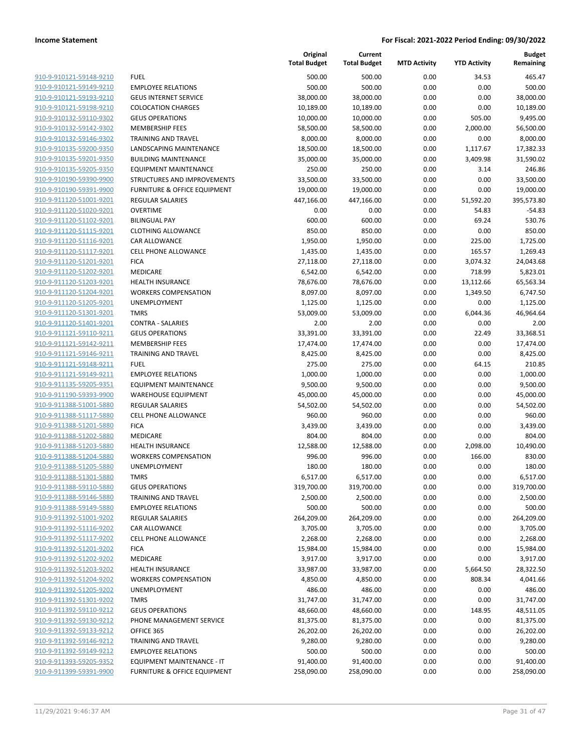|                                                    |                                                       | Original<br><b>Total Budget</b> | Current<br><b>Total Budget</b> | <b>MTD Activity</b> | <b>YTD Activity</b> | Budget<br>Remaining    |
|----------------------------------------------------|-------------------------------------------------------|---------------------------------|--------------------------------|---------------------|---------------------|------------------------|
| 910-9-910121-59148-9210                            | <b>FUEL</b>                                           | 500.00                          | 500.00                         | 0.00                | 34.53               | 465.47                 |
| 910-9-910121-59149-9210                            | <b>EMPLOYEE RELATIONS</b>                             | 500.00                          | 500.00                         | 0.00                | 0.00                | 500.00                 |
| 910-9-910121-59193-9210                            | <b>GEUS INTERNET SERVICE</b>                          | 38,000.00                       | 38,000.00                      | 0.00                | 0.00                | 38,000.00              |
| 910-9-910121-59198-9210                            | <b>COLOCATION CHARGES</b>                             | 10,189.00                       | 10,189.00                      | 0.00                | 0.00                | 10,189.00              |
| 910-9-910132-59110-9302                            | <b>GEUS OPERATIONS</b>                                | 10,000.00                       | 10,000.00                      | 0.00                | 505.00              | 9,495.00               |
| 910-9-910132-59142-9302                            | <b>MEMBERSHIP FEES</b>                                | 58,500.00                       | 58,500.00                      | 0.00                | 2,000.00            | 56,500.00              |
| 910-9-910132-59146-9302                            | <b>TRAINING AND TRAVEL</b>                            | 8,000.00                        | 8,000.00                       | 0.00                | 0.00                | 8,000.00               |
| 910-9-910135-59200-9350                            | LANDSCAPING MAINTENANCE                               | 18,500.00                       | 18,500.00                      | 0.00                | 1,117.67            | 17,382.33              |
| 910-9-910135-59201-9350                            | <b>BUILDING MAINTENANCE</b>                           | 35,000.00                       | 35,000.00                      | 0.00                | 3,409.98            | 31,590.02              |
| 910-9-910135-59205-9350                            | <b>EQUIPMENT MAINTENANCE</b>                          | 250.00                          | 250.00                         | 0.00                | 3.14                | 246.86                 |
| 910-9-910190-59390-9900                            | STRUCTURES AND IMPROVEMENTS                           | 33,500.00                       | 33,500.00                      | 0.00                | 0.00                | 33,500.00              |
| 910-9-910190-59391-9900                            | FURNITURE & OFFICE EQUIPMENT                          | 19,000.00                       | 19,000.00                      | 0.00                | 0.00                | 19,000.00              |
| 910-9-911120-51001-9201                            | <b>REGULAR SALARIES</b>                               | 447,166.00                      | 447,166.00                     | 0.00                | 51,592.20           | 395,573.80             |
| 910-9-911120-51020-9201                            | <b>OVERTIME</b>                                       | 0.00                            | 0.00                           | 0.00                | 54.83               | $-54.83$               |
| 910-9-911120-51102-9201                            | <b>BILINGUAL PAY</b>                                  | 600.00                          | 600.00                         | 0.00                | 69.24               | 530.76                 |
| 910-9-911120-51115-9201                            | <b>CLOTHING ALLOWANCE</b>                             | 850.00                          | 850.00                         | 0.00                | 0.00                | 850.00                 |
| 910-9-911120-51116-9201                            | CAR ALLOWANCE                                         | 1,950.00                        | 1,950.00                       | 0.00                | 225.00              | 1,725.00               |
| 910-9-911120-51117-9201                            | <b>CELL PHONE ALLOWANCE</b>                           | 1,435.00                        | 1,435.00                       | 0.00                | 165.57              | 1,269.43               |
| 910-9-911120-51201-9201                            | <b>FICA</b>                                           | 27,118.00                       | 27,118.00                      | 0.00                | 3,074.32            | 24,043.68              |
| 910-9-911120-51202-9201                            | MEDICARE                                              | 6,542.00                        | 6,542.00                       | 0.00                | 718.99              | 5,823.01               |
| 910-9-911120-51203-9201                            | <b>HEALTH INSURANCE</b>                               | 78,676.00                       | 78,676.00                      | 0.00                | 13,112.66           | 65,563.34              |
| 910-9-911120-51204-9201                            | <b>WORKERS COMPENSATION</b>                           | 8,097.00                        | 8,097.00                       | 0.00                | 1,349.50            | 6,747.50               |
| 910-9-911120-51205-9201                            | UNEMPLOYMENT                                          | 1,125.00                        | 1,125.00                       | 0.00                | 0.00                | 1,125.00               |
| 910-9-911120-51301-9201                            | <b>TMRS</b>                                           | 53,009.00                       | 53,009.00                      | 0.00                | 6,044.36            | 46,964.64              |
| 910-9-911120-51401-9201                            | <b>CONTRA - SALARIES</b>                              | 2.00                            | 2.00                           | 0.00                | 0.00                | 2.00                   |
| 910-9-911121-59110-9211                            | <b>GEUS OPERATIONS</b>                                | 33,391.00                       | 33,391.00                      | 0.00                | 22.49               | 33,368.51              |
| 910-9-911121-59142-9211                            | <b>MEMBERSHIP FEES</b>                                | 17,474.00                       | 17,474.00                      | 0.00                | 0.00                | 17,474.00              |
| 910-9-911121-59146-9211                            | <b>TRAINING AND TRAVEL</b>                            | 8,425.00                        | 8,425.00                       | 0.00                | 0.00                | 8,425.00               |
| 910-9-911121-59148-9211                            | <b>FUEL</b>                                           | 275.00                          | 275.00                         | 0.00                | 64.15               | 210.85                 |
| 910-9-911121-59149-9211                            | <b>EMPLOYEE RELATIONS</b>                             | 1,000.00                        | 1,000.00                       | 0.00                | 0.00                | 1,000.00               |
| 910-9-911135-59205-9351<br>910-9-911190-59393-9900 | EQUIPMENT MAINTENANCE                                 | 9,500.00                        | 9,500.00                       | 0.00                | 0.00<br>0.00        | 9,500.00               |
| 910-9-911388-51001-5880                            | <b>WAREHOUSE EQUIPMENT</b><br><b>REGULAR SALARIES</b> | 45,000.00                       | 45,000.00                      | 0.00<br>0.00        | 0.00                | 45,000.00<br>54,502.00 |
| 910-9-911388-51117-5880                            | CELL PHONE ALLOWANCE                                  | 54,502.00<br>960.00             | 54,502.00<br>960.00            | 0.00                | 0.00                | 960.00                 |
| 910-9-911388-51201-5880                            | <b>FICA</b>                                           | 3,439.00                        | 3,439.00                       | 0.00                | 0.00                | 3,439.00               |
| 910-9-911388-51202-5880                            | MEDICARE                                              | 804.00                          | 804.00                         | 0.00                | 0.00                | 804.00                 |
| 910-9-911388-51203-5880                            | <b>HEALTH INSURANCE</b>                               | 12,588.00                       | 12,588.00                      | 0.00                | 2,098.00            | 10,490.00              |
| 910-9-911388-51204-5880                            | <b>WORKERS COMPENSATION</b>                           | 996.00                          | 996.00                         | 0.00                | 166.00              | 830.00                 |
| 910-9-911388-51205-5880                            | UNEMPLOYMENT                                          | 180.00                          | 180.00                         | 0.00                | 0.00                | 180.00                 |
| 910-9-911388-51301-5880                            | <b>TMRS</b>                                           | 6,517.00                        | 6,517.00                       | 0.00                | 0.00                | 6,517.00               |
| 910-9-911388-59110-5880                            | <b>GEUS OPERATIONS</b>                                | 319,700.00                      | 319,700.00                     | 0.00                | 0.00                | 319,700.00             |
| 910-9-911388-59146-5880                            | <b>TRAINING AND TRAVEL</b>                            | 2,500.00                        | 2,500.00                       | 0.00                | 0.00                | 2,500.00               |
| 910-9-911388-59149-5880                            | <b>EMPLOYEE RELATIONS</b>                             | 500.00                          | 500.00                         | 0.00                | 0.00                | 500.00                 |
| 910-9-911392-51001-9202                            | REGULAR SALARIES                                      | 264,209.00                      | 264,209.00                     | 0.00                | 0.00                | 264,209.00             |
| 910-9-911392-51116-9202                            | CAR ALLOWANCE                                         | 3,705.00                        | 3,705.00                       | 0.00                | 0.00                | 3,705.00               |
| 910-9-911392-51117-9202                            | CELL PHONE ALLOWANCE                                  | 2,268.00                        | 2,268.00                       | 0.00                | 0.00                | 2,268.00               |
| 910-9-911392-51201-9202                            | <b>FICA</b>                                           | 15,984.00                       | 15,984.00                      | 0.00                | 0.00                | 15,984.00              |
| 910-9-911392-51202-9202                            | MEDICARE                                              | 3,917.00                        | 3,917.00                       | 0.00                | 0.00                | 3,917.00               |
| 910-9-911392-51203-9202                            | <b>HEALTH INSURANCE</b>                               | 33,987.00                       | 33,987.00                      | 0.00                | 5,664.50            | 28,322.50              |
| 910-9-911392-51204-9202                            | <b>WORKERS COMPENSATION</b>                           | 4,850.00                        | 4,850.00                       | 0.00                | 808.34              | 4,041.66               |
| 910-9-911392-51205-9202                            | UNEMPLOYMENT                                          | 486.00                          | 486.00                         | 0.00                | 0.00                | 486.00                 |
| 910-9-911392-51301-9202                            | <b>TMRS</b>                                           | 31,747.00                       | 31,747.00                      | 0.00                | 0.00                | 31,747.00              |
| 910-9-911392-59110-9212                            | <b>GEUS OPERATIONS</b>                                | 48,660.00                       | 48,660.00                      | 0.00                | 148.95              | 48,511.05              |
| 910-9-911392-59130-9212                            | PHONE MANAGEMENT SERVICE                              | 81,375.00                       | 81,375.00                      | 0.00                | 0.00                | 81,375.00              |
| 910-9-911392-59133-9212                            | OFFICE 365                                            | 26,202.00                       | 26,202.00                      | 0.00                | 0.00                | 26,202.00              |
| 910-9-911392-59146-9212                            | TRAINING AND TRAVEL                                   | 9,280.00                        | 9,280.00                       | 0.00                | 0.00                | 9,280.00               |
| 910-9-911392-59149-9212                            | <b>EMPLOYEE RELATIONS</b>                             | 500.00                          | 500.00                         | 0.00                | 0.00                | 500.00                 |
| 910-9-911393-59205-9352                            | <b>EQUIPMENT MAINTENANCE - IT</b>                     | 91,400.00                       | 91,400.00                      | 0.00                | 0.00                | 91,400.00              |
| 910-9-911399-59391-9900                            | FURNITURE & OFFICE EQUIPMENT                          | 258,090.00                      | 258,090.00                     | 0.00                | 0.00                | 258,090.00             |
|                                                    |                                                       |                                 |                                |                     |                     |                        |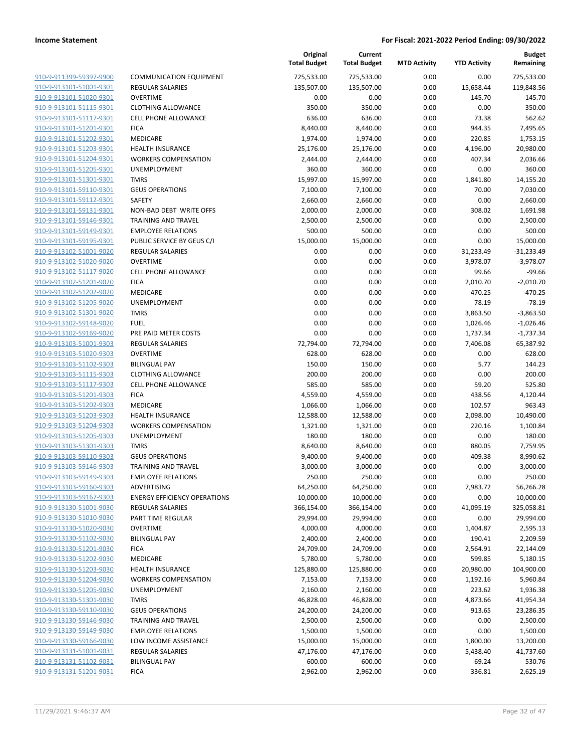| 910-9-911399-59397-9900        |
|--------------------------------|
| 910-9-913101-51001-9301        |
| 910-9-913101-51020-9301        |
| 910-9-913101-51115-9301        |
| <u>910-9-913101-51117-9301</u> |
| 910-9-913101-51201-9301        |
| 910-9-913101-51202-9301        |
| 910-9-913101-51203-9301        |
| 910-9-913101-51204-9301        |
| 910-9-913101-51205-9301        |
| 910-9-913101-51301-9301        |
| 910-9-913101-59110-9301        |
| 910-9-913101-59112-9301        |
| 910-9-913101-59131-9301        |
| <u>910-9-913101-59146-9301</u> |
| 910-9-913101-59149-9301        |
| 910-9-913101-59195-9301        |
| 910-9-913102-51001-9020        |
| 910-9-913102-51020-9020        |
| 910-9-913102-51117-9020        |
| 910-9-913102-51201-9020        |
| 910-9-913102-51202-9020        |
| 910-9-913102-51205-9020        |
| 910-9-913102-51301-9020        |
| 910-9-913102-59148-9020        |
| 910-9-913102-59169-9020        |
| 910-9-913103-51001-9303        |
| 910-9-913103-51020-9303        |
| 910-9-913103-51102-9303        |
| 910-9-913103-51115-9303        |
| 910-9-913103-51117-9303        |
| 910-9-913103-51201-9303        |
| 910-9-913103-51202-9303        |
| 910-9-913103-51203-9303        |
| 910-9-913103-51204-9303        |
| 910-9-913103-51205-9303        |
| 910-9-913103-51301-9303        |
| 910-9-913103-59110-9303        |
| 910-9-913103-59146-9303        |
| 910-9-913103-59149-9303        |
| 910-9-913103-59160-9303        |
| 910-9-913103-59167-9303        |
| 910-9-913130-51001-9030        |
| 910-9-913130-51010-9030        |
| 910-9-913130-51020-9030        |
| 910-9-913130-51102-9030        |
| 910-9-913130-51201-9030        |
| 910-9-913130-51202-9030        |
| 910-9-913130-51203-9030        |
| 910-9-913130-51204-9030        |
| 910-9-913130-51205-9030        |
| 910-9-913130-51301-9030        |
| 910-9-913130-59110-9030        |
| 910-9-913130-59146-9030        |
| 910-9-913130-59149-9030        |
| 910-9-913130-59166-9030        |
| 910-9-913131-51001-9031        |
| 910-9-913131-51102-9031        |
| 910-9-913131-51201-9031        |
|                                |

|                                                    |                                     | Original<br><b>Total Budget</b> | Current<br><b>Total Budget</b> | <b>MTD Activity</b> | <b>YTD Activity</b>  | <b>Budget</b><br>Remaining |
|----------------------------------------------------|-------------------------------------|---------------------------------|--------------------------------|---------------------|----------------------|----------------------------|
| 910-9-911399-59397-9900                            | <b>COMMUNICATION EQUIPMENT</b>      | 725,533.00                      | 725,533.00                     | 0.00                | 0.00                 | 725,533.00                 |
| 910-9-913101-51001-9301                            | <b>REGULAR SALARIES</b>             | 135,507.00                      | 135,507.00                     | 0.00                | 15,658.44            | 119,848.56                 |
| 910-9-913101-51020-9301                            | <b>OVERTIME</b>                     | 0.00                            | 0.00                           | 0.00                | 145.70               | $-145.70$                  |
| 910-9-913101-51115-9301                            | <b>CLOTHING ALLOWANCE</b>           | 350.00                          | 350.00                         | 0.00                | 0.00                 | 350.00                     |
| 910-9-913101-51117-9301                            | <b>CELL PHONE ALLOWANCE</b>         | 636.00                          | 636.00                         | 0.00                | 73.38                | 562.62                     |
| 910-9-913101-51201-9301                            | <b>FICA</b>                         | 8,440.00                        | 8,440.00                       | 0.00                | 944.35               | 7,495.65                   |
| 910-9-913101-51202-9301                            | MEDICARE                            | 1,974.00                        | 1,974.00                       | 0.00                | 220.85               | 1,753.15                   |
| 910-9-913101-51203-9301                            | <b>HEALTH INSURANCE</b>             | 25,176.00                       | 25,176.00                      | 0.00                | 4,196.00             | 20,980.00                  |
| 910-9-913101-51204-9301                            | <b>WORKERS COMPENSATION</b>         | 2,444.00                        | 2,444.00                       | 0.00                | 407.34               | 2,036.66                   |
| 910-9-913101-51205-9301                            | UNEMPLOYMENT                        | 360.00                          | 360.00                         | 0.00                | 0.00                 | 360.00                     |
| 910-9-913101-51301-9301                            | <b>TMRS</b>                         | 15,997.00                       | 15,997.00                      | 0.00                | 1,841.80             | 14,155.20                  |
| 910-9-913101-59110-9301                            | <b>GEUS OPERATIONS</b>              | 7,100.00                        | 7,100.00                       | 0.00                | 70.00                | 7,030.00                   |
| 910-9-913101-59112-9301                            | <b>SAFETY</b>                       | 2,660.00                        | 2,660.00                       | 0.00                | 0.00                 | 2,660.00                   |
| 910-9-913101-59131-9301                            | NON-BAD DEBT WRITE OFFS             | 2,000.00                        | 2,000.00                       | 0.00                | 308.02               | 1,691.98                   |
| 910-9-913101-59146-9301                            | <b>TRAINING AND TRAVEL</b>          | 2,500.00                        | 2,500.00                       | 0.00                | 0.00                 | 2,500.00                   |
| 910-9-913101-59149-9301                            | <b>EMPLOYEE RELATIONS</b>           | 500.00                          | 500.00                         | 0.00                | 0.00                 | 500.00                     |
| 910-9-913101-59195-9301                            | PUBLIC SERVICE BY GEUS C/I          | 15,000.00                       | 15,000.00                      | 0.00                | 0.00                 | 15,000.00                  |
| 910-9-913102-51001-9020                            | <b>REGULAR SALARIES</b>             | 0.00                            | 0.00                           | 0.00                | 31,233.49            | $-31,233.49$               |
| 910-9-913102-51020-9020                            | <b>OVERTIME</b>                     | 0.00                            | 0.00                           | 0.00                | 3,978.07             | $-3,978.07$                |
| 910-9-913102-51117-9020                            | <b>CELL PHONE ALLOWANCE</b>         | 0.00                            | 0.00                           | 0.00                | 99.66                | $-99.66$                   |
| 910-9-913102-51201-9020                            | <b>FICA</b>                         | 0.00                            | 0.00                           | 0.00                | 2,010.70             | $-2,010.70$                |
| 910-9-913102-51202-9020                            | MEDICARE                            | 0.00                            | 0.00                           | 0.00                | 470.25               | $-470.25$                  |
| 910-9-913102-51205-9020<br>910-9-913102-51301-9020 | UNEMPLOYMENT                        | 0.00                            | 0.00                           | 0.00                | 78.19                | $-78.19$                   |
|                                                    | <b>TMRS</b><br><b>FUEL</b>          | 0.00                            | 0.00                           | 0.00                | 3,863.50             | $-3,863.50$                |
| 910-9-913102-59148-9020<br>910-9-913102-59169-9020 | PRE PAID METER COSTS                | 0.00<br>0.00                    | 0.00<br>0.00                   | 0.00<br>0.00        | 1,026.46<br>1,737.34 | $-1,026.46$<br>$-1,737.34$ |
| 910-9-913103-51001-9303                            | <b>REGULAR SALARIES</b>             | 72,794.00                       | 72,794.00                      | 0.00                | 7,406.08             | 65,387.92                  |
| 910-9-913103-51020-9303                            | <b>OVERTIME</b>                     | 628.00                          | 628.00                         | 0.00                | 0.00                 | 628.00                     |
| 910-9-913103-51102-9303                            | <b>BILINGUAL PAY</b>                | 150.00                          | 150.00                         | 0.00                | 5.77                 | 144.23                     |
| 910-9-913103-51115-9303                            | <b>CLOTHING ALLOWANCE</b>           | 200.00                          | 200.00                         | 0.00                | 0.00                 | 200.00                     |
| 910-9-913103-51117-9303                            | <b>CELL PHONE ALLOWANCE</b>         | 585.00                          | 585.00                         | 0.00                | 59.20                | 525.80                     |
| 910-9-913103-51201-9303                            | <b>FICA</b>                         | 4,559.00                        | 4,559.00                       | 0.00                | 438.56               | 4,120.44                   |
| 910-9-913103-51202-9303                            | MEDICARE                            | 1,066.00                        | 1,066.00                       | 0.00                | 102.57               | 963.43                     |
| 910-9-913103-51203-9303                            | <b>HEALTH INSURANCE</b>             | 12,588.00                       | 12,588.00                      | 0.00                | 2,098.00             | 10,490.00                  |
| 910-9-913103-51204-9303                            | <b>WORKERS COMPENSATION</b>         | 1,321.00                        | 1,321.00                       | 0.00                | 220.16               | 1,100.84                   |
| 910-9-913103-51205-9303                            | UNEMPLOYMENT                        | 180.00                          | 180.00                         | 0.00                | 0.00                 | 180.00                     |
| 910-9-913103-51301-9303                            | <b>TMRS</b>                         | 8,640.00                        | 8,640.00                       | 0.00                | 880.05               | 7,759.95                   |
| 910-9-913103-59110-9303                            | <b>GEUS OPERATIONS</b>              | 9,400.00                        | 9,400.00                       | 0.00                | 409.38               | 8,990.62                   |
| 910-9-913103-59146-9303                            | <b>TRAINING AND TRAVEL</b>          | 3,000.00                        | 3,000.00                       | 0.00                | 0.00                 | 3,000.00                   |
| 910-9-913103-59149-9303                            | <b>EMPLOYEE RELATIONS</b>           | 250.00                          | 250.00                         | 0.00                | 0.00                 | 250.00                     |
| 910-9-913103-59160-9303                            | <b>ADVERTISING</b>                  | 64,250.00                       | 64,250.00                      | 0.00                | 7,983.72             | 56,266.28                  |
| 910-9-913103-59167-9303                            | <b>ENERGY EFFICIENCY OPERATIONS</b> | 10,000.00                       | 10,000.00                      | 0.00                | 0.00                 | 10,000.00                  |
| 910-9-913130-51001-9030                            | REGULAR SALARIES                    | 366,154.00                      | 366,154.00                     | 0.00                | 41,095.19            | 325,058.81                 |
| 910-9-913130-51010-9030                            | PART TIME REGULAR                   | 29,994.00                       | 29,994.00                      | 0.00                | 0.00                 | 29,994.00                  |
| 910-9-913130-51020-9030                            | <b>OVERTIME</b>                     | 4,000.00                        | 4,000.00                       | 0.00                | 1,404.87             | 2,595.13                   |
| 910-9-913130-51102-9030                            | <b>BILINGUAL PAY</b>                | 2,400.00                        | 2,400.00                       | 0.00                | 190.41               | 2,209.59                   |
| 910-9-913130-51201-9030                            | <b>FICA</b>                         | 24,709.00                       | 24,709.00                      | 0.00                | 2,564.91             | 22,144.09                  |
| 910-9-913130-51202-9030                            | MEDICARE                            | 5,780.00                        | 5,780.00                       | 0.00                | 599.85               | 5,180.15                   |
| 910-9-913130-51203-9030                            | <b>HEALTH INSURANCE</b>             | 125,880.00                      | 125,880.00                     | 0.00                | 20,980.00            | 104,900.00                 |
| 910-9-913130-51204-9030                            | <b>WORKERS COMPENSATION</b>         | 7,153.00                        | 7,153.00                       | 0.00                | 1,192.16             | 5,960.84                   |
| 910-9-913130-51205-9030                            | UNEMPLOYMENT                        | 2,160.00                        | 2,160.00                       | 0.00                | 223.62               | 1,936.38                   |
| 910-9-913130-51301-9030                            | <b>TMRS</b>                         | 46,828.00                       | 46,828.00                      | 0.00                | 4,873.66             | 41,954.34                  |
| 910-9-913130-59110-9030                            | <b>GEUS OPERATIONS</b>              | 24,200.00                       | 24,200.00                      | 0.00                | 913.65               | 23,286.35                  |
| 910-9-913130-59146-9030                            | TRAINING AND TRAVEL                 | 2,500.00                        | 2,500.00                       | 0.00                | 0.00                 | 2,500.00                   |
| 910-9-913130-59149-9030                            | <b>EMPLOYEE RELATIONS</b>           | 1,500.00                        | 1,500.00                       | 0.00                | 0.00                 | 1,500.00                   |
| 910-9-913130-59166-9030                            | LOW INCOME ASSISTANCE               | 15,000.00                       | 15,000.00                      | 0.00                | 1,800.00             | 13,200.00                  |
| 910-9-913131-51001-9031                            | REGULAR SALARIES                    | 47,176.00                       | 47,176.00                      | 0.00                | 5,438.40             | 41,737.60                  |
| 910-9-913131-51102-9031                            | <b>BILINGUAL PAY</b>                | 600.00                          | 600.00                         | 0.00                | 69.24                | 530.76                     |
| 910-9-913131-51201-9031                            | <b>FICA</b>                         | 2,962.00                        | 2,962.00                       | 0.00                | 336.81               | 2,625.19                   |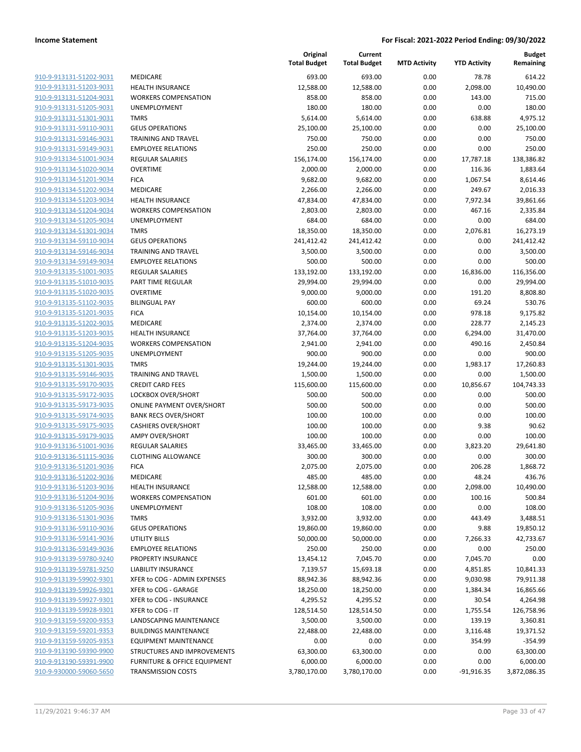**Current**

**Original**

**MTD Activity YTD Activity**

**Budget Remaining**

| 910-9-913131-51202-9031        |
|--------------------------------|
| 910-9-913131-51203-9031        |
| 910-9-913131-51204-9031        |
| 910-9-913131-51205-9031        |
| <u>910-9-913131-51301-9031</u> |
| <u>910-9-913131-59110-9031</u> |
| 910-9-913131-59146-9031        |
| 910-9-913131-59149-9031        |
| 910-9-913134-51001-9034        |
| <u>910-9-913134-51020-9034</u> |
| 910-9-913134-51201-9034        |
|                                |
| 910-9-913134-51202-9034        |
| 910-9-913134-51203-9034        |
| 910-9-913134-51204-9034        |
| <u>910-9-913134-51205-9034</u> |
| <u>910-9-913134-51301-9034</u> |
| 910-9-913134-59110-9034        |
| 910-9-913134-59146-9034        |
| 910-9-913134-59149-9034        |
| 910-9-913135-51001-9035        |
| <u>910-9-913135-51010-9035</u> |
| 910-9-913135-51020-9035        |
| 910-9-913135-51102-9035        |
| 910-9-913135-51201-9035        |
| <u>910-9-913135-51202-9035</u> |
| <u>910-9-913135-51203-9035</u> |
| 910-9-913135-51204-9035        |
|                                |
| 910-9-913135-51205-9035        |
| 910-9-913135-51301-9035        |
| <u>910-9-913135-59146-9035</u> |
| <u>910-9-913135-59170-9035</u> |
| 910-9-913135-59172-9035        |
| 910-9-913135-59173-9035        |
| 910-9-913135-59174-9035        |
| <u>910-9-913135-59175-9035</u> |
| 910-9-913135-59179-9035        |
| 910-9-913136-51001-9036        |
| 910-9-913136-51115-9036        |
| 910-9-913136-51201-9036        |
| 910-9-913136-51202-9036        |
| <u>910-9-913136-51203-9036</u> |
|                                |
| <u>910-9-913136-51204-9036</u> |
| 910-9-913136-51205-9036        |
| <u>910-9-913136-51301-9036</u> |
| <u>910-9-913136-59110-9036</u> |
| <u>910-9-913136-59141-9036</u> |
| <u>910-9-913136-59149-9036</u> |
| 910-9-913139-59780-9240        |
| 910-9-913139-59781-9250        |
| <u>910-9-913139-59902-9301</u> |
| <u>910-9-913139-59926-9301</u> |
| 910-9-913139-59927-9301        |
| 910-9-913139-59928-9301        |
| 910-9-913159-59200-9353        |
| 910-9-913159-59201-9353        |
| <u>910-9-913159-59205-9353</u> |
|                                |
| <u>910-9-913190-59390-9900</u> |
| <u>910-9-913190-59391-9900</u> |
| 910-9-930000-59060-5650        |

|                         |                                  | <b>Total Budget</b> | <b>Total Budget</b> | <b>MTD Activity</b> | <b>YTD Activity</b> | Remaining    |
|-------------------------|----------------------------------|---------------------|---------------------|---------------------|---------------------|--------------|
| 910-9-913131-51202-9031 | MEDICARE                         | 693.00              | 693.00              | 0.00                | 78.78               | 614.22       |
| 910-9-913131-51203-9031 | <b>HEALTH INSURANCE</b>          | 12,588.00           | 12,588.00           | 0.00                | 2,098.00            | 10,490.00    |
| 910-9-913131-51204-9031 | <b>WORKERS COMPENSATION</b>      | 858.00              | 858.00              | 0.00                | 143.00              | 715.00       |
| 910-9-913131-51205-9031 | <b>UNEMPLOYMENT</b>              | 180.00              | 180.00              | 0.00                | 0.00                | 180.00       |
| 910-9-913131-51301-9031 | <b>TMRS</b>                      | 5,614.00            | 5,614.00            | 0.00                | 638.88              | 4,975.12     |
| 910-9-913131-59110-9031 | <b>GEUS OPERATIONS</b>           | 25,100.00           | 25,100.00           | 0.00                | 0.00                | 25,100.00    |
| 910-9-913131-59146-9031 | TRAINING AND TRAVEL              | 750.00              | 750.00              | 0.00                | 0.00                | 750.00       |
| 910-9-913131-59149-9031 | <b>EMPLOYEE RELATIONS</b>        | 250.00              | 250.00              | 0.00                | 0.00                | 250.00       |
| 910-9-913134-51001-9034 | <b>REGULAR SALARIES</b>          | 156,174.00          | 156,174.00          | 0.00                | 17,787.18           | 138,386.82   |
| 910-9-913134-51020-9034 | <b>OVERTIME</b>                  | 2,000.00            | 2,000.00            | 0.00                | 116.36              | 1,883.64     |
| 910-9-913134-51201-9034 | <b>FICA</b>                      | 9,682.00            | 9,682.00            | 0.00                | 1,067.54            | 8,614.46     |
| 910-9-913134-51202-9034 | MEDICARE                         | 2,266.00            | 2,266.00            | 0.00                | 249.67              | 2,016.33     |
| 910-9-913134-51203-9034 | <b>HEALTH INSURANCE</b>          | 47,834.00           | 47,834.00           | 0.00                | 7,972.34            | 39,861.66    |
| 910-9-913134-51204-9034 | <b>WORKERS COMPENSATION</b>      | 2,803.00            | 2,803.00            | 0.00                | 467.16              | 2,335.84     |
| 910-9-913134-51205-9034 | UNEMPLOYMENT                     | 684.00              | 684.00              | 0.00                | 0.00                | 684.00       |
| 910-9-913134-51301-9034 | <b>TMRS</b>                      | 18,350.00           | 18,350.00           | 0.00                | 2,076.81            | 16,273.19    |
| 910-9-913134-59110-9034 | <b>GEUS OPERATIONS</b>           | 241,412.42          | 241,412.42          | 0.00                | 0.00                | 241,412.42   |
| 910-9-913134-59146-9034 | TRAINING AND TRAVEL              | 3,500.00            | 3,500.00            | 0.00                | 0.00                | 3,500.00     |
| 910-9-913134-59149-9034 | <b>EMPLOYEE RELATIONS</b>        | 500.00              | 500.00              | 0.00                | 0.00                | 500.00       |
| 910-9-913135-51001-9035 | <b>REGULAR SALARIES</b>          | 133,192.00          | 133,192.00          | 0.00                | 16,836.00           | 116,356.00   |
| 910-9-913135-51010-9035 | PART TIME REGULAR                | 29,994.00           | 29,994.00           | 0.00                | 0.00                | 29,994.00    |
| 910-9-913135-51020-9035 | <b>OVERTIME</b>                  | 9,000.00            | 9,000.00            | 0.00                | 191.20              | 8,808.80     |
| 910-9-913135-51102-9035 | <b>BILINGUAL PAY</b>             | 600.00              | 600.00              | 0.00                | 69.24               | 530.76       |
| 910-9-913135-51201-9035 | <b>FICA</b>                      | 10,154.00           | 10,154.00           | 0.00                | 978.18              | 9,175.82     |
| 910-9-913135-51202-9035 | MEDICARE                         | 2,374.00            | 2,374.00            | 0.00                | 228.77              | 2,145.23     |
| 910-9-913135-51203-9035 | <b>HEALTH INSURANCE</b>          | 37,764.00           | 37,764.00           | 0.00                | 6,294.00            | 31,470.00    |
| 910-9-913135-51204-9035 | <b>WORKERS COMPENSATION</b>      | 2,941.00            | 2,941.00            | 0.00                | 490.16              | 2,450.84     |
| 910-9-913135-51205-9035 | UNEMPLOYMENT                     | 900.00              | 900.00              | 0.00                | 0.00                | 900.00       |
| 910-9-913135-51301-9035 | <b>TMRS</b>                      | 19,244.00           | 19,244.00           | 0.00                | 1,983.17            | 17,260.83    |
| 910-9-913135-59146-9035 | TRAINING AND TRAVEL              | 1,500.00            | 1,500.00            | 0.00                | 0.00                | 1,500.00     |
| 910-9-913135-59170-9035 | <b>CREDIT CARD FEES</b>          | 115,600.00          | 115,600.00          | 0.00                | 10,856.67           | 104,743.33   |
| 910-9-913135-59172-9035 | LOCKBOX OVER/SHORT               | 500.00              | 500.00              | 0.00                | 0.00                | 500.00       |
| 910-9-913135-59173-9035 | <b>ONLINE PAYMENT OVER/SHORT</b> | 500.00              | 500.00              | 0.00                | 0.00                | 500.00       |
| 910-9-913135-59174-9035 | <b>BANK RECS OVER/SHORT</b>      | 100.00              | 100.00              | 0.00                | 0.00                | 100.00       |
| 910-9-913135-59175-9035 | <b>CASHIERS OVER/SHORT</b>       | 100.00              | 100.00              | 0.00                | 9.38                | 90.62        |
| 910-9-913135-59179-9035 | <b>AMPY OVER/SHORT</b>           | 100.00              | 100.00              | 0.00                | 0.00                | 100.00       |
| 910-9-913136-51001-9036 | <b>REGULAR SALARIES</b>          | 33,465.00           | 33,465.00           | 0.00                | 3,823.20            | 29,641.80    |
| 910-9-913136-51115-9036 | <b>CLOTHING ALLOWANCE</b>        | 300.00              | 300.00              | 0.00                | 0.00                | 300.00       |
| 910-9-913136-51201-9036 | <b>FICA</b>                      | 2,075.00            | 2,075.00            | 0.00                | 206.28              | 1,868.72     |
| 910-9-913136-51202-9036 | MEDICARE                         | 485.00              | 485.00              | 0.00                | 48.24               | 436.76       |
| 910-9-913136-51203-9036 | <b>HEALTH INSURANCE</b>          | 12,588.00           | 12,588.00           | 0.00                | 2,098.00            | 10,490.00    |
| 910-9-913136-51204-9036 | <b>WORKERS COMPENSATION</b>      | 601.00              | 601.00              | 0.00                | 100.16              | 500.84       |
| 910-9-913136-51205-9036 | UNEMPLOYMENT                     | 108.00              | 108.00              | 0.00                | 0.00                | 108.00       |
| 910-9-913136-51301-9036 | <b>TMRS</b>                      | 3,932.00            | 3,932.00            | 0.00                | 443.49              | 3,488.51     |
| 910-9-913136-59110-9036 | <b>GEUS OPERATIONS</b>           | 19,860.00           | 19,860.00           | 0.00                | 9.88                | 19,850.12    |
| 910-9-913136-59141-9036 | UTILITY BILLS                    | 50,000.00           | 50,000.00           | 0.00                | 7,266.33            | 42,733.67    |
| 910-9-913136-59149-9036 | <b>EMPLOYEE RELATIONS</b>        | 250.00              | 250.00              | 0.00                | 0.00                | 250.00       |
| 910-9-913139-59780-9240 | PROPERTY INSURANCE               | 13,454.12           | 7,045.70            | 0.00                | 7,045.70            | 0.00         |
| 910-9-913139-59781-9250 | <b>LIABILITY INSURANCE</b>       | 7,139.57            | 15,693.18           | 0.00                | 4,851.85            | 10,841.33    |
| 910-9-913139-59902-9301 | XFER to COG - ADMIN EXPENSES     | 88,942.36           | 88,942.36           | 0.00                | 9,030.98            | 79,911.38    |
| 910-9-913139-59926-9301 | XFER to COG - GARAGE             | 18,250.00           | 18,250.00           | 0.00                | 1,384.34            | 16,865.66    |
| 910-9-913139-59927-9301 | <b>XFER to COG - INSURANCE</b>   | 4,295.52            | 4,295.52            | 0.00                | 30.54               | 4,264.98     |
| 910-9-913139-59928-9301 | XFER to COG - IT                 | 128,514.50          | 128,514.50          | 0.00                | 1,755.54            | 126,758.96   |
| 910-9-913159-59200-9353 | LANDSCAPING MAINTENANCE          | 3,500.00            | 3,500.00            | 0.00                | 139.19              | 3,360.81     |
| 910-9-913159-59201-9353 | <b>BUILDINGS MAINTENANCE</b>     | 22,488.00           | 22,488.00           | 0.00                | 3,116.48            | 19,371.52    |
| 910-9-913159-59205-9353 | <b>EQUIPMENT MAINTENANCE</b>     | 0.00                | 0.00                | 0.00                | 354.99              | $-354.99$    |
| 910-9-913190-59390-9900 | STRUCTURES AND IMPROVEMENTS      | 63,300.00           | 63,300.00           | 0.00                | 0.00                | 63,300.00    |
| 910-9-913190-59391-9900 | FURNITURE & OFFICE EQUIPMENT     | 6,000.00            | 6,000.00            | 0.00                | 0.00                | 6,000.00     |
| 910-9-930000-59060-5650 | TRANSMISSION COSTS               | 3,780,170.00        | 3,780,170.00        | 0.00                | $-91,916.35$        | 3,872,086.35 |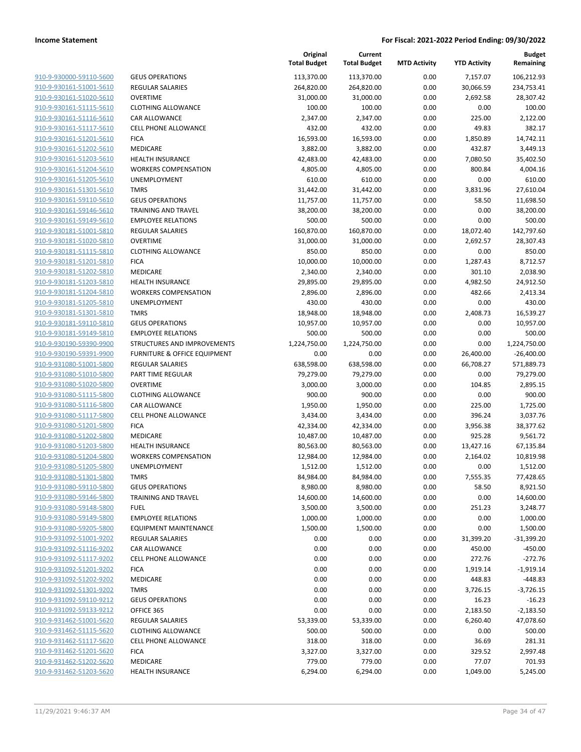| 910-9-930000-59110-5600        | GE             |
|--------------------------------|----------------|
| 910-9-930161-51001-5610        | RE             |
| 910-9-930161-51020-5610        | OV             |
| 910-9-930161-51115-5610        | <b>CL</b>      |
| 910-9-930161-51116-5610        | СA             |
| 910-9-930161-51117-5610        | CEI            |
| 910-9-930161-51201-5610        | <b>FIC</b>     |
| 910-9-930161-51202-5610        | ME             |
| 910-9-930161-51203-5610        | HE             |
|                                | W(             |
| 910-9-930161-51204-5610        |                |
| 910-9-930161-51205-5610        | UN             |
| 910-9-930161-51301-5610        | TM             |
| 910-9-930161-59110-5610        | GE             |
| 910-9-930161-59146-5610        | TR.            |
| 910-9-930161-59149-5610        | EM             |
| 910-9-930181-51001-5810        | RE             |
| 910-9-930181-51020-5810        | OV             |
| 910-9-930181-51115-5810        | <b>CL</b>      |
| 910-9-930181-51201-5810        | <b>FIC</b>     |
| 910-9-930181-51202-5810        | ME             |
| 910-9-930181-51203-5810        | HE             |
| 910-9-930181-51204-5810        | W(             |
| 910-9-930181-51205-5810        | UN             |
| 910-9-930181-51301-5810        | TM             |
| 910-9-930181-59110-5810        | GE             |
| 910-9-930181-59149-5810        | EM             |
| 910-9-930190-59390-9900        | STI            |
| 910-9-930190-59391-9900        | FU             |
| 910-9-931080-51001-5800        | RE             |
| 910-9-931080-51010-5800        | PA             |
| 910-9-931080-51020-5800        | OV             |
| 910-9-931080-51115-5800        | <b>CL</b>      |
| 910-9-931080-51116-5800        | CA             |
| 910-9-931080-51117-5800        | <b>CEI</b>     |
| 910-9-931080-51201-5800        | FIC            |
| 910-9-931080-51202-5800        | ME             |
| 910-9-931080-51203-5800        | HE             |
| 910-9-931080-51204-5800        | W <sub>0</sub> |
| 910-9-931080-51205-5800        | UN             |
| 910-9-931080-51301-5800        | TM             |
| 910-9-931080-59110-5800        | GЕ             |
| 910-9-931080-59146-5800        | TR.            |
| 910-9-931080-59148-5800        | FU             |
| 910-9-931080-59149-5800        | ΕM             |
| 910-9-931080-59205-5800        | EQ             |
| 910-9-931092-51001-9202        | RΕ             |
| 910-9-931092-51116-9202        | СA             |
| 910-9-931092-51117-9202        | CEI            |
| 910-9-931092-51201-9202        | FIC            |
|                                | ME             |
| <u>910-9-931092-51202-9202</u> |                |
| 910-9-931092-51301-9202        | ΤM<br>GE       |
| 910-9-931092-59110-9212        |                |
| 910-9-931092-59133-9212        | OF             |
| 910-9-931462-51001-5620        | RΕ             |
| <u>910-9-931462-51115-5620</u> | CL             |
| 910-9-931462-51117-5620        | <b>CEI</b>     |
| 910-9-931462-51201-5620        | FIC            |
| 910-9-931462-51202-5620        | ME             |
| 910-9-931462-51203-5620        | НE             |
|                                |                |

|                         |                                         | Original<br><b>Total Budget</b> | Current<br><b>Total Budget</b> | <b>MTD Activity</b> | <b>YTD Activity</b> | <b>Budget</b><br>Remaining |
|-------------------------|-----------------------------------------|---------------------------------|--------------------------------|---------------------|---------------------|----------------------------|
| 910-9-930000-59110-5600 | <b>GEUS OPERATIONS</b>                  | 113,370.00                      | 113,370.00                     | 0.00                | 7,157.07            | 106,212.93                 |
| 910-9-930161-51001-5610 | <b>REGULAR SALARIES</b>                 | 264,820.00                      | 264,820.00                     | 0.00                | 30,066.59           | 234,753.41                 |
| 910-9-930161-51020-5610 | <b>OVERTIME</b>                         | 31,000.00                       | 31,000.00                      | 0.00                | 2,692.58            | 28,307.42                  |
| 910-9-930161-51115-5610 | <b>CLOTHING ALLOWANCE</b>               | 100.00                          | 100.00                         | 0.00                | 0.00                | 100.00                     |
| 910-9-930161-51116-5610 | <b>CAR ALLOWANCE</b>                    | 2,347.00                        | 2,347.00                       | 0.00                | 225.00              | 2,122.00                   |
| 910-9-930161-51117-5610 | <b>CELL PHONE ALLOWANCE</b>             | 432.00                          | 432.00                         | 0.00                | 49.83               | 382.17                     |
| 910-9-930161-51201-5610 | <b>FICA</b>                             | 16,593.00                       | 16,593.00                      | 0.00                | 1,850.89            | 14,742.11                  |
| 910-9-930161-51202-5610 | MEDICARE                                | 3,882.00                        | 3,882.00                       | 0.00                | 432.87              | 3,449.13                   |
| 910-9-930161-51203-5610 | <b>HEALTH INSURANCE</b>                 | 42,483.00                       | 42,483.00                      | 0.00                | 7,080.50            | 35,402.50                  |
| 910-9-930161-51204-5610 | <b>WORKERS COMPENSATION</b>             | 4,805.00                        | 4,805.00                       | 0.00                | 800.84              | 4,004.16                   |
| 910-9-930161-51205-5610 | UNEMPLOYMENT                            | 610.00                          | 610.00                         | 0.00                | 0.00                | 610.00                     |
| 910-9-930161-51301-5610 | <b>TMRS</b>                             | 31,442.00                       | 31,442.00                      | 0.00                | 3,831.96            | 27,610.04                  |
| 910-9-930161-59110-5610 | <b>GEUS OPERATIONS</b>                  | 11,757.00                       | 11,757.00                      | 0.00                | 58.50               | 11,698.50                  |
| 910-9-930161-59146-5610 | TRAINING AND TRAVEL                     | 38,200.00                       | 38,200.00                      | 0.00                | 0.00                | 38,200.00                  |
| 910-9-930161-59149-5610 | <b>EMPLOYEE RELATIONS</b>               | 500.00                          | 500.00                         | 0.00                | 0.00                | 500.00                     |
| 910-9-930181-51001-5810 | <b>REGULAR SALARIES</b>                 | 160,870.00                      | 160,870.00                     | 0.00                | 18,072.40           | 142,797.60                 |
| 910-9-930181-51020-5810 | <b>OVERTIME</b>                         | 31,000.00                       | 31,000.00                      | 0.00                | 2,692.57            | 28,307.43                  |
| 910-9-930181-51115-5810 | <b>CLOTHING ALLOWANCE</b>               | 850.00                          | 850.00                         | 0.00                | 0.00                | 850.00                     |
| 910-9-930181-51201-5810 | <b>FICA</b>                             | 10,000.00                       | 10,000.00                      | 0.00                | 1,287.43            | 8,712.57                   |
| 910-9-930181-51202-5810 | MEDICARE                                | 2,340.00                        | 2,340.00                       | 0.00                | 301.10              | 2,038.90                   |
| 910-9-930181-51203-5810 | <b>HEALTH INSURANCE</b>                 | 29,895.00                       | 29,895.00                      | 0.00                | 4,982.50            | 24,912.50                  |
| 910-9-930181-51204-5810 | <b>WORKERS COMPENSATION</b>             | 2,896.00                        | 2,896.00                       | 0.00                | 482.66              | 2,413.34                   |
| 910-9-930181-51205-5810 | UNEMPLOYMENT                            | 430.00                          | 430.00                         | 0.00                | 0.00                | 430.00                     |
| 910-9-930181-51301-5810 | <b>TMRS</b>                             | 18,948.00                       | 18,948.00                      | 0.00                | 2,408.73            | 16,539.27                  |
| 910-9-930181-59110-5810 | <b>GEUS OPERATIONS</b>                  | 10,957.00                       | 10,957.00                      | 0.00                | 0.00                | 10,957.00                  |
| 910-9-930181-59149-5810 | <b>EMPLOYEE RELATIONS</b>               | 500.00                          | 500.00                         | 0.00                | 0.00                | 500.00                     |
| 910-9-930190-59390-9900 | STRUCTURES AND IMPROVEMENTS             | 1,224,750.00                    | 1,224,750.00                   | 0.00                | 0.00                | 1,224,750.00               |
| 910-9-930190-59391-9900 | <b>FURNITURE &amp; OFFICE EQUIPMENT</b> | 0.00                            | 0.00                           | 0.00                | 26,400.00           | $-26,400.00$               |
| 910-9-931080-51001-5800 | <b>REGULAR SALARIES</b>                 | 638,598.00                      | 638,598.00                     | 0.00                | 66,708.27           | 571,889.73                 |
| 910-9-931080-51010-5800 | PART TIME REGULAR                       | 79,279.00                       | 79,279.00                      | 0.00                | 0.00                | 79,279.00                  |
| 910-9-931080-51020-5800 | <b>OVERTIME</b>                         | 3,000.00                        | 3,000.00                       | 0.00                | 104.85              | 2,895.15                   |
| 910-9-931080-51115-5800 | <b>CLOTHING ALLOWANCE</b>               | 900.00                          | 900.00                         | 0.00                | 0.00                | 900.00                     |
| 910-9-931080-51116-5800 | CAR ALLOWANCE                           | 1,950.00                        | 1,950.00                       | 0.00                | 225.00              | 1,725.00                   |
| 910-9-931080-51117-5800 | CELL PHONE ALLOWANCE                    | 3,434.00                        | 3,434.00                       | 0.00                | 396.24              | 3,037.76                   |
| 910-9-931080-51201-5800 | <b>FICA</b>                             | 42,334.00                       | 42,334.00                      | 0.00                | 3,956.38            | 38,377.62                  |
| 910-9-931080-51202-5800 | MEDICARE                                | 10,487.00                       | 10,487.00                      | 0.00                | 925.28              | 9,561.72                   |
| 910-9-931080-51203-5800 | <b>HEALTH INSURANCE</b>                 | 80,563.00                       | 80,563.00                      | 0.00                | 13,427.16           | 67,135.84                  |
| 910-9-931080-51204-5800 | <b>WORKERS COMPENSATION</b>             | 12,984.00                       | 12,984.00                      | 0.00                | 2,164.02            | 10,819.98                  |
| 910-9-931080-51205-5800 | UNEMPLOYMENT                            | 1,512.00                        | 1,512.00                       | 0.00                | 0.00                | 1,512.00                   |
| 910-9-931080-51301-5800 | <b>TMRS</b>                             | 84,984.00                       | 84,984.00                      | 0.00                | 7,555.35            | 77,428.65                  |
| 910-9-931080-59110-5800 | <b>GEUS OPERATIONS</b>                  | 8,980.00                        | 8,980.00                       | 0.00                | 58.50               | 8,921.50                   |
| 910-9-931080-59146-5800 | <b>TRAINING AND TRAVEL</b>              | 14,600.00                       | 14,600.00                      | 0.00                | 0.00                | 14,600.00                  |
| 910-9-931080-59148-5800 | <b>FUEL</b>                             | 3,500.00                        | 3,500.00                       | 0.00                | 251.23              | 3,248.77                   |
| 910-9-931080-59149-5800 | <b>EMPLOYEE RELATIONS</b>               | 1,000.00                        | 1,000.00                       | 0.00                | 0.00                | 1,000.00                   |
| 910-9-931080-59205-5800 | EQUIPMENT MAINTENANCE                   | 1,500.00                        | 1,500.00                       | 0.00                | 0.00                | 1,500.00                   |
| 910-9-931092-51001-9202 | <b>REGULAR SALARIES</b>                 | 0.00                            | 0.00                           | 0.00                | 31,399.20           | $-31,399.20$               |
| 910-9-931092-51116-9202 | CAR ALLOWANCE                           | 0.00                            | 0.00                           | 0.00                | 450.00              | $-450.00$                  |
| 910-9-931092-51117-9202 | <b>CELL PHONE ALLOWANCE</b>             | 0.00                            | 0.00                           | 0.00                | 272.76              | $-272.76$                  |
| 910-9-931092-51201-9202 | <b>FICA</b>                             | 0.00                            | 0.00                           | 0.00                | 1,919.14            | $-1,919.14$                |
| 910-9-931092-51202-9202 | MEDICARE                                | 0.00                            | 0.00                           | 0.00                | 448.83              | $-448.83$                  |
| 910-9-931092-51301-9202 | <b>TMRS</b>                             | 0.00                            | 0.00                           | 0.00                | 3,726.15            | $-3,726.15$                |
| 910-9-931092-59110-9212 | <b>GEUS OPERATIONS</b>                  | 0.00                            | 0.00                           | 0.00                | 16.23               | $-16.23$                   |
| 910-9-931092-59133-9212 | OFFICE 365                              | 0.00                            | 0.00                           | 0.00                | 2,183.50            | $-2,183.50$                |
| 910-9-931462-51001-5620 | REGULAR SALARIES                        | 53,339.00                       | 53,339.00                      | 0.00                | 6,260.40            | 47,078.60                  |
| 910-9-931462-51115-5620 | <b>CLOTHING ALLOWANCE</b>               | 500.00                          | 500.00                         | 0.00                | 0.00                | 500.00                     |
| 910-9-931462-51117-5620 | <b>CELL PHONE ALLOWANCE</b>             | 318.00                          | 318.00                         | 0.00                | 36.69               | 281.31                     |
| 910-9-931462-51201-5620 | <b>FICA</b>                             | 3,327.00                        | 3,327.00                       | 0.00                | 329.52              | 2,997.48                   |
| 910-9-931462-51202-5620 | MEDICARE                                | 779.00                          | 779.00                         | 0.00                | 77.07               | 701.93                     |
| 910-9-931462-51203-5620 | <b>HEALTH INSURANCE</b>                 | 6,294.00                        | 6,294.00                       | 0.00                | 1,049.00            | 5,245.00                   |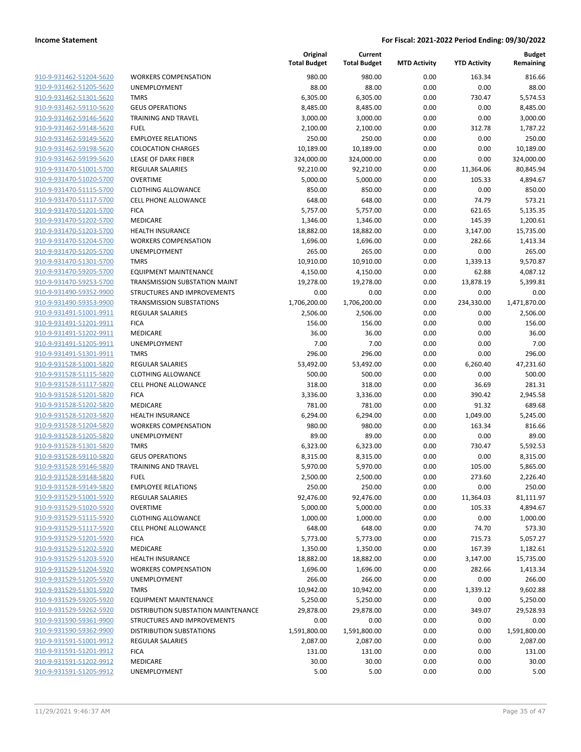| 910-9-931462-51204-5620 | ۷ |
|-------------------------|---|
| 910-9-931462-51205-5620 | U |
| 910-9-931462-51301-5620 | т |
| 910-9-931462-59110-5620 | G |
| 910-9-931462-59146-5620 | T |
| 910-9-931462-59148-5620 | F |
| 910-9-931462-59149-5620 | Ε |
| 910-9-931462-59198-5620 | C |
| 910-9-931462-59199-5620 | L |
| 910-9-931470-51001-5700 | R |
| 910-9-931470-51020-5700 | C |
| 910-9-931470-51115-5700 | C |
| 910-9-931470-51117-5700 | С |
| 910-9-931470-51201-5700 | F |
| 910-9-931470-51202-5700 | Ν |
| 910-9-931470-51203-5700 | Н |
| 910-9-931470-51204-5700 | ٧ |
|                         |   |
| 910-9-931470-51205-5700 | U |
| 910-9-931470-51301-5700 | Т |
| 910-9-931470-59205-5700 | Ε |
| 910-9-931470-59253-5700 | Т |
| 910-9-931490-59352-9900 | S |
| 910-9-931490-59353-9900 | т |
| 910-9-931491-51001-9911 | R |
| 910-9-931491-51201-9911 | F |
| 910-9-931491-51202-9911 | Ν |
| 910-9-931491-51205-9911 | U |
| 910-9-931491-51301-9911 | Т |
| 910-9-931528-51001-5820 | R |
| 910-9-931528-51115-5820 | С |
| 910-9-931528-51117-5820 | C |
| 910-9-931528-51201-5820 | F |
| 910-9-931528-51202-5820 | Ν |
| 910-9-931528-51203-5820 | Н |
| 910-9-931528-51204-5820 | ٧ |
| 910-9-931528-51205-5820 | U |
| 910-9-931528-51301-5820 | т |
| 910-9-931528-59110-5820 | G |
| 910-9-931528-59146-5820 | т |
| 910-9-931528-59148-5820 | F |
| 910-9-931528-59149-5820 | E |
| 910-9-931529-51001-5920 | R |
| 910-9-931529-51020-5920 | C |
| 910-9-931529-51115-5920 | C |
| 910-9-931529-51117-5920 | C |
| 910-9-931529-51201-5920 | F |
| 910-9-931529-51202-5920 | N |
| 910-9-931529-51203-5920 | Н |
| 910-9-931529-51204-5920 |   |
| 910-9-931529-51205-5920 | U |
| 910-9-931529-51301-5920 | Т |
| 910-9-931529-59205-5920 | Ε |
| 910-9-931529-59262-5920 | D |
| 910-9-931590-59361-9900 | S |
| 910-9-931590-59362-9900 | D |
| 910-9-931591-51001-9912 | R |
| 910-9-931591-51201-9912 | F |
| 910-9-931591-51202-9912 | Λ |
| 910-9-931591-51205-9912 | U |
|                         |   |

|                         |                                      | Original<br><b>Total Budget</b> | Current<br><b>Total Budget</b> | <b>MTD Activity</b> | <b>YTD Activity</b> | <b>Budget</b><br>Remaining |
|-------------------------|--------------------------------------|---------------------------------|--------------------------------|---------------------|---------------------|----------------------------|
| 910-9-931462-51204-5620 | <b>WORKERS COMPENSATION</b>          | 980.00                          | 980.00                         | 0.00                | 163.34              | 816.66                     |
| 910-9-931462-51205-5620 | UNEMPLOYMENT                         | 88.00                           | 88.00                          | 0.00                | 0.00                | 88.00                      |
| 910-9-931462-51301-5620 | <b>TMRS</b>                          | 6,305.00                        | 6,305.00                       | 0.00                | 730.47              | 5,574.53                   |
| 910-9-931462-59110-5620 | <b>GEUS OPERATIONS</b>               | 8,485.00                        | 8,485.00                       | 0.00                | 0.00                | 8,485.00                   |
| 910-9-931462-59146-5620 | <b>TRAINING AND TRAVEL</b>           | 3,000.00                        | 3,000.00                       | 0.00                | 0.00                | 3,000.00                   |
| 910-9-931462-59148-5620 | <b>FUEL</b>                          | 2,100.00                        | 2,100.00                       | 0.00                | 312.78              | 1,787.22                   |
| 910-9-931462-59149-5620 | <b>EMPLOYEE RELATIONS</b>            | 250.00                          | 250.00                         | 0.00                | 0.00                | 250.00                     |
| 910-9-931462-59198-5620 | <b>COLOCATION CHARGES</b>            | 10,189.00                       | 10,189.00                      | 0.00                | 0.00                | 10,189.00                  |
| 910-9-931462-59199-5620 | LEASE OF DARK FIBER                  | 324,000.00                      | 324,000.00                     | 0.00                | 0.00                | 324,000.00                 |
| 910-9-931470-51001-5700 | <b>REGULAR SALARIES</b>              | 92,210.00                       | 92,210.00                      | 0.00                | 11,364.06           | 80,845.94                  |
| 910-9-931470-51020-5700 | <b>OVERTIME</b>                      | 5,000.00                        | 5,000.00                       | 0.00                | 105.33              | 4,894.67                   |
| 910-9-931470-51115-5700 | <b>CLOTHING ALLOWANCE</b>            | 850.00                          | 850.00                         | 0.00                | 0.00                | 850.00                     |
| 910-9-931470-51117-5700 | <b>CELL PHONE ALLOWANCE</b>          | 648.00                          | 648.00                         | 0.00                | 74.79               | 573.21                     |
| 910-9-931470-51201-5700 | <b>FICA</b>                          | 5,757.00                        | 5,757.00                       | 0.00                | 621.65              | 5,135.35                   |
| 910-9-931470-51202-5700 | MEDICARE                             | 1,346.00                        | 1,346.00                       | 0.00                | 145.39              | 1,200.61                   |
| 910-9-931470-51203-5700 | <b>HEALTH INSURANCE</b>              | 18,882.00                       | 18,882.00                      | 0.00                | 3,147.00            | 15,735.00                  |
| 910-9-931470-51204-5700 | <b>WORKERS COMPENSATION</b>          | 1,696.00                        | 1,696.00                       | 0.00                | 282.66              | 1,413.34                   |
| 910-9-931470-51205-5700 | UNEMPLOYMENT                         | 265.00                          | 265.00                         | 0.00                | 0.00                | 265.00                     |
| 910-9-931470-51301-5700 | <b>TMRS</b>                          | 10,910.00                       | 10,910.00                      | 0.00                | 1,339.13            | 9,570.87                   |
| 910-9-931470-59205-5700 | <b>EQUIPMENT MAINTENANCE</b>         | 4,150.00                        | 4,150.00                       | 0.00                | 62.88               | 4,087.12                   |
| 910-9-931470-59253-5700 | <b>TRANSMISSION SUBSTATION MAINT</b> | 19,278.00                       | 19,278.00                      | 0.00                | 13,878.19           | 5.399.81                   |
| 910-9-931490-59352-9900 | <b>STRUCTURES AND IMPROVEMENTS</b>   | 0.00                            | 0.00                           | 0.00                | 0.00                | 0.00                       |
| 910-9-931490-59353-9900 | <b>TRANSMISSION SUBSTATIONS</b>      | 1,706,200.00                    | 1,706,200.00                   | 0.00                | 234,330.00          | 1,471,870.00               |
| 910-9-931491-51001-9911 | <b>REGULAR SALARIES</b>              | 2,506.00                        | 2,506.00                       | 0.00                | 0.00                | 2,506.00                   |
| 910-9-931491-51201-9911 | <b>FICA</b>                          | 156.00                          | 156.00                         | 0.00                | 0.00                | 156.00                     |
| 910-9-931491-51202-9911 | MEDICARE                             | 36.00                           | 36.00                          | 0.00                | 0.00                | 36.00                      |
| 910-9-931491-51205-9911 | UNEMPLOYMENT                         | 7.00                            | 7.00                           | 0.00                | 0.00                | 7.00                       |
| 910-9-931491-51301-9911 | <b>TMRS</b>                          | 296.00                          | 296.00                         | 0.00                | 0.00                | 296.00                     |
| 910-9-931528-51001-5820 | <b>REGULAR SALARIES</b>              | 53,492.00                       | 53,492.00                      | 0.00                | 6,260.40            | 47,231.60                  |
| 910-9-931528-51115-5820 | <b>CLOTHING ALLOWANCE</b>            | 500.00                          | 500.00                         | 0.00                | 0.00                | 500.00                     |
| 910-9-931528-51117-5820 | <b>CELL PHONE ALLOWANCE</b>          | 318.00                          | 318.00                         | 0.00                | 36.69               | 281.31                     |
| 910-9-931528-51201-5820 | <b>FICA</b>                          | 3,336.00                        | 3,336.00                       | 0.00                | 390.42              | 2,945.58                   |
| 910-9-931528-51202-5820 | MEDICARE                             | 781.00                          | 781.00                         | 0.00                | 91.32               | 689.68                     |
| 910-9-931528-51203-5820 | <b>HEALTH INSURANCE</b>              | 6,294.00                        | 6,294.00                       | 0.00                | 1,049.00            | 5,245.00                   |
| 910-9-931528-51204-5820 | <b>WORKERS COMPENSATION</b>          | 980.00                          | 980.00                         | 0.00                | 163.34              | 816.66                     |
| 910-9-931528-51205-5820 | UNEMPLOYMENT                         | 89.00                           | 89.00                          | 0.00                | 0.00                | 89.00                      |
| 910-9-931528-51301-5820 | <b>TMRS</b>                          | 6,323.00                        | 6,323.00                       | 0.00                | 730.47              | 5,592.53                   |
| 910-9-931528-59110-5820 | <b>GEUS OPERATIONS</b>               | 8,315.00                        | 8,315.00                       | 0.00                | 0.00                | 8,315.00                   |
| 910-9-931528-59146-5820 | <b>TRAINING AND TRAVEL</b>           | 5,970.00                        | 5,970.00                       | 0.00                | 105.00              | 5,865.00                   |
| 910-9-931528-59148-5820 | <b>FUEL</b>                          | 2,500.00                        | 2,500.00                       | 0.00                | 273.60              | 2,226.40                   |
| 910-9-931528-59149-5820 | <b>EMPLOYEE RELATIONS</b>            | 250.00                          | 250.00                         | 0.00                | 0.00                | 250.00                     |
| 910-9-931529-51001-5920 | <b>REGULAR SALARIES</b>              | 92,476.00                       | 92,476.00                      | 0.00                | 11,364.03           | 81,111.97                  |
| 910-9-931529-51020-5920 | <b>OVERTIME</b>                      | 5,000.00                        | 5,000.00                       | 0.00                | 105.33              | 4,894.67                   |
| 910-9-931529-51115-5920 | <b>CLOTHING ALLOWANCE</b>            | 1,000.00                        | 1,000.00                       | 0.00                | 0.00                | 1,000.00                   |
| 910-9-931529-51117-5920 | <b>CELL PHONE ALLOWANCE</b>          | 648.00                          | 648.00                         | 0.00                | 74.70               | 573.30                     |
| 910-9-931529-51201-5920 | <b>FICA</b>                          | 5,773.00                        | 5,773.00                       | 0.00                | 715.73              | 5,057.27                   |
| 910-9-931529-51202-5920 | MEDICARE                             | 1,350.00                        | 1,350.00                       | 0.00                | 167.39              | 1,182.61                   |
| 910-9-931529-51203-5920 | <b>HEALTH INSURANCE</b>              | 18,882.00                       | 18,882.00                      | 0.00                | 3,147.00            | 15,735.00                  |
| 910-9-931529-51204-5920 | <b>WORKERS COMPENSATION</b>          | 1,696.00                        | 1,696.00                       | 0.00                | 282.66              | 1,413.34                   |
| 910-9-931529-51205-5920 | UNEMPLOYMENT                         | 266.00                          | 266.00                         | 0.00                | 0.00                | 266.00                     |
| 910-9-931529-51301-5920 | <b>TMRS</b>                          | 10,942.00                       | 10,942.00                      | 0.00                | 1,339.12            | 9,602.88                   |
| 910-9-931529-59205-5920 | EQUIPMENT MAINTENANCE                | 5,250.00                        | 5,250.00                       | 0.00                | 0.00                | 5,250.00                   |
| 910-9-931529-59262-5920 | DISTRIBUTION SUBSTATION MAINTENANCE  | 29,878.00                       | 29,878.00                      | 0.00                | 349.07              | 29,528.93                  |
| 910-9-931590-59361-9900 | STRUCTURES AND IMPROVEMENTS          | 0.00                            | 0.00                           | 0.00                | 0.00                | 0.00                       |
| 910-9-931590-59362-9900 | <b>DISTRIBUTION SUBSTATIONS</b>      | 1,591,800.00                    | 1,591,800.00                   | 0.00                | 0.00                | 1,591,800.00               |
| 910-9-931591-51001-9912 | <b>REGULAR SALARIES</b>              | 2,087.00                        | 2,087.00                       | 0.00                | 0.00                | 2,087.00                   |
| 910-9-931591-51201-9912 | <b>FICA</b>                          | 131.00                          | 131.00                         | 0.00                | 0.00                | 131.00                     |
| 910-9-931591-51202-9912 | MEDICARE                             | 30.00                           | 30.00                          | 0.00                | 0.00                | 30.00                      |
| 910-9-931591-51205-9912 | UNEMPLOYMENT                         | 5.00                            | 5.00                           | 0.00                | 0.00                | 5.00                       |
|                         |                                      |                                 |                                |                     |                     |                            |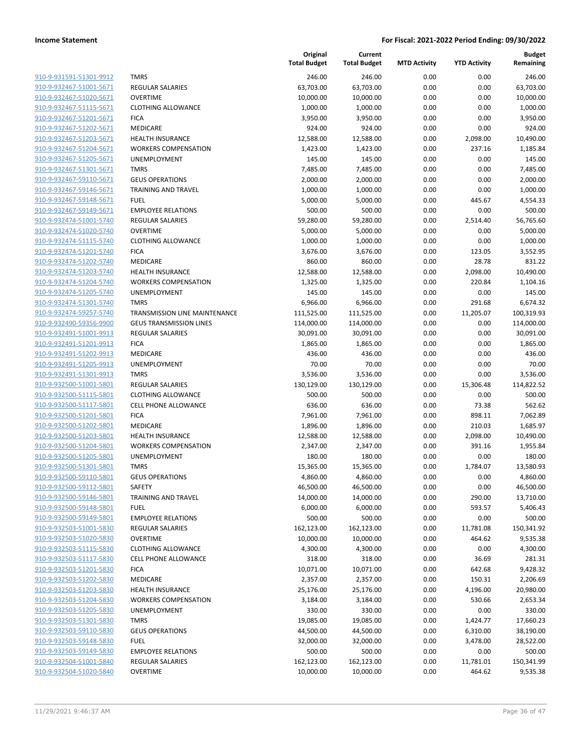| 910-9-931591-51301-9912        |
|--------------------------------|
| 910-9-932467-51001-5671        |
| 910-9-932467-51020-5671        |
| 910-9-932467-51115-5671        |
| <u>910-9-932467-51201-5671</u> |
| 910-9-932467-51202-5671        |
| 910-9-932467-51203-5671        |
| 910-9-932467-51204-5671        |
| 910-9-932467-51205-5671        |
| 910-9-932467-51301-5671        |
| 910-9-932467-59110-5671        |
| 910-9-932467-59146-5671        |
| 910-9-932467-59148-5671        |
| 910-9-932467-59149-5671        |
| <u>910-9-932474-51001-5740</u> |
|                                |
| 910-9-932474-51020-5740        |
| 910-9-932474-51115-5740        |
| 910-9-932474-51201-5740        |
| 910-9-932474-51202-5740        |
| <u>910-9-932474-51203-5740</u> |
| 910-9-932474-51204-5740        |
| 910-9-932474-51205-5740        |
| 910-9-932474-51301-5740        |
| 910-9-932474-59257-5740        |
| <u>910-9-932490-59356-9900</u> |
| 910-9-932491-51001-9913        |
| 910-9-932491-51201-9913        |
| 910-9-932491-51202-9913        |
| <u>910-9-932491-51205-9913</u> |
| <u>910-9-932491-51301-9913</u> |
| 910-9-932500-51001-5801        |
| 910-9-932500-51115-5801        |
| 910-9-932500-51117-5801        |
| 910-9-932500-51201-5801        |
| <u>910-9-932500-51202-5801</u> |
| 910-9-932500-51203-5801        |
| 910-9-932500-51204-5801        |
| 910-9-932500-51205-5801        |
| 910-9-932500-51301-5801        |
| 910-9-932500-59110-5801        |
| 910-9-932500-59112-5801        |
| 910-9-932500-59146-5801        |
| 910-9-932500-59148-5801        |
| 910-9-932500-59149-5801        |
| 910-9-932503-51001-5830        |
| 910-9-932503-51020-5830        |
| 910-9-932503-51115-5830        |
| 910-9-932503-51117-5830        |
| 910-9-932503-51201-5830        |
| 910-9-932503-51202-5830        |
| 910-9-932503-51203-5830        |
| 910-9-932503-51204-5830        |
|                                |
| 910-9-932503-51205-5830        |
| 910-9-932503-51301-5830        |
| 910-9-932503-59110-5830        |
| 910-9-932503-59148-5830        |
| 910-9-932503-59149-5830        |
| 910-9-932504-51001-5840        |
| 910-9-932504-51020-5840        |
|                                |

|                                                    |                                                        | Original<br><b>Total Budget</b> | Current<br><b>Total Budget</b> | <b>MTD Activity</b> | <b>YTD Activity</b> | <b>Budget</b><br>Remaining |
|----------------------------------------------------|--------------------------------------------------------|---------------------------------|--------------------------------|---------------------|---------------------|----------------------------|
| 910-9-931591-51301-9912                            | <b>TMRS</b>                                            | 246.00                          | 246.00                         | 0.00                | 0.00                | 246.00                     |
| 910-9-932467-51001-5671                            | <b>REGULAR SALARIES</b>                                | 63,703.00                       | 63,703.00                      | 0.00                | 0.00                | 63,703.00                  |
| 910-9-932467-51020-5671                            | <b>OVERTIME</b>                                        | 10,000.00                       | 10,000.00                      | 0.00                | 0.00                | 10,000.00                  |
| 910-9-932467-51115-5671                            | <b>CLOTHING ALLOWANCE</b>                              | 1,000.00                        | 1,000.00                       | 0.00                | 0.00                | 1,000.00                   |
| 910-9-932467-51201-5671                            | <b>FICA</b>                                            | 3,950.00                        | 3,950.00                       | 0.00                | 0.00                | 3,950.00                   |
| 910-9-932467-51202-5671                            | MEDICARE                                               | 924.00                          | 924.00                         | 0.00                | 0.00                | 924.00                     |
| 910-9-932467-51203-5671                            | <b>HEALTH INSURANCE</b>                                | 12,588.00                       | 12,588.00                      | 0.00                | 2,098.00            | 10,490.00                  |
| 910-9-932467-51204-5671                            | <b>WORKERS COMPENSATION</b>                            | 1,423.00                        | 1,423.00                       | 0.00                | 237.16              | 1,185.84                   |
| 910-9-932467-51205-5671                            | UNEMPLOYMENT                                           | 145.00                          | 145.00                         | 0.00                | 0.00                | 145.00                     |
| 910-9-932467-51301-5671                            | <b>TMRS</b>                                            | 7,485.00                        | 7,485.00                       | 0.00                | 0.00                | 7,485.00                   |
| 910-9-932467-59110-5671                            | <b>GEUS OPERATIONS</b>                                 | 2,000.00                        | 2,000.00                       | 0.00                | 0.00                | 2,000.00                   |
| 910-9-932467-59146-5671                            | <b>TRAINING AND TRAVEL</b>                             | 1,000.00                        | 1,000.00                       | 0.00                | 0.00                | 1,000.00                   |
| 910-9-932467-59148-5671                            | <b>FUEL</b>                                            | 5,000.00                        | 5,000.00                       | 0.00                | 445.67              | 4,554.33                   |
| 910-9-932467-59149-5671                            | <b>EMPLOYEE RELATIONS</b>                              | 500.00                          | 500.00                         | 0.00                | 0.00                | 500.00                     |
| 910-9-932474-51001-5740                            | REGULAR SALARIES                                       | 59,280.00                       | 59,280.00                      | 0.00                | 2,514.40            | 56,765.60                  |
| 910-9-932474-51020-5740                            | <b>OVERTIME</b>                                        | 5,000.00                        | 5,000.00                       | 0.00                | 0.00                | 5,000.00                   |
| 910-9-932474-51115-5740                            | <b>CLOTHING ALLOWANCE</b>                              | 1,000.00                        | 1,000.00                       | 0.00                | 0.00                | 1,000.00                   |
| 910-9-932474-51201-5740                            | <b>FICA</b>                                            | 3,676.00                        | 3,676.00                       | 0.00                | 123.05              | 3,552.95                   |
| 910-9-932474-51202-5740                            | MEDICARE                                               | 860.00                          | 860.00                         | 0.00                | 28.78               | 831.22                     |
| 910-9-932474-51203-5740                            | <b>HEALTH INSURANCE</b>                                | 12,588.00                       | 12,588.00                      | 0.00                | 2,098.00            | 10,490.00                  |
| 910-9-932474-51204-5740                            | <b>WORKERS COMPENSATION</b>                            | 1,325.00                        | 1,325.00                       | 0.00                | 220.84              | 1,104.16                   |
| 910-9-932474-51205-5740                            | <b>UNEMPLOYMENT</b>                                    | 145.00                          | 145.00                         | 0.00                | 0.00                | 145.00                     |
| 910-9-932474-51301-5740                            | <b>TMRS</b>                                            | 6,966.00                        | 6,966.00                       | 0.00                | 291.68              | 6,674.32                   |
| 910-9-932474-59257-5740                            | TRANSMISSION LINE MAINTENANCE                          | 111,525.00                      | 111,525.00                     | 0.00                | 11,205.07           | 100,319.93                 |
| 910-9-932490-59356-9900                            | <b>GEUS TRANSMISSION LINES</b>                         | 114,000.00                      | 114,000.00                     | 0.00                | 0.00                | 114,000.00                 |
| 910-9-932491-51001-9913                            | <b>REGULAR SALARIES</b>                                | 30,091.00                       | 30,091.00                      | 0.00                | 0.00                | 30,091.00                  |
| 910-9-932491-51201-9913                            | <b>FICA</b>                                            | 1,865.00                        | 1,865.00                       | 0.00                | 0.00                | 1,865.00                   |
| 910-9-932491-51202-9913                            | MEDICARE                                               | 436.00                          | 436.00                         | 0.00                | 0.00                | 436.00                     |
| 910-9-932491-51205-9913                            | UNEMPLOYMENT                                           | 70.00                           | 70.00                          | 0.00                | 0.00                | 70.00                      |
| 910-9-932491-51301-9913                            | <b>TMRS</b>                                            | 3,536.00                        | 3,536.00                       | 0.00                | 0.00                | 3,536.00                   |
| 910-9-932500-51001-5801                            | <b>REGULAR SALARIES</b>                                | 130,129.00                      | 130,129.00                     | 0.00                | 15,306.48           | 114,822.52                 |
| 910-9-932500-51115-5801                            | <b>CLOTHING ALLOWANCE</b>                              | 500.00                          | 500.00                         | 0.00                | 0.00                | 500.00                     |
| 910-9-932500-51117-5801                            | <b>CELL PHONE ALLOWANCE</b>                            | 636.00                          | 636.00                         | 0.00                | 73.38               | 562.62                     |
| 910-9-932500-51201-5801                            | <b>FICA</b>                                            | 7,961.00                        | 7,961.00                       | 0.00                | 898.11              | 7,062.89                   |
| 910-9-932500-51202-5801                            | MEDICARE                                               | 1,896.00                        | 1,896.00                       | 0.00                | 210.03              | 1,685.97                   |
| 910-9-932500-51203-5801                            | <b>HEALTH INSURANCE</b>                                | 12,588.00                       | 12,588.00                      | 0.00                | 2,098.00            | 10,490.00                  |
| 910-9-932500-51204-5801                            | <b>WORKERS COMPENSATION</b>                            | 2,347.00                        | 2,347.00                       | 0.00                | 391.16              | 1,955.84                   |
| 910-9-932500-51205-5801                            | UNEMPLOYMENT                                           | 180.00                          | 180.00                         | 0.00                | 0.00                | 180.00                     |
| 910-9-932500-51301-5801                            | <b>TMRS</b>                                            | 15,365.00                       | 15,365.00                      | 0.00                | 1,784.07            | 13,580.93                  |
| 910-9-932500-59110-5801                            | <b>GEUS OPERATIONS</b>                                 | 4,860.00                        | 4,860.00                       | 0.00                | 0.00                | 4,860.00                   |
| 910-9-932500-59112-5801                            | <b>SAFETY</b>                                          | 46,500.00                       | 46,500.00                      | 0.00                | 0.00                | 46,500.00                  |
| 910-9-932500-59146-5801                            | TRAINING AND TRAVEL                                    | 14,000.00                       | 14,000.00                      | 0.00                | 290.00              | 13,710.00                  |
| 910-9-932500-59148-5801                            | <b>FUEL</b>                                            | 6,000.00                        | 6,000.00                       | 0.00                | 593.57              | 5,406.43                   |
| 910-9-932500-59149-5801                            | <b>EMPLOYEE RELATIONS</b>                              | 500.00                          | 500.00                         | 0.00                | 0.00                | 500.00                     |
| 910-9-932503-51001-5830                            | <b>REGULAR SALARIES</b>                                | 162,123.00                      | 162,123.00                     | 0.00                | 11,781.08           | 150,341.92                 |
| 910-9-932503-51020-5830                            | <b>OVERTIME</b>                                        | 10,000.00                       | 10,000.00                      | 0.00                | 464.62              | 9,535.38                   |
| 910-9-932503-51115-5830                            | <b>CLOTHING ALLOWANCE</b>                              | 4,300.00                        | 4,300.00                       | 0.00                | 0.00                | 4,300.00                   |
| 910-9-932503-51117-5830<br>910-9-932503-51201-5830 | <b>CELL PHONE ALLOWANCE</b>                            | 318.00                          | 318.00                         | 0.00                | 36.69               | 281.31                     |
| 910-9-932503-51202-5830                            | <b>FICA</b><br>MEDICARE                                | 10,071.00<br>2,357.00           | 10,071.00<br>2,357.00          | 0.00<br>0.00        | 642.68<br>150.31    | 9,428.32<br>2,206.69       |
| 910-9-932503-51203-5830                            |                                                        |                                 |                                | 0.00                |                     |                            |
| 910-9-932503-51204-5830                            | <b>HEALTH INSURANCE</b><br><b>WORKERS COMPENSATION</b> | 25,176.00<br>3,184.00           | 25,176.00<br>3,184.00          | 0.00                | 4,196.00<br>530.66  | 20,980.00<br>2,653.34      |
| 910-9-932503-51205-5830                            | UNEMPLOYMENT                                           | 330.00                          | 330.00                         | 0.00                | 0.00                | 330.00                     |
| 910-9-932503-51301-5830                            | <b>TMRS</b>                                            | 19,085.00                       | 19,085.00                      | 0.00                | 1,424.77            | 17,660.23                  |
| 910-9-932503-59110-5830                            | <b>GEUS OPERATIONS</b>                                 | 44,500.00                       | 44,500.00                      | 0.00                | 6,310.00            | 38,190.00                  |
| 910-9-932503-59148-5830                            | <b>FUEL</b>                                            | 32,000.00                       | 32,000.00                      | 0.00                | 3,478.00            | 28,522.00                  |
| 910-9-932503-59149-5830                            | <b>EMPLOYEE RELATIONS</b>                              | 500.00                          | 500.00                         | 0.00                | 0.00                | 500.00                     |
| 910-9-932504-51001-5840                            | REGULAR SALARIES                                       | 162,123.00                      | 162,123.00                     | 0.00                | 11,781.01           | 150,341.99                 |
| 910-9-932504-51020-5840                            | <b>OVERTIME</b>                                        | 10,000.00                       | 10,000.00                      | 0.00                | 464.62              | 9,535.38                   |
|                                                    |                                                        |                                 |                                |                     |                     |                            |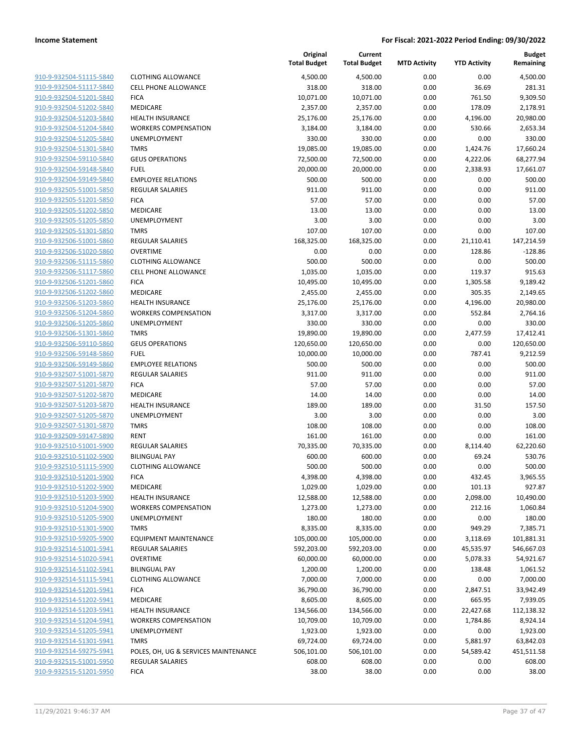| 910-9-932504-51115-5840 |
|-------------------------|
| 910-9-932504-51117-5840 |
| 910-9-932504-51201-5840 |
| 910-9-932504-51202-5840 |
| 910-9-932504-51203-5840 |
| 910-9-932504-51204-5840 |
| 910-9-932504-51205-5840 |
|                         |
| 910-9-932504-51301-5840 |
| 910-9-932504-59110-5840 |
| 910-9-932504-59148-5840 |
| 910-9-932504-59149-5840 |
| 910-9-932505-51001-5850 |
| 910-9-932505-51201-5850 |
| 910-9-932505-51202-5850 |
| 910-9-932505-51205-5850 |
| 910-9-932505-51301-5850 |
| 910-9-932506-51001-5860 |
| 910-9-932506-51020-5860 |
| 910-9-932506-51115-5860 |
|                         |
| 910-9-932506-51117-5860 |
| 910-9-932506-51201-5860 |
| 910-9-932506-51202-5860 |
| 910-9-932506-51203-5860 |
| 910-9-932506-51204-5860 |
| 910-9-932506-51205-5860 |
| 910-9-932506-51301-5860 |
| 910-9-932506-59110-5860 |
| 910-9-932506-59148-5860 |
| 910-9-932506-59149-5860 |
| 910-9-932507-51001-5870 |
| 910-9-932507-51201-5870 |
|                         |
| 910-9-932507-51202-5870 |
| 910-9-932507-51203-5870 |
| 910-9-932507-51205-5870 |
| 910-9-932507-51301-5870 |
| 910-9-932509-59147-5890 |
| 910-9-932510-51001-5900 |
| 910-9-932510-51102-5900 |
| 910-9-932510-51115-5900 |
| 910-9-932510-51201-5900 |
| 910-9-932510-51202-5900 |
| 910-9-932510-51203-5900 |
| 910-9-932510-51204-5900 |
| 910-9-932510-51205-5900 |
| 910-9-932510-51301-5900 |
|                         |
| 910-9-932510-59205-5900 |
| 910-9-932514-51001-5941 |
| 910-9-932514-51020-5941 |
| 910-9-932514-51102-5941 |
| 910-9-932514-51115-5941 |
| 910-9-932514-51201-5941 |
| 910-9-932514-51202-5941 |
| 910-9-932514-51203-5941 |
| 910-9-932514-51204-5941 |
| 910-9-932514-51205-5941 |
| 910-9-932514-51301-5941 |
| 910-9-932514-59275-5941 |
| 910-9-932515-51001-5950 |
| 910-9-932515-51201-5950 |
|                         |

|                         |                                      | Original<br><b>Total Budget</b> | Current<br><b>Total Budget</b> | <b>MTD Activity</b> | <b>YTD Activity</b> | <b>Budget</b><br>Remaining |
|-------------------------|--------------------------------------|---------------------------------|--------------------------------|---------------------|---------------------|----------------------------|
| 910-9-932504-51115-5840 | <b>CLOTHING ALLOWANCE</b>            | 4,500.00                        | 4,500.00                       | 0.00                | 0.00                | 4,500.00                   |
| 910-9-932504-51117-5840 | <b>CELL PHONE ALLOWANCE</b>          | 318.00                          | 318.00                         | 0.00                | 36.69               | 281.31                     |
| 910-9-932504-51201-5840 | <b>FICA</b>                          | 10,071.00                       | 10,071.00                      | 0.00                | 761.50              | 9,309.50                   |
| 910-9-932504-51202-5840 | MEDICARE                             | 2,357.00                        | 2,357.00                       | 0.00                | 178.09              | 2,178.91                   |
| 910-9-932504-51203-5840 | <b>HEALTH INSURANCE</b>              | 25,176.00                       | 25,176.00                      | 0.00                | 4,196.00            | 20,980.00                  |
| 910-9-932504-51204-5840 | <b>WORKERS COMPENSATION</b>          | 3,184.00                        | 3,184.00                       | 0.00                | 530.66              | 2,653.34                   |
| 910-9-932504-51205-5840 | UNEMPLOYMENT                         | 330.00                          | 330.00                         | 0.00                | 0.00                | 330.00                     |
| 910-9-932504-51301-5840 | <b>TMRS</b>                          | 19,085.00                       | 19,085.00                      | 0.00                | 1,424.76            | 17,660.24                  |
| 910-9-932504-59110-5840 | <b>GEUS OPERATIONS</b>               | 72,500.00                       | 72,500.00                      | 0.00                | 4,222.06            | 68,277.94                  |
| 910-9-932504-59148-5840 | <b>FUEL</b>                          | 20,000.00                       | 20,000.00                      | 0.00                | 2,338.93            | 17,661.07                  |
| 910-9-932504-59149-5840 | <b>EMPLOYEE RELATIONS</b>            | 500.00                          | 500.00                         | 0.00                | 0.00                | 500.00                     |
| 910-9-932505-51001-5850 | <b>REGULAR SALARIES</b>              | 911.00                          | 911.00                         | 0.00                | 0.00                | 911.00                     |
| 910-9-932505-51201-5850 | <b>FICA</b>                          | 57.00                           | 57.00                          | 0.00                | 0.00                | 57.00                      |
| 910-9-932505-51202-5850 | MEDICARE                             | 13.00                           | 13.00                          | 0.00                | 0.00                | 13.00                      |
| 910-9-932505-51205-5850 | UNEMPLOYMENT                         | 3.00                            | 3.00                           | 0.00                | 0.00                | 3.00                       |
| 910-9-932505-51301-5850 | <b>TMRS</b>                          | 107.00                          | 107.00                         | 0.00                | 0.00                | 107.00                     |
| 910-9-932506-51001-5860 | REGULAR SALARIES                     | 168,325.00                      | 168,325.00                     | 0.00                | 21,110.41           | 147,214.59                 |
| 910-9-932506-51020-5860 | <b>OVERTIME</b>                      | 0.00                            | 0.00                           | 0.00                | 128.86              | $-128.86$                  |
| 910-9-932506-51115-5860 | <b>CLOTHING ALLOWANCE</b>            | 500.00                          | 500.00                         | 0.00                | 0.00                | 500.00                     |
| 910-9-932506-51117-5860 | <b>CELL PHONE ALLOWANCE</b>          | 1,035.00                        | 1,035.00                       | 0.00                | 119.37              | 915.63                     |
| 910-9-932506-51201-5860 | <b>FICA</b>                          | 10,495.00                       | 10,495.00                      | 0.00                | 1,305.58            | 9,189.42                   |
| 910-9-932506-51202-5860 | MEDICARE                             | 2,455.00                        | 2,455.00                       | 0.00                | 305.35              | 2,149.65                   |
| 910-9-932506-51203-5860 | <b>HEALTH INSURANCE</b>              | 25,176.00                       | 25,176.00                      | 0.00                | 4,196.00            | 20,980.00                  |
| 910-9-932506-51204-5860 | <b>WORKERS COMPENSATION</b>          | 3,317.00                        | 3,317.00                       | 0.00                | 552.84              | 2,764.16                   |
| 910-9-932506-51205-5860 | UNEMPLOYMENT                         | 330.00                          | 330.00                         | 0.00                | 0.00                | 330.00                     |
| 910-9-932506-51301-5860 | <b>TMRS</b>                          | 19,890.00                       | 19,890.00                      | 0.00                | 2,477.59            | 17,412.41                  |
| 910-9-932506-59110-5860 | <b>GEUS OPERATIONS</b>               | 120,650.00                      | 120,650.00                     | 0.00                | 0.00                | 120,650.00                 |
| 910-9-932506-59148-5860 | <b>FUEL</b>                          | 10,000.00                       | 10,000.00                      | 0.00                | 787.41              | 9,212.59                   |
| 910-9-932506-59149-5860 | <b>EMPLOYEE RELATIONS</b>            | 500.00                          | 500.00                         | 0.00                | 0.00                | 500.00                     |
| 910-9-932507-51001-5870 | REGULAR SALARIES                     | 911.00                          | 911.00                         | 0.00                | 0.00                | 911.00                     |
| 910-9-932507-51201-5870 | <b>FICA</b>                          | 57.00                           | 57.00                          | 0.00                | 0.00                | 57.00                      |
| 910-9-932507-51202-5870 | MEDICARE                             | 14.00                           | 14.00                          | 0.00                | 0.00                | 14.00                      |
| 910-9-932507-51203-5870 | <b>HEALTH INSURANCE</b>              | 189.00                          | 189.00                         | 0.00                | 31.50               | 157.50                     |
| 910-9-932507-51205-5870 | UNEMPLOYMENT                         | 3.00                            | 3.00                           | 0.00                | 0.00                | 3.00                       |
| 910-9-932507-51301-5870 | <b>TMRS</b>                          | 108.00                          | 108.00                         | 0.00                | 0.00                | 108.00                     |
| 910-9-932509-59147-5890 | <b>RENT</b>                          | 161.00                          | 161.00                         | 0.00                | 0.00                | 161.00                     |
| 910-9-932510-51001-5900 | REGULAR SALARIES                     | 70,335.00                       | 70,335.00                      | 0.00                | 8,114.40            | 62,220.60                  |
| 910-9-932510-51102-5900 | <b>BILINGUAL PAY</b>                 | 600.00                          | 600.00                         | 0.00                | 69.24               | 530.76                     |
| 910-9-932510-51115-5900 | <b>CLOTHING ALLOWANCE</b>            | 500.00                          | 500.00                         | 0.00                | 0.00                | 500.00                     |
| 910-9-932510-51201-5900 | <b>FICA</b>                          | 4,398.00                        | 4,398.00                       | 0.00                | 432.45              | 3,965.55                   |
| 910-9-932510-51202-5900 | MEDICARE                             | 1,029.00                        | 1,029.00                       | 0.00                | 101.13              | 927.87                     |
| 910-9-932510-51203-5900 | <b>HEALTH INSURANCE</b>              | 12,588.00                       | 12,588.00                      | 0.00                | 2,098.00            | 10,490.00                  |
| 910-9-932510-51204-5900 | <b>WORKERS COMPENSATION</b>          | 1,273.00                        | 1,273.00                       | 0.00                | 212.16              | 1,060.84                   |
| 910-9-932510-51205-5900 | <b>UNEMPLOYMENT</b>                  | 180.00                          | 180.00                         | 0.00                | 0.00                | 180.00                     |
| 910-9-932510-51301-5900 | <b>TMRS</b>                          | 8,335.00                        | 8,335.00                       | 0.00                | 949.29              | 7,385.71                   |
| 910-9-932510-59205-5900 | <b>EQUIPMENT MAINTENANCE</b>         | 105,000.00                      | 105,000.00                     | 0.00                | 3,118.69            | 101,881.31                 |
| 910-9-932514-51001-5941 | REGULAR SALARIES                     | 592,203.00                      | 592,203.00                     | 0.00                | 45,535.97           | 546,667.03                 |
| 910-9-932514-51020-5941 | <b>OVERTIME</b>                      | 60,000.00                       | 60,000.00                      | 0.00                | 5,078.33            | 54,921.67                  |
| 910-9-932514-51102-5941 | <b>BILINGUAL PAY</b>                 | 1,200.00                        | 1,200.00                       | 0.00                | 138.48              | 1,061.52                   |
| 910-9-932514-51115-5941 | <b>CLOTHING ALLOWANCE</b>            | 7,000.00                        | 7,000.00                       | 0.00                | 0.00                | 7,000.00                   |
| 910-9-932514-51201-5941 | <b>FICA</b>                          | 36,790.00                       | 36,790.00                      | 0.00                | 2,847.51            | 33,942.49                  |
| 910-9-932514-51202-5941 | MEDICARE                             | 8,605.00                        | 8,605.00                       | 0.00                | 665.95              | 7,939.05                   |
| 910-9-932514-51203-5941 | <b>HEALTH INSURANCE</b>              | 134,566.00                      | 134,566.00                     | 0.00                | 22,427.68           | 112,138.32                 |
| 910-9-932514-51204-5941 | <b>WORKERS COMPENSATION</b>          | 10,709.00                       | 10,709.00                      | 0.00                | 1,784.86            | 8,924.14                   |
| 910-9-932514-51205-5941 | UNEMPLOYMENT                         | 1,923.00                        | 1,923.00                       | 0.00                | 0.00                | 1,923.00                   |
| 910-9-932514-51301-5941 | <b>TMRS</b>                          | 69,724.00                       | 69,724.00                      | 0.00                | 5,881.97            | 63,842.03                  |
| 910-9-932514-59275-5941 | POLES, OH, UG & SERVICES MAINTENANCE | 506,101.00                      | 506,101.00                     | 0.00                | 54,589.42           | 451,511.58                 |
| 910-9-932515-51001-5950 | REGULAR SALARIES                     | 608.00                          | 608.00                         | 0.00                | 0.00                | 608.00                     |
| 910-9-932515-51201-5950 | <b>FICA</b>                          | 38.00                           | 38.00                          | 0.00                | 0.00                | 38.00                      |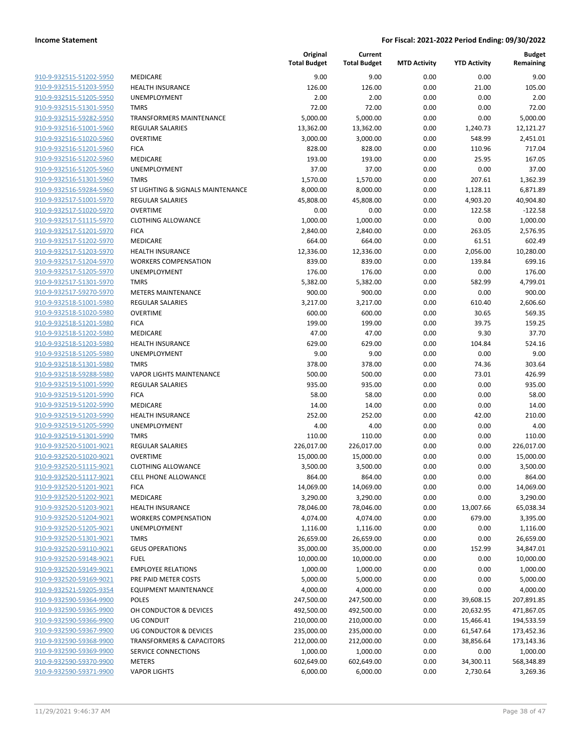| 910-9-932515-51202-5950        |
|--------------------------------|
| 910-9-932515-51203-5950        |
| 910-9-932515-51205-5950        |
| 910-9-932515-51301-5950        |
| 910-9-932515-59282-5950        |
| 910-9-932516-51001-5960        |
| 910-9-932516-51020-5960        |
| 910-9-932516-51201-5960        |
| 910-9-932516-51202-5960        |
| 910-9-932516-51205-5960        |
| 910-9-932516-51301-5960        |
| 910-9-932516-59284-5960        |
| 910-9-932517-51001-5970        |
| 910-9-932517-51020-5970        |
| 910-9-932517-51115-5970        |
|                                |
| 910-9-932517-51201-5970        |
| 910-9-932517-51202-5970        |
| 910-9-932517-51203-5970        |
| 910-9-932517-51204-5970        |
| 910-9-932517-51205-5970        |
| 910-9-932517-51301-5970        |
| 910-9-932517-59270-5970        |
| 910-9-932518-51001-5980        |
| 910-9-932518-51020-5980        |
| 910-9-932518-51201-5980        |
| 910-9-932518-51202-5980        |
| 910-9-932518-51203-5980        |
| 910-9-932518-51205-5980        |
| 910-9-932518-51301-5980        |
| 910-9-932518-59288-5980        |
| 910-9-932519-51001-5990        |
| 910-9-932519-51201-5990        |
| 910-9-932519-51202-5990        |
| 910-9-932519-51203-5990        |
| 910-9-932519-51205-5990        |
| 910-9-932519-51301-5990        |
| 910-9-932520-51001-9021        |
| 910-9-932520-51020-9021        |
|                                |
| 910-9-932520-51115-9021        |
| 910-9-932520-51117-9021        |
| <u>910-9-932520-51201-9021</u> |
| 910-9-932520-51202-9021        |
| 910-9-932520-51203-9021        |
| 910-9-932520-51204-9021        |
| 910-9-932520-51205-9021        |
| 910-9-932520-51301-9021        |
| 910-9-932520-59110-9021        |
| 910-9-932520-59148-9021        |
| 910-9-932520-59149-9021        |
| 910-9-932520-59169-9021        |
| 910-9-932521-59205-9354        |
| 910-9-932590-59364-9900        |
| 910-9-932590-59365-9900        |
| 910-9-932590-59366-9900        |
| 910-9-932590-59367-9900        |
| 910-9-932590-59368-9900        |
| 910-9-932590-59369-9900        |
| 910-9-932590-59370-9900        |
| 910-9-932590-59371-9900        |
|                                |

|                         |                                      | Original<br><b>Total Budget</b> | Current<br><b>Total Budget</b> | <b>MTD Activity</b> | <b>YTD Activity</b> | <b>Budget</b><br>Remaining |
|-------------------------|--------------------------------------|---------------------------------|--------------------------------|---------------------|---------------------|----------------------------|
| 910-9-932515-51202-5950 | <b>MEDICARE</b>                      | 9.00                            | 9.00                           | 0.00                | 0.00                | 9.00                       |
| 910-9-932515-51203-5950 | <b>HEALTH INSURANCE</b>              | 126.00                          | 126.00                         | 0.00                | 21.00               | 105.00                     |
| 910-9-932515-51205-5950 | UNEMPLOYMENT                         | 2.00                            | 2.00                           | 0.00                | 0.00                | 2.00                       |
| 910-9-932515-51301-5950 | <b>TMRS</b>                          | 72.00                           | 72.00                          | 0.00                | 0.00                | 72.00                      |
| 910-9-932515-59282-5950 | <b>TRANSFORMERS MAINTENANCE</b>      | 5,000.00                        | 5,000.00                       | 0.00                | 0.00                | 5,000.00                   |
| 910-9-932516-51001-5960 | <b>REGULAR SALARIES</b>              | 13,362.00                       | 13,362.00                      | 0.00                | 1,240.73            | 12,121.27                  |
| 910-9-932516-51020-5960 | <b>OVERTIME</b>                      | 3,000.00                        | 3,000.00                       | 0.00                | 548.99              | 2,451.01                   |
| 910-9-932516-51201-5960 | <b>FICA</b>                          | 828.00                          | 828.00                         | 0.00                | 110.96              | 717.04                     |
| 910-9-932516-51202-5960 | <b>MEDICARE</b>                      | 193.00                          | 193.00                         | 0.00                | 25.95               | 167.05                     |
| 910-9-932516-51205-5960 | UNEMPLOYMENT                         | 37.00                           | 37.00                          | 0.00                | 0.00                | 37.00                      |
| 910-9-932516-51301-5960 | <b>TMRS</b>                          | 1,570.00                        | 1,570.00                       | 0.00                | 207.61              | 1,362.39                   |
| 910-9-932516-59284-5960 | ST LIGHTING & SIGNALS MAINTENANCE    | 8,000.00                        | 8,000.00                       | 0.00                | 1,128.11            | 6,871.89                   |
| 910-9-932517-51001-5970 | <b>REGULAR SALARIES</b>              | 45,808.00                       | 45,808.00                      | 0.00                | 4,903.20            | 40,904.80                  |
| 910-9-932517-51020-5970 | <b>OVERTIME</b>                      | 0.00                            | 0.00                           | 0.00                | 122.58              | $-122.58$                  |
| 910-9-932517-51115-5970 | <b>CLOTHING ALLOWANCE</b>            | 1,000.00                        | 1,000.00                       | 0.00                | 0.00                | 1,000.00                   |
| 910-9-932517-51201-5970 | <b>FICA</b>                          | 2,840.00                        | 2,840.00                       | 0.00                | 263.05              | 2,576.95                   |
| 910-9-932517-51202-5970 | MEDICARE                             | 664.00                          | 664.00                         | 0.00                | 61.51               | 602.49                     |
| 910-9-932517-51203-5970 | <b>HEALTH INSURANCE</b>              | 12,336.00                       | 12,336.00                      | 0.00                | 2,056.00            | 10,280.00                  |
| 910-9-932517-51204-5970 | <b>WORKERS COMPENSATION</b>          | 839.00                          | 839.00                         | 0.00                | 139.84              | 699.16                     |
| 910-9-932517-51205-5970 | UNEMPLOYMENT                         | 176.00                          | 176.00                         | 0.00                | 0.00                | 176.00                     |
| 910-9-932517-51301-5970 | <b>TMRS</b>                          | 5,382.00                        | 5,382.00                       | 0.00                | 582.99              | 4,799.01                   |
| 910-9-932517-59270-5970 | <b>METERS MAINTENANCE</b>            | 900.00                          | 900.00                         | 0.00                | 0.00                | 900.00                     |
| 910-9-932518-51001-5980 | <b>REGULAR SALARIES</b>              | 3,217.00                        | 3,217.00                       | 0.00                | 610.40              | 2,606.60                   |
| 910-9-932518-51020-5980 | <b>OVERTIME</b>                      | 600.00                          | 600.00                         | 0.00                | 30.65               | 569.35                     |
| 910-9-932518-51201-5980 | <b>FICA</b>                          | 199.00                          | 199.00                         | 0.00                | 39.75               | 159.25                     |
| 910-9-932518-51202-5980 | MEDICARE                             | 47.00                           | 47.00                          | 0.00                | 9.30                | 37.70                      |
| 910-9-932518-51203-5980 | HEALTH INSURANCE                     | 629.00                          | 629.00                         | 0.00                | 104.84              | 524.16                     |
| 910-9-932518-51205-5980 | UNEMPLOYMENT                         | 9.00                            | 9.00                           | 0.00                | 0.00                | 9.00                       |
| 910-9-932518-51301-5980 | <b>TMRS</b>                          | 378.00                          | 378.00                         | 0.00                | 74.36               | 303.64                     |
| 910-9-932518-59288-5980 | <b>VAPOR LIGHTS MAINTENANCE</b>      | 500.00                          | 500.00                         | 0.00                | 73.01               | 426.99                     |
| 910-9-932519-51001-5990 | <b>REGULAR SALARIES</b>              | 935.00                          | 935.00                         | 0.00                | 0.00                | 935.00                     |
| 910-9-932519-51201-5990 | <b>FICA</b>                          | 58.00                           | 58.00                          | 0.00                | 0.00                | 58.00                      |
| 910-9-932519-51202-5990 | MEDICARE                             | 14.00                           | 14.00                          | 0.00                | 0.00                | 14.00                      |
| 910-9-932519-51203-5990 | <b>HEALTH INSURANCE</b>              | 252.00                          | 252.00                         | 0.00                | 42.00               | 210.00                     |
| 910-9-932519-51205-5990 | UNEMPLOYMENT                         | 4.00                            | 4.00                           | 0.00                | 0.00                | 4.00                       |
| 910-9-932519-51301-5990 | <b>TMRS</b>                          | 110.00                          | 110.00                         | 0.00                | 0.00                | 110.00                     |
| 910-9-932520-51001-9021 | <b>REGULAR SALARIES</b>              | 226,017.00                      | 226,017.00                     | 0.00                | 0.00                | 226,017.00                 |
| 910-9-932520-51020-9021 | <b>OVERTIME</b>                      | 15,000.00                       | 15,000.00                      | 0.00                | 0.00                | 15,000.00                  |
| 910-9-932520-51115-9021 | <b>CLOTHING ALLOWANCE</b>            | 3,500.00                        | 3,500.00                       | 0.00                | 0.00                | 3,500.00                   |
| 910-9-932520-51117-9021 | <b>CELL PHONE ALLOWANCE</b>          | 864.00                          | 864.00                         | 0.00                | 0.00                | 864.00                     |
| 910-9-932520-51201-9021 | <b>FICA</b>                          | 14,069.00                       | 14,069.00                      | 0.00                | 0.00                | 14,069.00                  |
| 910-9-932520-51202-9021 | MEDICARE                             | 3,290.00                        | 3,290.00                       | 0.00                | 0.00                | 3,290.00                   |
| 910-9-932520-51203-9021 | <b>HEALTH INSURANCE</b>              | 78,046.00                       | 78,046.00                      | 0.00                | 13,007.66           | 65,038.34                  |
| 910-9-932520-51204-9021 | <b>WORKERS COMPENSATION</b>          | 4,074.00                        | 4,074.00                       | 0.00                | 679.00              | 3,395.00                   |
| 910-9-932520-51205-9021 | UNEMPLOYMENT                         | 1,116.00                        | 1,116.00                       | 0.00                | 0.00                | 1,116.00                   |
| 910-9-932520-51301-9021 | <b>TMRS</b>                          | 26,659.00                       | 26,659.00                      | 0.00                | 0.00                | 26,659.00                  |
| 910-9-932520-59110-9021 | <b>GEUS OPERATIONS</b>               | 35,000.00                       | 35,000.00                      | 0.00                | 152.99              | 34,847.01                  |
| 910-9-932520-59148-9021 | <b>FUEL</b>                          | 10,000.00                       | 10,000.00                      | 0.00                | 0.00                | 10,000.00                  |
| 910-9-932520-59149-9021 | <b>EMPLOYEE RELATIONS</b>            | 1,000.00                        | 1,000.00                       | 0.00                | 0.00                | 1,000.00                   |
| 910-9-932520-59169-9021 | PRE PAID METER COSTS                 | 5,000.00                        | 5,000.00                       | 0.00                | 0.00                | 5,000.00                   |
| 910-9-932521-59205-9354 | EQUIPMENT MAINTENANCE                | 4,000.00                        | 4,000.00                       | 0.00                | 0.00                | 4,000.00                   |
| 910-9-932590-59364-9900 | <b>POLES</b>                         | 247,500.00                      | 247,500.00                     | 0.00                | 39,608.15           | 207,891.85                 |
| 910-9-932590-59365-9900 | OH CONDUCTOR & DEVICES               | 492,500.00                      | 492,500.00                     | 0.00                | 20,632.95           | 471,867.05                 |
| 910-9-932590-59366-9900 | <b>UG CONDUIT</b>                    | 210,000.00                      | 210,000.00                     | 0.00                | 15,466.41           | 194,533.59                 |
| 910-9-932590-59367-9900 | UG CONDUCTOR & DEVICES               | 235,000.00                      | 235,000.00                     | 0.00                | 61,547.64           | 173,452.36                 |
| 910-9-932590-59368-9900 | <b>TRANSFORMERS &amp; CAPACITORS</b> | 212,000.00                      | 212,000.00                     | 0.00                | 38,856.64           | 173,143.36                 |
| 910-9-932590-59369-9900 | SERVICE CONNECTIONS                  | 1,000.00                        | 1,000.00                       | 0.00                | 0.00                | 1,000.00                   |
| 910-9-932590-59370-9900 | <b>METERS</b>                        | 602,649.00                      | 602,649.00                     | 0.00                | 34,300.11           | 568,348.89                 |
| 910-9-932590-59371-9900 | <b>VAPOR LIGHTS</b>                  | 6,000.00                        | 6,000.00                       | 0.00                | 2,730.64            | 3,269.36                   |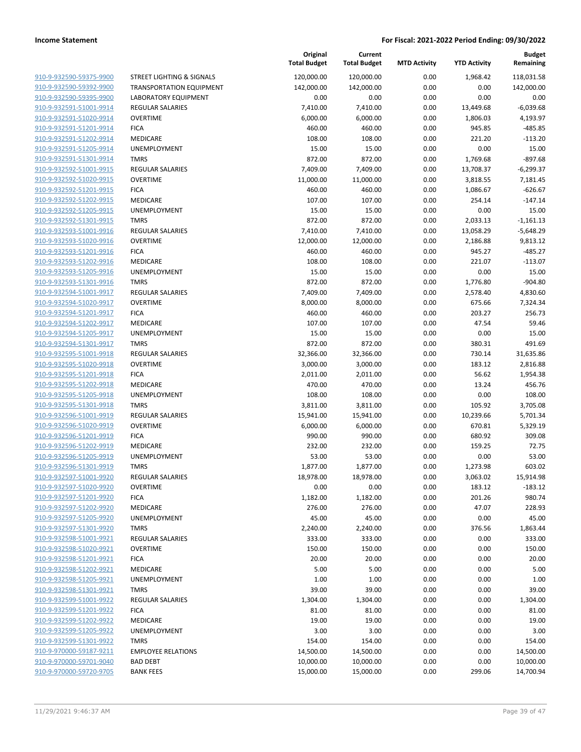|                         |                                 | Original<br><b>Total Budget</b> | Current<br><b>Total Budget</b> | <b>MTD Activity</b> | <b>YTD Activity</b> | <b>Budget</b><br>Remaining |
|-------------------------|---------------------------------|---------------------------------|--------------------------------|---------------------|---------------------|----------------------------|
| 910-9-932590-59375-9900 | STREET LIGHTING & SIGNALS       | 120,000.00                      | 120,000.00                     | 0.00                | 1,968.42            | 118,031.58                 |
| 910-9-932590-59392-9900 | <b>TRANSPORTATION EQUIPMENT</b> | 142,000.00                      | 142,000.00                     | 0.00                | 0.00                | 142,000.00                 |
| 910-9-932590-59395-9900 | <b>LABORATORY EQUIPMENT</b>     | 0.00                            | 0.00                           | 0.00                | 0.00                | 0.00                       |
| 910-9-932591-51001-9914 | <b>REGULAR SALARIES</b>         | 7,410.00                        | 7,410.00                       | 0.00                | 13,449.68           | $-6,039.68$                |
| 910-9-932591-51020-9914 | <b>OVERTIME</b>                 | 6,000.00                        | 6,000.00                       | 0.00                | 1,806.03            | 4,193.97                   |
| 910-9-932591-51201-9914 | <b>FICA</b>                     | 460.00                          | 460.00                         | 0.00                | 945.85              | $-485.85$                  |
| 910-9-932591-51202-9914 | MEDICARE                        | 108.00                          | 108.00                         | 0.00                | 221.20              | $-113.20$                  |
| 910-9-932591-51205-9914 | UNEMPLOYMENT                    | 15.00                           | 15.00                          | 0.00                | 0.00                | 15.00                      |
| 910-9-932591-51301-9914 | <b>TMRS</b>                     | 872.00                          | 872.00                         | 0.00                | 1,769.68            | $-897.68$                  |
| 910-9-932592-51001-9915 | <b>REGULAR SALARIES</b>         | 7,409.00                        | 7,409.00                       | 0.00                | 13,708.37           | $-6,299.37$                |
| 910-9-932592-51020-9915 | <b>OVERTIME</b>                 | 11,000.00                       | 11,000.00                      | 0.00                | 3,818.55            | 7,181.45                   |
| 910-9-932592-51201-9915 | <b>FICA</b>                     | 460.00                          | 460.00                         | 0.00                | 1,086.67            | $-626.67$                  |
| 910-9-932592-51202-9915 | MEDICARE                        | 107.00                          | 107.00                         | 0.00                | 254.14              | $-147.14$                  |
| 910-9-932592-51205-9915 | UNEMPLOYMENT                    | 15.00                           | 15.00                          | 0.00                | 0.00                | 15.00                      |
| 910-9-932592-51301-9915 | <b>TMRS</b>                     | 872.00                          | 872.00                         | 0.00                | 2,033.13            | $-1,161.13$                |
| 910-9-932593-51001-9916 | REGULAR SALARIES                | 7,410.00                        | 7,410.00                       | 0.00                | 13,058.29           | $-5,648.29$                |
| 910-9-932593-51020-9916 | <b>OVERTIME</b>                 | 12,000.00                       | 12,000.00                      | 0.00                | 2,186.88            | 9,813.12                   |
| 910-9-932593-51201-9916 | <b>FICA</b>                     | 460.00                          | 460.00                         | 0.00                | 945.27              | $-485.27$                  |
| 910-9-932593-51202-9916 | MEDICARE                        | 108.00                          | 108.00                         | 0.00                | 221.07              | $-113.07$                  |
| 910-9-932593-51205-9916 | UNEMPLOYMENT                    | 15.00                           | 15.00                          | 0.00                | 0.00                | 15.00                      |
| 910-9-932593-51301-9916 | <b>TMRS</b>                     | 872.00                          | 872.00                         | 0.00                | 1,776.80            | $-904.80$                  |
| 910-9-932594-51001-9917 | REGULAR SALARIES                | 7,409.00                        | 7,409.00                       | 0.00                | 2,578.40            | 4,830.60                   |
| 910-9-932594-51020-9917 | <b>OVERTIME</b>                 | 8,000.00                        | 8,000.00                       | 0.00                | 675.66              | 7,324.34                   |
| 910-9-932594-51201-9917 | <b>FICA</b>                     | 460.00                          | 460.00                         | 0.00                | 203.27              | 256.73                     |
| 910-9-932594-51202-9917 | MEDICARE                        | 107.00                          | 107.00                         | 0.00                | 47.54               | 59.46                      |
| 910-9-932594-51205-9917 | UNEMPLOYMENT                    | 15.00                           | 15.00                          | 0.00                | 0.00                | 15.00                      |
| 910-9-932594-51301-9917 | <b>TMRS</b>                     | 872.00                          | 872.00                         | 0.00                | 380.31              | 491.69                     |
| 910-9-932595-51001-9918 | <b>REGULAR SALARIES</b>         | 32,366.00                       | 32,366.00                      | 0.00                | 730.14              | 31,635.86                  |
| 910-9-932595-51020-9918 | <b>OVERTIME</b>                 | 3,000.00                        | 3,000.00                       | 0.00                | 183.12              | 2,816.88                   |
| 910-9-932595-51201-9918 | <b>FICA</b>                     | 2,011.00                        | 2,011.00                       | 0.00                | 56.62               | 1,954.38                   |
| 910-9-932595-51202-9918 | MEDICARE                        | 470.00                          | 470.00                         | 0.00                | 13.24               | 456.76                     |
| 910-9-932595-51205-9918 | UNEMPLOYMENT                    | 108.00                          | 108.00                         | 0.00                | 0.00                | 108.00                     |
| 910-9-932595-51301-9918 | <b>TMRS</b>                     | 3,811.00                        | 3,811.00                       | 0.00                | 105.92              | 3,705.08                   |
| 910-9-932596-51001-9919 | <b>REGULAR SALARIES</b>         | 15,941.00                       | 15,941.00                      | 0.00                | 10,239.66           | 5,701.34                   |
| 910-9-932596-51020-9919 | <b>OVERTIME</b>                 | 6,000.00                        | 6,000.00                       | 0.00                | 670.81              | 5,329.19                   |
| 910-9-932596-51201-9919 | <b>FICA</b>                     | 990.00                          | 990.00                         | 0.00                | 680.92              | 309.08                     |
| 910-9-932596-51202-9919 | MEDICARE                        | 232.00                          | 232.00                         | 0.00                | 159.25              | 72.75                      |
| 910-9-932596-51205-9919 | UNEMPLOYMENT                    | 53.00                           | 53.00                          | 0.00                | 0.00                | 53.00                      |
| 910-9-932596-51301-9919 | <b>TMRS</b>                     | 1,877.00                        | 1,877.00                       | 0.00                | 1,273.98            | 603.02                     |
| 910-9-932597-51001-9920 | <b>REGULAR SALARIES</b>         | 18,978.00                       | 18,978.00                      | 0.00                | 3,063.02            | 15,914.98                  |
| 910-9-932597-51020-9920 | <b>OVERTIME</b>                 | 0.00                            | 0.00                           | 0.00                | 183.12              | $-183.12$                  |
| 910-9-932597-51201-9920 | <b>FICA</b>                     | 1,182.00                        | 1,182.00                       | 0.00                | 201.26              | 980.74                     |
| 910-9-932597-51202-9920 | MEDICARE                        | 276.00                          | 276.00                         | 0.00                | 47.07               | 228.93                     |
| 910-9-932597-51205-9920 | UNEMPLOYMENT                    | 45.00                           | 45.00                          | 0.00                | 0.00                | 45.00                      |
| 910-9-932597-51301-9920 | <b>TMRS</b>                     | 2,240.00                        | 2,240.00                       | 0.00                | 376.56              | 1,863.44                   |
| 910-9-932598-51001-9921 | <b>REGULAR SALARIES</b>         | 333.00                          | 333.00                         | 0.00                | 0.00                | 333.00                     |
| 910-9-932598-51020-9921 | <b>OVERTIME</b>                 | 150.00                          | 150.00                         | 0.00                | 0.00                | 150.00                     |
| 910-9-932598-51201-9921 | <b>FICA</b>                     | 20.00                           | 20.00                          | 0.00                | 0.00                | 20.00                      |
| 910-9-932598-51202-9921 | MEDICARE                        | 5.00                            | 5.00                           | 0.00                | 0.00                | 5.00                       |
| 910-9-932598-51205-9921 | <b>UNEMPLOYMENT</b>             | 1.00                            | 1.00                           | 0.00                | 0.00                | 1.00                       |
| 910-9-932598-51301-9921 | TMRS                            | 39.00                           | 39.00                          | 0.00                | 0.00                | 39.00                      |
| 910-9-932599-51001-9922 | REGULAR SALARIES                | 1,304.00                        | 1,304.00                       | 0.00                | 0.00                | 1,304.00                   |
| 910-9-932599-51201-9922 | <b>FICA</b>                     | 81.00                           | 81.00                          | 0.00                | 0.00                | 81.00                      |
| 910-9-932599-51202-9922 | MEDICARE                        | 19.00                           | 19.00                          | 0.00                | 0.00                | 19.00                      |
| 910-9-932599-51205-9922 | <b>UNEMPLOYMENT</b>             | 3.00                            | 3.00                           | 0.00                | 0.00                | 3.00                       |
| 910-9-932599-51301-9922 | <b>TMRS</b>                     | 154.00                          | 154.00                         | 0.00                | 0.00                | 154.00                     |
| 910-9-970000-59187-9211 | <b>EMPLOYEE RELATIONS</b>       | 14,500.00                       | 14,500.00                      | 0.00                | 0.00                | 14,500.00                  |
| 910-9-970000-59701-9040 | <b>BAD DEBT</b>                 | 10,000.00                       | 10,000.00                      | 0.00                | 0.00                | 10,000.00                  |
| 910-9-970000-59720-9705 | <b>BANK FEES</b>                | 15,000.00                       | 15,000.00                      | 0.00                | 299.06              | 14,700.94                  |
|                         |                                 |                                 |                                |                     |                     |                            |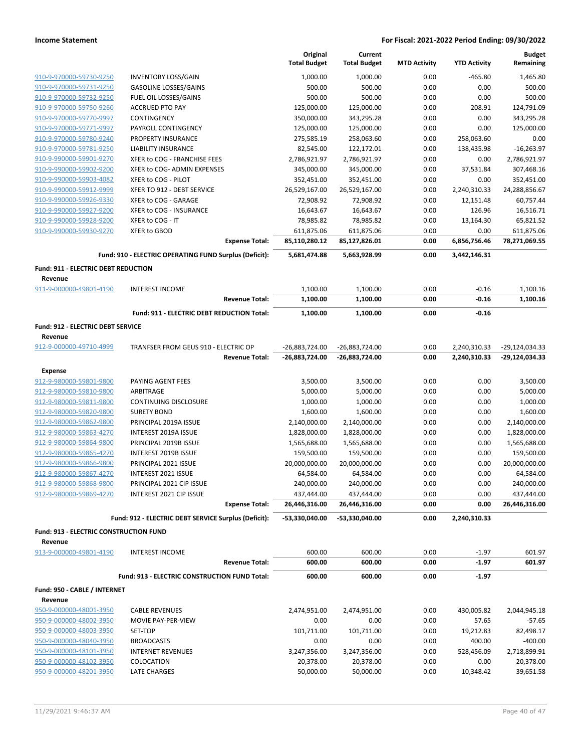|                                                    |                                                        |                       | Original<br><b>Total Budget</b> | Current<br><b>Total Budget</b> | <b>MTD Activity</b> | <b>YTD Activity</b> | <b>Budget</b><br>Remaining |
|----------------------------------------------------|--------------------------------------------------------|-----------------------|---------------------------------|--------------------------------|---------------------|---------------------|----------------------------|
|                                                    | <b>INVENTORY LOSS/GAIN</b>                             |                       | 1,000.00                        | 1,000.00                       | 0.00                | $-465.80$           | 1,465.80                   |
| 910-9-970000-59730-9250<br>910-9-970000-59731-9250 | <b>GASOLINE LOSSES/GAINS</b>                           |                       | 500.00                          | 500.00                         | 0.00                | 0.00                | 500.00                     |
| 910-9-970000-59732-9250                            | FUEL OIL LOSSES/GAINS                                  |                       | 500.00                          | 500.00                         | 0.00                | 0.00                | 500.00                     |
| 910-9-970000-59750-9260                            | <b>ACCRUED PTO PAY</b>                                 |                       | 125,000.00                      | 125,000.00                     | 0.00                | 208.91              | 124,791.09                 |
| 910-9-970000-59770-9997                            | CONTINGENCY                                            |                       | 350,000.00                      | 343,295.28                     | 0.00                | 0.00                | 343,295.28                 |
| 910-9-970000-59771-9997                            | PAYROLL CONTINGENCY                                    |                       | 125,000.00                      | 125,000.00                     | 0.00                | 0.00                | 125,000.00                 |
| 910-9-970000-59780-9240                            | PROPERTY INSURANCE                                     |                       | 275,585.19                      | 258,063.60                     | 0.00                | 258,063.60          | 0.00                       |
| 910-9-970000-59781-9250                            | <b>LIABILITY INSURANCE</b>                             |                       | 82,545.00                       | 122,172.01                     | 0.00                | 138,435.98          | $-16,263.97$               |
| 910-9-990000-59901-9270                            | XFER to COG - FRANCHISE FEES                           |                       | 2,786,921.97                    | 2,786,921.97                   | 0.00                | 0.00                | 2,786,921.97               |
| 910-9-990000-59902-9200                            | XFER to COG- ADMIN EXPENSES                            |                       | 345,000.00                      | 345,000.00                     | 0.00                | 37,531.84           | 307,468.16                 |
| 910-9-990000-59903-4082                            | XFER to COG - PILOT                                    |                       | 352,451.00                      | 352,451.00                     | 0.00                | 0.00                | 352,451.00                 |
| 910-9-990000-59912-9999                            | XFER TO 912 - DEBT SERVICE                             |                       | 26,529,167.00                   | 26,529,167.00                  | 0.00                | 2,240,310.33        | 24,288,856.67              |
| 910-9-990000-59926-9330                            | XFER to COG - GARAGE                                   |                       | 72,908.92                       | 72,908.92                      | 0.00                | 12,151.48           | 60,757.44                  |
| 910-9-990000-59927-9200                            | XFER to COG - INSURANCE                                |                       | 16,643.67                       | 16,643.67                      | 0.00                | 126.96              | 16,516.71                  |
| 910-9-990000-59928-9200                            | XFER to COG - IT                                       |                       | 78,985.82                       | 78,985.82                      | 0.00                | 13,164.30           | 65,821.52                  |
| 910-9-990000-59930-9270                            | <b>XFER to GBOD</b>                                    |                       | 611,875.06                      | 611,875.06                     | 0.00                | 0.00                | 611,875.06                 |
|                                                    |                                                        | <b>Expense Total:</b> | 85,110,280.12                   | 85,127,826.01                  | 0.00                | 6,856,756.46        | 78,271,069.55              |
|                                                    | Fund: 910 - ELECTRIC OPERATING FUND Surplus (Deficit): |                       | 5,681,474.88                    | 5,663,928.99                   | 0.00                | 3,442,146.31        |                            |
| Fund: 911 - ELECTRIC DEBT REDUCTION                |                                                        |                       |                                 |                                |                     |                     |                            |
| Revenue                                            |                                                        |                       |                                 |                                |                     |                     |                            |
| 911-9-000000-49801-4190                            | <b>INTEREST INCOME</b>                                 |                       | 1,100.00                        | 1,100.00                       | 0.00                | $-0.16$             | 1,100.16                   |
|                                                    |                                                        | <b>Revenue Total:</b> | 1,100.00                        | 1,100.00                       | 0.00                | $-0.16$             | 1,100.16                   |
|                                                    | Fund: 911 - ELECTRIC DEBT REDUCTION Total:             |                       | 1,100.00                        | 1,100.00                       | 0.00                | $-0.16$             |                            |
| Fund: 912 - ELECTRIC DEBT SERVICE                  |                                                        |                       |                                 |                                |                     |                     |                            |
| Revenue                                            |                                                        |                       |                                 |                                |                     |                     |                            |
| 912-9-000000-49710-4999                            | TRANFSER FROM GEUS 910 - ELECTRIC OP                   |                       | -26,883,724.00                  | -26,883,724.00                 | 0.00                | 2,240,310.33        | -29,124,034.33             |
|                                                    |                                                        | <b>Revenue Total:</b> | -26,883,724.00                  | -26,883,724.00                 | 0.00                | 2,240,310.33        | -29,124,034.33             |
| Expense                                            |                                                        |                       |                                 |                                |                     |                     |                            |
| 912-9-980000-59801-9800                            | PAYING AGENT FEES                                      |                       | 3,500.00                        | 3,500.00                       | 0.00                | 0.00                | 3,500.00                   |
| 912-9-980000-59810-9800                            | ARBITRAGE                                              |                       | 5,000.00                        | 5,000.00                       | 0.00                | 0.00                | 5,000.00                   |
| 912-9-980000-59811-9800                            | CONTINUING DISCLOSURE                                  |                       | 1,000.00                        | 1,000.00                       | 0.00                | 0.00                | 1,000.00                   |
| 912-9-980000-59820-9800                            | <b>SURETY BOND</b>                                     |                       | 1,600.00                        | 1,600.00                       | 0.00                | 0.00                | 1,600.00                   |
| 912-9-980000-59862-9800                            | PRINCIPAL 2019A ISSUE                                  |                       | 2,140,000.00                    | 2,140,000.00                   | 0.00                | 0.00                | 2,140,000.00               |
| 912-9-980000-59863-4270                            | INTEREST 2019A ISSUE                                   |                       | 1,828,000.00                    | 1,828,000.00                   | 0.00                | 0.00                | 1,828,000.00               |
| 912-9-980000-59864-9800                            | PRINCIPAL 2019B ISSUE                                  |                       | 1,565,688.00                    | 1,565,688.00                   | 0.00                | 0.00                | 1,565,688.00               |
| 912-9-980000-59865-4270                            | INTEREST 2019B ISSUE                                   |                       | 159,500.00                      | 159,500.00                     | 0.00                | 0.00                | 159,500.00                 |
| 912-9-980000-59866-9800                            | PRINCIPAL 2021 ISSUE                                   |                       | 20,000,000.00                   | 20,000,000.00                  | 0.00                | 0.00                | 20,000,000.00              |
| 912-9-980000-59867-4270                            | INTEREST 2021 ISSUE                                    |                       | 64,584.00                       | 64,584.00                      | 0.00                | 0.00                | 64,584.00                  |
| 912-9-980000-59868-9800                            | PRINCIPAL 2021 CIP ISSUE                               |                       | 240,000.00                      | 240,000.00                     | 0.00                | 0.00                | 240,000.00                 |
| 912-9-980000-59869-4270                            | INTEREST 2021 CIP ISSUE                                |                       | 437,444.00                      | 437,444.00                     | 0.00                | 0.00                | 437,444.00                 |
|                                                    |                                                        | <b>Expense Total:</b> | 26,446,316.00                   | 26,446,316.00                  | 0.00                | 0.00                | 26,446,316.00              |
|                                                    | Fund: 912 - ELECTRIC DEBT SERVICE Surplus (Deficit):   |                       | -53,330,040.00                  | -53,330,040.00                 | 0.00                | 2,240,310.33        |                            |
| <b>Fund: 913 - ELECTRIC CONSTRUCTION FUND</b>      |                                                        |                       |                                 |                                |                     |                     |                            |
| Revenue                                            |                                                        |                       |                                 |                                |                     |                     |                            |
| 913-9-000000-49801-4190                            | <b>INTEREST INCOME</b>                                 |                       | 600.00                          | 600.00                         | 0.00                | $-1.97$             | 601.97                     |
|                                                    |                                                        | <b>Revenue Total:</b> | 600.00                          | 600.00                         | 0.00                | $-1.97$             | 601.97                     |
|                                                    | Fund: 913 - ELECTRIC CONSTRUCTION FUND Total:          |                       | 600.00                          | 600.00                         | 0.00                | $-1.97$             |                            |
| Fund: 950 - CABLE / INTERNET                       |                                                        |                       |                                 |                                |                     |                     |                            |
| Revenue                                            |                                                        |                       |                                 |                                |                     |                     |                            |
| 950-9-000000-48001-3950                            | <b>CABLE REVENUES</b>                                  |                       | 2,474,951.00                    | 2,474,951.00                   | 0.00                | 430,005.82          | 2,044,945.18               |
| 950-9-000000-48002-3950                            | MOVIE PAY-PER-VIEW                                     |                       | 0.00                            | 0.00                           | 0.00                | 57.65               | $-57.65$                   |
| 950-9-000000-48003-3950                            | SET-TOP                                                |                       | 101,711.00                      | 101,711.00                     | 0.00                | 19,212.83           | 82,498.17                  |
| 950-9-000000-48040-3950                            | <b>BROADCASTS</b>                                      |                       | 0.00                            | 0.00                           | 0.00                | 400.00              | -400.00                    |
| 950-9-000000-48101-3950                            | <b>INTERNET REVENUES</b>                               |                       | 3,247,356.00                    | 3,247,356.00                   | 0.00                | 528,456.09          | 2,718,899.91               |
| 950-9-000000-48102-3950                            | COLOCATION                                             |                       | 20,378.00                       | 20,378.00                      | 0.00                | 0.00                | 20,378.00                  |
| 950-9-000000-48201-3950                            | LATE CHARGES                                           |                       | 50,000.00                       | 50,000.00                      | 0.00                | 10,348.42           | 39,651.58                  |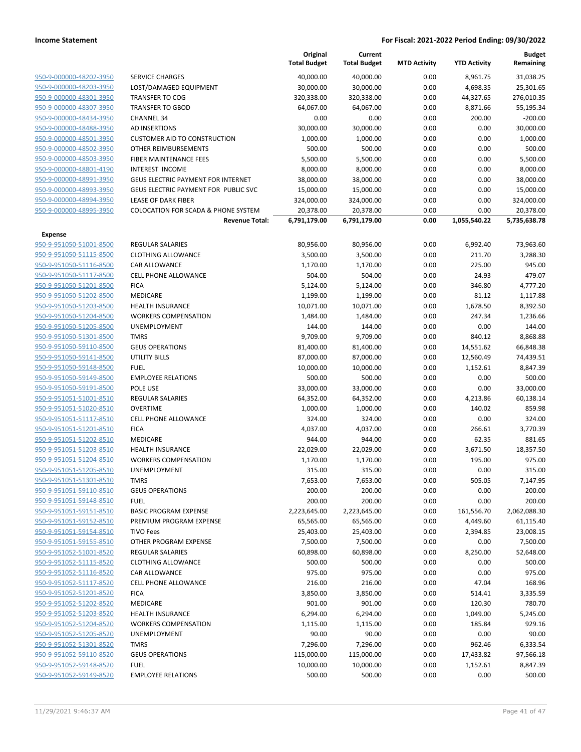|                                                    |                                                | Original<br><b>Total Budget</b> | Current<br><b>Total Budget</b> | <b>MTD Activity</b> | <b>YTD Activity</b> | <b>Budget</b><br>Remaining |
|----------------------------------------------------|------------------------------------------------|---------------------------------|--------------------------------|---------------------|---------------------|----------------------------|
| 950-9-000000-48202-3950                            | <b>SERVICE CHARGES</b>                         | 40,000.00                       | 40,000.00                      | 0.00                | 8,961.75            | 31,038.25                  |
| 950-9-000000-48203-3950                            | LOST/DAMAGED EQUIPMENT                         | 30,000.00                       | 30,000.00                      | 0.00                | 4,698.35            | 25,301.65                  |
| 950-9-000000-48301-3950                            | <b>TRANSFER TO COG</b>                         | 320,338.00                      | 320,338.00                     | 0.00                | 44,327.65           | 276,010.35                 |
| 950-9-000000-48307-3950                            | <b>TRANSFER TO GBOD</b>                        | 64,067.00                       | 64,067.00                      | 0.00                | 8,871.66            | 55,195.34                  |
| 950-9-000000-48434-3950                            | <b>CHANNEL 34</b>                              | 0.00                            | 0.00                           | 0.00                | 200.00              | $-200.00$                  |
| 950-9-000000-48488-3950                            | AD INSERTIONS                                  | 30,000.00                       | 30,000.00                      | 0.00                | 0.00                | 30,000.00                  |
| 950-9-000000-48501-3950                            | <b>CUSTOMER AID TO CONSTRUCTION</b>            | 1,000.00                        | 1,000.00                       | 0.00                | 0.00                | 1,000.00                   |
| 950-9-000000-48502-3950                            | OTHER REIMBURSEMENTS                           | 500.00                          | 500.00                         | 0.00                | 0.00                | 500.00                     |
| 950-9-000000-48503-3950                            | FIBER MAINTENANCE FEES                         | 5,500.00                        | 5,500.00                       | 0.00                | 0.00                | 5,500.00                   |
| 950-9-000000-48801-4190                            | <b>INTEREST INCOME</b>                         | 8,000.00                        | 8,000.00                       | 0.00                | 0.00                | 8,000.00                   |
| 950-9-000000-48991-3950                            | <b>GEUS ELECTRIC PAYMENT FOR INTERNET</b>      | 38,000.00                       | 38,000.00                      | 0.00                | 0.00                | 38,000.00                  |
| 950-9-000000-48993-3950                            | GEUS ELECTRIC PAYMENT FOR PUBLIC SVC           | 15,000.00                       | 15,000.00                      | 0.00                | 0.00                | 15,000.00                  |
| 950-9-000000-48994-3950                            | <b>LEASE OF DARK FIBER</b>                     | 324,000.00                      | 324,000.00                     | 0.00                | 0.00                | 324,000.00                 |
| 950-9-000000-48995-3950                            | <b>COLOCATION FOR SCADA &amp; PHONE SYSTEM</b> | 20,378.00                       | 20,378.00                      | 0.00                | 0.00                | 20,378.00                  |
|                                                    | <b>Revenue Total:</b>                          | 6,791,179.00                    | 6,791,179.00                   | 0.00                | 1,055,540.22        | 5,735,638.78               |
| <b>Expense</b>                                     |                                                |                                 |                                |                     |                     |                            |
| 950-9-951050-51001-8500                            | <b>REGULAR SALARIES</b>                        | 80,956.00                       | 80,956.00                      | 0.00                | 6,992.40            | 73,963.60                  |
| 950-9-951050-51115-8500                            | <b>CLOTHING ALLOWANCE</b>                      | 3,500.00                        | 3,500.00                       | 0.00                | 211.70              | 3,288.30                   |
| 950-9-951050-51116-8500                            | CAR ALLOWANCE                                  | 1,170.00                        | 1,170.00                       | 0.00                | 225.00              | 945.00                     |
| 950-9-951050-51117-8500                            | <b>CELL PHONE ALLOWANCE</b>                    | 504.00                          | 504.00                         | 0.00                | 24.93               | 479.07                     |
| 950-9-951050-51201-8500                            | <b>FICA</b>                                    | 5,124.00                        | 5,124.00                       | 0.00                | 346.80              | 4,777.20                   |
| 950-9-951050-51202-8500                            | MEDICARE                                       | 1,199.00                        | 1,199.00                       | 0.00                | 81.12               | 1,117.88                   |
| 950-9-951050-51203-8500                            | <b>HEALTH INSURANCE</b>                        | 10,071.00                       | 10,071.00                      | 0.00                | 1,678.50            | 8,392.50                   |
| 950-9-951050-51204-8500                            | <b>WORKERS COMPENSATION</b>                    | 1,484.00                        | 1,484.00                       | 0.00                | 247.34              | 1,236.66                   |
| 950-9-951050-51205-8500<br>950-9-951050-51301-8500 | UNEMPLOYMENT<br><b>TMRS</b>                    | 144.00                          | 144.00                         | 0.00                | 0.00                | 144.00                     |
| 950-9-951050-59110-8500                            | <b>GEUS OPERATIONS</b>                         | 9,709.00<br>81,400.00           | 9,709.00<br>81,400.00          | 0.00<br>0.00        | 840.12<br>14,551.62 | 8,868.88<br>66,848.38      |
| 950-9-951050-59141-8500                            | <b>UTILITY BILLS</b>                           | 87,000.00                       | 87,000.00                      | 0.00                | 12,560.49           | 74,439.51                  |
| 950-9-951050-59148-8500                            | <b>FUEL</b>                                    | 10,000.00                       | 10,000.00                      | 0.00                | 1,152.61            | 8,847.39                   |
| 950-9-951050-59149-8500                            | <b>EMPLOYEE RELATIONS</b>                      | 500.00                          | 500.00                         | 0.00                | 0.00                | 500.00                     |
| 950-9-951050-59191-8500                            | POLE USE                                       | 33,000.00                       | 33,000.00                      | 0.00                | 0.00                | 33,000.00                  |
| 950-9-951051-51001-8510                            | REGULAR SALARIES                               | 64,352.00                       | 64,352.00                      | 0.00                | 4,213.86            | 60,138.14                  |
| 950-9-951051-51020-8510                            | <b>OVERTIME</b>                                | 1,000.00                        | 1,000.00                       | 0.00                | 140.02              | 859.98                     |
| 950-9-951051-51117-8510                            | <b>CELL PHONE ALLOWANCE</b>                    | 324.00                          | 324.00                         | 0.00                | 0.00                | 324.00                     |
| 950-9-951051-51201-8510                            | <b>FICA</b>                                    | 4,037.00                        | 4,037.00                       | 0.00                | 266.61              | 3,770.39                   |
| 950-9-951051-51202-8510                            | MEDICARE                                       | 944.00                          | 944.00                         | 0.00                | 62.35               | 881.65                     |
| 950-9-951051-51203-8510                            | <b>HEALTH INSURANCE</b>                        | 22,029.00                       | 22,029.00                      | 0.00                | 3,671.50            | 18,357.50                  |
| 950-9-951051-51204-8510                            | <b>WORKERS COMPENSATION</b>                    | 1,170.00                        | 1,170.00                       | 0.00                | 195.00              | 975.00                     |
| 950-9-951051-51205-8510                            | UNEMPLOYMENT                                   | 315.00                          | 315.00                         | 0.00                | 0.00                | 315.00                     |
| 950-9-951051-51301-8510                            | TMRS                                           | 7,653.00                        | 7,653.00                       | 0.00                | 505.05              | 7,147.95                   |
| 950-9-951051-59110-8510                            | <b>GEUS OPERATIONS</b>                         | 200.00                          | 200.00                         | 0.00                | 0.00                | 200.00                     |
| 950-9-951051-59148-8510                            | <b>FUEL</b>                                    | 200.00                          | 200.00                         | 0.00                | 0.00                | 200.00                     |
| 950-9-951051-59151-8510                            | <b>BASIC PROGRAM EXPENSE</b>                   | 2,223,645.00                    | 2,223,645.00                   | 0.00                | 161,556.70          | 2,062,088.30               |
| 950-9-951051-59152-8510                            | PREMIUM PROGRAM EXPENSE                        | 65,565.00                       | 65,565.00                      | 0.00                | 4,449.60            | 61,115.40                  |
| 950-9-951051-59154-8510                            | <b>TIVO Fees</b>                               | 25,403.00                       | 25,403.00                      | 0.00                | 2,394.85            | 23,008.15                  |
| 950-9-951051-59155-8510                            | OTHER PROGRAM EXPENSE                          | 7,500.00                        | 7,500.00                       | 0.00                | 0.00                | 7,500.00                   |
| 950-9-951052-51001-8520                            | <b>REGULAR SALARIES</b>                        | 60,898.00                       | 60,898.00                      | 0.00                | 8,250.00            | 52,648.00                  |
| 950-9-951052-51115-8520                            | <b>CLOTHING ALLOWANCE</b>                      | 500.00                          | 500.00                         | 0.00                | 0.00                | 500.00                     |
| 950-9-951052-51116-8520                            | CAR ALLOWANCE                                  | 975.00                          | 975.00                         | 0.00                | 0.00                | 975.00                     |
| 950-9-951052-51117-8520                            | CELL PHONE ALLOWANCE                           | 216.00                          | 216.00                         | 0.00                | 47.04               | 168.96                     |
| 950-9-951052-51201-8520                            | <b>FICA</b>                                    | 3,850.00                        | 3,850.00                       | 0.00                | 514.41              | 3,335.59                   |
| 950-9-951052-51202-8520                            | MEDICARE                                       | 901.00                          | 901.00                         | 0.00                | 120.30              | 780.70                     |
| 950-9-951052-51203-8520                            | <b>HEALTH INSURANCE</b>                        | 6,294.00                        | 6,294.00                       | 0.00                | 1,049.00            | 5,245.00                   |
| 950-9-951052-51204-8520                            | <b>WORKERS COMPENSATION</b>                    | 1,115.00                        | 1,115.00                       | 0.00                | 185.84              | 929.16                     |
| 950-9-951052-51205-8520                            | UNEMPLOYMENT                                   | 90.00                           | 90.00                          | 0.00                | 0.00                | 90.00                      |
| 950-9-951052-51301-8520                            | <b>TMRS</b>                                    | 7,296.00                        | 7,296.00                       | 0.00                | 962.46              | 6,333.54                   |
| 950-9-951052-59110-8520                            | <b>GEUS OPERATIONS</b>                         | 115,000.00                      | 115,000.00                     | 0.00                | 17,433.82           | 97,566.18                  |
| 950-9-951052-59148-8520                            | <b>FUEL</b>                                    | 10,000.00                       | 10,000.00                      | 0.00                | 1,152.61            | 8,847.39                   |
| 950-9-951052-59149-8520                            | <b>EMPLOYEE RELATIONS</b>                      | 500.00                          | 500.00                         | 0.00                | 0.00                | 500.00                     |
|                                                    |                                                |                                 |                                |                     |                     |                            |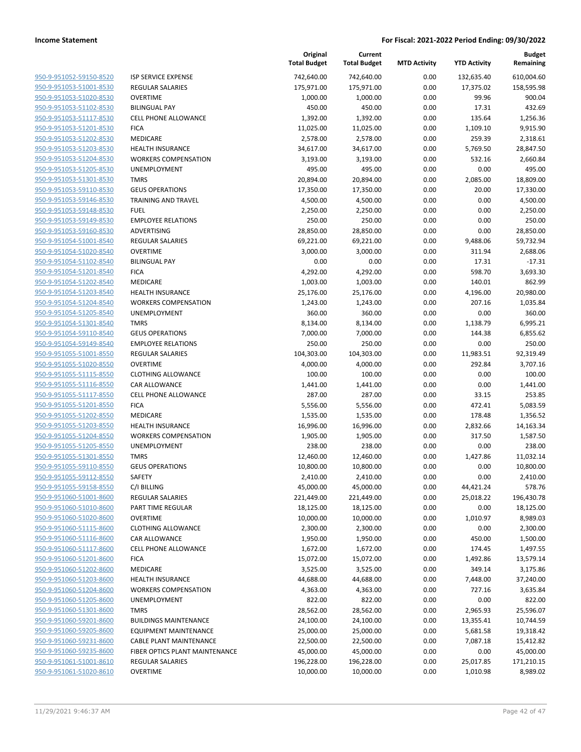| 950-9-951052-59150-8520        |
|--------------------------------|
| 950-9-951053-51001-8530        |
| 950-9-951053-51020-8530        |
| <u>950-9-951053-51102-8530</u> |
| 950-9-951053-51117-8530        |
| 950-9-951053-51201-8530        |
| 950-9-951053-51202-8530        |
| 950-9-951053-51203-8530        |
|                                |
| <u>950-9-951053-51204-8530</u> |
| 950-9-951053-51205-8530        |
| 950-9-951053-51301-8530        |
| 950-9-951053-59110-8530        |
| 950-9-951053-59146-8530        |
| <u>950-9-951053-59148-8530</u> |
| 950-9-951053-59149-8530        |
| 950-9-951053-59160-8530        |
| 950-9-951054-51001-8540        |
| 950-9-951054-51020-8540        |
| 950-9-951054-51102-8540        |
| 950-9-951054-51201-8540        |
|                                |
| 950-9-951054-51202-8540        |
| 950-9-951054-51203-8540        |
| 950-9-951054-51204-8540        |
| 950-9-951054-51205-8540        |
| <u>950-9-951054-51301-8540</u> |
| 950-9-951054-59110-8540        |
| 950-9-951054-59149-8540        |
| 950-9-951055-51001-8550        |
| 950-9-951055-51020-8550        |
| 950-9-951055-51115-8550        |
| 950-9-951055-51116-8550        |
| 950-9-951055-51117-8550        |
| 950-9-951055-51201-8550        |
| <u>950-9-951055-51202-8550</u> |
|                                |
| <u>950-9-951055-51203-8550</u> |
| 950-9-951055-51204-8550        |
| 950-9-951055-51205-8550        |
| 950-9-951055-51301-8550        |
| 950-9-951055-59110-8550        |
| 950-9-951055-59112-8550        |
| 950-9-951055-59158-8550        |
| 950-9-951060-51001-8600        |
| 950-9-951060-51010-8600        |
| 950-9-951060-51020-8600        |
| 950-9-951060-51115-8600        |
| 950-9-951060-51116-8600        |
| 950-9-951060-51117-8600        |
| 950-9-951060-51201-8600        |
|                                |
| 950-9-951060-51202-8600        |
| <u>950-9-951060-51203-8600</u> |
| 950-9-951060-51204-8600        |
| 950-9-951060-51205-8600        |
| 950-9-951060-51301-8600        |
| 950-9-951060-59201-8600        |
| <u>950-9-951060-59205-8600</u> |
| 950-9-951060-59231-8600        |
| 950-9-951060-59235-8600        |
| 950-9-951061-51001-8610        |
| 950-9-951061-51020-8610        |
|                                |

|                                                    |                                | Original<br><b>Total Budget</b> | Current<br><b>Total Budget</b> | <b>MTD Activity</b> | <b>YTD Activity</b> | <b>Budget</b><br>Remaining |
|----------------------------------------------------|--------------------------------|---------------------------------|--------------------------------|---------------------|---------------------|----------------------------|
| 950-9-951052-59150-8520                            | <b>ISP SERVICE EXPENSE</b>     | 742,640.00                      | 742,640.00                     | 0.00                | 132,635.40          | 610,004.60                 |
| 950-9-951053-51001-8530                            | <b>REGULAR SALARIES</b>        | 175,971.00                      | 175,971.00                     | 0.00                | 17,375.02           | 158,595.98                 |
| 950-9-951053-51020-8530                            | <b>OVERTIME</b>                | 1,000.00                        | 1,000.00                       | 0.00                | 99.96               | 900.04                     |
| 950-9-951053-51102-8530                            | <b>BILINGUAL PAY</b>           | 450.00                          | 450.00                         | 0.00                | 17.31               | 432.69                     |
| 950-9-951053-51117-8530                            | <b>CELL PHONE ALLOWANCE</b>    | 1,392.00                        | 1,392.00                       | 0.00                | 135.64              | 1,256.36                   |
| 950-9-951053-51201-8530                            | <b>FICA</b>                    | 11,025.00                       | 11,025.00                      | 0.00                | 1,109.10            | 9,915.90                   |
| 950-9-951053-51202-8530                            | <b>MEDICARE</b>                | 2,578.00                        | 2,578.00                       | 0.00                | 259.39              | 2,318.61                   |
| 950-9-951053-51203-8530                            | <b>HEALTH INSURANCE</b>        | 34,617.00                       | 34,617.00                      | 0.00                | 5,769.50            | 28,847.50                  |
| 950-9-951053-51204-8530                            | <b>WORKERS COMPENSATION</b>    | 3,193.00                        | 3,193.00                       | 0.00                | 532.16              | 2,660.84                   |
| 950-9-951053-51205-8530                            | <b>UNEMPLOYMENT</b>            | 495.00                          | 495.00                         | 0.00                | 0.00                | 495.00                     |
| 950-9-951053-51301-8530                            | <b>TMRS</b>                    | 20,894.00                       | 20,894.00                      | 0.00                | 2,085.00            | 18,809.00                  |
| 950-9-951053-59110-8530                            | <b>GEUS OPERATIONS</b>         | 17,350.00                       | 17,350.00                      | 0.00                | 20.00               | 17,330.00                  |
| 950-9-951053-59146-8530                            | <b>TRAINING AND TRAVEL</b>     | 4,500.00                        | 4,500.00                       | 0.00                | 0.00                | 4,500.00                   |
| 950-9-951053-59148-8530                            | <b>FUEL</b>                    | 2,250.00                        | 2,250.00                       | 0.00                | 0.00                | 2,250.00                   |
| 950-9-951053-59149-8530                            | <b>EMPLOYEE RELATIONS</b>      | 250.00                          | 250.00                         | 0.00                | 0.00                | 250.00                     |
| 950-9-951053-59160-8530                            | ADVERTISING                    | 28,850.00                       | 28,850.00                      | 0.00                | 0.00                | 28,850.00                  |
| 950-9-951054-51001-8540                            | <b>REGULAR SALARIES</b>        | 69,221.00                       | 69,221.00                      | 0.00                | 9,488.06            | 59,732.94                  |
| 950-9-951054-51020-8540                            | <b>OVERTIME</b>                | 3,000.00                        | 3,000.00                       | 0.00                | 311.94              | 2,688.06                   |
| 950-9-951054-51102-8540                            | <b>BILINGUAL PAY</b>           | 0.00                            | 0.00                           | 0.00                | 17.31               | -17.31                     |
| 950-9-951054-51201-8540                            | <b>FICA</b>                    | 4,292.00                        | 4,292.00                       | 0.00                | 598.70              | 3,693.30                   |
| 950-9-951054-51202-8540                            | MEDICARE                       | 1,003.00                        | 1,003.00                       | 0.00                | 140.01              | 862.99                     |
| 950-9-951054-51203-8540                            | <b>HEALTH INSURANCE</b>        | 25,176.00                       | 25,176.00                      | 0.00                | 4,196.00            | 20,980.00                  |
| 950-9-951054-51204-8540<br>950-9-951054-51205-8540 | <b>WORKERS COMPENSATION</b>    | 1,243.00                        | 1,243.00                       | 0.00                | 207.16              | 1,035.84                   |
| 950-9-951054-51301-8540                            | UNEMPLOYMENT<br><b>TMRS</b>    | 360.00<br>8,134.00              | 360.00<br>8,134.00             | 0.00<br>0.00        | 0.00                | 360.00<br>6,995.21         |
| 950-9-951054-59110-8540                            | <b>GEUS OPERATIONS</b>         | 7,000.00                        | 7,000.00                       | 0.00                | 1,138.79<br>144.38  | 6,855.62                   |
| 950-9-951054-59149-8540                            | <b>EMPLOYEE RELATIONS</b>      | 250.00                          | 250.00                         | 0.00                | 0.00                | 250.00                     |
| 950-9-951055-51001-8550                            | <b>REGULAR SALARIES</b>        | 104,303.00                      | 104,303.00                     | 0.00                | 11,983.51           | 92,319.49                  |
| 950-9-951055-51020-8550                            | <b>OVERTIME</b>                | 4,000.00                        | 4,000.00                       | 0.00                | 292.84              | 3,707.16                   |
| 950-9-951055-51115-8550                            | <b>CLOTHING ALLOWANCE</b>      | 100.00                          | 100.00                         | 0.00                | 0.00                | 100.00                     |
| 950-9-951055-51116-8550                            | CAR ALLOWANCE                  | 1,441.00                        | 1,441.00                       | 0.00                | 0.00                | 1,441.00                   |
| 950-9-951055-51117-8550                            | <b>CELL PHONE ALLOWANCE</b>    | 287.00                          | 287.00                         | 0.00                | 33.15               | 253.85                     |
| 950-9-951055-51201-8550                            | <b>FICA</b>                    | 5,556.00                        | 5,556.00                       | 0.00                | 472.41              | 5,083.59                   |
| 950-9-951055-51202-8550                            | MEDICARE                       | 1,535.00                        | 1,535.00                       | 0.00                | 178.48              | 1,356.52                   |
| 950-9-951055-51203-8550                            | <b>HEALTH INSURANCE</b>        | 16,996.00                       | 16,996.00                      | 0.00                | 2,832.66            | 14,163.34                  |
| 950-9-951055-51204-8550                            | <b>WORKERS COMPENSATION</b>    | 1,905.00                        | 1,905.00                       | 0.00                | 317.50              | 1,587.50                   |
| 950-9-951055-51205-8550                            | <b>UNEMPLOYMENT</b>            | 238.00                          | 238.00                         | 0.00                | 0.00                | 238.00                     |
| 950-9-951055-51301-8550                            | <b>TMRS</b>                    | 12,460.00                       | 12,460.00                      | 0.00                | 1,427.86            | 11,032.14                  |
| 950-9-951055-59110-8550                            | <b>GEUS OPERATIONS</b>         | 10,800.00                       | 10,800.00                      | 0.00                | 0.00                | 10,800.00                  |
| 950-9-951055-59112-8550                            | SAFETY                         | 2,410.00                        | 2,410.00                       | 0.00                | 0.00                | 2,410.00                   |
| 950-9-951055-59158-8550                            | C/I BILLING                    | 45,000.00                       | 45,000.00                      | 0.00                | 44,421.24           | 578.76                     |
| 950-9-951060-51001-8600                            | REGULAR SALARIES               | 221,449.00                      | 221,449.00                     | 0.00                | 25,018.22           | 196,430.78                 |
| 950-9-951060-51010-8600                            | PART TIME REGULAR              | 18,125.00                       | 18,125.00                      | 0.00                | 0.00                | 18,125.00                  |
| 950-9-951060-51020-8600                            | <b>OVERTIME</b>                | 10,000.00                       | 10,000.00                      | 0.00                | 1,010.97            | 8,989.03                   |
| 950-9-951060-51115-8600                            | <b>CLOTHING ALLOWANCE</b>      | 2,300.00                        | 2,300.00                       | 0.00                | 0.00                | 2,300.00                   |
| 950-9-951060-51116-8600                            | CAR ALLOWANCE                  | 1,950.00                        | 1,950.00                       | 0.00                | 450.00              | 1,500.00                   |
| 950-9-951060-51117-8600                            | CELL PHONE ALLOWANCE           | 1,672.00                        | 1,672.00                       | 0.00                | 174.45              | 1,497.55                   |
| 950-9-951060-51201-8600                            | <b>FICA</b>                    | 15,072.00                       | 15,072.00                      | 0.00                | 1,492.86            | 13,579.14                  |
| 950-9-951060-51202-8600                            | MEDICARE                       | 3,525.00                        | 3,525.00                       | 0.00                | 349.14              | 3,175.86                   |
| 950-9-951060-51203-8600                            | <b>HEALTH INSURANCE</b>        | 44,688.00                       | 44,688.00                      | 0.00                | 7,448.00            | 37,240.00                  |
| 950-9-951060-51204-8600                            | <b>WORKERS COMPENSATION</b>    | 4,363.00                        | 4,363.00                       | 0.00                | 727.16              | 3,635.84                   |
| 950-9-951060-51205-8600                            | UNEMPLOYMENT                   | 822.00                          | 822.00                         | 0.00                | 0.00                | 822.00                     |
| 950-9-951060-51301-8600                            | <b>TMRS</b>                    | 28,562.00                       | 28,562.00                      | 0.00                | 2,965.93            | 25,596.07                  |
| 950-9-951060-59201-8600                            | <b>BUILDINGS MAINTENANCE</b>   | 24,100.00                       | 24,100.00                      | 0.00                | 13,355.41           | 10,744.59                  |
| 950-9-951060-59205-8600                            | <b>EQUIPMENT MAINTENANCE</b>   | 25,000.00                       | 25,000.00                      | 0.00                | 5,681.58            | 19,318.42                  |
| 950-9-951060-59231-8600                            | CABLE PLANT MAINTENANCE        | 22,500.00                       | 22,500.00                      | 0.00                | 7,087.18            | 15,412.82                  |
| 950-9-951060-59235-8600                            | FIBER OPTICS PLANT MAINTENANCE | 45,000.00                       | 45,000.00                      | 0.00                | 0.00                | 45,000.00                  |
| 950-9-951061-51001-8610                            | REGULAR SALARIES               | 196,228.00                      | 196,228.00                     | 0.00                | 25,017.85           | 171,210.15                 |
| 950-9-951061-51020-8610                            | <b>OVERTIME</b>                | 10,000.00                       | 10,000.00                      | 0.00                | 1,010.98            | 8,989.02                   |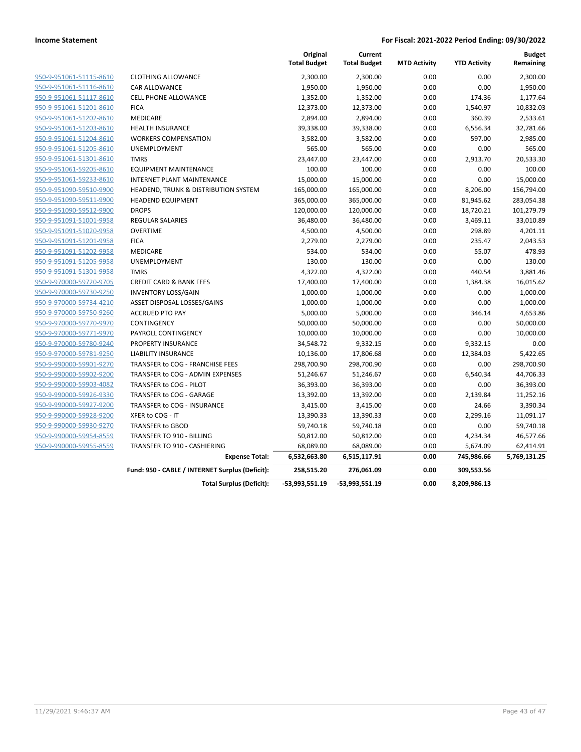|                         |                                                 | Original<br><b>Total Budget</b> | Current<br><b>Total Budget</b> | <b>MTD Activity</b> | <b>YTD Activity</b> | <b>Budget</b><br>Remaining |
|-------------------------|-------------------------------------------------|---------------------------------|--------------------------------|---------------------|---------------------|----------------------------|
| 950-9-951061-51115-8610 | <b>CLOTHING ALLOWANCE</b>                       | 2,300.00                        | 2,300.00                       | 0.00                | 0.00                | 2,300.00                   |
| 950-9-951061-51116-8610 | CAR ALLOWANCE                                   | 1,950.00                        | 1,950.00                       | 0.00                | 0.00                | 1,950.00                   |
| 950-9-951061-51117-8610 | <b>CELL PHONE ALLOWANCE</b>                     | 1,352.00                        | 1,352.00                       | 0.00                | 174.36              | 1,177.64                   |
| 950-9-951061-51201-8610 | <b>FICA</b>                                     | 12,373.00                       | 12,373.00                      | 0.00                | 1,540.97            | 10,832.03                  |
| 950-9-951061-51202-8610 | <b>MEDICARE</b>                                 | 2,894.00                        | 2,894.00                       | 0.00                | 360.39              | 2,533.61                   |
| 950-9-951061-51203-8610 | <b>HEALTH INSURANCE</b>                         | 39,338.00                       | 39,338.00                      | 0.00                | 6,556.34            | 32,781.66                  |
| 950-9-951061-51204-8610 | <b>WORKERS COMPENSATION</b>                     | 3,582.00                        | 3,582.00                       | 0.00                | 597.00              | 2,985.00                   |
| 950-9-951061-51205-8610 | UNEMPLOYMENT                                    | 565.00                          | 565.00                         | 0.00                | 0.00                | 565.00                     |
| 950-9-951061-51301-8610 | <b>TMRS</b>                                     | 23,447.00                       | 23,447.00                      | 0.00                | 2,913.70            | 20,533.30                  |
| 950-9-951061-59205-8610 | <b>EQUIPMENT MAINTENANCE</b>                    | 100.00                          | 100.00                         | 0.00                | 0.00                | 100.00                     |
| 950-9-951061-59233-8610 | <b>INTERNET PLANT MAINTENANCE</b>               | 15,000.00                       | 15,000.00                      | 0.00                | 0.00                | 15,000.00                  |
| 950-9-951090-59510-9900 | HEADEND, TRUNK & DISTRIBUTION SYSTEM            | 165,000.00                      | 165,000.00                     | 0.00                | 8,206.00            | 156,794.00                 |
| 950-9-951090-59511-9900 | <b>HEADEND EQUIPMENT</b>                        | 365,000.00                      | 365,000.00                     | 0.00                | 81,945.62           | 283,054.38                 |
| 950-9-951090-59512-9900 | <b>DROPS</b>                                    | 120,000.00                      | 120,000.00                     | 0.00                | 18,720.21           | 101,279.79                 |
| 950-9-951091-51001-9958 | <b>REGULAR SALARIES</b>                         | 36,480.00                       | 36,480.00                      | 0.00                | 3,469.11            | 33,010.89                  |
| 950-9-951091-51020-9958 | <b>OVERTIME</b>                                 | 4,500.00                        | 4,500.00                       | 0.00                | 298.89              | 4,201.11                   |
| 950-9-951091-51201-9958 | <b>FICA</b>                                     | 2,279.00                        | 2,279.00                       | 0.00                | 235.47              | 2,043.53                   |
| 950-9-951091-51202-9958 | MEDICARE                                        | 534.00                          | 534.00                         | 0.00                | 55.07               | 478.93                     |
| 950-9-951091-51205-9958 | UNEMPLOYMENT                                    | 130.00                          | 130.00                         | 0.00                | 0.00                | 130.00                     |
| 950-9-951091-51301-9958 | <b>TMRS</b>                                     | 4,322.00                        | 4,322.00                       | 0.00                | 440.54              | 3,881.46                   |
| 950-9-970000-59720-9705 | <b>CREDIT CARD &amp; BANK FEES</b>              | 17,400.00                       | 17,400.00                      | 0.00                | 1,384.38            | 16,015.62                  |
| 950-9-970000-59730-9250 | <b>INVENTORY LOSS/GAIN</b>                      | 1,000.00                        | 1,000.00                       | 0.00                | 0.00                | 1,000.00                   |
| 950-9-970000-59734-4210 | ASSET DISPOSAL LOSSES/GAINS                     | 1,000.00                        | 1,000.00                       | 0.00                | 0.00                | 1,000.00                   |
| 950-9-970000-59750-9260 | <b>ACCRUED PTO PAY</b>                          | 5,000.00                        | 5,000.00                       | 0.00                | 346.14              | 4,653.86                   |
| 950-9-970000-59770-9970 | CONTINGENCY                                     | 50,000.00                       | 50,000.00                      | 0.00                | 0.00                | 50,000.00                  |
| 950-9-970000-59771-9970 | PAYROLL CONTINGENCY                             | 10,000.00                       | 10,000.00                      | 0.00                | 0.00                | 10,000.00                  |
| 950-9-970000-59780-9240 | <b>PROPERTY INSURANCE</b>                       | 34,548.72                       | 9,332.15                       | 0.00                | 9,332.15            | 0.00                       |
| 950-9-970000-59781-9250 | <b>LIABILITY INSURANCE</b>                      | 10,136.00                       | 17,806.68                      | 0.00                | 12,384.03           | 5,422.65                   |
| 950-9-990000-59901-9270 | TRANSFER to COG - FRANCHISE FEES                | 298,700.90                      | 298,700.90                     | 0.00                | 0.00                | 298,700.90                 |
| 950-9-990000-59902-9200 | TRANSFER to COG - ADMIN EXPENSES                | 51,246.67                       | 51,246.67                      | 0.00                | 6,540.34            | 44,706.33                  |
| 950-9-990000-59903-4082 | TRANSFER to COG - PILOT                         | 36,393.00                       | 36,393.00                      | 0.00                | 0.00                | 36,393.00                  |
| 950-9-990000-59926-9330 | TRANSFER to COG - GARAGE                        | 13,392.00                       | 13,392.00                      | 0.00                | 2,139.84            | 11,252.16                  |
| 950-9-990000-59927-9200 | TRANSFER to COG - INSURANCE                     | 3,415.00                        | 3,415.00                       | 0.00                | 24.66               | 3,390.34                   |
| 950-9-990000-59928-9200 | XFER to COG - IT                                | 13,390.33                       | 13,390.33                      | 0.00                | 2,299.16            | 11,091.17                  |
| 950-9-990000-59930-9270 | <b>TRANSFER to GBOD</b>                         | 59,740.18                       | 59,740.18                      | 0.00                | 0.00                | 59,740.18                  |
| 950-9-990000-59954-8559 | <b>TRANSFER TO 910 - BILLING</b>                | 50,812.00                       | 50,812.00                      | 0.00                | 4,234.34            | 46,577.66                  |
| 950-9-990000-59955-8559 | TRANSFER TO 910 - CASHIERING                    | 68,089.00                       | 68,089.00                      | 0.00                | 5,674.09            | 62,414.91                  |
|                         | <b>Expense Total:</b>                           | 6,532,663.80                    | 6,515,117.91                   | 0.00                | 745,986.66          | 5,769,131.25               |
|                         | Fund: 950 - CABLE / INTERNET Surplus (Deficit): | 258,515.20                      | 276,061.09                     | 0.00                | 309,553.56          |                            |
|                         | <b>Total Surplus (Deficit):</b>                 | -53,993,551.19                  | -53,993,551.19                 | 0.00                | 8,209,986.13        |                            |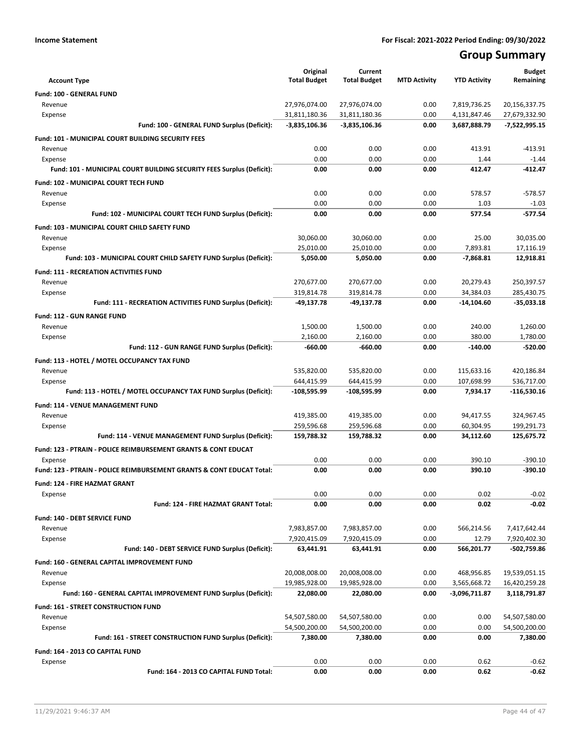# **Group Summary**

| <b>Account Type</b>                                                       | Original<br><b>Total Budget</b> | Current<br><b>Total Budget</b> | <b>MTD Activity</b> | <b>YTD Activity</b> | <b>Budget</b><br>Remaining     |
|---------------------------------------------------------------------------|---------------------------------|--------------------------------|---------------------|---------------------|--------------------------------|
| <b>Fund: 100 - GENERAL FUND</b>                                           |                                 |                                |                     |                     |                                |
| Revenue                                                                   | 27,976,074.00                   | 27,976,074.00                  | 0.00                | 7,819,736.25        | 20,156,337.75                  |
| Expense                                                                   | 31,811,180.36                   | 31,811,180.36                  | 0.00                | 4,131,847.46        | 27,679,332.90                  |
| Fund: 100 - GENERAL FUND Surplus (Deficit):                               | -3,835,106.36                   | $-3,835,106.36$                | 0.00                | 3,687,888.79        | $-7,522,995.15$                |
| Fund: 101 - MUNICIPAL COURT BUILDING SECURITY FEES                        |                                 |                                |                     |                     |                                |
| Revenue                                                                   | 0.00                            | 0.00                           | 0.00                | 413.91              | $-413.91$                      |
| Expense                                                                   | 0.00                            | 0.00                           | 0.00                | 1.44                | $-1.44$                        |
| Fund: 101 - MUNICIPAL COURT BUILDING SECURITY FEES Surplus (Deficit):     | 0.00                            | 0.00                           | 0.00                | 412.47              | $-412.47$                      |
| Fund: 102 - MUNICIPAL COURT TECH FUND                                     |                                 |                                |                     |                     |                                |
| Revenue                                                                   | 0.00                            | 0.00                           | 0.00                | 578.57              | $-578.57$                      |
| Expense                                                                   | 0.00                            | 0.00                           | 0.00                | 1.03                | $-1.03$                        |
| Fund: 102 - MUNICIPAL COURT TECH FUND Surplus (Deficit):                  | 0.00                            | 0.00                           | 0.00                | 577.54              | $-577.54$                      |
|                                                                           |                                 |                                |                     |                     |                                |
| Fund: 103 - MUNICIPAL COURT CHILD SAFETY FUND                             |                                 |                                |                     |                     |                                |
| Revenue<br>Expense                                                        | 30,060.00<br>25,010.00          | 30,060.00<br>25,010.00         | 0.00<br>0.00        | 25.00<br>7,893.81   | 30,035.00<br>17,116.19         |
| Fund: 103 - MUNICIPAL COURT CHILD SAFETY FUND Surplus (Deficit):          | 5,050.00                        | 5,050.00                       | 0.00                | $-7,868.81$         | 12,918.81                      |
|                                                                           |                                 |                                |                     |                     |                                |
| <b>Fund: 111 - RECREATION ACTIVITIES FUND</b>                             |                                 |                                |                     |                     |                                |
| Revenue                                                                   | 270,677.00                      | 270,677.00                     | 0.00                | 20,279.43           | 250,397.57                     |
| Expense                                                                   | 319,814.78                      | 319,814.78                     | 0.00                | 34,384.03           | 285,430.75                     |
| Fund: 111 - RECREATION ACTIVITIES FUND Surplus (Deficit):                 | $-49,137.78$                    | -49,137.78                     | 0.00                | -14,104.60          | -35,033.18                     |
| <b>Fund: 112 - GUN RANGE FUND</b>                                         |                                 |                                |                     |                     |                                |
| Revenue                                                                   | 1,500.00                        | 1,500.00                       | 0.00                | 240.00              | 1,260.00                       |
| Expense                                                                   | 2,160.00                        | 2,160.00                       | 0.00                | 380.00              | 1,780.00                       |
| Fund: 112 - GUN RANGE FUND Surplus (Deficit):                             | $-660.00$                       | $-660.00$                      | 0.00                | $-140.00$           | $-520.00$                      |
| Fund: 113 - HOTEL / MOTEL OCCUPANCY TAX FUND                              |                                 |                                |                     |                     |                                |
| Revenue                                                                   | 535,820.00                      | 535,820.00                     | 0.00                | 115,633.16          | 420,186.84                     |
| Expense                                                                   | 644,415.99                      | 644,415.99                     | 0.00                | 107,698.99          | 536,717.00                     |
| Fund: 113 - HOTEL / MOTEL OCCUPANCY TAX FUND Surplus (Deficit):           | -108,595.99                     | -108,595.99                    | 0.00                | 7,934.17            | -116,530.16                    |
| Fund: 114 - VENUE MANAGEMENT FUND                                         |                                 |                                |                     |                     |                                |
| Revenue                                                                   | 419,385.00                      | 419,385.00                     | 0.00                | 94,417.55           | 324,967.45                     |
| Expense                                                                   | 259,596.68                      | 259,596.68                     | 0.00                | 60,304.95           | 199,291.73                     |
| Fund: 114 - VENUE MANAGEMENT FUND Surplus (Deficit):                      | 159,788.32                      | 159,788.32                     | 0.00                | 34,112.60           | 125,675.72                     |
| <b>Fund: 123 - PTRAIN - POLICE REIMBURSEMENT GRANTS &amp; CONT EDUCAT</b> |                                 |                                |                     |                     |                                |
| Expense                                                                   | 0.00                            | 0.00                           | 0.00                | 390.10              | $-390.10$                      |
| Fund: 123 - PTRAIN - POLICE REIMBURSEMENT GRANTS & CONT EDUCAT Total:     | 0.00                            | 0.00                           | 0.00                | 390.10              | $-390.10$                      |
| <b>Fund: 124 - FIRE HAZMAT GRANT</b>                                      |                                 |                                |                     |                     |                                |
| Expense                                                                   | 0.00                            | 0.00                           | 0.00                | 0.02                | $-0.02$                        |
| Fund: 124 - FIRE HAZMAT GRANT Total:                                      | 0.00                            | 0.00                           | 0.00                | 0.02                | $-0.02$                        |
| Fund: 140 - DEBT SERVICE FUND                                             |                                 |                                |                     |                     |                                |
| Revenue                                                                   | 7,983,857.00                    | 7,983,857.00                   | 0.00                | 566,214.56          | 7,417,642.44                   |
| Expense                                                                   | 7,920,415.09                    | 7,920,415.09                   | 0.00                | 12.79               | 7,920,402.30                   |
| Fund: 140 - DEBT SERVICE FUND Surplus (Deficit):                          | 63,441.91                       | 63,441.91                      | 0.00                | 566,201.77          | -502,759.86                    |
| Fund: 160 - GENERAL CAPITAL IMPROVEMENT FUND                              |                                 |                                |                     |                     |                                |
| Revenue                                                                   | 20,008,008.00                   | 20,008,008.00                  | 0.00                | 468,956.85          | 19,539,051.15                  |
| Expense                                                                   | 19,985,928.00                   | 19,985,928.00                  | 0.00                | 3,565,668.72        | 16,420,259.28                  |
| Fund: 160 - GENERAL CAPITAL IMPROVEMENT FUND Surplus (Deficit):           | 22,080.00                       | 22,080.00                      | 0.00                | -3,096,711.87       | 3,118,791.87                   |
| <b>Fund: 161 - STREET CONSTRUCTION FUND</b>                               |                                 |                                |                     |                     |                                |
| Revenue                                                                   | 54,507,580.00                   |                                | 0.00                |                     |                                |
| Expense                                                                   | 54,500,200.00                   | 54,507,580.00<br>54,500,200.00 | 0.00                | 0.00<br>0.00        | 54,507,580.00<br>54,500,200.00 |
| Fund: 161 - STREET CONSTRUCTION FUND Surplus (Deficit):                   | 7,380.00                        | 7,380.00                       | 0.00                | 0.00                | 7,380.00                       |
|                                                                           |                                 |                                |                     |                     |                                |
| Fund: 164 - 2013 CO CAPITAL FUND                                          |                                 |                                |                     |                     |                                |
| Expense                                                                   | 0.00                            | 0.00                           | 0.00                | 0.62                | $-0.62$                        |
| Fund: 164 - 2013 CO CAPITAL FUND Total:                                   | 0.00                            | 0.00                           | 0.00                | 0.62                | -0.62                          |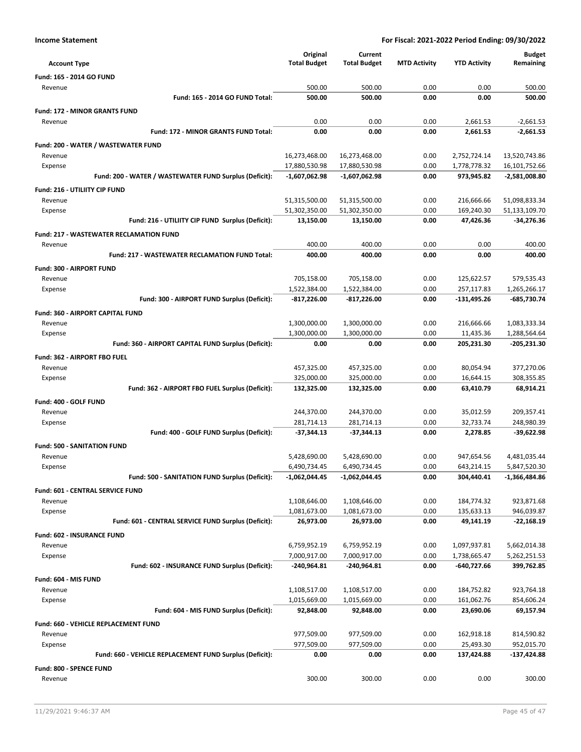| <b>Income Statement</b> | For Fiscal: 2021-2022 Period Ending: 09/30/2022 |
|-------------------------|-------------------------------------------------|

|                                                         | Original            | Current             |                     |                     | <b>Budget</b>   |
|---------------------------------------------------------|---------------------|---------------------|---------------------|---------------------|-----------------|
| <b>Account Type</b>                                     | <b>Total Budget</b> | <b>Total Budget</b> | <b>MTD Activity</b> | <b>YTD Activity</b> | Remaining       |
| Fund: 165 - 2014 GO FUND                                |                     |                     |                     |                     |                 |
| Revenue                                                 | 500.00              | 500.00              | 0.00                | 0.00                | 500.00          |
| Fund: 165 - 2014 GO FUND Total:                         | 500.00              | 500.00              | 0.00                | 0.00                | 500.00          |
| <b>Fund: 172 - MINOR GRANTS FUND</b>                    |                     |                     |                     |                     |                 |
| Revenue                                                 | 0.00                | 0.00                | 0.00                | 2,661.53            | $-2,661.53$     |
| <b>Fund: 172 - MINOR GRANTS FUND Total:</b>             | 0.00                | 0.00                | 0.00                | 2,661.53            | $-2,661.53$     |
| Fund: 200 - WATER / WASTEWATER FUND                     |                     |                     |                     |                     |                 |
| Revenue                                                 | 16,273,468.00       | 16,273,468.00       | 0.00                | 2,752,724.14        | 13,520,743.86   |
| Expense                                                 | 17,880,530.98       | 17,880,530.98       | 0.00                | 1,778,778.32        | 16,101,752.66   |
| Fund: 200 - WATER / WASTEWATER FUND Surplus (Deficit):  | $-1,607,062.98$     | -1,607,062.98       | 0.00                | 973,945.82          | $-2,581,008.80$ |
| Fund: 216 - UTILIITY CIP FUND                           |                     |                     |                     |                     |                 |
| Revenue                                                 | 51,315,500.00       | 51,315,500.00       | 0.00                | 216,666.66          | 51,098,833.34   |
| Expense                                                 | 51,302,350.00       | 51,302,350.00       | 0.00                | 169,240.30          | 51,133,109.70   |
| Fund: 216 - UTILIITY CIP FUND Surplus (Deficit):        | 13,150.00           | 13,150.00           | 0.00                | 47,426.36           | -34,276.36      |
| <b>Fund: 217 - WASTEWATER RECLAMATION FUND</b>          |                     |                     |                     |                     |                 |
| Revenue                                                 | 400.00              | 400.00              | 0.00                | 0.00                | 400.00          |
| <b>Fund: 217 - WASTEWATER RECLAMATION FUND Total:</b>   | 400.00              | 400.00              | 0.00                | 0.00                | 400.00          |
| <b>Fund: 300 - AIRPORT FUND</b>                         |                     |                     |                     |                     |                 |
| Revenue                                                 | 705,158.00          | 705,158.00          | 0.00                | 125,622.57          | 579,535.43      |
| Expense                                                 | 1,522,384.00        | 1,522,384.00        | 0.00                | 257,117.83          | 1,265,266.17    |
| Fund: 300 - AIRPORT FUND Surplus (Deficit):             | $-817,226.00$       | -817,226.00         | 0.00                | $-131,495.26$       | -685,730.74     |
| Fund: 360 - AIRPORT CAPITAL FUND                        |                     |                     |                     |                     |                 |
| Revenue                                                 | 1,300,000.00        | 1,300,000.00        | 0.00                | 216,666.66          | 1,083,333.34    |
| Expense                                                 | 1,300,000.00        | 1,300,000.00        | 0.00                | 11,435.36           | 1,288,564.64    |
| Fund: 360 - AIRPORT CAPITAL FUND Surplus (Deficit):     | 0.00                | 0.00                | 0.00                | 205,231.30          | -205,231.30     |
| Fund: 362 - AIRPORT FBO FUEL                            |                     |                     |                     |                     |                 |
| Revenue                                                 | 457,325.00          | 457,325.00          | 0.00                | 80,054.94           | 377,270.06      |
| Expense                                                 | 325,000.00          | 325,000.00          | 0.00                | 16,644.15           | 308,355.85      |
| Fund: 362 - AIRPORT FBO FUEL Surplus (Deficit):         | 132,325.00          | 132,325.00          | 0.00                | 63,410.79           | 68,914.21       |
| Fund: 400 - GOLF FUND                                   |                     |                     |                     |                     |                 |
| Revenue                                                 | 244,370.00          | 244,370.00          | 0.00                | 35,012.59           | 209,357.41      |
| Expense                                                 | 281,714.13          | 281,714.13          | 0.00                | 32,733.74           | 248,980.39      |
| Fund: 400 - GOLF FUND Surplus (Deficit):                | $-37,344.13$        | $-37,344.13$        | 0.00                | 2,278.85            | $-39,622.98$    |
| <b>Fund: 500 - SANITATION FUND</b>                      |                     |                     |                     |                     |                 |
| Revenue                                                 | 5,428,690.00        | 5,428,690.00        | 0.00                | 947,654.56          | 4,481,035.44    |
| Expense                                                 | 6,490,734.45        | 6,490,734.45        | 0.00                | 643,214.15          | 5,847,520.30    |
| Fund: 500 - SANITATION FUND Surplus (Deficit):          | $-1,062,044.45$     | -1,062,044.45       | 0.00                | 304,440.41          | $-1,366,484.86$ |
| <b>Fund: 601 - CENTRAL SERVICE FUND</b>                 |                     |                     |                     |                     |                 |
| Revenue                                                 | 1,108,646.00        | 1,108,646.00        | 0.00                | 184,774.32          | 923,871.68      |
| Expense                                                 | 1,081,673.00        | 1,081,673.00        | 0.00                | 135,633.13          | 946,039.87      |
| Fund: 601 - CENTRAL SERVICE FUND Surplus (Deficit):     | 26,973.00           | 26,973.00           | 0.00                | 49,141.19           | $-22,168.19$    |
| Fund: 602 - INSURANCE FUND                              |                     |                     |                     |                     |                 |
| Revenue                                                 | 6,759,952.19        | 6,759,952.19        | 0.00                | 1,097,937.81        | 5,662,014.38    |
| Expense                                                 | 7,000,917.00        | 7,000,917.00        | 0.00                | 1,738,665.47        | 5,262,251.53    |
| Fund: 602 - INSURANCE FUND Surplus (Deficit):           | -240,964.81         | -240,964.81         | 0.00                | -640,727.66         | 399,762.85      |
| Fund: 604 - MIS FUND                                    |                     |                     |                     |                     |                 |
| Revenue                                                 | 1,108,517.00        | 1,108,517.00        | 0.00                | 184,752.82          | 923,764.18      |
| Expense                                                 | 1,015,669.00        | 1,015,669.00        | 0.00                | 161,062.76          | 854,606.24      |
| Fund: 604 - MIS FUND Surplus (Deficit):                 | 92,848.00           | 92,848.00           | 0.00                | 23,690.06           | 69,157.94       |
| Fund: 660 - VEHICLE REPLACEMENT FUND                    |                     |                     |                     |                     |                 |
| Revenue                                                 | 977,509.00          | 977,509.00          | 0.00                | 162,918.18          | 814,590.82      |
| Expense                                                 | 977,509.00          | 977,509.00          | 0.00                | 25,493.30           | 952,015.70      |
| Fund: 660 - VEHICLE REPLACEMENT FUND Surplus (Deficit): | 0.00                | 0.00                | 0.00                | 137,424.88          | $-137,424.88$   |
| Fund: 800 - SPENCE FUND                                 |                     |                     |                     |                     |                 |
| Revenue                                                 | 300.00              | 300.00              | 0.00                | 0.00                | 300.00          |
|                                                         |                     |                     |                     |                     |                 |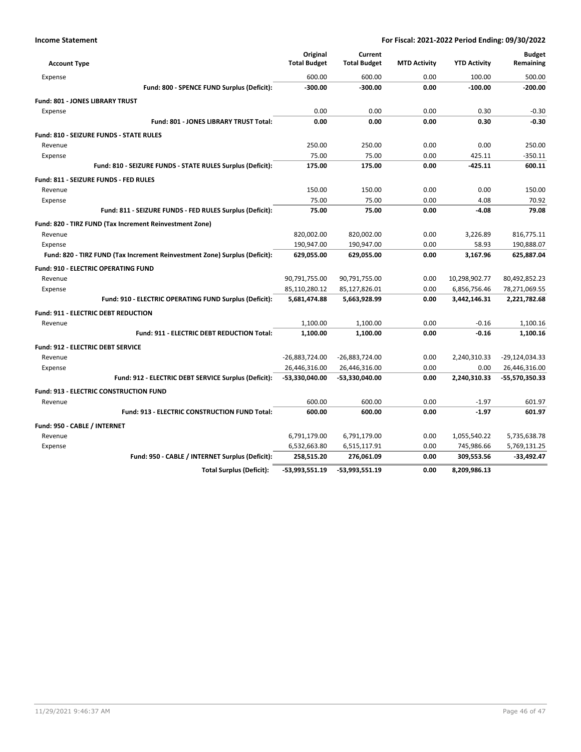| <b>Account Type</b>                            |                                                                            | Original<br><b>Total Budget</b> | Current<br><b>Total Budget</b> | <b>MTD Activity</b> | <b>YTD Activity</b> | <b>Budget</b><br>Remaining |
|------------------------------------------------|----------------------------------------------------------------------------|---------------------------------|--------------------------------|---------------------|---------------------|----------------------------|
| Expense                                        |                                                                            | 600.00                          | 600.00                         | 0.00                | 100.00              | 500.00                     |
|                                                | Fund: 800 - SPENCE FUND Surplus (Deficit):                                 | $-300.00$                       | $-300.00$                      | 0.00                | $-100.00$           | $-200.00$                  |
| <b>Fund: 801 - JONES LIBRARY TRUST</b>         |                                                                            |                                 |                                |                     |                     |                            |
| Expense                                        |                                                                            | 0.00                            | 0.00                           | 0.00                | 0.30                | $-0.30$                    |
|                                                | Fund: 801 - JONES LIBRARY TRUST Total:                                     | 0.00                            | 0.00                           | 0.00                | 0.30                | $-0.30$                    |
| <b>Fund: 810 - SEIZURE FUNDS - STATE RULES</b> |                                                                            |                                 |                                |                     |                     |                            |
| Revenue                                        |                                                                            | 250.00                          | 250.00                         | 0.00                | 0.00                | 250.00                     |
| Expense                                        |                                                                            | 75.00                           | 75.00                          | 0.00                | 425.11              | $-350.11$                  |
|                                                | Fund: 810 - SEIZURE FUNDS - STATE RULES Surplus (Deficit):                 | 175.00                          | 175.00                         | 0.00                | $-425.11$           | 600.11                     |
| Fund: 811 - SEIZURE FUNDS - FED RULES          |                                                                            |                                 |                                |                     |                     |                            |
| Revenue                                        |                                                                            | 150.00                          | 150.00                         | 0.00                | 0.00                | 150.00                     |
| Expense                                        |                                                                            | 75.00                           | 75.00                          | 0.00                | 4.08                | 70.92                      |
|                                                | Fund: 811 - SEIZURE FUNDS - FED RULES Surplus (Deficit):                   | 75.00                           | 75.00                          | 0.00                | $-4.08$             | 79.08                      |
|                                                | Fund: 820 - TIRZ FUND (Tax Increment Reinvestment Zone)                    |                                 |                                |                     |                     |                            |
| Revenue                                        |                                                                            | 820,002.00                      | 820,002.00                     | 0.00                | 3,226.89            | 816,775.11                 |
| Expense                                        |                                                                            | 190,947.00                      | 190,947.00                     | 0.00                | 58.93               | 190,888.07                 |
|                                                | Fund: 820 - TIRZ FUND (Tax Increment Reinvestment Zone) Surplus (Deficit): | 629,055.00                      | 629,055.00                     | 0.00                | 3,167.96            | 625,887.04                 |
| <b>Fund: 910 - ELECTRIC OPERATING FUND</b>     |                                                                            |                                 |                                |                     |                     |                            |
| Revenue                                        |                                                                            | 90,791,755.00                   | 90,791,755.00                  | 0.00                | 10,298,902.77       | 80,492,852.23              |
| Expense                                        |                                                                            | 85,110,280.12                   | 85,127,826.01                  | 0.00                | 6,856,756.46        | 78,271,069.55              |
|                                                | Fund: 910 - ELECTRIC OPERATING FUND Surplus (Deficit):                     | 5,681,474.88                    | 5,663,928.99                   | 0.00                | 3,442,146.31        | 2,221,782.68               |
| <b>Fund: 911 - ELECTRIC DEBT REDUCTION</b>     |                                                                            |                                 |                                |                     |                     |                            |
| Revenue                                        |                                                                            | 1,100.00                        | 1,100.00                       | 0.00                | $-0.16$             | 1,100.16                   |
|                                                | Fund: 911 - ELECTRIC DEBT REDUCTION Total:                                 | 1,100.00                        | 1,100.00                       | 0.00                | $-0.16$             | 1.100.16                   |
| <b>Fund: 912 - ELECTRIC DEBT SERVICE</b>       |                                                                            |                                 |                                |                     |                     |                            |
| Revenue                                        |                                                                            | -26,883,724.00                  | -26,883,724.00                 | 0.00                | 2,240,310.33        | -29,124,034.33             |
| Expense                                        |                                                                            | 26,446,316.00                   | 26,446,316.00                  | 0.00                | 0.00                | 26,446,316.00              |
|                                                | Fund: 912 - ELECTRIC DEBT SERVICE Surplus (Deficit):                       | -53,330,040.00                  | -53,330,040.00                 | 0.00                | 2,240,310.33        | -55,570,350.33             |
| <b>Fund: 913 - ELECTRIC CONSTRUCTION FUND</b>  |                                                                            |                                 |                                |                     |                     |                            |
| Revenue                                        |                                                                            | 600.00                          | 600.00                         | 0.00                | $-1.97$             | 601.97                     |
|                                                | Fund: 913 - ELECTRIC CONSTRUCTION FUND Total:                              | 600.00                          | 600.00                         | 0.00                | $-1.97$             | 601.97                     |
| Fund: 950 - CABLE / INTERNET                   |                                                                            |                                 |                                |                     |                     |                            |
| Revenue                                        |                                                                            | 6,791,179.00                    | 6,791,179.00                   | 0.00                | 1,055,540.22        | 5,735,638.78               |
| Expense                                        |                                                                            | 6,532,663.80                    | 6,515,117.91                   | 0.00                | 745,986.66          | 5,769,131.25               |
|                                                | Fund: 950 - CABLE / INTERNET Surplus (Deficit):                            | 258,515.20                      | 276,061.09                     | 0.00                | 309,553.56          | $-33,492.47$               |
|                                                | <b>Total Surplus (Deficit):</b>                                            | -53,993,551.19                  | -53,993,551.19                 | 0.00                | 8,209,986.13        |                            |